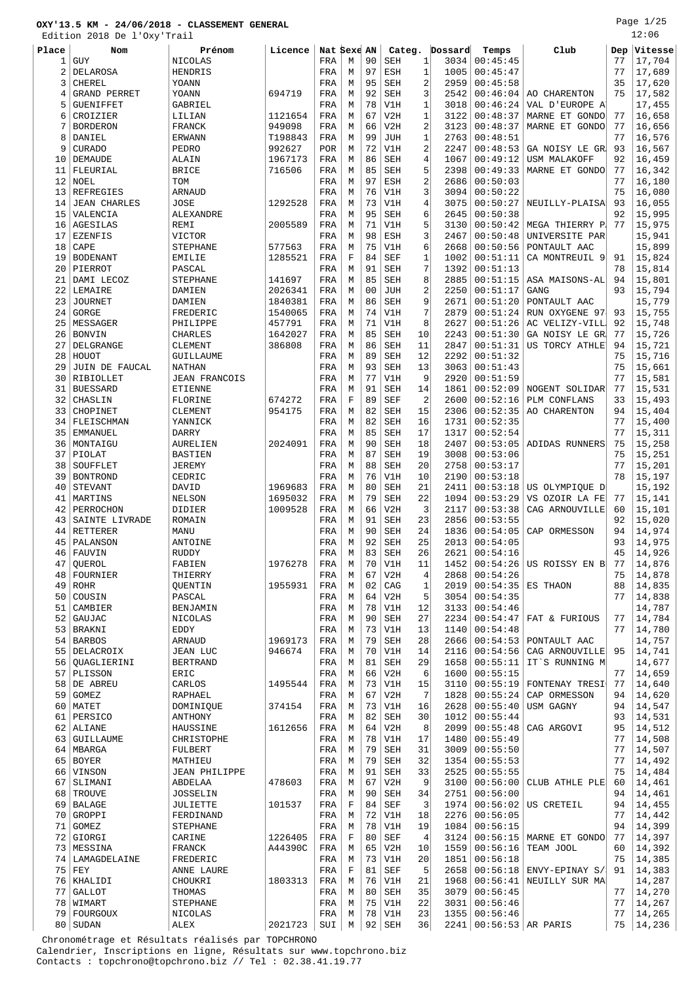Page 1/25 12:06

|          | Edition 2018 De l'Oxy'Trail       |                                       |                   |                     |                  |                |                               |                              |              |                      |                                       |          | 12:06            |
|----------|-----------------------------------|---------------------------------------|-------------------|---------------------|------------------|----------------|-------------------------------|------------------------------|--------------|----------------------|---------------------------------------|----------|------------------|
| Place    | Nom                               | Prénom                                | Licence           |                     | Nat Sexe AN      |                |                               | Categ.                       | Dossard      | Temps                | Club                                  | Dep      | Vitesse          |
| 1<br>2   | <b>GUY</b><br>DELAROSA            | NICOLAS<br>HENDRIS                    |                   | FRA<br>FRA          | М<br>М           | 90<br>97       | <b>SEH</b><br>ESH             | $\mathbf{1}$<br>$\mathbf{1}$ | 3034<br>1005 | 00:45:45<br>00:45:47 |                                       | 77<br>77 | 17,704<br>17,689 |
| 3        | CHEREL                            | YOANN                                 |                   | FRA                 | М                | 95             | <b>SEH</b>                    | $\overline{2}$               | 2959         | 00:45:58             |                                       | 35       | 17,620           |
| 4        | <b>GRAND PERRET</b>               | YOANN                                 | 694719            | FRA                 | М                | 92             | <b>SEH</b>                    | 3                            | 2542         | 00:46:04             | AO CHARENTON                          | 75       | 17,582           |
| 5        | <b>GUENIFFET</b>                  | GABRIEL                               |                   | FRA                 | М                | 78             | V1H                           | $\mathbf{1}$                 | 3018         | 00:46:24             | VAL D'EUROPE A                        |          | 17,455           |
| 6        | CROIZIER                          | LILIAN                                | 1121654           | FRA                 | М                | 67             | V2H                           | $\mathbf{1}$                 | 3122         | 00:48:37             | MARNE ET GONDO                        | 77       | 16,658           |
| 7        | <b>BORDERON</b>                   | FRANCK                                | 949098            | FRA                 | М                | 66             | V2H                           | $\overline{2}$               | 3123         | 00:48:37             | MARNE ET GONDO                        | 77       | 16,656           |
| 8        | DANIEL                            | ERWANN                                | T198843           | FRA                 | М                | 99             | <b>JUH</b>                    | $1\,$                        | 2763         | 00:48:51             |                                       | 77       | 16,576           |
| 9        | <b>CURADO</b>                     | PEDRO                                 | 992627<br>1967173 | POR                 | М                | 72<br>86       | V1H                           | 2                            | 2247         | 00:48:53             | GA NOISY LE GR                        | 93       | 16,567           |
| 10<br>11 | DEMAUDE<br>FLEURIAL               | ALAIN<br><b>BRICE</b>                 | 716506            | FRA<br>FRA          | М<br>М           | 85             | <b>SEH</b><br><b>SEH</b>      | $\overline{4}$<br>5          | 1067<br>2398 | 00:49:12<br>00:49:33 | <b>USM MALAKOFF</b><br>MARNE ET GONDO | 92<br>77 | 16,459<br>16,342 |
| 12       | NOEL                              | TOM                                   |                   | FRA                 | М                | 97             | ESH                           | $\overline{2}$               | 2686         | 00:50:03             |                                       | 77       | 16,180           |
| 13       | REFREGIES                         | <b>ARNAUD</b>                         |                   | FRA                 | М                | 76             | V1H                           | 3                            | 3094         | 00:50:22             |                                       | 75       | 16,080           |
| 14       | <b>JEAN CHARLES</b>               | JOSE                                  | 1292528           | FRA                 | М                | 73             | V1H                           | 4                            | 3075         | 00:50:27             | NEUILLY-PLAISA                        | 93       | 16,055           |
| 15       | VALENCIA                          | ALEXANDRE                             |                   | FRA                 | M                | 95             | <b>SEH</b>                    | 6                            | 2645         | 00:50:38             |                                       | 92       | 15,995           |
| 16       | AGESILAS                          | REMI                                  | 2005589           | FRA                 | М                | 71             | V1H                           | 5                            | 3130         | 00:50:42             | MEGA THIERRY P                        | 77       | 15,975           |
| 17       | <b>EZENFIS</b>                    | VICTOR                                |                   | FRA                 | М                | 98             | ESH                           | 3                            | 2467         | 00:50:48             | UNIVERSITE PAR                        |          | 15,941           |
| 18       | CAPE                              | <b>STEPHANE</b>                       | 577563            | FRA                 | М                | 75             | V1H                           | 6                            | 2668         | 00:50:56             | PONTAULT AAC                          |          | 15,899           |
| 19<br>20 | <b>BODENANT</b><br>PIERROT        | EMILIE<br>PASCAL                      | 1285521           | FRA<br>FRA          | $\mathbf F$<br>М | 84<br>91       | <b>SEF</b><br><b>SEH</b>      | $1\,$<br>7                   | 1002<br>1392 | 00:51:11<br>00:51:13 | CA MONTREUIL 9                        | 91<br>78 | 15,824<br>15,814 |
| 21       | DAMI LECOZ                        | <b>STEPHANE</b>                       | 141697            | FRA                 | М                | 85             | <b>SEH</b>                    | 8                            | 2885         | 00:51:15             | ASA MAISONS-AL                        | 94       | 15,801           |
| 22       | LEMAIRE                           | DAMIEN                                | 2026341           | FRA                 | М                | 0 <sub>0</sub> | <b>JUH</b>                    | $\overline{2}$               | 2250         | 00:51:17             | <b>GANG</b>                           | 93       | 15,794           |
| 23       | <b>JOURNET</b>                    | DAMIEN                                | 1840381           | FRA                 | М                | 86             | <b>SEH</b>                    | 9                            | 2671         | 00:51:20             | PONTAULT AAC                          |          | 15,779           |
| 24       | GORGE                             | FREDERIC                              | 1540065           | FRA                 | М                | 74             | V1H                           | 7                            | 2879         | 00:51:24             | RUN OXYGENE 97                        | 93       | 15,755           |
| 25       | <b>MESSAGER</b>                   | PHILIPPE                              | 457791            | FRA                 | М                | 71             | V1H                           | 8                            | 2627         | 00:51:26             | AC VELIZY-VILL                        | 92       | 15,748           |
| 26       | <b>BONVIN</b>                     | <b>CHARLES</b>                        | 1642027           | FRA                 | M                | 85             | <b>SEH</b>                    | 10                           | 2243         | 00:51:30             | GA NOISY LE GR                        | 77       | 15,726           |
| 27       | DELGRANGE                         | CLEMENT                               | 386808            | FRA                 | М                | 86             | <b>SEH</b>                    | 11                           | 2847         | 00:51:31             | US TORCY ATHLE                        | 94       | 15,721           |
| 28       | HOUOT                             | GUILLAUME                             |                   | FRA                 | М                | 89             | <b>SEH</b>                    | 12                           | 2292         | 00:51:32             |                                       | 75       | 15,716           |
| 29<br>30 | JUIN DE FAUCAL<br>RIBIOLLET       | <b>NATHAN</b><br><b>JEAN FRANCOIS</b> |                   | FRA<br>FRA          | М<br>М           | 93<br>77       | <b>SEH</b><br>V1H             | 13<br>9                      | 3063<br>2920 | 00:51:43<br>00:51:59 |                                       | 75<br>77 | 15,661<br>15,581 |
| 31       | <b>BUESSARD</b>                   | <b>ETIENNE</b>                        |                   | FRA                 | М                | 91             | <b>SEH</b>                    | 14                           | 1861         | 00:52:09             | NOGENT SOLIDAR                        | 77       | 15,531           |
| 32       | CHASLIN                           | FLORINE                               | 674272            | FRA                 | $\mathbf F$      | 89             | <b>SEF</b>                    | $\overline{2}$               | 2600         | 00:52:16             | PLM CONFLANS                          | 33       | 15,493           |
| 33       | CHOPINET                          | CLEMENT                               | 954175            | FRA                 | М                | 82             | <b>SEH</b>                    | 15                           | 2306         | 00:52:35             | AO CHARENTON                          | 94       | 15,404           |
| 34       | FLEISCHMAN                        | YANNICK                               |                   | FRA                 | М                | 82             | <b>SEH</b>                    | 16                           | 1731         | 00:52:35             |                                       | 77       | 15,400           |
| 35       | EMMANUEL                          | DARRY                                 |                   | FRA                 | М                | 85             | <b>SEH</b>                    | 17                           | 1317         | 00:52:54             |                                       | 77       | 15,311           |
|          | 36   MONTAIGU                     | AURELIEN                              | 2024091           | FRA                 | М                | 90             | <b>SEH</b>                    | 18                           | 2407         | 00:53:05             | ADIDAS RUNNERS                        | 75       | 15,258           |
| 37       | PIOLAT                            | <b>BASTIEN</b>                        |                   | FRA                 | М                | 87             | <b>SEH</b>                    | 19                           | 3008         | 00:53:06             |                                       | 75       | 15,251           |
| 38       | SOUFFLET                          | JEREMY                                |                   | FRA                 | М                | 88             | <b>SEH</b>                    | 20                           | 2758         | 00:53:17             |                                       | 77       | 15,201           |
| 39<br>40 | <b>BONTROND</b><br><b>STEVANT</b> | CEDRIC                                | 1969683           | FRA                 | М<br>М           | 76<br>80       | V1H<br><b>SEH</b>             | 10<br>21                     | 2190<br>2411 | 00:53:18<br>00:53:18 |                                       | 78       | 15,197           |
| 41       | MARTINS                           | DAVID<br>NELSON                       | 1695032           | FRA<br>FRA          | М                | 79             | SEH                           | 22                           | 1094         | 00:53:29             | US OLYMPIQUE D<br>VS OZOIR LA FE      | 77       | 15,192<br>15,141 |
| 42       | PERROCHON                         | DIDIER                                | 1009528           | FRA                 | М                | 66             | V2H                           | 3                            | 2117         | 00:53:38             | CAG ARNOUVILLE                        | 60       | 15,101           |
| 43       | SAINTE LIVRADE                    | ROMAIN                                |                   | FRA                 | М                | 91             | <b>SEH</b>                    | 23                           | 2856         | 00:53:55             |                                       | 92       | 15,020           |
| 44       | RETTERER                          | MANU                                  |                   | FRA                 | M                | 90             | <b>SEH</b>                    | 24                           | 1836         | 00:54:05             | CAP ORMESSON                          | 94       | 14,974           |
| 45       | PALANSON                          | ANTOINE                               |                   | FRA                 | М                | 92             | SEH                           | 25                           | 2013         | 00:54:05             |                                       | 93       | 14,975           |
| 46       | FAUVIN                            | RUDDY                                 |                   | FRA                 | М                | 83             | SEH                           | 26                           |              | 2621   00:54:16      |                                       | 45       | 14,926           |
| 47       | QUEROL                            | FABIEN                                | 1976278           | FRA                 | М                | 70             | V1H                           | 11                           | 1452         | 00:54:26             | US ROISSY EN B                        | 77       | 14,876           |
| 48       | FOURNIER                          | THIERRY                               |                   | FRA                 | М                | 67             | V2H                           | 4                            | 2868         | 00:54:26             |                                       | 75       | 14,878           |
| 50       | 49 ROHR<br>COUSIN                 | QUENTIN<br>PASCAL                     | 1955931           | FRA<br>FRA          | М<br>М           | 02<br>64       | CAG<br>V2H                    | $1\,$<br>5                   | 2019<br>3054 | 00:54:35<br>00:54:35 | ES THAON                              | 88<br>77 | 14,835<br>14,838 |
| 51       | CAMBIER                           | BENJAMIN                              |                   | FRA                 | М                | 78             | V1H                           | 12                           | 3133         | 00:54:46             |                                       |          | 14,787           |
|          | 52 GAUJAC                         | NICOLAS                               |                   | FRA                 | М                | 90             | <b>SEH</b>                    | 27                           | 2234         | 00:54:47             | FAT & FURIOUS                         | 77       | 14,784           |
|          | 53   BRAKNI                       | EDDY                                  |                   | FRA                 | М                | 73             | V1H                           | 13                           | 1140         | 00:54:48             |                                       | 77       | 14,780           |
|          | 54   BARBOS                       | ARNAUD                                | 1969173           | FRA                 | М                | 79             | SEH                           | 28                           | 2666         | 00:54:53             | PONTAULT AAC                          |          | 14,757           |
|          | 55 DELACROIX                      | JEAN LUC                              | 946674            | FRA                 | М                | 70             | V1H                           | 14                           | 2116         | 00:54:56             | CAG ARNOUVILLE                        | 95       | 14,741           |
|          | 56   QUAGLIERINI                  | <b>BERTRAND</b>                       |                   | FRA                 | М                | 81             | $\operatorname{\mathtt{SEH}}$ | 29                           | 1658         | 00:55:11             | IT'S RUNNING M                        |          | 14,677           |
|          | 57 PLISSON                        | ERIC                                  |                   | FRA                 | М                | 66             | V2H                           | 6                            | 1600         | 00:55:15             |                                       | 77       | 14,659           |
|          | 58 DE ABREU                       | CARLOS                                | 1495544           | FRA                 | М                | 73             | V1H                           | 15                           | 3110         | 00:55:19             | FONTENAY TRESI                        | 77       | 14,640           |
| 59       | GOMEZ<br>$60$   MATET             | RAPHAEL<br>DOMINIQUE                  | 374154            | FRA<br>$_{\rm FRA}$ | М<br>М           | 67<br>73       | V2H<br>V1H                    | 7<br>16                      | 1828<br>2628 | 00:55:24<br>00:55:40 | CAP ORMESSON<br>USM GAGNY             | 94<br>94 | 14,620<br>14,547 |
|          | 61   PERSICO                      | ANTHONY                               |                   | FRA                 | М                | 82             | <b>SEH</b>                    | 30                           | 1012         | 00:55:44             |                                       | 93       | 14,531           |
|          | 62 ALIANE                         | HAUSSINE                              | 1612656           | FRA                 | М                | 64             | V2H                           | 8                            | 2099         | 00:55:48             | CAG ARGOVI                            | 95       | 14,512           |
|          | 63 GUILLAUME                      | CHRISTOPHE                            |                   | FRA                 | М                | 78             | V1H                           | 17                           | 1480         | 00:55:49             |                                       | 77       | 14,508           |
|          | 64   MBARGA                       | FULBERT                               |                   | FRA                 | М                | 79             | <b>SEH</b>                    | 31                           | 3009         | 00:55:50             |                                       | 77       | 14,507           |
|          | 65 BOYER                          | MATHIEU                               |                   | FRA                 | М                | 79             | $\operatorname{\mathtt{SEH}}$ | 32                           | 1354         | 00:55:53             |                                       | 77       | 14,492           |
|          | 66 VINSON                         | <b>JEAN PHILIPPE</b>                  |                   | FRA                 | М                | 91             | SEH                           | 33                           | 2525         | 00:55:55             |                                       | 75       | 14,484           |
| 67       | SLIMANI                           | ABDELAA                               | 478603            | FRA                 | М                | 67             | V2H                           | 9                            | 3100         | 00:56:00             | CLUB ATHLE PLE                        | 60       | 14,461           |
|          | 68 TROUVE                         | JOSSELIN                              |                   | $_{\rm FRA}$        | М                | 90             | <b>SEH</b>                    | 34                           | 2751         | 00:56:00             |                                       | 94       | 14,461           |
|          | 69 BALAGE                         | JULIETTE                              | 101537            | FRA                 | $\mathbf F$      | 84             | SEF                           | 3                            | 1974         | 00:56:02             | US CRETEIL                            | 94       | 14,455           |
| 71       | 70 GROPPI<br>GOMEZ                | FERDINAND<br><b>STEPHANE</b>          |                   | FRA<br>FRA          | М<br>М           | 72<br>78       | V1H<br>V1H                    | 18<br>19                     | 2276<br>1084 | 00:56:05<br>00:56:15 |                                       | 77<br>94 | 14,442<br>14,399 |
|          | $72$ GIORGI                       | CARINE                                | 1226405           | FRA                 | $\mathbf F$      | 80             | <b>SEF</b>                    | 4                            | 3124         |                      | $00:56:15$ MARNE ET GONDO             | 77       | 14,397           |
|          | 73 MESSINA                        | FRANCK                                | A44390C           | FRA                 | М                | 65             | V2H                           | 10                           | 1559         | 00:56:16             | TEAM JOOL                             | 60       | 14,392           |
|          | 74   LAMAGDELAINE                 | FREDERIC                              |                   | FRA                 | М                | 73             | V1H                           | 20                           | 1851         | 00:56:18             |                                       | 75       | 14,385           |
|          | $75$ FEY                          | ANNE LAURE                            |                   | FRA                 | F                | 81             | SEF                           | 5                            | 2658         | 00:56:18             | ENVY-EPINAY S/                        | 91       | 14,383           |
|          | 76   KHALIDI                      | CHOUKRI                               | 1803313           | FRA                 | М                | 76             | V1H                           | 21                           | 1968         | 00:56:41             | NEUILLY SUR MA                        |          | 14,287           |
|          | 77   GALLOT                       | THOMAS                                |                   | FRA                 | М                | 80             | <b>SEH</b>                    | 35                           | 3079         | 00:56:45             |                                       | 77       | 14,270           |
|          | 78 WIMART                         | <b>STEPHANE</b>                       |                   | FRA                 | М                | 75             | V1H                           | 22                           | 3031         | 00:56:46             |                                       | 77       | 14,267           |
|          | 79 FOURGOUX                       | NICOLAS                               |                   | FRA                 | М                |                | 78 V1H                        | 23                           |              | 1355   00:56:46      |                                       | 77       | 14,265           |

80 SUDAN ALEX 2021723 | SUI | M | 92 | SEH 36 | 2241 | 00:56:53 | AR PARIS | 75 | 14,236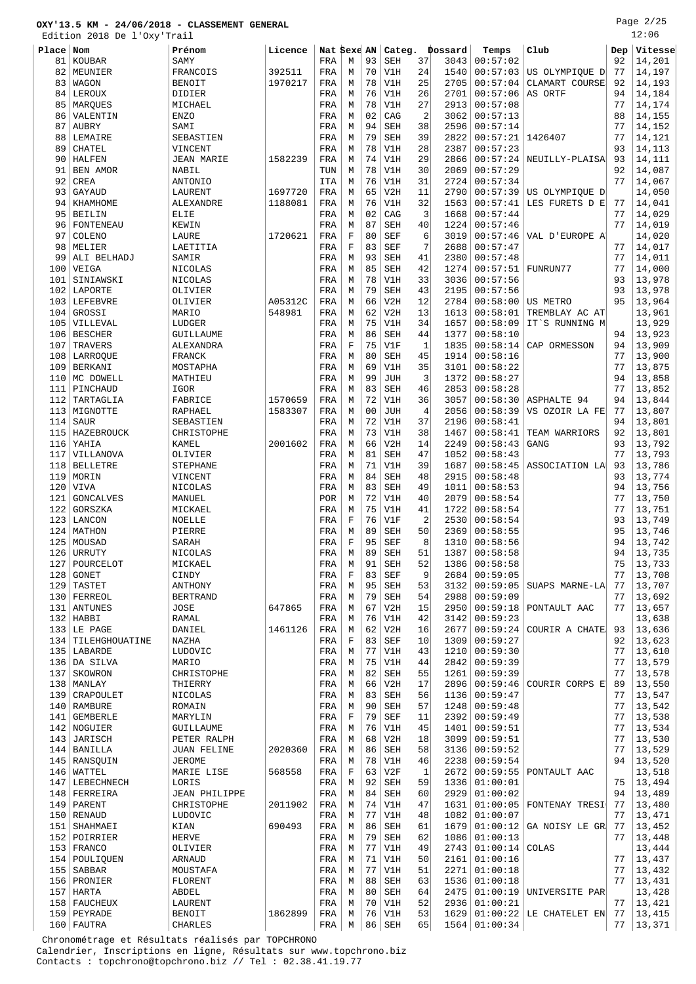Page 2/25  $\overline{12}$ 

|       | Edition 2018 De l'Oxy'Trail |                      |         |             |             |                |            |                |         |          |                           |     | 12:06   |
|-------|-----------------------------|----------------------|---------|-------------|-------------|----------------|------------|----------------|---------|----------|---------------------------|-----|---------|
| Place | Nom                         | Prénom               | Licence | Nat Sexe AN |             |                | Categ.     |                | Dossard | Temps    | Club                      | Dep | Vitesse |
| 81    | KOUBAR                      | SAMY                 |         | FRA         | М           | 93             | <b>SEH</b> | 37             | 3043    | 00:57:02 |                           | 92  | 14,201  |
| 82    | MEUNIER                     | FRANCOIS             | 392511  | FRA         | М           | 70             | V1H        | 24             | 1540    | 00:57:03 | US OLYMPIQUE D            | 77  | 14,197  |
| 83    | WAGON                       | <b>BENOIT</b>        | 1970217 | FRA         | М           | 78             | V1H        | 25             | 2705    | 00:57:04 | CLAMART COURSE            | 92  | 14,193  |
| 84    | LEROUX                      | DIDIER               |         | FRA         | М           | 76             | V1H        | 26             | 2701    | 00:57:06 | AS ORTF                   | 94  | 14,184  |
|       |                             |                      |         |             |             | 78             | V1H        | 27             | 2913    | 00:57:08 |                           | 77  |         |
| 85    | MAROUES                     | MICHAEL              |         | FRA         | М           | 02             |            | $\overline{2}$ | 3062    | 00:57:13 |                           | 88  | 14,174  |
| 86    | VALENTIN                    | <b>ENZO</b>          |         | FRA         | М           |                | CAG        |                |         |          |                           |     | 14,155  |
| 87    | AUBRY                       | SAMI                 |         | FRA         | M           | 94             | <b>SEH</b> | 38             | 2596    | 00:57:14 |                           | 77  | 14,152  |
| 88    | LEMAIRE                     | SEBASTIEN            |         | FRA         | М           | 79             | <b>SEH</b> | 39             | 2822    | 00:57:21 | 1426407                   | 77  | 14,121  |
| 89    | <b>CHATEL</b>               | VINCENT              |         | FRA         | М           | 78             | V1H        | 28             | 2387    | 00:57:23 |                           | 93  | 14,113  |
| 90    | <b>HALFEN</b>               | JEAN MARIE           | 1582239 | FRA         | М           | 74             | V1H        | 29             | 2866    | 00:57:24 | NEUILLY-PLAISA            | 93  | 14,111  |
| 91    | BEN AMOR                    | NABIL                |         | TUN         | М           | 78             | V1H        | 30             | 2069    | 00:57:29 |                           | 92  | 14,087  |
| 92    | CREA                        | ANTONIO              |         | ITA         | М           | 76             | V1H        | 31             | 2724    | 00:57:34 |                           | 77  | 14,067  |
| 93    | GAYAUD                      | LAURENT              | 1697720 | FRA         | М           | 65             | V2H        | 11             | 2790    | 00:57:39 | US OLYMPIOUE D            |     | 14,050  |
| 94    | KHAMHOME                    | <b>ALEXANDRE</b>     | 1188081 | FRA         | М           | 76             | V1H        | 32             | 1563    | 00:57:41 | LES FURETS D E            | 77  | 14,041  |
| 95    | <b>BEILIN</b>               | ELIE                 |         | FRA         | М           | 02             | CAG        | 3              | 1668    | 00:57:44 |                           | 77  | 14,029  |
| 96    | FONTENEAU                   | KEWIN                |         | FRA         | M           | 87             | <b>SEH</b> | 40             | 1224    | 00:57:46 |                           | 77  | 14,019  |
| 97    | COLENO                      | LAURE                | 1720621 | FRA         | $\mathbf F$ | 80             | <b>SEF</b> | 6              | 3019    | 00:57:46 | VAL D'EUROPE A            |     | 14,020  |
| 98    | MELIER                      | LAETITIA             |         | FRA         | $\rm F$     | 83             | <b>SEF</b> | 7              | 2688    | 00:57:47 |                           | 77  | 14,017  |
| 99    | ALI BELHADJ                 | SAMIR                |         | FRA         | М           | 93             | SEH        | 41             | 2380    | 00:57:48 |                           | 77  | 14,011  |
|       |                             |                      |         |             |             |                |            |                |         |          |                           | 77  |         |
| 100   | VEIGA                       | NICOLAS              |         | FRA         | М           | 85             | SEH        | 42             | 1274    | 00:57:51 | FUNRUN77                  |     | 14,000  |
| 101   | SINIAWSKI                   | NICOLAS              |         | FRA         | М           | 78             | V1H        | 33             | 3036    | 00:57:56 |                           | 93  | 13,978  |
| 102   | LAPORTE                     | OLIVIER              |         | FRA         | М           | 79             | <b>SEH</b> | 43             | 2195    | 00:57:56 |                           | 93  | 13,978  |
| 103   | LEFEBVRE                    | OLIVIER              | A05312C | FRA         | M           | 66             | V2H        | 12             | 2784    | 00:58:00 | US METRO                  | 95  | 13,964  |
| 104   | GROSSI                      | MARIO                | 548981  | FRA         | М           | 62             | V2H        | 13             | 1613    | 00:58:01 | TREMBLAY AC AT            |     | 13,961  |
| 105   | VILLEVAL                    | LUDGER               |         | FRA         | М           | 75             | V1H        | 34             | 1657    | 00:58:09 | IT'S RUNNING M            |     | 13,929  |
| 106   | <b>BESCHER</b>              | GUILLAUME            |         | FRA         | М           | 86             | <b>SEH</b> | 44             | 1377    | 00:58:10 |                           | 94  | 13,923  |
| 107   | TRAVERS                     | ALEXANDRA            |         | FRA         | $\rm F$     | 75             | V1F        | 1              | 1835    | 00:58:14 | CAP ORMESSON              | 94  | 13,909  |
| 108   | LARROOUE                    | FRANCK               |         | FRA         | М           | 80             | SEH        | 45             | 1914    | 00:58:16 |                           | 77  | 13,900  |
| 109   | <b>BERKANI</b>              | MOSTAPHA             |         | FRA         | М           | 69             | V1H        | 35             | 3101    | 00:58:22 |                           | 77  | 13,875  |
| 110   | MC DOWELL                   | MATHIEU              |         | FRA         | М           | 99             | <b>JUH</b> | 3              | 1372    | 00:58:27 |                           | 94  | 13,858  |
| 111   | PINCHAUD                    | IGOR                 |         | FRA         | М           | 83             | <b>SEH</b> | 46             | 2853    | 00:58:28 |                           | 77  | 13,852  |
| 112   | TARTAGLIA                   | FABRICE              | 1570659 | FRA         | M           | 72             | V1H        | 36             | 3057    | 00:58:30 | <b>ASPHALTE 94</b>        | 94  | 13,844  |
|       |                             |                      |         |             |             |                |            | $\overline{4}$ |         | 00:58:39 |                           |     |         |
| 113   | MIGNOTTE                    | RAPHAEL              | 1583307 | FRA         | М           | 0 <sub>0</sub> | <b>JUH</b> |                | 2056    |          | VS OZOIR LA FE            | 77  | 13,807  |
| 114   | <b>SAUR</b>                 | SEBASTIEN            |         | FRA         | М           | 72             | V1H        | 37             | 2196    | 00:58:41 |                           | 94  | 13,801  |
| 115   | HAZEBROUCK                  | CHRISTOPHE           |         | FRA         | М           | 73             | V1H        | 38             | 1467    | 00:58:41 | TEAM WARRIORS             | 92  | 13,801  |
| 116   | YAHIA                       | KAMEL                | 2001602 | FRA         | М           | 66             | V2H        | 14             | 2249    | 00:58:43 | GANG                      | 93  | 13,792  |
| 117   | VILLANOVA                   | OLIVIER              |         | FRA         | М           | 81             | SEH        | 47             | 1052    | 00:58:43 |                           | 77  | 13,793  |
| 118   | <b>BELLETRE</b>             | STEPHANE             |         | FRA         | М           | 71             | V1H        | 39             | 1687    | 00:58:45 | ASSOCIATION LA            | 93  | 13,786  |
| 119   | MORIN                       | VINCENT              |         | FRA         | М           | 84             | <b>SEH</b> | 48             | 2915    | 00:58:48 |                           | 93  | 13,774  |
| 120   | <b>VIVA</b>                 | NICOLAS              |         | FRA         | M           | 83             | <b>SEH</b> | 49             | 1011    | 00:58:53 |                           | 94  | 13,756  |
| 121   | <b>GONCALVES</b>            | MANUEL               |         | POR         | М           | 72             | V1H        | 40             | 2079    | 00:58:54 |                           | 77  | 13,750  |
| 122   | GORSZKA                     | MICKAEL              |         | FRA         | М           | 75             | V1H        | 41             | 1722    | 00:58:54 |                           | 77  | 13,751  |
| 123   | LANCON                      | NOELLE               |         | FRA         | $\rm F$     | 76             | V1F        | $\overline{2}$ | 2530    | 00:58:54 |                           | 93  | 13,749  |
| 124   | MATHON                      | PIERRE               |         | FRA         | М           | 89             | SEH        | 50             | 2369    | 00:58:55 |                           | 95  | 13,746  |
|       | 125 MOUSAD                  | SARAH                |         | FRA         | F           | 95             | <b>SEF</b> | 8              | 1310    | 00:58:56 |                           | 94  | 13,742  |
|       | 126   URRUTY                | NICOLAS              |         | FRA         | М           | 89             | <b>SEH</b> | 51             | 1387    | 00:58:58 |                           | 94  | 13,735  |
| 127   | POURCELOT                   | MICKAEL              |         | FRA         | М           | 91             | <b>SEH</b> | 52             | 1386    | 00:58:58 |                           | 75  | 13,733  |
|       |                             |                      |         |             | $\mathbf F$ | 83             |            | 9              | 2684    | 00:59:05 |                           | 77  | 13,708  |
| 128   | <b>GONET</b>                | CINDY                |         | FRA         |             |                | <b>SEF</b> |                |         |          |                           |     |         |
| 129   | TASTET                      | ANTHONY              |         | FRA         | М           | 95             | SEH        | 53             | 3132    | 00:59:05 | SUAPS MARNE-LA            | 77  | 13,707  |
|       | 130   FERREOL               | <b>BERTRAND</b>      |         | FRA         | М           | 79             | <b>SEH</b> | 54             | 2988    | 00:59:09 |                           | 77  | 13,692  |
| 131   | ANTUNES                     | JOSE                 | 647865  | FRA         | М           | 67             | V2H        | 15             | 2950    | 00:59:18 | PONTAULT AAC              | 77  | 13,657  |
|       | 132 HABBI                   | RAMAL                |         | FRA         | М           | 76             | V1H        | 42             | 3142    | 00:59:23 |                           |     | 13,638  |
|       | 133 LE PAGE                 | DANIEL               | 1461126 | FRA         | М           | 62             | V2H        | 16             | 2677    | 00:59:24 | COURIR A CHATE            | 93  | 13,636  |
|       | 134   TILEHGHOUATINE        | NAZHA                |         | FRA         | F           | 83             | SEF        | 10             | 1309    | 00:59:27 |                           | 92  | 13,623  |
|       | 135   LABARDE               | LUDOVIC              |         | FRA         | М           | 77             | V1H        | 43             | 1210    | 00:59:30 |                           | 77  | 13,610  |
|       | 136 DA SILVA                | MARIO                |         | FRA         | М           | 75             | V1H        | 44             | 2842    | 00:59:39 |                           | 77  | 13,579  |
| 137   | SKOWRON                     | CHRISTOPHE           |         | FRA         | M           | 82             | SEH        | 55             | 1261    | 00:59:39 |                           | 77  | 13,578  |
|       | 138   MANLAY                | THIERRY              |         | FRA         | М           | 66             | V2H        | 17             | 2896    | 00:59:46 | COURIR CORPS E            | 89  | 13,550  |
| 139   | CRAPOULET                   | NICOLAS              |         | FRA         | М           | 83             | <b>SEH</b> | 56             | 1136    | 00:59:47 |                           | 77  | 13,547  |
|       | 140   RAMBURE               | ROMAIN               |         | FRA         | М           | 90             | <b>SEH</b> | 57             | 1248    | 00:59:48 |                           | 77  | 13,542  |
| 141   | <b>GEMBERLE</b>             | MARYLIN              |         | FRA         | $\mathbf F$ | 79             | SEF        | 11             | 2392    | 00:59:49 |                           | 77  | 13,538  |
|       | 142 NOGUIER                 | GUILLAUME            |         | FRA         | М           | 76             | V1H        | 45             | 1401    | 00:59:51 |                           | 77  | 13,534  |
|       | 143 JARISCH                 | PETER RALPH          |         | FRA         | М           | 68             | V2H        | 18             | 3099    | 00:59:51 |                           | 77  | 13,530  |
| 144   | BANILLA                     | JUAN FELINE          | 2020360 | FRA         | М           | 86             | <b>SEH</b> | 58             | 3136    | 00:59:52 |                           | 77  | 13,529  |
|       | 145   RANSQUIN              | JEROME               |         | FRA         | М           | 78             | V1H        | 46             | 2238    | 00:59:54 |                           | 94  | 13,520  |
|       |                             |                      |         |             |             |                |            |                |         |          |                           |     |         |
| 146   | WATTEL                      | MARIE LISE           | 568558  | FRA         | $\rm F$     | 63             | V2F        | 1              | 2672    | 00:59:55 | PONTAULT AAC              |     | 13,518  |
| 147   | LEBECHNECH                  | LORIS                |         | FRA         | М           | 92             | SEH        | 59             | 1336    | 01:00:01 |                           | 75  | 13,494  |
|       | 148 FERREIRA                | <b>JEAN PHILIPPE</b> |         | FRA         | М           | 84             | <b>SEH</b> | 60             | 2929    | 01:00:02 |                           | 94  | 13,489  |
|       | $149$ PARENT                | CHRISTOPHE           | 2011902 | FRA         | М           | 74             | V1H        | 47             | 1631    | 01:00:05 | FONTENAY TRESI            | 77  | 13,480  |
|       | $150  $ RENAUD              | LUDOVIC              |         | FRA         | М           | 77             | V1H        | 48             | 1082    | 01:00:07 |                           | 77  | 13,471  |
| 151   | SHAHMAEI                    | KIAN                 | 690493  | FRA         | М           | 86             | SEH        | 61             | 1679    | 01:00:12 | GA NOISY LE GR            | 77  | 13,452  |
|       | 152   POIRRIER              | <b>HERVE</b>         |         | FRA         | М           | 79             | <b>SEH</b> | 62             | 1086    | 01:00:13 |                           | 77  | 13,448  |
|       | 153 FRANCO                  | OLIVIER              |         | FRA         | M           | 77             | V1H        | 49             | 2743    | 01:00:14 | COLAS                     |     | 13,444  |
|       | 154   POULIQUEN             | ARNAUD               |         | FRA         | М           | 71             | V1H        | 50             | 2161    | 01:00:16 |                           | 77  | 13,437  |
| 155   | SABBAR                      | MOUSTAFA             |         | FRA         | М           | 77             | V1H        | 51             | 2271    | 01:00:18 |                           | 77  | 13,432  |
|       | 156   PRONIER               | FLORENT              |         | FRA         | М           | 88             | <b>SEH</b> | 63             | 1536    | 01:00:18 |                           | 77  | 13,431  |
|       | $157$ HARTA                 | ABDEL                |         | FRA         | М           | 80             | <b>SEH</b> | 64             | 2475    | 01:00:19 | UNIVERSITE PAR            |     | 13,428  |
|       | 158   FAUCHEUX              | LAURENT              |         | FRA         | М           | 70             | V1H        | 52             | 2936    | 01:00:21 |                           | 77  | 13,421  |
|       | 159   PEYRADE               | BENOIT               | 1862899 | FRA         | М           | 76             | V1H        | 53             | 1629    |          | $01:00:22$ LE CHATELET EN | 77  | 13,415  |
|       | $160$ FAUTRA                | CHARLES              |         | FRA         | М           | 86             | SEH        | 65             | 1564    | 01:00:34 |                           | 77  | 13,371  |
|       |                             |                      |         |             |             |                |            |                |         |          |                           |     |         |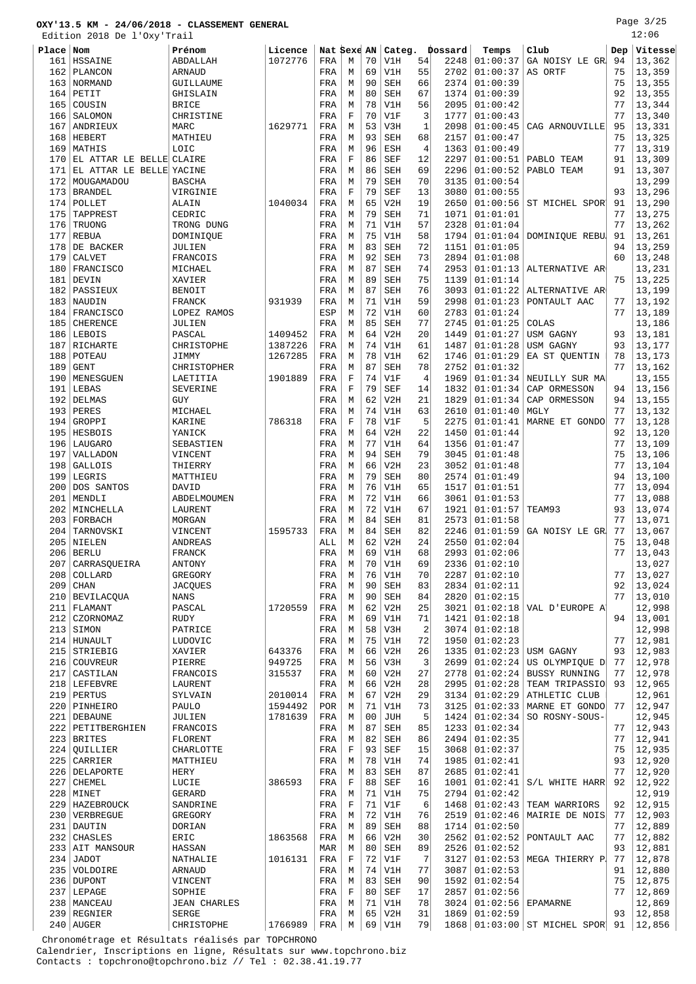| Page $3/25$ |  |
|-------------|--|
|             |  |

|           | Edition 2018 De l'Oxy'Trail |                     |         |             |         |                |              |                |         |          |                                 |     | 12:06   |
|-----------|-----------------------------|---------------------|---------|-------------|---------|----------------|--------------|----------------|---------|----------|---------------------------------|-----|---------|
| Place Nom |                             | Prénom              | Licence | Nat Sexe AN |         |                | Categ.       |                | Dossard | Temps    | Club                            | Dep | Vitesse |
| 161       | HSSAINE                     | ABDALLAH            | 1072776 | FRA         | М       | 70             | V1H          | 54             | 2248    | 01:00:37 | GA NOISY LE GR                  | 94  | 13,362  |
| 162       | PLANCON                     | <b>ARNAUD</b>       |         | FRA         | М       | 69             | V1H          | 55             | 2702    | 01:00:37 | AS ORTF                         | 75  | 13,359  |
|           |                             |                     |         |             |         | 90             |              | 66             | 2374    |          |                                 | 75  |         |
| 163       | <b>NORMAND</b>              | GUILLAUME           |         | FRA         | M       |                | <b>SEH</b>   |                |         | 01:00:39 |                                 |     | 13,355  |
| 164       | PETIT                       | GHISLAIN            |         | FRA         | М       | 80             | <b>SEH</b>   | 67             | 1374    | 01:00:39 |                                 | 92  | 13,355  |
| 165       | COUSIN                      | <b>BRICE</b>        |         | FRA         | М       | 78             | V1H          | 56             | 2095    | 01:00:42 |                                 | 77  | 13,344  |
| 166       | SALOMON                     | CHRISTINE           |         | FRA         | $\rm F$ | 70             | V1F          | 3              | 1777    | 01:00:43 |                                 | 77  | 13,340  |
| 167       | ANDRIEUX                    | MARC                | 1629771 | FRA         | М       | 53             | V3H          | $\mathbf{1}$   | 2098    | 01:00:45 | CAG ARNOUVILLE                  | 95  | 13,331  |
| 168       | HEBERT                      | MATHIEU             |         | FRA         | М       | 93             | SEH          | 68             | 2157    | 01:00:47 |                                 | 75  | 13,325  |
| 169       | MATHIS                      | LOIC                |         | FRA         | М       | 96             | ESH          | 4              | 1363    | 01:00:49 |                                 | 77  | 13,319  |
| 170       | EL ATTAR LE BELLE CLAIRE    |                     |         | FRA         | F       | 86             | <b>SEF</b>   | 12             | 2297    | 01:00:51 | PABLO TEAM                      | 91  | 13,309  |
| 171       | EL ATTAR LE BELLE YACINE    |                     |         | FRA         | М       | 86             | SEH          | 69             | 2296    | 01:00:52 | PABLO TEAM                      | 91  | 13,307  |
| 172       | MOUGAMADOU                  | <b>BASCHA</b>       |         | FRA         | М       | 79             | <b>SEH</b>   | 70             | 3135    | 01:00:54 |                                 |     | 13,299  |
| 173       | <b>BRANDEL</b>              | VIRGINIE            |         | FRA         | F       | 79             | <b>SEF</b>   | 13             | 3080    | 01:00:55 |                                 | 93  | 13,296  |
| 174       | POLLET                      | ALAIN               | 1040034 | FRA         | М       | 65             | V2H          | 19             | 2650    | 01:00:56 | ST MICHEL SPOR                  | 91  | 13,290  |
| 175       | TAPPREST                    | CEDRIC              |         | FRA         | М       | 79             | <b>SEH</b>   | 71             | 1071    | 01:01:01 |                                 | 77  | 13,275  |
| 176       | TRUONG                      |                     |         | FRA         | М       | 71             | V1H          | 57             | 2328    | 01:01:04 |                                 | 77  | 13,262  |
|           |                             | TRONG DUNG          |         |             |         |                |              |                |         |          |                                 |     |         |
| 177       | REBUA                       | DOMINIQUE           |         | FRA         | М       | 75             | V1H          | 58             | 1794    | 01:01:04 | DOMINIQUE REBU                  | 91  | 13,261  |
| 178       | DE BACKER                   | JULIEN              |         | FRA         | М       | 83             | <b>SEH</b>   | 72             | 1151    | 01:01:05 |                                 | 94  | 13,259  |
| 179       | <b>CALVET</b>               | FRANCOIS            |         | FRA         | M       | 92             | SEH          | 73             | 2894    | 01:01:08 |                                 | 60  | 13,248  |
| 180       | FRANCISCO                   | MICHAEL             |         | FRA         | М       | 87             | SEH          | 74             | 2953    | 01:01:13 | ALTERNATIVE AR                  |     | 13,231  |
| 181       | DEVIN                       | XAVIER              |         | FRA         | М       | 89             | <b>SEH</b>   | 75             | 1139    | 01:01:14 |                                 | 75  | 13,225  |
| 182       | PASSIEUX                    | <b>BENOIT</b>       |         | FRA         | М       | 87             | <b>SEH</b>   | 76             | 3093    | 01:01:22 | ALTERNATIVE AR                  |     | 13,199  |
| 183       | NAUDIN                      | FRANCK              | 931939  | FRA         | М       | 71             | V1H          | 59             | 2998    | 01:01:23 | PONTAULT AAC                    | 77  | 13,192  |
| 184       | FRANCISCO                   | LOPEZ RAMOS         |         | ESP         | М       | 72             | V1H          | 60             | 2783    | 01:01:24 |                                 | 77  | 13,189  |
| 185       | <b>CHERENCE</b>             | JULIEN              |         | FRA         | М       | 85             | <b>SEH</b>   | 77             | 2745    | 01:01:25 | COLAS                           |     | 13,186  |
| 186       | LEBOIS                      | PASCAL              | 1409452 | FRA         | М       | 64             | V2H          | 20             | 1449    | 01:01:27 | USM GAGNY                       | 93  | 13,181  |
| 187       | RICHARTE                    | CHRISTOPHE          | 1387226 | FRA         | M       | 74             | V1H          | 61             | 1487    | 01:01:28 | USM GAGNY                       | 93  | 13,177  |
| 188       | POTEAU                      | JIMMY               | 1267285 | FRA         | М       | 78             | V1H          | 62             | 1746    | 01:01:29 | EA ST OUENTIN                   | 78  | 13,173  |
| 189       | GENT                        | CHRISTOPHER         |         | FRA         | М       | 87             | <b>SEH</b>   | 78             | 2752    | 01:01:32 |                                 | 77  | 13,162  |
| 190       | MENESGUEN                   | LAETITIA            | 1901889 | FRA         | F       | 74             | V1F          | 4              | 1969    | 01:01:34 | NEUILLY SUR MA                  |     | 13,155  |
|           |                             |                     |         |             |         | 79             |              |                |         |          |                                 | 94  |         |
| 191       | LEBAS                       | <b>SEVERINE</b>     |         | FRA         | $\rm F$ |                | <b>SEF</b>   | 14             | 1832    | 01:01:34 | CAP ORMESSON                    |     | 13,156  |
| 192       | DELMAS                      | <b>GUY</b>          |         | FRA         | М       | 62             | V2H          | 21             | 1829    | 01:01:34 | CAP ORMESSON                    | 94  | 13,155  |
| 193       | PERES                       | MICHAEL             |         | FRA         | М       | 74             | V1H          | 63             | 2610    | 01:01:40 | MGLY                            | 77  | 13,132  |
| 194       | GROPPI                      | KARINE              | 786318  | FRA         | F       | 78             | V1F          | 5              | 2275    | 01:01:41 | MARNE ET GONDO                  | 77  | 13,128  |
| 195       | HESBOIS                     | YANICK              |         | FRA         | М       | 64             | V2H          | 22             | 1450    | 01:01:44 |                                 | 92  | 13,120  |
| 196       | LAUGARO                     | SEBASTIEN           |         | FRA         | М       | 77             | V1H          | 64             | 1356    | 01:01:47 |                                 | 77  | 13,109  |
| 197       | VALLADON                    | VINCENT             |         | FRA         | М       | 94             | <b>SEH</b>   | 79             | 3045    | 01:01:48 |                                 | 75  | 13,106  |
| 198       | <b>GALLOIS</b>              | THIERRY             |         | FRA         | М       | 66             | V2H          | 23             | 3052    | 01:01:48 |                                 | 77  | 13,104  |
| 199       | LEGRIS                      | MATTHIEU            |         | FRA         | М       | 79             | <b>SEH</b>   | 80             | 2574    | 01:01:49 |                                 | 94  | 13,100  |
| 200       | DOS SANTOS                  | DAVID               |         | FRA         | М       | 76             | V1H          | 65             | 1517    | 01:01:51 |                                 | 77  | 13,094  |
| 201       | MENDLI                      | ABDELMOUMEN         |         | FRA         | М       | 72             | V1H          | 66             | 3061    | 01:01:53 |                                 | 77  | 13,088  |
| 202       | MINCHELLA                   | LAURENT             |         | FRA         | М       | 72             | V1H          | 67             | 1921    | 01:01:57 | TEAM93                          | 93  | 13,074  |
| 203       | FORBACH                     | MORGAN              |         | FRA         | М       | 84             | <b>SEH</b>   | 81             | 2573    | 01:01:58 |                                 | 77  | 13,071  |
| 204       | TARNOVSKI                   | VINCENT             | 1595733 | FRA         | М       | 84             | SEH          | 82             | 2246    | 01:01:59 | GA NOISY LE GR                  | 77  | 13,067  |
|           |                             |                     |         |             |         |                |              | 24             | 2550    | 01:02:04 |                                 |     |         |
|           | 205   NIELEN                | ANDREAS             |         | ALL         | М       | 62             | V2H          |                |         |          |                                 | 75  | 13,048  |
|           | $206$ BERLU                 | FRANCK              |         | FRA         | М       | 69             | V1H          | 68             | 2993    | 01:02:06 |                                 | 77  | 13,043  |
| 207       | CARRASOUEIRA                | ANTONY              |         | FRA         | М       | 70             | V1H          | 69             | 2336    | 01:02:10 |                                 |     | 13,027  |
| 208       | COLLARD                     | GREGORY             |         | FRA         | М       | 76             | V1H          | 70             | 2287    | 01:02:10 |                                 | 77  | 13,027  |
| 209       | <b>CHAN</b>                 | JACQUES             |         | FRA         | М       | 90             | SEH          | 83             | 2834    | 01:02:11 |                                 | 92  | 13,024  |
|           | 210   BEVILACQUA            | NANS                |         | FRA         | М       | 90             | SEH          | 84             | 2820    | 01:02:15 |                                 | 77  | 13,010  |
|           | 211 FLAMANT                 | PASCAL              | 1720559 | FRA         | М       | 62             | V2H          | 25             | 3021    | 01:02:18 | VAL D'EUROPE A                  |     | 12,998  |
| 212       | CZORNOMAZ                   | RUDY                |         | FRA         | М       | 69             | V1H          | 71             | 1421    | 01:02:18 |                                 | 94  | 13,001  |
| 213       | SIMON                       | PATRICE             |         | FRA         | М       | 58             | V3H          | $\overline{2}$ | 3074    | 01:02:18 |                                 |     | 12,998  |
|           | 214 HUNAULT                 | LUDOVIC             |         | FRA         | М       | 75             | V1H          | 72             | 1950    | 01:02:23 |                                 | 77  | 12,981  |
| 215       | STRIEBIG                    | XAVIER              | 643376  | FRA         | М       | 66             | V2H          | 26             | 1335    |          | $01:02:23$ USM GAGNY            | 93  | 12,983  |
|           | 216 COUVREUR                | PIERRE              | 949725  | FRA         | М       | 56             | V3H          | 3              | 2699    | 01:02:24 | US OLYMPIQUE D                  | 77  | 12,978  |
| 217       | CASTILAN                    | FRANCOIS            | 315537  | FRA         | М       | 60             | V2H          | 27             | 2778    | 01:02:24 | BUSSY RUNNING                   | 77  | 12,978  |
|           | 218   LEFEBVRE              | LAURENT             |         | FRA         | М       | 66             | V2H          | 28             | 2995    | 01:02:28 | TEAM TRIPASSIO                  | 93  | 12,965  |
|           | $219$ PERTUS                | SYLVAIN             | 2010014 | FRA         | М       | 67             | V2H          | 29             | 3134    | 01:02:29 | ATHLETIC CLUB                   |     | 12,961  |
|           | 220 PINHEIRO                | PAULO               | 1594492 | <b>POR</b>  | М       | 71             | V1H          | 73             | 3125    | 01:02:33 | MARNE ET GONDO                  | 77  | 12,947  |
| 221       | <b>DEBAUNE</b>              | JULIEN              | 1781639 | FRA         | М       | 0 <sub>0</sub> | JUH          | 5              | 1424    | 01:02:34 | SO ROSNY-SOUS-                  |     | 12,945  |
|           | 222 PETITBERGHIEN           |                     |         |             | М       | 87             | SEH          | 85             | 1233    | 01:02:34 |                                 | 77  | 12,943  |
|           |                             | FRANCOIS            |         | FRA         |         |                |              |                |         |          |                                 |     |         |
|           | $223$ BRITES                | FLORENT             |         | FRA         | М       | 82             | SEH          | 86             | 2494    | 01:02:35 |                                 | 77  | 12,941  |
|           | 224 QUILLIER                | CHARLOTTE           |         | FRA         | F       | 93             | SEF          | 15             | 3068    | 01:02:37 |                                 | 75  | 12,935  |
| 225       | CARRIER                     | MATTHIEU            |         | FRA         | М       | 78             | V1H          | 74             | 1985    | 01:02:41 |                                 | 93  | 12,920  |
|           | 226 DELAPORTE               | HERY                |         | FRA         | М       | 83             | SEH          | 87             | 2685    | 01:02:41 |                                 | 77  | 12,920  |
| 227       | CHEMEL                      | LUCIE               | 386593  | FRA         | F       | 88             | SEF          | 16             | 1001    | 01:02:41 | S/L WHITE HARR                  | 92  | 12,922  |
|           | $228$ MINET                 | GERARD              |         | FRA         | М       | 71             | V1H          | 75             | 2794    | 01:02:42 |                                 |     | 12,919  |
| 229       | HAZEBROUCK                  | SANDRINE            |         | FRA         | F       | 71             | V1F          | 6              | 1468    | 01:02:43 | TEAM WARRIORS                   | 92  | 12,915  |
|           | 230   VERBREGUE             | GREGORY             |         | FRA         | М       | 72             | V1H          | 76             | 2519    | 01:02:46 | MAIRIE DE NOIS                  | 77  | 12,903  |
| 231       | DAUTIN                      | DORIAN              |         | FRA         | М       | 89             | SEH          | 88             | 1714    | 01:02:50 |                                 | 77  | 12,889  |
| 232       | CHASLES                     | ERIC                | 1863568 | FRA         | М       | 66             | V2H          | 30             | 2562    | 01:02:52 | PONTAULT AAC                    | 77  | 12,882  |
|           | 233 AIT MANSOUR             | HASSAN              |         | <b>MAR</b>  | М       | 80             | <b>SEH</b>   | 89             | 2526    | 01:02:52 |                                 | 93  | 12,881  |
| 234       | JADOT                       | NATHALIE            | 1016131 | FRA         | F       | 72             | V1F          | 7              | 3127    | 01:02:53 | MEGA THIERRY P.                 | 77  | 12,878  |
|           | 235 VOLDOIRE                | ARNAUD              |         | FRA         | М       | 74             | V1H          | 77             | 3087    | 01:02:53 |                                 | 91  | 12,880  |
|           | 236 DUPONT                  | VINCENT             |         | FRA         | М       | 83             | SEH          | 90             | 1592    | 01:02:54 |                                 | 75  | 12,875  |
|           |                             |                     |         |             |         | 80             | <b>SEF</b>   | 17             | 2857    |          |                                 | 77  | 12,869  |
|           | $237$ LEPAGE                | SOPHIE              |         | FRA         | F       |                |              |                |         | 01:02:56 |                                 |     |         |
| 238       | MANCEAU                     | <b>JEAN CHARLES</b> |         | FRA         | М       | 71             | V1H          | 78             | 3024    | 01:02:56 | EPAMARNE                        |     | 12,869  |
|           | 239 REGNIER                 | SERGE               |         | FRA         | М       | 65             | V2H          | 31             | 1869    | 01:02:59 |                                 | 93  | 12,858  |
|           | $240$   AUGER               | CHRISTOPHE          | 1766989 | FRA         | М       |                | $69$   $V1H$ | 79             |         |          | 1868 01:03:00 ST MICHEL SPOR 91 |     | 12,856  |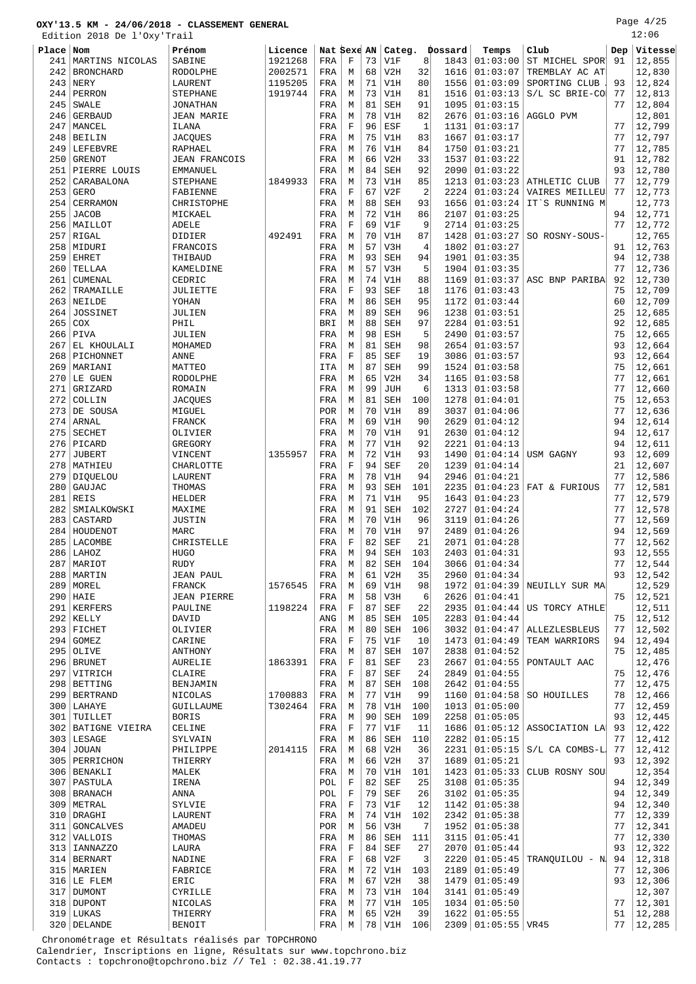Page 4/25

|            | Edition 2018 De l'Oxy'Trail    |                                      |         |              |                  |          |                             |                      |              |                                           |                                         |          | 12:06                       |
|------------|--------------------------------|--------------------------------------|---------|--------------|------------------|----------|-----------------------------|----------------------|--------------|-------------------------------------------|-----------------------------------------|----------|-----------------------------|
| Place Nom  |                                | Prénom                               | Licence | Nat Sexe AN  |                  |          | Categ.                      |                      | Dossard      | Temps                                     | Club                                    | Dep      | Vitesse                     |
| 241        | MARTINS NICOLAS                | SABINE                               | 1921268 | FRA          | F                | 73       | V1F                         | 8                    | 1843         | 01:03:00                                  | ST MICHEL SPOR                          | 91       | 12,855                      |
|            | 242 BRONCHARD                  | RODOLPHE                             | 2002571 | FRA          | М                | 68       | V2H                         | 32                   | 1616         | 01:03:07                                  | TREMBLAY AC AT                          |          | 12,830                      |
|            | $243$ NERY                     | LAURENT                              | 1195205 | FRA          | М                | 71       | V1H                         | 80                   | 1556         | 01:03:09                                  | SPORTING CLUB                           | 93       | 12,824                      |
| 244        | PERRON                         | <b>STEPHANE</b>                      | 1919744 | FRA          | M                | 73       | V1H                         | 81                   | 1516         | 01:03:13                                  | S/L SC BRIE-CO                          | 77       | 12,813                      |
| 245<br>246 | <b>SWALE</b><br><b>GERBAUD</b> | <b>JONATHAN</b><br><b>JEAN MARIE</b> |         | FRA<br>FRA   | М<br>М           | 81<br>78 | <b>SEH</b><br>V1H           | 91<br>82             | 1095<br>2676 | 01:03:15                                  | $01:03:16$ AGGLO PVM                    | 77       | 12,804<br>12,801            |
|            | 247   MANCEL                   | ILANA                                |         | FRA          | $\mathbf F$      | 96       | ESF                         | $\mathbf{1}$         | 1131         | 01:03:17                                  |                                         | 77       | 12,799                      |
| 248        | <b>BEILIN</b>                  | <b>JACQUES</b>                       |         | FRA          | М                | 75       | V1H                         | 83                   | 1667         | 01:03:17                                  |                                         | 77       | 12,797                      |
| 249        | <b>LEFEBVRE</b>                | <b>RAPHAEL</b>                       |         | FRA          | М                | 76       | V1H                         | 84                   | 1750         | 01:03:21                                  |                                         | 77       | 12,785                      |
| 250        | <b>GRENOT</b>                  | <b>JEAN FRANCOIS</b>                 |         | FRA          | М                | 66       | V2H                         | 33                   | 1537         | 01:03:22                                  |                                         | 91       | 12,782                      |
| 251        | PIERRE LOUIS                   | <b>EMMANUEL</b>                      |         | FRA          | М                | 84       | <b>SEH</b>                  | 92                   | 2090         | 01:03:22                                  |                                         | 93       | 12,780                      |
| 252        | CARABALONA                     | <b>STEPHANE</b>                      | 1849933 | FRA          | M                | 73       | V1H                         | 85                   | 1213         | 01:03:23                                  | ATHLETIC CLUB                           | 77       | 12,779                      |
| 253        | <b>GERO</b>                    | FABIENNE                             |         | FRA          | $\mathbf F$      | 67       | V2F                         | $\overline{2}$       | 2224         | 01:03:24                                  | VAIRES MEILLEU                          | 77       | 12,773                      |
| 254        | CERRAMON                       | CHRISTOPHE                           |         | FRA          | М                | 88       | SEH                         | 93                   | 1656         | 01:03:24                                  | IT'S RUNNING M                          |          | 12,773                      |
| 255        | <b>JACOB</b>                   | MICKAEL                              |         | FRA          | М                | 72       | V1H                         | 86                   | 2107         | 01:03:25                                  |                                         | 94       | 12,771                      |
|            | 256   MAILLOT                  | <b>ADELE</b>                         |         | FRA          | $\mathbf F$      | 69       | V1F                         | 9                    | 2714         | 01:03:25                                  |                                         | 77       | 12,772                      |
| 257        | RIGAL                          | DIDIER                               | 492491  | FRA          | M                | 70       | V1H                         | 87                   | 1428         | 01:03:27                                  | SO ROSNY-SOUS-                          |          | 12,765                      |
| 258<br>259 | MIDURI<br><b>EHRET</b>         | FRANCOIS<br>THIBAUD                  |         | FRA          | М                | 57<br>93 | V3H<br><b>SEH</b>           | $\overline{4}$<br>94 | 1802<br>1901 | 01:03:27<br>01:03:35                      |                                         | 91<br>94 | 12,763<br>12,738            |
| 260        | TELLAA                         | KAMELDINE                            |         | FRA<br>FRA   | М<br>М           | 57       | V3H                         | 5                    | 1904         | 01:03:35                                  |                                         | 77       | 12,736                      |
| 261        | <b>CUMENAL</b>                 | CEDRIC                               |         | FRA          | М                | 74       | V1H                         | 88                   | 1169         | 01:03:37                                  | ASC BNP PARIBA                          | 92       | 12,730                      |
| 262        | TRAMAILLE                      | JULIETTE                             |         | FRA          | F                | 93       | <b>SEF</b>                  | 18                   | 1176         | 01:03:43                                  |                                         | 75       | 12,709                      |
| 263        | NEILDE                         | YOHAN                                |         | FRA          | М                | 86       | SEH                         | 95                   | 1172         | 01:03:44                                  |                                         | 60       | 12,709                      |
| 264        | JOSSINET                       | JULIEN                               |         | FRA          | М                | 89       | <b>SEH</b>                  | 96                   | 1238         | 01:03:51                                  |                                         | 25       | 12,685                      |
| 265        | COX                            | PHIL                                 |         | BRI          | М                | 88       | SEH                         | 97                   | 2284         | 01:03:51                                  |                                         | 92       | 12,685                      |
| 266        | PIVA                           | JULIEN                               |         | FRA          | М                | 98       | <b>ESH</b>                  | 5                    | 2490         | 01:03:57                                  |                                         | 75       | 12,665                      |
| 267        | EL KHOULALI                    | MOHAMED                              |         | FRA          | М                | 81       | <b>SEH</b>                  | 98                   | 2654         | 01:03:57                                  |                                         | 93       | 12,664                      |
| 268        | PICHONNET                      | <b>ANNE</b>                          |         | FRA          | F                | 85       | <b>SEF</b>                  | 19                   | 3086         | 01:03:57                                  |                                         | 93       | 12,664                      |
| 269        | MARIANI                        | MATTEO                               |         | <b>ITA</b>   | М                | 87       | <b>SEH</b>                  | 99                   | 1524         | 01:03:58                                  |                                         | 75       | 12,661                      |
|            | $270$ LE GUEN                  | RODOLPHE                             |         | FRA          | М                | 65       | V2H                         | 34                   | 1165         | 01:03:58                                  |                                         | 77       | 12,661                      |
| 271<br>272 | GRIZARD<br>COLLIN              | ROMAIN                               |         | FRA          | М                | 99<br>81 | JUH<br>SEH                  | 6<br>100             | 1313<br>1278 | 01:03:58<br>01:04:01                      |                                         | 77<br>75 | 12,660<br>12,653            |
| 273        | DE SOUSA                       | <b>JACQUES</b><br>MIGUEL             |         | FRA<br>POR   | М<br>М           | 70       | V1H                         | 89                   | 3037         | 01:04:06                                  |                                         | 77       | 12,636                      |
|            | $274$ ARNAL                    | FRANCK                               |         | FRA          | М                | 69       | V1H                         | 90                   | 2629         | 01:04:12                                  |                                         | 94       | 12,614                      |
| 275        | <b>SECHET</b>                  | OLIVIER                              |         | FRA          | М                | 70       | V1H                         | 91                   | 2630         | 01:04:12                                  |                                         | 94       | 12,617                      |
| 276        | PICARD                         | GREGORY                              |         | FRA          | М                | 77       | V1H                         | 92                   | 2221         | 01:04:13                                  |                                         | 94       | 12,611                      |
| 277        | <b>JUBERT</b>                  | VINCENT                              | 1355957 | FRA          | М                | 72       | V1H                         | 93                   | 1490         | 01:04:14                                  | USM GAGNY                               | 93       | 12,609                      |
| 278        | MATHIEU                        | CHARLOTTE                            |         | FRA          | F                | 94       | <b>SEF</b>                  | 20                   | 1239         | 01:04:14                                  |                                         | 21       | 12,607                      |
|            | 279   DIQUELOU                 | LAURENT                              |         | FRA          | M                | 78       | V1H                         | 94                   | 2946         | 01:04:21                                  |                                         | 77       | 12,586                      |
| 280        | GAUJAC                         | THOMAS                               |         | FRA          | М                | 93       | SEH                         | 101                  | 2235         | 01:04:23                                  | FAT & FURIOUS                           | 77       | 12,581                      |
| 281        | REIS                           | <b>HELDER</b>                        |         | FRA          | М                | 71       | V1H                         | 95                   | 1643         | 01:04:23                                  |                                         | 77       | 12,579                      |
| 282        | SMIALKOWSKI                    | MAXIME                               |         | FRA          | М                | 91       | SEH                         | 102                  | 2727         | 01:04:24                                  |                                         | 77       | 12,578                      |
|            | 283   CASTARD                  | JUSTIN                               |         | FRA          | М                | 70       | V1H                         | 96                   | 3119         | 01:04:26                                  |                                         | 77       | 12,569                      |
|            | 284 HOUDENOT<br>285 LACOMBE    | MARC<br>CHRISTELLE                   |         | FRA<br>FRA   | М<br>$\mathbf F$ | 70<br>82 | V1H<br><b>SEF</b>           | 97<br>21             | 2489         | 01:04:26<br>2071   01:04:28               |                                         | 94<br>77 | 12,569<br>12,562            |
|            | $286$ LAHOZ                    | HUGO                                 |         | $_{\rm FRA}$ | M                |          | 94 SEH 103                  |                      |              | 2403   01:04:31                           |                                         |          | 93   12, 555                |
|            | 287   MARIOT                   | RUDY                                 |         | FRA          | М                | 82       | SEH                         | 104                  |              | 3066 01:04:34                             |                                         | 77       | 12,544                      |
|            | 288   MARTIN                   | <b>JEAN PAUL</b>                     |         | FRA          | М                | 61       | V2H                         | 35                   |              | $2960$ 01:04:34                           |                                         | 93       | 12,542                      |
|            | 289 MOREL                      | FRANCK                               | 1576545 | FRA          | М                | 69       | V1H                         | 98                   |              |                                           | 1972   01:04:39   NEUILLY SUR MA        |          | 12,529                      |
|            | $290$ HAIE                     | <b>JEAN PIERRE</b>                   |         | FRA          | М                | 58       | V3H                         | 6                    |              | $2626$ 01:04:41                           |                                         | 75       | $\vert$ 12,521              |
|            | 291   KERFERS                  | PAULINE                              | 1198224 | FRA          | F                | 87       | SEF                         | 22                   | 2935         |                                           | $01:04:44$ US TORCY ATHLE               |          | 12,511                      |
|            | $292$ KELLY                    | DAVID                                |         | ANG          | М                | 85       | SEH                         | 105                  |              | 2283   01:04:44                           |                                         | 75       | 12,512                      |
|            | $293$ FICHET                   | OLIVIER                              |         | FRA          | М                | 80       | SEH                         | 106                  | 3032         | 01:04:47                                  | ALLEZLESBLEUS                           | 77       | 12,502                      |
|            | $294$ GOMEZ                    | CARINE                               |         | FRA          | F                | 75       | V1F                         | 10                   | 1473         | 01:04:49                                  | TEAM WARRIORS                           | 94       | 12,494                      |
|            | $295$ OLIVE                    | ANTHONY<br><b>AURELIE</b>            |         | FRA          | M<br>F           | 87<br>81 | SEH                         | 107                  | 2838         | 01:04:52                                  |                                         | 75       | 12,485<br>12,476            |
|            | 296 BRUNET<br>297 VITRICH      | CLAIRE                               | 1863391 | FRA<br>FRA   | $\mathbf F$      | 87       | SEF<br>$\operatorname{SEF}$ | 23<br>24             |              | $2667$   01:04:55  <br>$2849$ 01:04:55    | PONTAULT AAC                            | 75       | 12,476                      |
|            | 298 BETTING                    | BENJAMIN                             |         | FRA          | М                | 87       | SEH                         | 108                  | 2642         | 01:04:55                                  |                                         | 77       | 12,475                      |
|            | 299   BERTRAND                 | NICOLAS                              | 1700883 | FRA          | М                | 77       | V1H                         | 99                   |              |                                           | 1160   01:04:58   SO HOUTLLES           | 78       | 12, 466                     |
|            | $300$ LAHAYE                   | GUILLAUME                            | T302464 | FRA          | М                | 78       | V1H                         | 100                  |              | 1013   01:05:00                           |                                         | 77       | 12,459                      |
|            | 301 TUILLET                    | <b>BORIS</b>                         |         | FRA          | М                | 90       | SEH                         | 109                  |              | 2258   01:05:05                           |                                         | 93       | 12,445                      |
|            | 302 BATIGNE VIEIRA             | CELINE                               |         | FRA          | F                | 77       | V1F                         | 11                   | 1686         |                                           | $01:05:12$ ASSOCIATION LA               | 93       | 12,422                      |
|            | 303 LESAGE                     | SYLVAIN                              |         | FRA          | М                | 86       | SEH                         | 110                  | 2282         | 01:05:15                                  |                                         | 77       | 12,412                      |
|            | $304$ JOUAN                    | PHILIPPE                             | 2014115 | FRA          | M                | 68       | V2H                         | 36                   |              |                                           | $2231   01:05:15   S/L CA COMBS-L$      | 77       | 12,412                      |
|            | 305   PERRICHON                | THIERRY                              |         | FRA          | М                | 66       | V2H                         | 37                   | 1689         | 01:05:21                                  |                                         | 93       | 12,392                      |
|            | 306   BENAKLI                  | MALEK                                |         | FRA          | М                | 70       | V1H                         | 101                  |              |                                           | 1423 01:05:33 CLUB ROSNY SOU            |          | 12,354                      |
|            | 307   PASTULA                  | IRENA                                |         | POL          | F                | 82       | SEF                         | 25                   | 3108         | 01:05:35                                  |                                         | 94       | $ 12,349\rangle$            |
|            | 308 BRANACH                    | ANNA                                 |         | POL          | F<br>F           | 79<br>73 | SEF                         | 26                   |              | 3102   01:05:35<br>1142   01:05:38        |                                         | 94<br>94 | 12,349<br>12,340            |
|            | 309 METRAL<br>310 DRAGHI       | SYLVIE<br>LAURENT                    |         | FRA<br>FRA   | М                | 74       | V1F<br>V1H                  | 12<br>102            |              | 2342   01:05:38                           |                                         | 77       | 12,339                      |
|            | 311 GONCALVES                  | AMADEU                               |         | POR          | M                | 56       | V3H                         | 7                    |              | 1952   01:05:38                           |                                         | 77       | 12,341                      |
|            | 312 VALLOIS                    | THOMAS                               |         | FRA          | М                | 86       | SEH                         | 111                  |              | 3115   01:05:41                           |                                         | 77       | 12,330                      |
|            | 313   IANNAZZO                 | LAURA                                |         | FRA          | F                | 84       | SEF                         | 27                   |              | 2070   01:05:44                           |                                         | 93       | 12,322                      |
|            | 314 BERNART                    | NADINE                               |         | FRA          | F                | 68       | V2F                         | 3                    |              |                                           | $2220   01:05:45   TRANQUILOU - N   94$ |          | 12,318                      |
|            | 315   MARIEN                   | FABRICE                              |         | FRA          | М                | 72       | V1H                         | 103                  |              | 2189   01:05:49                           |                                         | 77       | 12,306                      |
|            | 316 LE FLEM                    | ERIC                                 |         | FRA          | М                | 67       | V2H                         | 38                   | 1479         | 01:05:49                                  |                                         | 93       | 12,306                      |
|            | 317 DUMONT                     | CYRILLE                              |         | FRA          | М                | 73       | V1H                         | 104                  |              | 3141   01:05:49                           |                                         |          | 12,307                      |
|            | 318 DUPONT                     | NICOLAS                              |         | FRA          | М                | 77       | V1H                         | 105                  |              | 1034   01:05:50                           |                                         | 77       | $ 12,301\rangle$            |
|            | $319$ LUKAS<br>320 DELANDE     | THIERRY<br>BENOIT                    |         | FRA<br>FRA   | М<br>М           | 65       | V2H<br>78 V1H 106           | 39                   |              | 1622   01:05:55<br>2309   01:05:55   VR45 |                                         | 51<br>77 | $ 12,288\rangle$<br> 12,285 |
|            |                                |                                      |         |              |                  |          |                             |                      |              |                                           |                                         |          |                             |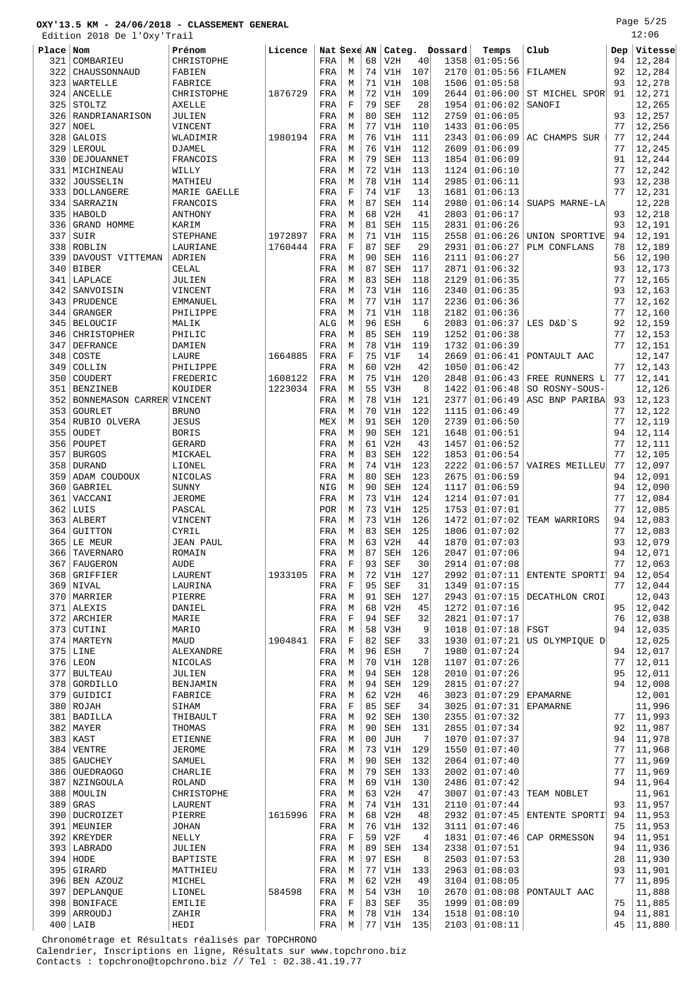Page 5/25  $12.02$ 

|       | Edition 2018 De l'Oxy'Trail |                  |         |             |             |                |            |                 |         |                 |                 |     | 12:06       |
|-------|-----------------------------|------------------|---------|-------------|-------------|----------------|------------|-----------------|---------|-----------------|-----------------|-----|-------------|
| Place | Nom                         | Prénom           | Licence | Nat Sexe AN |             |                | Categ.     |                 | Dossard | Temps           | Club            | Dep | Vitesse     |
| 321   | COMBARIEU                   | CHRISTOPHE       |         | FRA         | М           | 68             | V2H        | 40              | 1358    | 01:05:56        |                 | 94  | 12,284      |
| 322   | CHAUSSONNAUD                | FABIEN           |         | FRA         | М           | 74             | V1H        | 107             | 2170    | 01:05:56        | FILAMEN         | 92  | 12,284      |
| 323   | WARTELLE                    | FABRICE          |         | FRA         | М           | 71             | V1H        | 108             | 1506    | 01:05:58        |                 | 93  | 12,278      |
|       |                             | CHRISTOPHE       |         |             |             |                |            |                 |         |                 | ST MICHEL SPOR  |     |             |
| 324   | ANCELLE                     |                  | 1876729 | FRA         | М           | 72             | V1H        | 109             | 2644    | 01:06:00        |                 | 91  | 12,271      |
| 325   | <b>STOLTZ</b>               | <b>AXELLE</b>    |         | FRA         | F           | 79             | <b>SEF</b> | 28              | 1954    | 01:06:02        | SANOFI          |     | 12,265      |
| 326   | RANDRIANARISON              | JULIEN           |         | FRA         | M           | 80             | <b>SEH</b> | 112             | 2759    | 01:06:05        |                 | 93  | 12,257      |
| 327   | NOEL                        | VINCENT          |         | FRA         | М           | 77             | V1H        | 110             | 1433    | 01:06:05        |                 | 77  | 12,256      |
| 328   | <b>GALOIS</b>               | WLADIMIR         | 1980194 | FRA         | М           | 76             | V1H        | 111             | 2343    | 01:06:09        | AC CHAMPS SUR   | 77  | 12,244      |
| 329   | LEROUL                      | DJAMEL           |         | FRA         | М           | 76             | V1H        | 112             | 2609    | 01:06:09        |                 | 77  | 12,245      |
| 330   | DEJOUANNET                  | FRANCOIS         |         | FRA         | М           | 79             | <b>SEH</b> | 113             | 1854    | 01:06:09        |                 | 91  | 12,244      |
| 331   | MICHINEAU                   | WILLY            |         | FRA         | М           | 72             | V1H        | 113             | 1124    | 01:06:10        |                 | 77  | 12,242      |
| 332   | <b>JOUSSELIN</b>            | MATHIEU          |         | FRA         | М           | 78             | V1H        | 114             | 2985    | 01:06:11        |                 | 93  | 12,238      |
| 333   | DOLLANGERE                  | MARIE GAELLE     |         | FRA         | $\mathbf F$ | 74             | V1F        | 13              | 1681    | 01:06:13        |                 | 77  | 12,231      |
| 334   | SARRAZIN                    | FRANCOIS         |         | FRA         | М           | 87             | <b>SEH</b> | 114             | 2980    | 01:06:14        | SUAPS MARNE-LA  |     | 12,228      |
| 335   | HABOLD                      | ANTHONY          |         | FRA         | M           | 68             | V2H        | 41              | 2803    | 01:06:17        |                 | 93  | 12,218      |
| 336   | GRAND HOMME                 | KARIM            |         | FRA         | М           | 81             | <b>SEH</b> | 115             | 2831    | 01:06:26        |                 | 93  | 12,191      |
| 337   | SUIR                        | <b>STEPHANE</b>  | 1972897 | FRA         | М           | 71             | V1H        | 115             | 2558    | 01:06:26        |                 | 94  | 12,191      |
|       |                             |                  |         |             |             |                |            |                 |         |                 | UNION SPORTIVE  |     |             |
| 338   | ROBLIN                      | LAURIANE         | 1760444 | FRA         | $\mathbf F$ | 87             | <b>SEF</b> | 29              | 2931    | 01:06:27        | PLM CONFLANS    | 78  | 12,189      |
| 339   | DAVOUST VITTEMAN            | ADRIEN           |         | FRA         | М           | 90             | <b>SEH</b> | 116             | 2111    | 01:06:27        |                 | 56  | 12,190      |
| 340   | <b>BIBER</b>                | CELAL            |         | FRA         | М           | 87             | <b>SEH</b> | 117             | 2871    | 01:06:32        |                 | 93  | 12,173      |
| 341   | LAPLACE                     | JULIEN           |         | FRA         | М           | 83             | <b>SEH</b> | 118             | 2129    | 01:06:35        |                 | 77  | 12,165      |
| 342   | SANVOISIN                   | VINCENT          |         | FRA         | M           | 73             | V1H        | 116             | 2340    | 01:06:35        |                 | 93  | 12,163      |
| 343   | PRUDENCE                    | EMMANUEL         |         | FRA         | М           | 77             | V1H        | 117             | 2236    | 01:06:36        |                 | 77  | 12,162      |
| 344   | <b>GRANGER</b>              | PHILIPPE         |         | FRA         | М           | 71             | V1H        | 118             | 2182    | 01:06:36        |                 | 77  | 12,160      |
| 345   | <b>BELOUCIF</b>             | MALIK            |         | ALG         | М           | 96             | <b>ESH</b> | 6               | 2083    | 01:06:37        | LES D&D'S       | 92  | 12,159      |
| 346   | CHRISTOPHER                 | PHILIC           |         | FRA         | М           | 85             | <b>SEH</b> | 119             | 1252    | 01:06:38        |                 | 77  | 12,153      |
| 347   | DEFRANCE                    | DAMIEN           |         | FRA         | М           | 78             | V1H        | 119             | 1732    | 01:06:39        |                 | 77  | 12,151      |
| 348   | COSTE                       | LAURE            | 1664885 | FRA         | F           | 75             | V1F        | 14              | 2669    | 01:06:41        | PONTAULT AAC    |     | 12,147      |
| 349   | COLLIN                      | PHILIPPE         |         | FRA         | М           | 60             | V2H        | 42              | 1050    | 01:06:42        |                 | 77  | 12,143      |
| 350   | COUDERT                     | FREDERIC         | 1608122 | FRA         | M           | 75             | V1H        | 120             | 2848    | 01:06:43        | FREE RUNNERS L  | 77  | 12,141      |
|       |                             |                  |         |             |             | 55             |            | 8               |         | 01:06:48        |                 |     |             |
| 351   | <b>BENZINEB</b>             | KOUIDER          | 1223034 | FRA         | M           |                | V3H        |                 | 1422    |                 | SO ROSNY-SOUS-  |     | 12,126      |
| 352   | BONNEMASON CARRER VINCENT   |                  |         | FRA         | М           | 78             | V1H        | 121             | 2377    | 01:06:49        | ASC BNP PARIBA  | 93  | 12,123      |
| 353   | <b>GOURLET</b>              | <b>BRUNO</b>     |         | FRA         | М           | 70             | V1H        | 122             | 1115    | 01:06:49        |                 | 77  | 12,122      |
| 354   | RUBIO OLVERA                | <b>JESUS</b>     |         | MEX         | М           | 91             | <b>SEH</b> | 120             | 2739    | 01:06:50        |                 | 77  | 12,119      |
| 355   | <b>OUDET</b>                | <b>BORIS</b>     |         | FRA         | М           | 90             | <b>SEH</b> | 121             | 1648    | 01:06:51        |                 | 94  | 12,114      |
| 356   | POUPET                      | <b>GERARD</b>    |         | FRA         | М           | 61             | V2H        | 43              | 1457    | 01:06:52        |                 | 77  | 12,111      |
| 357   | <b>BURGOS</b>               | MICKAEL          |         | FRA         | М           | 83             | <b>SEH</b> | 122             | 1853    | 01:06:54        |                 | 77  | 12,105      |
| 358   | <b>DURAND</b>               | LIONEL           |         | FRA         | М           | 74             | V1H        | 123             | 2222    | 01:06:57        | VAIRES MEILLEU  | 77  | 12,097      |
| 359   | ADAM COUDOUX                | NICOLAS          |         | FRA         | М           | 80             | <b>SEH</b> | 123             | 2675    | 01:06:59        |                 | 94  | 12,091      |
| 360   | GABRIEL                     | SUNNY            |         | NIG         | M           | 90             | <b>SEH</b> | 124             | 1117    | 01:06:59        |                 | 94  | 12,090      |
| 361   | VACCANI                     | <b>JEROME</b>    |         | FRA         | М           | 73             | V1H        | 124             | 1214    | 01:07:01        |                 | 77  | 12,084      |
| 362   | LUIS                        | PASCAL           |         | POR         | М           | 73             | V1H        | 125             | 1753    | 01:07:01        |                 | 77  | 12,085      |
| 363   | ALBERT                      | VINCENT          |         | FRA         | М           | 73             | V1H        | 126             | 1472    | 01:07:02        | TEAM WARRIORS   | 94  | 12,083      |
| 364   | GUITTON                     | CYRIL            |         |             | М           | 83             | <b>SEH</b> | 125             | 1806    | 01:07:02        |                 | 77  |             |
|       |                             |                  |         | FRA         |             |                |            |                 |         |                 |                 |     | 12,083      |
|       | $365$ LE MEUR               | <b>JEAN PAUL</b> |         | FRA         | М           | 63             | V2H        | 44              | 1870    | 01:07:03        |                 | 93  | 12,079      |
|       | 366 TAVERNARO               | <b>ROMAIN</b>    |         | FRA         | M           | 87             | SEH        | 126             |         | $2047$ 01:07:06 |                 |     | 94   12,071 |
| 367   | FAUGERON                    | <b>AUDE</b>      |         | FRA         | $\mathbf F$ | 93             | <b>SEF</b> | 30              | 2914    | 01:07:08        |                 | 77  | 12,063      |
| 368   | GRIFFIER                    | LAURENT          | 1933105 | FRA         | М           | 72             | V1H        | 127             | 2992    | 01:07:11        | ENTENTE SPORTI  | 94  | 12,054      |
|       | $369$ NIVAL                 | LAURINA          |         | FRA         | $\mathbf F$ | 95             | <b>SEF</b> | 31              | 1349    | 01:07:15        |                 | 77  | 12,044      |
|       | 370   MARRIER               | PIERRE           |         | FRA         | М           | 91             | SEH        | 127             | 2943    | 01:07:15        | DECATHLON CROI  |     | 12,043      |
| 371   | ALEXIS                      | DANIEL           |         | FRA         | М           | 68             | V2H        | 45              | 1272    | 01:07:16        |                 | 95  | 12,042      |
|       | 372   ARCHIER               | MARIE            |         | FRA         | F           | 94             | SEF        | 32              | 2821    | 01:07:17        |                 | 76  | 12,038      |
| 373   | CUTINI                      | MARIO            |         | FRA         | М           | 58             | V3H        | 9               | 1018    | 01:07:18        | FSGT            | 94  | 12,035      |
|       | 374   MARTEYN               | MAUD             | 1904841 | FRA         | $\mathbf F$ | 82             | SEF        | 33              | 1930    | 01:07:21        | US OLYMPIQUE D  |     | 12,025      |
|       | $375$ LINE                  | ALEXANDRE        |         | FRA         | М           | 96             | ESH        | 7               | 1980    | 01:07:24        |                 | 94  | 12,017      |
|       | $376$ LEON                  | NICOLAS          |         | FRA         | М           | 70             | V1H        | 128             | 1107    | 01:07:26        |                 | 77  | 12,011      |
| 377   | <b>BULTEAU</b>              | JULIEN           |         | FRA         | М           | 94             | SEH        | 128             | 2010    | 01:07:26        |                 | 95  | 12,011      |
|       | 378 GORDILLO                | BENJAMIN         |         | FRA         | М           | 94             | <b>SEH</b> | 129             | 2815    | 01:07:27        |                 | 94  | 12,008      |
|       | 379 GUIDICI                 | FABRICE          |         | FRA         | М           | 62             | V2H        | 46              | 3023    | 01:07:29        | EPAMARNE        |     | 12,001      |
|       | 380 ROJAH                   | SIHAM            |         | FRA         | F           | 85             | <b>SEF</b> | 34              | 3025    | 01:07:31        | <b>EPAMARNE</b> |     | 11,996      |
|       | 381 BADILLA                 | THIBAULT         |         | FRA         | М           | 92             | SEH        | 130             | 2355    | 01:07:32        |                 | 77  | 11,993      |
|       | 382   MAYER                 | THOMAS           |         |             | М           | 90             | SEH        | 131             | 2855    | 01:07:34        |                 | 92  | 11,987      |
|       |                             |                  |         | FRA         |             |                |            |                 |         |                 |                 |     |             |
|       | 383 KAST                    | <b>ETIENNE</b>   |         | FRA         | М           | 0 <sub>0</sub> | JUH        | 7               | 1070    | 01:07:37        |                 | 94  | 11,978      |
| 384   | VENTRE                      | <b>JEROME</b>    |         | FRA         | М           | 73             | V1H        | 129             | 1550    | 01:07:40        |                 | 77  | 11,968      |
|       | 385 GAUCHEY                 | SAMUEL           |         | FRA         | М           | 90             | <b>SEH</b> | 132             | 2064    | 01:07:40        |                 | 77  | 11,969      |
|       | 386   OUEDRAOGO             | CHARLIE          |         | FRA         | М           | 79             | SEH        | 133             | 2002    | 01:07:40        |                 | 77  | 11,969      |
|       | 387   NZINGOULA             | <b>ROLAND</b>    |         | FRA         | М           | 69             | V1H        | 130             | 2486    | 01:07:42        |                 | 94  | 11,964      |
|       | 388 MOULIN                  | CHRISTOPHE       |         | FRA         | М           | 63             | V2H        | 47              | 3007    | 01:07:43        | TEAM NOBLET     |     | 11,961      |
| 389   | GRAS                        | LAURENT          |         | FRA         | М           | 74             | V1H        | 131             | 2110    | 01:07:44        |                 | 93  | 11,957      |
|       | 390 DUCROIZET               | PIERRE           | 1615996 | FRA         | М           | 68             | V2H        | 48              | 2932    | 01:07:45        | ENTENTE SPORTI  | 94  | 11,953      |
|       | 391   MEUNIER               | <b>JOHAN</b>     |         | FRA         | М           | 76             | V1H        | 132             | 3111    | 01:07:46        |                 | 75  | 11,953      |
|       | 392 KREYDER                 | NELLY            |         | FRA         | $\mathbf F$ | 59             | V2F        | $\vert 4 \vert$ | 1831    | 01:07:46        | CAP ORMESSON    | 94  | 11,951      |
|       | 393 LABRADO                 | JULIEN           |         | FRA         | M           | 89             | SEH        | 134             | 2338    | 01:07:51        |                 | 94  | 11,936      |
|       | $394$ HODE                  | <b>BAPTISTE</b>  |         | FRA         | М           | 97             | <b>ESH</b> | 8               | 2503    | 01:07:53        |                 | 28  | 11,930      |
| 395   | GIRARD                      | MATTHIEU         |         | FRA         | М           | 77             | V1H        | 133             | 2963    | 01:08:03        |                 | 93  | 11,901      |
|       | 396 BEN AZOUZ               | MICHEL           |         | FRA         | М           | 62             | V2H        | 49              | 3104    | 01:08:05        |                 | 77  | 11,895      |
|       | 397   DEPLANQUE             | LIONEL           | 584598  |             | М           | 54             | V3H        | 10              | 2670    | 01:08:08        | PONTAULT AAC    |     | 11,888      |
|       |                             |                  |         | FRA         |             |                |            |                 |         |                 |                 |     |             |
|       | 398   BONIFACE              | EMILIE           |         | FRA         | F           | 83             | SEF        | 35              | 1999    | 01:08:09        |                 | 75  | 11,885      |
|       | 399   ARROUDJ               | ZAHIR            |         | FRA         | М           | 78             | V1H        | 134             | 1518    | 01:08:10        |                 | 94  | 11,881      |
|       | $400$ LAIB                  | HEDI             |         | FRA         | М           | 77             | V1H        | 135             |         | 2103   01:08:11 |                 | 45  | 11,880      |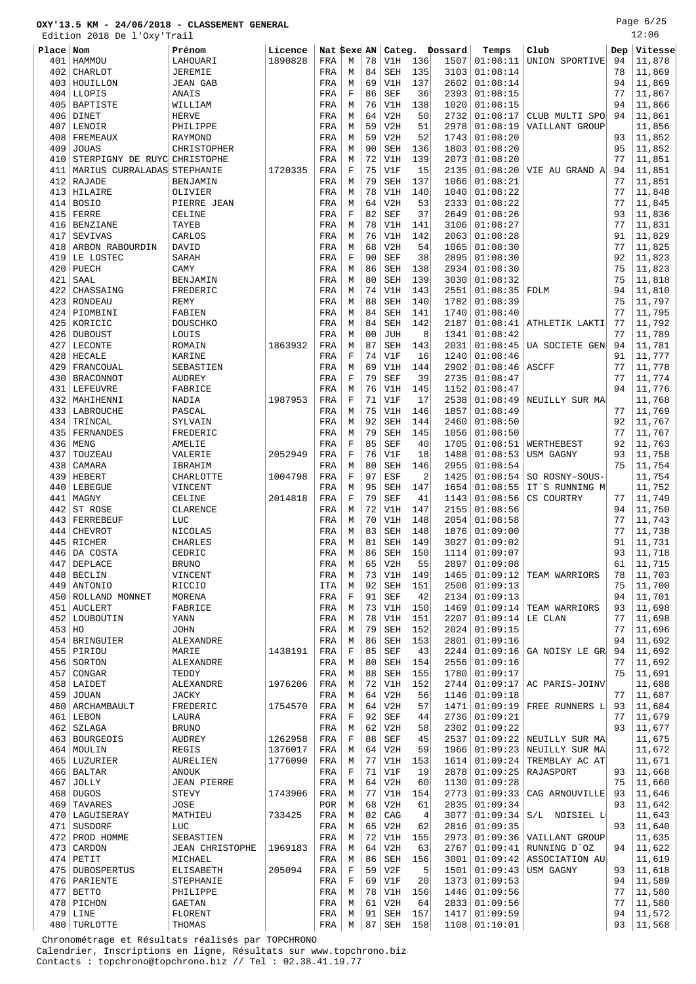Edition 2018 De l'Oxy'Trail

| Place    | Nom                          | Prénom                    | Licence |                                     | Nat Sexe AN |                | Categ.               |                | Dossard | Temps                     | Club                                           | Dep | Vitesse          |
|----------|------------------------------|---------------------------|---------|-------------------------------------|-------------|----------------|----------------------|----------------|---------|---------------------------|------------------------------------------------|-----|------------------|
| 401      | HAMMOU                       | LAHOUARI                  | 1890828 | FRA                                 | М           | 78             | V1H                  | 136            | 1507    | 01:08:11                  | UNION SPORTIVE                                 | 94  | 11,878           |
| 402      | CHARLOT                      | <b>JEREMIE</b>            |         | FRA                                 | M           | 84             | <b>SEH</b>           | 135            | 3103    | 01:08:14                  |                                                | 78  | 11,869           |
| 403      | HOUILLON                     | <b>JEAN GAB</b>           |         | FRA                                 | М           | 69             | V1H                  | 137            | 2602    | 01:08:14                  |                                                | 94  | 11,869           |
| 404      | LLOPIS                       | ANAIS                     |         | FRA                                 | F           | 86             | SEF                  | 36             | 2393    | 01:08:15                  |                                                | 77  | 11,867           |
|          |                              |                           |         |                                     |             |                |                      |                |         |                           |                                                | 94  |                  |
| 405      | <b>BAPTISTE</b>              | WILLIAM                   |         | FRA                                 | М           | 76             | V1H                  | 138            | 1020    | 01:08:15                  |                                                |     | 11,866           |
| 406      | DINET                        | <b>HERVE</b>              |         | FRA                                 | М           | 64             | V2H                  | 50             | 2732    | 01:08:17                  | CLUB MULTI SPO                                 | 94  | 11,861           |
| 407      | LENOIR                       | PHILIPPE                  |         | FRA                                 | М           | 59             | V2H                  | 51             | 2978    | 01:08:19                  | VAILLANT GROUP                                 |     | 11,856           |
| 408      | FREMEAUX                     | RAYMOND                   |         | FRA                                 | М           | 59             | V2H                  | 52             | 1743    | 01:08:20                  |                                                | 93  | 11,852           |
| 409      | <b>JOUAS</b>                 | CHRISTOPHER               |         | FRA                                 | М           | 90             | SEH                  | 136            | 1803    | 01:08:20                  |                                                | 95  | 11,852           |
| 410      | STERPIGNY DE RUYC CHRISTOPHE |                           |         | FRA                                 | М           | 72             | V1H                  | 139            | 2073    | 01:08:20                  |                                                | 77  | 11,851           |
|          |                              |                           |         |                                     |             |                |                      |                |         |                           |                                                |     |                  |
| 411      | MARIUS CURRALADAS STEPHANIE  |                           | 1720335 | FRA                                 | $\rm F$     | 75             | V1F                  | 15             | 2135    | 01:08:20                  | VIE AU GRAND A                                 | 94  | 11,851           |
|          | $412$ RAJADE                 | BENJAMIN                  |         | FRA                                 | М           | 79             | <b>SEH</b>           | 137            | 1066    | 01:08:21                  |                                                | 77  | 11,851           |
| 413      | HILAIRE                      | OLIVIER                   |         | FRA                                 | М           | 78             | V1H                  | 140            | 1040    | 01:08:22                  |                                                | 77  | 11,848           |
| 414      | <b>BOSIO</b>                 | PIERRE JEAN               |         | FRA                                 | М           | 64             | V2H                  | 53             | 2333    | 01:08:22                  |                                                | 77  | 11,845           |
| 415      | FERRE                        | CELINE                    |         | FRA                                 | $\mathbf F$ | 82             | <b>SEF</b>           | 37             | 2649    | 01:08:26                  |                                                | 93  | 11,836           |
| 416      |                              |                           |         |                                     |             | 78             | V1H                  | 141            | 3106    | 01:08:27                  |                                                | 77  |                  |
|          | <b>BENZIANE</b>              | TAYEB                     |         | FRA                                 | М           |                |                      |                |         |                           |                                                |     | 11,831           |
| 417      | SEVIVAS                      | CARLOS                    |         | FRA                                 | М           | 76             | V1H                  | 142            | 2063    | 01:08:28                  |                                                | 91  | 11,829           |
| 418      | ARBON RABOURDIN              | DAVID                     |         | FRA                                 | М           | 68             | V2H                  | 54             | 1065    | 01:08:30                  |                                                | 77  | 11,825           |
| 419      | LE LOSTEC                    | SARAH                     |         | FRA                                 | $\mathbf F$ | 90             | <b>SEF</b>           | 38             | 2895    | 01:08:30                  |                                                | 92  | 11,823           |
| 420      | PUECH                        | CAMY                      |         | FRA                                 | М           | 86             | SEH                  | 138            | 2934    | 01:08:30                  |                                                | 75  | 11,823           |
| 421      | SAAL                         | BENJAMIN                  |         | FRA                                 | М           | 80             | SEH                  | 139            | 3030    | 01:08:32                  |                                                | 75  | 11,818           |
|          |                              |                           |         |                                     |             |                |                      |                |         |                           |                                                |     |                  |
| 422      | CHASSAING                    | FREDERIC                  |         | FRA                                 | М           | 74             | V1H                  | 143            | 2551    | 01:08:35                  | FDLM                                           | 94  | 11,810           |
| 423      | <b>RONDEAU</b>               | <b>REMY</b>               |         | FRA                                 | М           | 88             | <b>SEH</b>           | 140            | 1782    | 01:08:39                  |                                                | 75  | 11,797           |
| 424      | PIOMBINI                     | FABIEN                    |         | FRA                                 | М           | 84             | <b>SEH</b>           | 141            | 1740    | 01:08:40                  |                                                | 77  | 11,795           |
| 425      | KORICIC                      | DOUSCHKO                  |         | FRA                                 | M           | 84             | SEH                  | 142            | 2187    | 01:08:41                  | ATHLETIK LAKTI                                 | 77  | 11,792           |
| 426      | <b>DUBOUST</b>               | LOUIS                     |         | FRA                                 | М           | 0 <sub>0</sub> | <b>JUH</b>           | 8              | 1341    | 01:08:42                  |                                                | 77  | 11,789           |
| 427      | <b>LECONTE</b>               | ROMAIN                    | 1863932 | FRA                                 | М           | 87             | <b>SEH</b>           | 143            | 2031    | 01:08:45                  | UA SOCIETE GEN                                 | 94  | 11,781           |
|          |                              |                           |         |                                     |             | 74             | V1F                  |                | 1240    | 01:08:46                  |                                                | 91  |                  |
| 428      | HECALE                       | KARINE                    |         | FRA                                 | $\mathbf F$ |                |                      | 16             |         |                           |                                                |     | 11,777           |
| 429      | FRANCOUAL                    | SEBASTIEN                 |         | FRA                                 | М           | 69             | V1H                  | 144            | 2902    | 01:08:46                  | ASCFF                                          | 77  | 11,778           |
| 430      | <b>BRACONNOT</b>             | AUDREY                    |         | FRA                                 | $\mathbf F$ | 79             | SEF                  | 39             | 2735    | 01:08:47                  |                                                | 77  | 11,774           |
| 431      | <b>LEFEUVRE</b>              | FABRICE                   |         | FRA                                 | М           | 76             | V1H                  | 145            | 1152    | 01:08:47                  |                                                | 94  | 11,776           |
| 432      | MAHIHENNI                    | NADIA                     | 1987953 | FRA                                 | $\mathbf F$ | 71             | V1F                  | 17             | 2538    | 01:08:49                  | NEUILLY SUR MA                                 |     | 11,768           |
| 433      | LABROUCHE                    | PASCAL                    |         | FRA                                 | М           | 75             | V1H                  | 146            | 1857    | 01:08:49                  |                                                | 77  | 11,769           |
|          |                              |                           |         |                                     |             |                |                      |                |         |                           |                                                |     |                  |
| 434      | TRINCAL                      | SYLVAIN                   |         | FRA                                 | М           | 92             | SEH                  | 144            | 2460    | 01:08:50                  |                                                | 92  | 11,767           |
| 435      | FERNANDES                    | FREDERIC                  |         | FRA                                 | М           | 79             | <b>SEH</b>           | 145            | 1056    | 01:08:50                  |                                                | 77  | 11,767           |
| 436      | MENG                         | AMELIE                    |         | FRA                                 | F           | 85             | <b>SEF</b>           | 40             | 1705    | 01:08:51                  | WERTHEBEST                                     | 92  | 11,763           |
| 437      | TOUZEAU                      | VALERIE                   | 2052949 | FRA                                 | $\mathbf F$ | 76             | V1F                  | 18             | 1488    | 01:08:53                  | USM GAGNY                                      | 93  | 11,758           |
| 438      | CAMARA                       | IBRAHIM                   |         | FRA                                 | М           | 80             | <b>SEH</b>           | 146            | 2955    | 01:08:54                  |                                                | 75  | 11,754           |
| 439      | HEBERT                       | CHARLOTTE                 | 1004798 | FRA                                 | F           | 97             | ESF                  | $\overline{c}$ | 1425    | 01:08:54                  | SO ROSNY-SOUS-                                 |     | 11,754           |
|          |                              |                           |         |                                     |             |                |                      |                |         |                           |                                                |     |                  |
| 440      | LEBEGUE                      | VINCENT                   |         | FRA                                 | М           | 95             | <b>SEH</b>           | 147            | 1654    | 01:08:55                  | IT'S RUNNING M                                 |     | 11,752           |
| 441      | MAGNY                        | CELINE                    | 2014818 | FRA                                 | F           | 79             | <b>SEF</b>           | 41             | 1143    | 01:08:56                  | CS COURTRY                                     | 77  | 11,749           |
| 442      | ST ROSE                      | CLARENCE                  |         | FRA                                 | М           | 72             | V1H                  | 147            | 2155    | 01:08:56                  |                                                | 94  | 11,750           |
| 443      | FERREBEUF                    | LUC                       |         | FRA                                 | М           | 70             | V1H                  | 148            | 2054    | 01:08:58                  |                                                | 77  | 11,743           |
| 444      | <b>CHEVROT</b>               | NICOLAS                   |         | FRA                                 | M           | 83             | <b>SEH</b>           | 148            | 1876    | 01:09:00                  |                                                | 77  | 11,738           |
| 445      | <b>RICHER</b>                | CHARLES                   |         | FRA                                 | M           | 81             | <b>SEH</b>           | 149            | 3027    | 01:09:02                  |                                                | 91  | 11,731           |
|          |                              |                           |         |                                     |             |                |                      |                |         | $1114$ 01:09:07           |                                                |     |                  |
|          | 446 DA COSTA                 | CEDRIC                    |         | FRA                                 | М           | 86             | SEH                  | 150            |         |                           |                                                | 93  | 11,718           |
|          | 447 DEPLACE                  | <b>BRUNO</b>              |         | $_{\rm FRA}$                        | M           | 65             | V2H                  | 55             |         | 2897   01:09:08           |                                                |     | $61$   11, 715   |
|          | $448$ BECLIN                 | VINCENT                   |         | FRA                                 | М           | 73             | V1H                  | 149            |         |                           | $1465$ 01:09:12 TEAM WARRIORS                  | 78  | 11,703           |
|          | 449 ANTONIO                  | RICCIO                    |         | ITA                                 | M           | 92             | SEH                  | 151            |         | $2506$ 01:09:13           |                                                | 75  | 11,700           |
|          | 450 ROLLAND MONNET           | MORENA                    |         | FRA                                 | F           | 91             | SEF                  | 42             |         | 2134   01:09:13           |                                                |     | 94   11,701      |
|          | 451 AUCLERT                  | FABRICE                   |         | FRA                                 | M           | 73             | V1H                  | 150            |         |                           | $1469$ 01:09:14 TEAM WARRIORS                  |     | $93 \mid 11,698$ |
|          | 452 LOUBOUTIN                | YANN                      |         | FRA                                 |             | 78             | V1H                  | 151            |         | 2207   01:09:14   LE CLAN |                                                | 77  | 11,698           |
|          |                              |                           |         |                                     | M           |                |                      |                |         |                           |                                                |     |                  |
| $453$ HO |                              | JOHN                      |         | FRA                                 | M           | 79             | SEH                  | 152            |         | 2024   01:09:15           |                                                | 77  | 11,696           |
|          | 454 BRINGUIER                | ALEXANDRE                 |         | FRA                                 | M           | 86             | SEH                  | 153            | 2801    | 01:09:16                  |                                                | 94  | 11,692           |
|          | $455$ PIRIOU                 | MARIE                     | 1438191 | FRA                                 | F           | 85             | $\operatorname{SEF}$ | 43             |         |                           | 2244 01:09:16 GA NOISY LE GR 94                |     | 11,692           |
|          | 456 SORTON                   | ALEXANDRE                 |         | FRA                                 | M           | 80             | SEH                  | 154            |         | 2556   01:09:16           |                                                | 77  | 11,692           |
|          | 457 CONGAR                   | TEDDY                     |         | FRA                                 | M           | 88             | SEH                  | 155            |         | 1780   01:09:17           |                                                | 75  | 11,691           |
|          | $458$ LAIDET                 | ALEXANDRE                 | 1976206 | FRA                                 | M           | 72             | V1H                  | 152            |         |                           | $2744   01:09:17   AC  PARIS-JOINV$            |     | 11,688           |
|          |                              |                           |         |                                     |             |                |                      |                |         |                           |                                                |     |                  |
|          | $459$ JOUAN                  | JACKY                     |         | FRA                                 | M           | 64             | V2H                  | 56             |         | 1146   01:09:18           |                                                |     | $77 \mid 11,687$ |
|          | 460   ARCHAMBAULT            | FREDERIC                  | 1754570 | FRA                                 | M           | 64             | V2H                  | 57             |         |                           | $1471   01:09:19  $ FREE RUNNERS L 93   11,684 |     |                  |
|          | $461$ LEBON                  | LAURA                     |         | FRA                                 | F           | 92             | $\operatorname{SEF}$ | 44             |         | 2736   01:09:21           |                                                |     | 77   11,679      |
|          | $462$ SZLAGA                 | BRUNO                     |         | FRA                                 | M           | 62             | V2H                  | 58             |         | 2302   01:09:22           |                                                | 93  | 11,677           |
|          | 463   BOURGEOIS              | AUDREY                    | 1262958 | FRA                                 | F           | 88             | SEF                  | 45             | 2537    |                           | $01:09:22$ NEUILLY SUR MA                      |     | 11,675           |
|          | 464   MOULIN                 | REGIS                     | 1376017 | FRA                                 |             | 64             | V2H                  | 59             |         |                           | 1966   01:09:23   NEUILLY SUR MA               |     | 11,672           |
|          |                              |                           |         |                                     | M           |                |                      |                |         |                           |                                                |     |                  |
|          | 465 LUZURIER                 | AURELIEN                  | 1776090 | FRA                                 | M           | 77             | V1H                  | 153            |         |                           | 1614   01:09:24   TREMBLAY AC AT               |     | 11,671           |
|          | $466$ BALTAR                 | ANOUK                     |         | FRA                                 | F           | 71             | V1F                  | 19             |         |                           | 2878 01:09:25 RAJASPORT                        |     | 93   11,668      |
|          | $467$ JOLLY                  | JEAN PIERRE               |         | FRA                                 | M           | 64             | V2H                  | 60             |         | 1130   01:09:28           |                                                |     | $75 \mid 11,660$ |
|          | $468$ DUGOS                  | STEVY                     | 1743906 | FRA                                 | M           | 77             | V1H                  | 154            |         | 2773   01:09:33           | CAG ARNOUVILLE                                 | 93  | 11,646           |
|          | 469 TAVARES                  | JOSE                      |         | POR   M                             |             | 68             | V2H                  | 61             |         | 2835 01:09:34             |                                                | 93  | 11,642           |
|          | 470   LAGUISERAY             | MATHIEU                   | 733425  | FRA                                 | M           | 02             | CAG                  | 4              | 3077    |                           | $01:09:34$ $S/L$ NOISIEL L                     |     | 11,643           |
|          |                              |                           |         |                                     |             |                |                      |                |         |                           |                                                |     |                  |
|          | 471 SUSDORF                  | LUC                       |         | FRA                                 | M           | 65             | V2H                  | 62             |         | 2816 01:09:35             |                                                | 93  | $ 11,640\rangle$ |
|          | 472 PROD HOMME               | SEBASTIEN                 |         | FRA                                 | M           | 72             | V1H                  | 155            |         |                           | 2973 01:09:36 VAILLANT GROUP                   |     | 11,635           |
|          | $473$ CARDON                 | JEAN CHRISTOPHE   1969183 |         | FRA                                 | M           | 64             | V2H                  | 63             |         |                           | 2767 01:09:41 RUNNING D'OZ                     |     | $94 \mid 11,622$ |
|          | $474$ PETIT                  | MICHAEL                   |         | $\texttt{FRA} \parallel \texttt{M}$ |             | 86             | SEH                  | 156            |         |                           | 3001 01:09:42 ASSOCIATION AU                   |     | 11,619           |
|          | 475   DUBOSPERTUS            | ELISABETH                 | 205094  | FRA                                 | F           | 59             | V2F                  | 5              |         |                           | 1501   01:09:43   USM GAGNY                    |     | 93   11,618      |
|          | 476   PARIENTE               | STEPHANIE                 |         | FRA                                 | F           | 69             | V1F                  | 20             |         | 1373   01:09:53           |                                                |     | 94   11,589      |
|          |                              |                           |         |                                     |             |                |                      |                |         |                           |                                                |     |                  |
|          | $477$ BETTO                  | PHILIPPE                  |         | FRA                                 | M           | 78             | V1H                  | 156            |         | 1446   01:09:56           |                                                | 77  | 11,580           |
|          | 478 PICHON                   | GAETAN                    |         | FRA                                 | M           |                | $61$   $V2H$         | 64             |         | 2833   01:09:56           |                                                |     | $77 \mid 11,580$ |
|          | $479$ LINE                   | FLORENT                   |         |                                     | $FRA$ $M$   |                | $91  $ SEH 157       |                |         | $1417$ 01:09:59           |                                                |     | 94   11,572      |

480 TURLOTTE THOMAS THOMAS FRA M 87 SEH 158 1108 01:10:01 93 11,568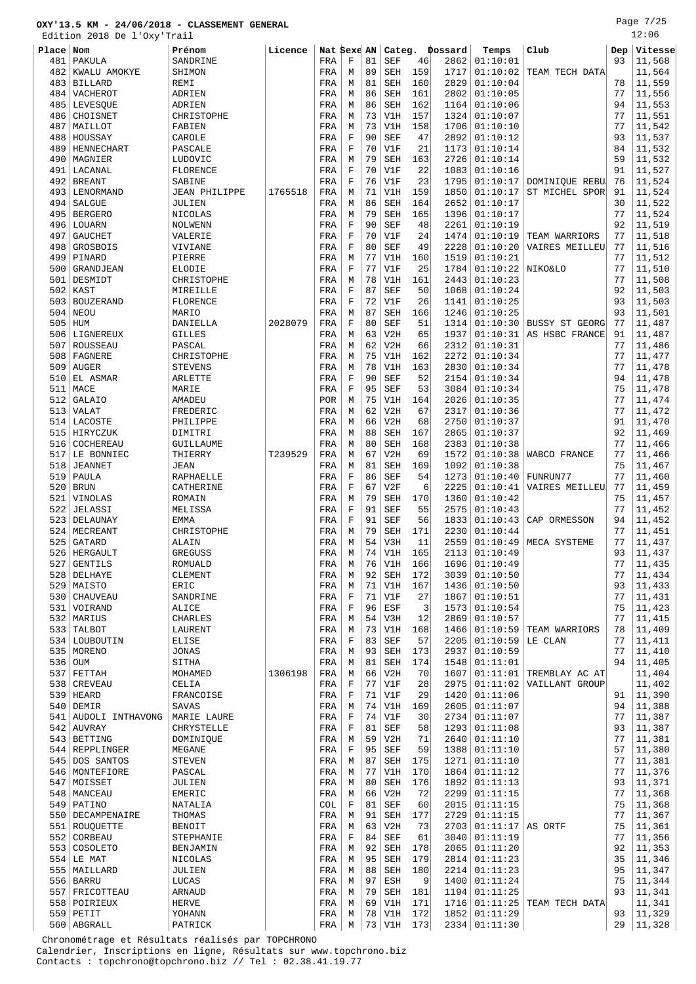Page 7/25 12:06

|       | Edition 2018 De l'Oxy'Trail |                      |         |             |             |    |            |     |                |                 |                       |     | 12:06   |
|-------|-----------------------------|----------------------|---------|-------------|-------------|----|------------|-----|----------------|-----------------|-----------------------|-----|---------|
| Place | Nom                         | Prénom               | Licence | Nat Sexe AN |             |    |            |     | Categ. Dossard | Temps           | Club                  | Dep | Vitesse |
| 481   | PAKULA                      | SANDRINE             |         | FRA         | F           | 81 | SEF        | 46  | 2862           | 01:10:01        |                       | 93  | 11,568  |
| 482   | KWALU AMOKYE                | SHIMON               |         | FRA         | М           | 89 | <b>SEH</b> | 159 | 1717           | 01:10:02        | TEAM TECH DATA        |     | 11,564  |
| 483   | <b>BILLARD</b>              | REMI                 |         | FRA         | М           | 81 | <b>SEH</b> | 160 | 2829           | 01:10:04        |                       | 78  | 11,559  |
| 484   | VACHEROT                    | ADRIEN               |         | FRA         | М           | 86 | <b>SEH</b> | 161 | 2802           | 01:10:05        |                       | 77  | 11,556  |
|       |                             |                      |         |             |             | 86 |            | 162 | 1164           | 01:10:06        |                       | 94  |         |
| 485   | LEVESQUE                    | ADRIEN               |         | FRA         | М           | 73 | <b>SEH</b> |     |                |                 |                       |     | 11,553  |
| 486   | CHOISNET                    | CHRISTOPHE           |         | FRA         | М           |    | V1H        | 157 | 1324           | 01:10:07        |                       | 77  | 11,551  |
| 487   | MAILLOT                     | FABIEN               |         | FRA         | М           | 73 | V1H        | 158 | 1706           | 01:10:10        |                       | 77  | 11,542  |
| 488   | HOUSSAY                     | CAROLE               |         | FRA         | F           | 90 | <b>SEF</b> | 47  | 2892           | 01:10:12        |                       | 93  | 11,537  |
| 489   | HENNECHART                  | PASCALE              |         | FRA         | F           | 70 | V1F        | 21  | 1173           | 01:10:14        |                       | 84  | 11,532  |
| 490   | MAGNIER                     | LUDOVIC              |         | FRA         | М           | 79 | <b>SEH</b> | 163 | 2726           | 01:10:14        |                       | 59  | 11,532  |
| 491   | LACANAL                     | FLORENCE             |         | FRA         | $\mathbf F$ | 70 | V1F        | 22  | 1083           | 01:10:16        |                       | 91  | 11,527  |
| 492   | <b>BREANT</b>               | SABINE               |         | FRA         | F           | 76 | V1F        | 23  | 1795           | 01:10:17        | <b>DOMINIOUE REBU</b> | 76  | 11,524  |
| 493   | LENORMAND                   | <b>JEAN PHILIPPE</b> | 1765518 | FRA         | М           | 71 | V1H        | 159 | 1850           | 01:10:17        | ST MICHEL SPOR        | 91  | 11,524  |
| 494   | SALGUE                      | JULIEN               |         | FRA         | М           | 86 | <b>SEH</b> | 164 | 2652           | 01:10:17        |                       | 30  | 11,522  |
| 495   | <b>BERGERO</b>              | NICOLAS              |         | FRA         | М           | 79 | <b>SEH</b> | 165 | 1396           | 01:10:17        |                       | 77  | 11,524  |
| 496   | LOUARN                      | NOLWENN              |         | FRA         | F           | 90 | <b>SEF</b> | 48  | 2261           | 01:10:19        |                       | 92  | 11,519  |
| 497   | <b>GAUCHET</b>              | VALERIE              |         | FRA         | F           | 70 | V1F        | 24  | 1474           | 01:10:19        | TEAM WARRIORS         | 77  | 11,518  |
| 498   | <b>GROSBOIS</b>             | VIVIANE              |         | FRA         | F           | 80 | <b>SEF</b> | 49  | 2228           | 01:10:20        | VAIRES MEILLEU        | 77  | 11,516  |
| 499   | PINARD                      | PIERRE               |         | FRA         | М           | 77 | V1H        | 160 | 1519           | 01:10:21        |                       | 77  | 11,512  |
| 500   | GRANDJEAN                   | <b>ELODIE</b>        |         | FRA         | F           | 77 | V1F        | 25  | 1784           | 01:10:22        | NIKO&LO               | 77  | 11,510  |
| 501   | DESMIDT                     | CHRISTOPHE           |         | FRA         | М           | 78 | V1H        | 161 | 2443           | 01:10:23        |                       | 77  | 11,508  |
| 502   | KAST                        | MIREILLE             |         | FRA         | $\mathbf F$ | 87 | <b>SEF</b> | 50  | 1068           | 01:10:24        |                       | 92  | 11,503  |
| 503   | <b>BOUZERAND</b>            | FLORENCE             |         | FRA         | F           | 72 | V1F        | 26  | 1141           | 01:10:25        |                       | 93  | 11,503  |
| 504   | <b>NEOU</b>                 | MARIO                |         | FRA         | М           | 87 | <b>SEH</b> | 166 | 1246           | 01:10:25        |                       | 93  | 11,501  |
| 505   | HUM                         | DANIELLA             | 2028079 | FRA         | F           | 80 | <b>SEF</b> | 51  | 1314           | 01:10:30        | <b>BUSSY ST GEORG</b> | 77  | 11,487  |
| 506   | LIGNEREUX                   | <b>GILLES</b>        |         | FRA         | М           | 63 | V2H        | 65  | 1937           | 01:10:31        | AS HSBC FRANCE        | 91  | 11,487  |
| 507   | ROUSSEAU                    | PASCAL               |         | FRA         | М           | 62 | V2H        | 66  | 2312           | 01:10:31        |                       | 77  | 11,486  |
| 508   | FAGNERE                     | CHRISTOPHE           |         | FRA         | М           | 75 | V1H        | 162 | 2272           | 01:10:34        |                       | 77  | 11,477  |
| 509   | <b>AUGER</b>                | <b>STEVENS</b>       |         | FRA         | М           | 78 | V1H        | 163 | 2830           | 01:10:34        |                       | 77  | 11,478  |
|       |                             |                      |         |             |             | 90 |            |     |                |                 |                       | 94  |         |
| 510   | EL ASMAR                    | ARLETTE              |         | FRA         | F           |    | <b>SEF</b> | 52  | 2154           | 01:10:34        |                       |     | 11,478  |
| 511   | MACE                        | MARIE                |         | FRA         | $\mathbf F$ | 95 | <b>SEF</b> | 53  | 3084           | 01:10:34        |                       | 75  | 11,478  |
| 512   | <b>GALAIO</b>               | AMADEU               |         | POR         | М           | 75 | V1H        | 164 | 2026           | 01:10:35        |                       | 77  | 11,474  |
| 513   | VALAT                       | FREDERIC             |         | FRA         | М           | 62 | V2H        | 67  | 2317           | 01:10:36        |                       | 77  | 11,472  |
| 514   | LACOSTE                     | PHILIPPE             |         | FRA         | М           | 66 | V2H        | 68  | 2750           | 01:10:37        |                       | 91  | 11,470  |
| 515   | HIRYCZUK                    | DIMITRI              |         | FRA         | М           | 88 | <b>SEH</b> | 167 | 2865           | 01:10:37        |                       | 92  | 11,469  |
| 516   | COCHEREAU                   | GUILLAUME            |         | FRA         | М           | 80 | <b>SEH</b> | 168 | 2383           | 01:10:38        |                       | 77  | 11,466  |
| 517   | LE BONNIEC                  | THIERRY              | T239529 | FRA         | М           | 67 | V2H        | 69  | 1572           | 01:10:38        | WABCO FRANCE          | 77  | 11,466  |
| 518   | <b>JEANNET</b>              | <b>JEAN</b>          |         | FRA         | М           | 81 | <b>SEH</b> | 169 | 1092           | 01:10:38        |                       | 75  | 11,467  |
| 519   | PAULA                       | RAPHAELLE            |         | FRA         | F           | 86 | <b>SEF</b> | 54  | 1273           | 01:10:40        | FUNRUN77              | 77  | 11,460  |
| 520   | <b>BRUN</b>                 | CATHERINE            |         | FRA         | $\mathbf F$ | 67 | V2F        | 6   | 2225           | 01:10:41        | VAIRES MEILLEU        | 77  | 11,459  |
| 521   | VINOLAS                     | ROMAIN               |         | FRA         | М           | 79 | <b>SEH</b> | 170 | 1360           | 01:10:42        |                       | 75  | 11,457  |
| 522   | JELASSI                     | MELISSA              |         | FRA         | F           | 91 | <b>SEF</b> | 55  | 2575           | 01:10:43        |                       | 77  | 11,452  |
| 523   | DELAUNAY                    | <b>EMMA</b>          |         | FRA         | F           | 91 | <b>SEF</b> | 56  | 1833           | 01:10:43        | CAP ORMESSON          | 94  | 11,452  |
| 524   | MECREANT                    | CHRISTOPHE           |         | FRA         | М           | 79 | SEH        | 171 | 2230           | 01:10:44        |                       | 77  | 11,451  |
| 525   | GATARD                      | ALAIN                |         | FRA         | М           | 54 | V3H        | 11  | 2559           | 01:10:49        | MECA SYSTEME          | 77  | 11,437  |
|       | 526   HERGAULT              | <b>GREGUSS</b>       |         | FRA         | М           |    | $74$ V1H   | 165 | 2113           | 01:10:49        |                       | 93  | 11,437  |
| 527   | <b>GENTILS</b>              | ROMUALD              |         | FRA         | М           | 76 | V1H        | 166 | 1696           | 01:10:49        |                       | 77  | 11,435  |
| 528   | DELHAYE                     | CLEMENT              |         | FRA         | М           | 92 | SEH        | 172 | 3039           | 01:10:50        |                       | 77  | 11,434  |
| 529   | MAISTO                      | ERIC                 |         | FRA         | М           | 71 | V1H        | 167 | 1436           | 01:10:50        |                       | 93  | 11,433  |
| 530   | <b>CHAUVEAU</b>             | SANDRINE             |         | FRA         | F           | 71 | V1F        | 27  | 1867           | 01:10:51        |                       | 77  | 11,431  |
| 531   | VOIRAND                     | ALICE                |         | FRA         | $\mathbf F$ | 96 | ESF        | 3   | 1573           | 01:10:54        |                       | 75  | 11,423  |
|       | 532 MARIUS                  | CHARLES              |         | FRA         | М           | 54 | V3H        | 12  | 2869           | 01:10:57        |                       | 77  | 11,415  |
| 533   | TALBOT                      | LAURENT              |         |             | М           | 73 | V1H        | 168 | 1466           | 01:10:59        | TEAM WARRIORS         | 78  | 11,409  |
|       | 534   LOUBOUTIN             | <b>ELISE</b>         |         | FRA<br>FRA  | F           | 83 | SEF        | 57  | 2205           | 01:10:59        | LE CLAN               | 77  | 11,411  |
|       |                             |                      |         |             | М           | 93 |            |     | 2937           |                 |                       | 77  | 11,410  |
|       | 535   MORENO                | JONAS                |         | FRA         |             |    | SEH        | 173 |                | 01:10:59        |                       |     |         |
| 536   | OUM                         | SITHA                |         | FRA         | М           | 81 | <b>SEH</b> | 174 | 1548           | 01:11:01        |                       | 94  | 11,405  |
| 537   | FETTAH                      | MOHAMED              | 1306198 | FRA         | М           | 66 | V2H        | 70  | 1607           | 01:11:01        | TREMBLAY AC AT        |     | 11,404  |
| 538   | <b>CREVEAU</b>              | CELIA                |         | FRA         | $\mathbf F$ | 77 | V1F        | 28  | 2975           | 01:11:02        | VAILLANT GROUP        |     | 11,402  |
| 539   | HEARD                       | FRANCOISE            |         | FRA         | F           | 71 | V1F        | 29  | 1420           | 01:11:06        |                       | 91  | 11,390  |
| 540   | DEMIR                       | <b>SAVAS</b>         |         | FRA         | М           | 74 | V1H        | 169 | 2605           | 01:11:07        |                       | 94  | 11,388  |
|       | 541   AUDOLI INTHAVONG      | MARIE LAURE          |         | FRA         | F           | 74 | V1F        | 30  | 2734           | 01:11:07        |                       | 77  | 11,387  |
|       | 542 AUVRAY                  | CHRYSTELLE           |         | FRA         | F           | 81 | SEF        | 58  | 1293           | 01:11:08        |                       | 93  | 11,387  |
|       | 543 BETTING                 | DOMINIQUE            |         | FRA         | М           | 59 | V2H        | 71  | 2640           | 01:11:10        |                       | 77  | 11,381  |
| 544   | REPPLINGER                  | MEGANE               |         | FRA         | $\mathbf F$ | 95 | SEF        | 59  | 1388           | 01:11:10        |                       | 57  | 11,380  |
|       | 545 DOS SANTOS              | <b>STEVEN</b>        |         | FRA         | М           | 87 | <b>SEH</b> | 175 | 1271           | 01:11:10        |                       | 77  | 11,381  |
| 546   | MONTEFIORE                  | PASCAL               |         | FRA         | М           | 77 | V1H        | 170 | 1864           | 01:11:12        |                       | 77  | 11,376  |
| 547   | MOISSET                     | JULIEN               |         | FRA         | М           | 80 | SEH        | 176 | 1892           | 01:11:13        |                       | 93  | 11,371  |
|       | 548   MANCEAU               | EMERIC               |         | FRA         | М           | 66 | V2H        | 72  | 2299           | 01:11:15        |                       | 77  | 11,368  |
| 549   | PATINO                      | NATALIA              |         | COL         | F           | 81 | SEF        | 60  | 2015           | 01:11:15        |                       | 75  | 11,368  |
|       | 550   DECAMPENAIRE          | THOMAS               |         | FRA         | М           | 91 | SEH        | 177 | 2729           | 01:11:15        |                       | 77  | 11,367  |
|       | 551 ROUQUETTE               | <b>BENOIT</b>        |         | FRA         | М           | 63 | V2H        | 73  | 2703           | 01:11:17        | AS ORTF               | 75  | 11,361  |
|       | 552 CORBEAU                 | STEPHANIE            |         | FRA         | $\mathbf F$ | 84 | <b>SEF</b> | 61  | 3040           | 01:11:19        |                       | 77  | 11,356  |
| 553   | COSOLETO                    | BENJAMIN             |         | FRA         | М           | 92 | SEH        | 178 | 2065           | 01:11:20        |                       | 92  | 11,353  |
|       | 554 LE MAT                  | NICOLAS              |         | FRA         | М           | 95 | <b>SEH</b> | 179 | 2814           | 01:11:23        |                       | 35  | 11,346  |
| 555   | MAILLARD                    | JULIEN               |         | FRA         | М           | 88 | SEH        | 180 | 2214           | 01:11:23        |                       | 95  | 11,347  |
| 556   | BARRU                       | LUCAS                |         | FRA         | М           | 97 | ESH        | 9   | 1400           | 01:11:24        |                       | 75  | 11,344  |
| 557   | FRICOTTEAU                  | <b>ARNAUD</b>        |         | FRA         | М           | 79 | SEH        | 181 | 1194           | 01:11:25        |                       | 93  | 11,341  |
|       | 558   POIRIEUX              | <b>HERVE</b>         |         | FRA         | М           | 69 | V1H        | 171 | 1716           | 01:11:25        | TEAM TECH DATA        |     | 11,341  |
|       | $559$ PETIT                 | YOHANN               |         | FRA         | М           | 78 | V1H        | 172 | 1852           | 01:11:29        |                       | 93  | 11,329  |
|       | 560   ABGRALL               | PATRICK              |         | FRA         | М           | 73 | V1H        | 173 |                | 2334   01:11:30 |                       | 29  | 11,328  |
|       |                             |                      |         |             |             |    |            |     |                |                 |                       |     |         |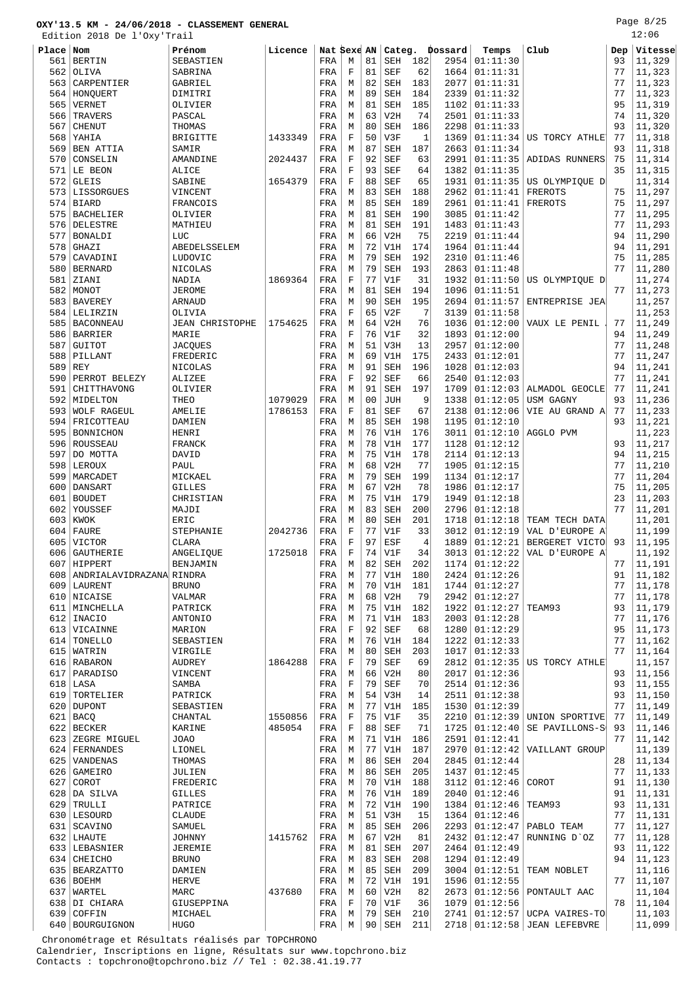Edition 2018 De l'Oxy'Trail

| Place | Nom                            | Prénom                 | Licence |     | Nat Sexe AN |                | Categ.     |                | Dossard | Temps           | Club                           | Dep | Vitesse |
|-------|--------------------------------|------------------------|---------|-----|-------------|----------------|------------|----------------|---------|-----------------|--------------------------------|-----|---------|
| 561   | <b>BERTIN</b>                  | SEBASTIEN              |         | FRA | М           | 81             | SEH        | 182            | 2954    | 01:11:30        |                                | 93  | 11,329  |
| 562   | OLIVA                          | SABRINA                |         | FRA | F           | 81             | <b>SEF</b> | 62             | 1664    | 01:11:31        |                                | 77  | 11,323  |
| 563   | CARPENTIER                     | GABRIEL                |         | FRA | М           | 82             | <b>SEH</b> | 183            | 2077    | 01:11:31        |                                | 77  | 11,323  |
| 564   | HONQUERT                       | DIMITRI                |         | FRA | М           | 89             | <b>SEH</b> | 184            | 2339    | 01:11:32        |                                | 77  | 11,323  |
| 565   | <b>VERNET</b>                  | OLIVIER                |         | FRA | M           | 81             | <b>SEH</b> | 185            | 1102    | 01:11:33        |                                | 95  | 11,319  |
| 566   | TRAVERS                        | PASCAL                 |         | FRA | М           | 63             | V2H        | 74             | 2501    | 01:11:33        |                                | 74  | 11,320  |
| 567   | <b>CHENUT</b>                  | THOMAS                 |         | FRA | М           | 80             | <b>SEH</b> | 186            | 2298    | 01:11:33        |                                | 93  | 11,320  |
| 568   | YAHIA                          | <b>BRIGITTE</b>        | 1433349 | FRA | F           | 50             | V3F        | 1              | 1369    | 01:11:34        | US TORCY ATHLE                 | 77  | 11,318  |
| 569   | BEN ATTIA                      | SAMIR                  |         | FRA | М           | 87             | <b>SEH</b> | 187            | 2663    | 01:11:34        |                                | 93  | 11,318  |
| 570   | CONSELIN                       | AMANDINE               | 2024437 | FRA | F           | 92             | <b>SEF</b> | 63             | 2991    | 01:11:35        | ADIDAS RUNNERS                 | 75  | 11,314  |
| 571   | LE BEON                        | ALICE                  |         | FRA | F           | 93             | <b>SEF</b> | 64             | 1382    | 01:11:35        |                                | 35  | 11,315  |
| 572   | <b>GLEIS</b>                   | SABINE                 | 1654379 | FRA | $\rm F$     | 88             | <b>SEF</b> | 65             | 1931    | 01:11:35        | US OLYMPIQUE D                 |     | 11,314  |
| 573   | LISSORGUES                     | VINCENT                |         | FRA | М           | 83             | <b>SEH</b> | 188            | 2962    | 01:11:41        | FREROTS                        | 75  | 11,297  |
| 574   | <b>BIARD</b>                   | FRANCOIS               |         | FRA | М           | 85             | <b>SEH</b> | 189            | 2961    | 01:11:41        | FREROTS                        | 75  | 11,297  |
| 575   | <b>BACHELIER</b>               | OLIVIER                |         | FRA | М           | 81             | SEH        | 190            | 3085    | 01:11:42        |                                | 77  | 11,295  |
| 576   | DELESTRE                       | MATHIEU                |         | FRA | М           | 81             | <b>SEH</b> | 191            | 1483    | 01:11:43        |                                | 77  | 11,293  |
| 577   | <b>BONALDI</b>                 | LUC                    |         | FRA | М           | 66             | V2H        | 75             | 2219    | 01:11:44        |                                | 94  | 11,290  |
| 578   | GHAZI                          | ABEDELSSELEM           |         | FRA | М           | 72             | V1H        | 174            | 1964    | 01:11:44        |                                | 94  | 11,291  |
| 579   | CAVADINI                       | LUDOVIC                |         | FRA | M           | 79             | <b>SEH</b> | 192            | 2310    | 01:11:46        |                                | 75  | 11,285  |
| 580   | <b>BERNARD</b>                 | NICOLAS                |         | FRA | М           | 79             | <b>SEH</b> | 193            | 2863    | 01:11:48        |                                | 77  | 11,280  |
| 581   | ZIANI                          | NADIA                  | 1869364 | FRA | $\rm F$     | 77             | V1F        | 31             | 1932    | 01:11:50        | US OLYMPIQUE D                 |     | 11,274  |
| 582   | MONOT                          | <b>JEROME</b>          |         | FRA | М           | 81             | <b>SEH</b> | 194            | 1096    | 01:11:51        |                                | 77  | 11,273  |
| 583   | <b>BAVEREY</b>                 | <b>ARNAUD</b>          |         | FRA | М           | 90             | <b>SEH</b> | 195            | 2694    | 01:11:57        | ENTREPRISE JEA                 |     | 11,257  |
| 584   | LELIRZIN                       | OLIVIA                 |         | FRA | F           | 65             | V2F        | 7              | 3139    | 01:11:58        |                                |     | 11,253  |
| 585   | <b>BACONNEAU</b>               | <b>JEAN CHRISTOPHE</b> | 1754625 | FRA | М           | 64             | V2H        | 76             | 1036    | 01:12:00        | VAUX LE PENIL                  | 77  | 11,249  |
| 586   | <b>BARRIER</b>                 | MARIE                  |         | FRA | F           | 76             | V1F        | 32             | 1893    | 01:12:00        |                                | 94  | 11,249  |
| 587   | <b>GUITOT</b>                  | <b>JACOUES</b>         |         | FRA | М           | 51             | V3H        | 13             | 2957    | 01:12:00        |                                | 77  | 11,248  |
| 588   | PILLANT                        | FREDERIC               |         | FRA | М           | 69             | V1H        | 175            | 2433    | 01:12:01        |                                | 77  | 11,247  |
| 589   | <b>REY</b>                     | NICOLAS                |         | FRA | М           | 91             | <b>SEH</b> | 196            | 1028    | 01:12:03        |                                | 94  | 11,241  |
| 590   | PERROT BELEZY                  | <b>ALIZEE</b>          |         | FRA | $\rm F$     | 92             | <b>SEF</b> | 66             | 2540    | 01:12:03        |                                | 77  | 11,241  |
| 591   | CHITTHAVONG                    | OLIVIER                |         | FRA | М           | 91             | <b>SEH</b> | 197            | 1709    | 01:12:03        | ALMADOL GEOCLE                 | 77  | 11,241  |
| 592   | MIDELTON                       | THEO                   | 1079029 | FRA | М           | 0 <sub>0</sub> | <b>JUH</b> | 9              | 1338    | 01:12:05        | USM GAGNY                      | 93  | 11,236  |
| 593   | WOLF RAGEUL                    | AMELIE                 | 1786153 | FRA | F           | 81             | <b>SEF</b> | 67             | 2138    | 01:12:06        | VIE AU GRAND A                 | 77  | 11,233  |
| 594   | FRICOTTEAU                     | DAMIEN                 |         | FRA | М           | 85             | <b>SEH</b> | 198            | 1195    | 01:12:10        |                                | 93  | 11,221  |
| 595   | BONNICHON                      | HENRI                  |         | FRA | М           | 76             | V1H        | 176            | 3011    | 01:12:10        | AGGLO PVM                      |     | 11,223  |
| 596   | ROUSSEAU                       | FRANCK                 |         | FRA | М           | 78             | V1H        | 177            | 1128    | 01:12:12        |                                | 93  | 11,217  |
| 597   | DO MOTTA                       | DAVID                  |         | FRA | М           | 75             | V1H        | 178            | 2114    | 01:12:13        |                                | 94  | 11,215  |
| 598   | LEROUX                         | PAUL                   |         | FRA | М           | 68             | V2H        | 77             | 1905    | 01:12:15        |                                | 77  | 11,210  |
| 599   | MARCADET                       | MICKAEL                |         | FRA | М           | 79             | <b>SEH</b> | 199            | 1134    | 01:12:17        |                                | 77  | 11,204  |
| 600   | DANSART                        | <b>GILLES</b>          |         | FRA | М           | 67             | V2H        | 78             | 1986    | 01:12:17        |                                | 75  | 11,205  |
| 601   | <b>BOUDET</b>                  | CHRISTIAN              |         | FRA | М           | 75             | V1H        | 179            | 1949    | 01:12:18        |                                | 23  | 11,203  |
| 602   | YOUSSEF                        | MAJDI                  |         | FRA | М           | 83             | <b>SEH</b> | 200            | 2796    | 01:12:18        |                                | 77  | 11,201  |
| 603   | KWOK                           | ERIC                   |         | FRA | М           | 80             | <b>SEH</b> | 201            | 1718    | 01:12:18        | TEAM TECH DATA                 |     | 11,201  |
| 604   | FAURE                          | STEPHANIE              | 2042736 | FRA | F           | 77             | V1F        | 33             | 3012    | 01:12:19        | VAL D'EUROPE A'                |     | 11,199  |
| 605   | VICTOR                         | CLARA                  |         | FRA | $\rm F$     | 97             | ESF        | $\overline{4}$ | 1889    | 01:12:21        | BERGERET VICTO                 | 93  | 11,195  |
| 606   | <b>GAUTHERIE</b>               | ANGELIQUE              | 1725018 | FRA | F           | 74             | V1F        | 34             | 3013    | 01:12:22        | VAL D'EUROPE A                 |     | 11,192  |
| 607   | HIPPERT                        | BENJAMIN               |         | FRA | М           | 82             | SEH        | 202            | 1174    | 01:12:22        |                                | 77  | 11,191  |
|       | 608   ANDRIALAVIDRAZANA RINDRA |                        |         | FRA | М           | 77             | V1H        | 180            | 2424    | 01:12:26        |                                | 91  | 11,182  |
|       | 609 LAURENT                    | <b>BRUNO</b>           |         | FRA | М           | 70             | V1H        | 181            | 1744    | 01:12:27        |                                | 77  | 11,178  |
|       | 610 NICAISE                    | VALMAR                 |         | FRA | М           | 68             | V2H        | 79             | 2942    | 01:12:27        |                                | 77  | 11,178  |
|       | 611   MINCHELLA                | PATRICK                |         | FRA | М           | 75             | V1H        | 182            | 1922    | 01:12:27        | TEAM93                         | 93  | 11,179  |
|       | $612$ INACIO                   | ANTONIO                |         | FRA | М           | 71             | V1H        | 183            |         | 2003   01:12:28 |                                | 77  | 11,176  |
|       | 613 VICAINNE                   | MARION                 |         | FRA | F           | 92             | SEF        | 68             | 1280    | 01:12:29        |                                | 95  | 11,173  |
|       | 614 TONELLO                    | SEBASTIEN              |         | FRA | М           | 76             | V1H        | 184            |         | 1222   01:12:33 |                                | 77  | 11,162  |
|       | 615   WATRIN                   | VIRGILE                |         | FRA | М           | 80             | <b>SEH</b> | 203            | 1017    | 01:12:33        |                                | 77  | 11,164  |
|       | 616 RABARON                    | <b>AUDREY</b>          | 1864288 | FRA | $_{\rm F}$  | 79             | <b>SEF</b> | 69             |         |                 | $2812$ 01:12:35 US TORCY ATHLE |     | 11,157  |
| 617   | PARADISO                       | VINCENT                |         | FRA | М           | 66             | V2H        | 80             | 2017    | 01:12:36        |                                | 93  | 11,156  |
|       | $618$ LASA                     | SAMBA                  |         | FRA | F           | 79             | SEF        | 70             |         | 2514 01:12:36   |                                | 93  | 11,155  |
|       | 619   TORTELIER                | PATRICK                |         | FRA | M           | 54             | V3H        | 14             | 2511    | 01:12:38        |                                | 93  | 11,150  |
|       | 620 DUPONT                     | SEBASTIEN              |         | FRA | М           | 77             | V1H        | 185            | 1530    | 01:12:39        |                                | 77  | 11,149  |
|       | $621$ BACQ                     | CHANTAL                | 1550856 | FRA | F           | 75             | V1F        | 35             | 2210    | 01:12:39        | UNION SPORTIVE                 | 77  | 11,149  |
|       | 622 BECKER                     | KARINE                 | 485054  | FRA | $\rm F$     | 88             | SEF        | 71             | 1725    | 01:12:40        | SE PAVILLONS-S                 | 93  | 11,146  |
|       | 623 ZEGRE MIGUEL               | <b>JOAO</b>            |         | FRA | M           | 71             | V1H        | 186            | 2591    | 01:12:41        |                                | 77  | 11,142  |
|       | 624   FERNANDES                | LIONEL                 |         | FRA | М           | 77             | V1H        | 187            | 2970    | 01:12:42        | VAILLANT GROUP                 |     | 11,139  |
|       | 625   VANDENAS                 | THOMAS                 |         | FRA | М           | 86             | SEH        | 204            |         | 2845 01:12:44   |                                | 28  | 11,134  |
|       | 626 GAMEIRO                    | JULIEN                 |         | FRA | М           | 86             | <b>SEH</b> | 205            | 1437    | 01:12:45        |                                | 77  | 11,133  |
| 627   | COROT                          | FREDERIC               |         | FRA | M           | 70             | V1H        | 188            | 3112    | 01:12:46        | COROT                          | 91  | 11,130  |
|       | 628 DA SILVA                   | GILLES                 |         | FRA | M           | 76             | V1H        | 189            | 2040    | 01:12:46        |                                | 91  | 11,131  |
| 629   | TRULLI                         | PATRICE                |         | FRA | М           | 72             | V1H        | 190            | 1384    | 01:12:46        | TEAM93                         | 93  | 11,131  |
|       | 630 LESOURD                    | CLAUDE                 |         | FRA | М           | 51             | V3H        | 15             | 1364    | 01:12:46        |                                | 77  | 11,131  |
| 631   | SCAVINO                        | SAMUEL                 |         | FRA | М           | 85             | <b>SEH</b> | 206            | 2293    | 01:12:47        | PABLO TEAM                     | 77  | 11,127  |
|       | 632 LHAUTE                     | <b>JOHNNY</b>          | 1415762 | FRA | M           | 67             | V2H        | 81             | 2432    | 01:12:47        | RUNNING D'OZ                   | 77  | 11,128  |
|       | 633   LEBASNIER                | JEREMIE                |         | FRA | М           | 81             | SEH        | 207            | 2464    | 01:12:49        |                                | 93  | 11,122  |
|       | 634 CHEICHO                    | <b>BRUNO</b>           |         | FRA | М           | 83             | SEH        | 208            |         | 1294   01:12:49 |                                | 94  | 11,123  |
|       | 635   BEARZATTO                | DAMIEN                 |         | FRA | М           | 85             | SEH        | 209            | 3004    | 01:12:51        | TEAM NOBLET                    |     | 11,116  |
|       | 636 BOEHM                      | <b>HERVE</b>           |         | FRA | M           | 72             | V1H        | 191            | 1596    | 01:12:55        |                                | 77  | 11,107  |
|       | 637   WARTEL                   | MARC                   | 437680  | FRA | M           | 60             | V2H        | 82             |         | 2673   01:12:56 | PONTAULT AAC                   |     | 11,104  |
|       | 638 DI CHIARA                  | GIUSEPPINA             |         | FRA | F           | 70             | V1F        | 36             | 1079    | 01:12:56        |                                | 78  | 11,104  |
|       | 639 COFFIN                     | MICHAEL                |         | FRA | M           | 79             | SEH        | 210            |         |                 | $2741$ 01:12:57 UCPA VAIRES-TO |     | 11,103  |

640 BOURGUIGNON HUGO FRA M 90 SEH 211 2718 01:12:58 JEAN LEFEBVRE 11,099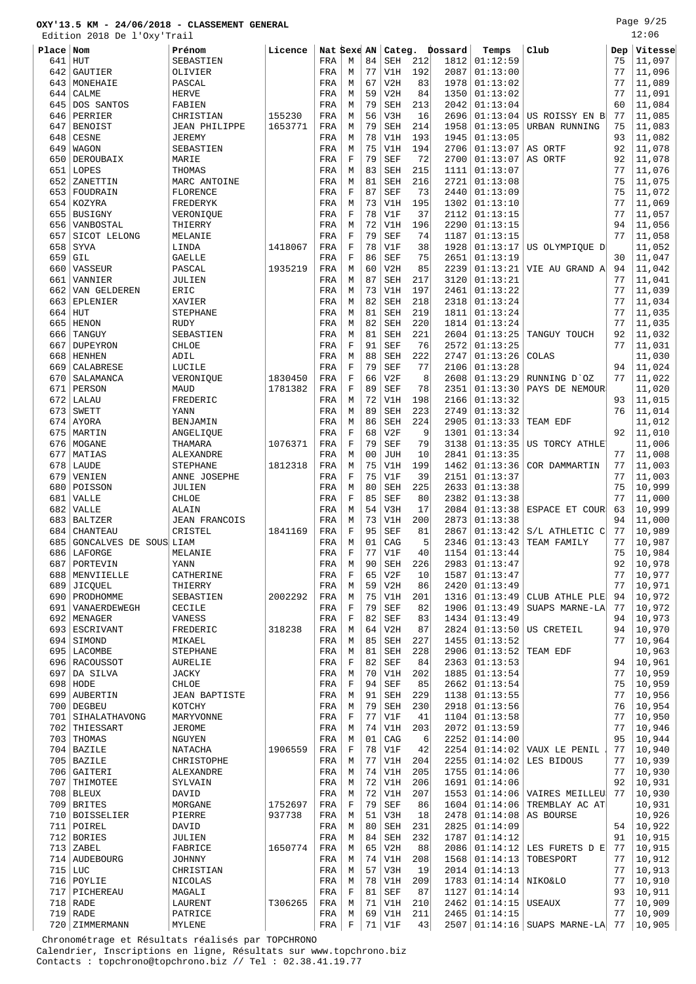Edition 2018 De l'Oxy'Trail

Page 9/25 12:06

| ru⊥       | OII RATO DE TARX       |                      |         |     |             |    |            |     |         |                      |                |     |         |
|-----------|------------------------|----------------------|---------|-----|-------------|----|------------|-----|---------|----------------------|----------------|-----|---------|
| Place Nom |                        | Prénom               | Licence |     | Nat Sexe AN |    | Categ.     |     | Dossard | Temps                | Club           | Dep | Vitesse |
| 641       | HUT                    | SEBASTIEN            |         | FRA | М           | 84 | <b>SEH</b> | 212 | 1812    | 01:12:59             |                | 75  | 11,097  |
| 642       | GAUTIER                | OLIVIER              |         | FRA | M           | 77 | V1H        | 192 | 2087    | 01:13:00             |                | 77  | 11,096  |
| 643       | MONEHAIE               | PASCAL               |         |     | М           | 67 | V2H        | 83  | 1978    | 01:13:02             |                | 77  | 11,089  |
|           |                        |                      |         | FRA |             |    |            |     |         |                      |                |     |         |
| 644       | CALME                  | <b>HERVE</b>         |         | FRA | М           | 59 | V2H        | 84  | 1350    | 01:13:02             |                | 77  | 11,091  |
| 645       | DOS SANTOS             | FABIEN               |         | FRA | М           | 79 | <b>SEH</b> | 213 | 2042    | 01:13:04             |                | 60  | 11,084  |
| 646       | PERRIER                | CHRISTIAN            | 155230  | FRA | M           | 56 | V3H        | 16  | 2696    | 01:13:04             | US ROISSY EN B | 77  | 11,085  |
| 647       | <b>BENOIST</b>         | <b>JEAN PHILIPPE</b> | 1653771 | FRA | M           | 79 | SEH        | 214 | 1958    | 01:13:05             | URBAN RUNNING  | 75  | 11,083  |
| 648       | <b>CESNE</b>           | <b>JEREMY</b>        |         | FRA | M           | 78 | V1H        | 193 | 1945    | 01:13:05             |                | 93  | 11,082  |
| 649       | WAGON                  | SEBASTIEN            |         | FRA | М           | 75 | V1H        | 194 | 2706    | 01:13:07             | AS ORTF        | 92  | 11,078  |
| 650       | DEROUBAIX              | MARIE                |         | FRA | F           | 79 | SEF        | 72  | 2700    | 01:13:07             | AS ORTF        | 92  | 11,078  |
| 651       | LOPES                  | THOMAS               |         | FRA | М           | 83 | SEH        | 215 | 1111    | 01:13:07             |                | 77  | 11,076  |
|           |                        |                      |         |     |             | 81 |            |     | 2721    |                      |                | 75  |         |
| 652       | ZANETTIN               | MARC ANTOINE         |         | FRA | М           |    | <b>SEH</b> | 216 |         | 01:13:08             |                |     | 11,075  |
| 653       | FOUDRAIN               | <b>FLORENCE</b>      |         | FRA | F           | 87 | <b>SEF</b> | 73  | 2440    | 01:13:09             |                | 75  | 11,072  |
| 654       | KOZYRA                 | FREDERYK             |         | FRA | М           | 73 | V1H        | 195 | 1302    | 01:13:10             |                | 77  | 11,069  |
| 655       | <b>BUSIGNY</b>         | VERONIQUE            |         | FRA | F           | 78 | V1F        | 37  | 2112    | 01:13:15             |                | 77  | 11,057  |
| 656       | VANBOSTAL              | THIERRY              |         | FRA | M           | 72 | V1H        | 196 | 2290    | 01:13:15             |                | 94  | 11,056  |
| 657       | SICOT LELONG           | MELANIE              |         | FRA | F           | 79 | SEF        | 74  | 1187    | 01:13:15             |                | 77  | 11,058  |
| 658       | <b>SYVA</b>            | LINDA                | 1418067 | FRA | F           | 78 | V1F        | 38  | 1928    | 01:13:17             | US OLYMPIQUE D |     | 11,052  |
| 659       | GIL                    | GAELLE               |         | FRA | F           | 86 | <b>SEF</b> | 75  | 2651    | 01:13:19             |                | 30  | 11,047  |
|           |                        |                      |         |     |             |    |            |     |         |                      |                |     |         |
| 660       | VASSEUR                | PASCAL               | 1935219 | FRA | М           | 60 | V2H        | 85  | 2239    | 01:13:21             | VIE AU GRAND A | 94  | 11,042  |
| 661       | VANNIER                | JULIEN               |         | FRA | М           | 87 | <b>SEH</b> | 217 | 3120    | 01:13:21             |                | 77  | 11,041  |
| 662       | VAN GELDEREN           | ERIC                 |         | FRA | M           | 73 | V1H        | 197 | 2461    | 01:13:22             |                | 77  | 11,039  |
| 663       | EPLENIER               | XAVIER               |         | FRA | M           | 82 | SEH        | 218 | 2318    | 01:13:24             |                | 77  | 11,034  |
| 664       | HUT                    | <b>STEPHANE</b>      |         | FRA | M           | 81 | SEH        | 219 | 1811    | 01:13:24             |                | 77  | 11,035  |
| 665       | HENON                  | RUDY                 |         | FRA | М           | 82 | SEH        | 220 | 1814    | 01:13:24             |                | 77  | 11,035  |
| 666       | TANGUY                 | SEBASTIEN            |         | FRA | М           | 81 | SEH        | 221 | 2604    | 01:13:25             | TANGUY TOUCH   | 92  | 11,032  |
| 667       | <b>DUPEYRON</b>        |                      |         |     |             | 91 | SEF        | 76  | 2572    | 01:13:25             |                | 77  | 11,031  |
|           |                        | CHLOE                |         | FRA | F           |    |            |     |         |                      |                |     |         |
| 668       | <b>HENHEN</b>          | ADIL                 |         | FRA | М           | 88 | <b>SEH</b> | 222 | 2747    | 01:13:26             | COLAS          |     | 11,030  |
| 669       | CALABRESE              | LUCILE               |         | FRA | F           | 79 | <b>SEF</b> | 77  | 2106    | 01:13:28             |                | 94  | 11,024  |
| 670       | SALAMANCA              | VERONIQUE            | 1830450 | FRA | F           | 66 | V2F        | 8   | 2608    | 01:13:29             | RUNNING D'OZ   | 77  | 11,022  |
| 671       | PERSON                 | <b>MAUD</b>          | 1781382 | FRA | F           | 89 | SEF        | 78  | 2351    | 01:13:30             | PAYS DE NEMOUR |     | 11,020  |
| 672       | LALAU                  | FREDERIC             |         | FRA | M           | 72 | V1H        | 198 | 2166    | 01:13:32             |                | 93  | 11,015  |
| 673       | <b>SWETT</b>           | YANN                 |         | FRA | M           | 89 | SEH        | 223 | 2749    | 01:13:32             |                | 76  | 11,014  |
| 674       | <b>AYORA</b>           | BENJAMIN             |         | FRA | М           | 86 | <b>SEH</b> | 224 | 2905    | 01:13:33             | TEAM EDF       |     | 11,012  |
|           |                        |                      |         |     |             |    |            | 9   |         | 01:13:34             |                | 92  |         |
| 675       | MARTIN                 | ANGELIQUE            |         | FRA | F           | 68 | V2F        |     | 1301    |                      |                |     | 11,010  |
| 676       | MOGANE                 | THAMARA              | 1076371 | FRA | F           | 79 | SEF        | 79  | 3138    | 01:13:35             | US TORCY ATHLE |     | 11,006  |
| 677       | MATIAS                 | ALEXANDRE            |         | FRA | М           | 00 | <b>JUH</b> | 10  | 2841    | 01:13:35             |                | 77  | 11,008  |
| 678       | LAUDE                  | STEPHANE             | 1812318 | FRA | М           | 75 | V1H        | 199 | 1462    | 01:13:36             | COR DAMMARTIN  | 77  | 11,003  |
| 679       | VENIEN                 | ANNE JOSEPHE         |         | FRA | F           | 75 | V1F        | 39  | 2151    | 01:13:37             |                | 77  | 11,003  |
| 680       | POISSON                | JULIEN               |         | FRA | М           | 80 | SEH        | 225 | 2633    | 01:13:38             |                | 75  | 10,999  |
| 681       | VALLE                  | CHLOE                |         | FRA | $\mathbf F$ | 85 | <b>SEF</b> | 80  | 2382    | 01:13:38             |                | 77  | 11,000  |
| 682       | VALLE                  | ALAIN                |         | FRA | M           | 54 | V3H        | 17  | 2084    | 01:13:38             | ESPACE ET COUR | 63  | 10,999  |
|           |                        |                      |         |     |             |    |            |     |         |                      |                |     |         |
| 683       | <b>BALTZER</b>         | <b>JEAN FRANCOIS</b> |         | FRA | М           | 73 | V1H        | 200 | 2873    | 01:13:38             |                | 94  | 11,000  |
| 684       | <b>CHANTEAU</b>        | CRISTEL              | 1841169 | FRA | F           | 95 | <b>SEF</b> | 81  | 2867    | 01:13:42             | S/L ATHLETIC C | 77  | 10,989  |
| 685       | GONCALVES DE SOUS LIAM |                      |         | FRA | М           | 01 | CAG        | 5   | 2346    | 01:13:43             | TEAM FAMILY    | 77  | 10,987  |
| 686       | LAFORGE                | MELANIE              |         | FRA | F           | 77 | V1F        | 40  | 1154    | 01:13:44             |                | 75  | 10,984  |
| 687       | PORTEVIN               | YANN                 |         | FRA | M           | 90 | SEH        | 226 | 2983    | 01:13:47             |                | 92  | 10,978  |
|           | 688   MENVIIELLE       | CATHERINE            |         | FRA | $\mathbf F$ | 65 | V2F        | 10  | 1587    | 01:13:47             |                | 77  | 10,977  |
| 689       | <b>JICQUEL</b>         | THIERRY              |         | FRA | М           | 59 | V2H        | 86  | 2420    | 01:13:49             |                | 77  | 10,971  |
|           | 690   PRODHOMME        | SEBASTIEN            | 2002292 | FRA | М           | 75 | V1H        | 201 | 1316    | 01:13:49             | CLUB ATHLE PLE | 94  | 10,972  |
| 691       | VANAERDEWEGH           | CECILE               |         | FRA | F           | 79 | SEF        | 82  | 1906    | 01:13:49             | SUAPS MARNE-LA | 77  | 10,972  |
|           |                        |                      |         |     |             |    |            |     |         |                      |                |     |         |
|           | 692   MENAGER          | VANESS               |         | FRA | F           | 82 | <b>SEF</b> | 83  |         | 1434   01:13:49      |                | 94  | 10,973  |
|           | 693 ESCRIVANT          | FREDERIC             | 318238  | FRA | М           | 64 | V2H        | 87  | 2824    | 01:13:50             | US CRETEIL     | 94  | 10,970  |
|           | 694 SIMOND             | MIKAEL               |         | FRA | М           | 85 | <b>SEH</b> | 227 | 1455    | 01:13:52             |                | 77  | 10,964  |
|           | 695 LACOMBE            | <b>STEPHANE</b>      |         | FRA | М           | 81 | SEH        | 228 | 2906    | 01:13:52             | TEAM EDF       |     | 10,963  |
|           | 696 RACOUSSOT          | AURELIE              |         | FRA | F           | 82 | <b>SEF</b> | 84  | 2363    | 01:13:53             |                | 94  | 10,961  |
|           | 697 DA SILVA           | JACKY                |         | FRA | М           | 70 | V1H        | 202 | 1885    | 01:13:54             |                | 77  | 10,959  |
|           | 698 HODE               | CHLOE                |         | FRA | $\rm F$     | 94 | <b>SEF</b> | 85  | 2662    | 01:13:54             |                | 75  | 10,959  |
|           |                        |                      |         |     |             | 91 |            |     |         |                      |                |     |         |
|           | 699 AUBERTIN           | <b>JEAN BAPTISTE</b> |         | FRA | М           |    | SEH        | 229 |         | 1138   01:13:55      |                | 77  | 10,956  |
|           | 700 DEGBEU             | KOTCHY               |         | FRA | М           | 79 | <b>SEH</b> | 230 | 2918    | 01:13:56             |                | 76  | 10,954  |
| 701       | SIHALATHAVONG          | MARYVONNE            |         | FRA | F           | 77 | V1F        | 41  |         | 1104   01:13:58      |                | 77  | 10,950  |
|           | 702 THIESSART          | JEROME               |         | FRA | М           | 74 | V1H        | 203 |         | $2072$ 01:13:59      |                | 77  | 10,946  |
|           | 703 THOMAS             | NGUYEN               |         | FRA | М           | 01 | CAG        | 6   | 2252    | 01:14:00             |                | 95  | 10,944  |
|           | $704$ BAZILE           | NATACHA              | 1906559 | FRA | F           | 78 | V1F        | 42  |         | 2254   01:14:02      | VAUX LE PENIL  | 77  | 10,940  |
|           | $705$ BAZILE           | CHRISTOPHE           |         | FRA | M           | 77 | V1H        | 204 | 2255    | 01:14:02             | LES BIDOUS     | 77  | 10,939  |
|           |                        |                      |         |     |             |    |            |     |         |                      |                |     |         |
|           | 706 GAITERI            | ALEXANDRE            |         | FRA | М           | 74 | V1H        | 205 |         | 1755   01:14:06      |                | 77  | 10,930  |
| 707       | THIMOTEE               | SYLVAIN              |         | FRA | М           | 72 | V1H        | 206 | 1691    | 01:14:06             |                | 92  | 10,931  |
|           | $708$ BLEUX            | DAVID                |         | FRA | M           | 72 | V1H        | 207 | 1553    | 01:14:06             | VAIRES MEILLEU | 77  | 10,930  |
|           | 709 BRITES             | MORGANE              | 1752697 | FRA | F           | 79 | <b>SEF</b> | 86  | 1604    | 01:14:06             | TREMBLAY AC AT |     | 10,931  |
|           | 710   BOISSELIER       | PIERRE               | 937738  | FRA | М           | 51 | V3H        | 18  | 2478    | 01:14:08             | AS BOURSE      |     | 10,926  |
|           | 711   POIREL           | DAVID                |         | FRA | М           | 80 | <b>SEH</b> | 231 |         | 2825 01:14:09        |                | 54  | 10,922  |
|           | $712$ BORIES           | JULIEN               |         | FRA | М           | 84 | <b>SEH</b> | 232 | 1787    | 01:14:12             |                | 91  | 10,915  |
|           | $713$ ZABEL            | FABRICE              | 1650774 | FRA | М           | 65 | V2H        | 88  | 2086    | 01:14:12             | LES FURETS D E | 77  | 10,915  |
|           |                        |                      |         |     |             |    |            |     |         |                      |                |     |         |
|           | 714   AUDEBOURG        | <b>JOHNNY</b>        |         | FRA | M           | 74 | V1H        | 208 | 1568    | 01:14:13             | TOBESPORT      | 77  | 10,912  |
| $715$ LUC |                        | CHRISTIAN            |         | FRA | М           | 57 | V3H        | 19  |         | 2014   01:14:13      |                | 77  | 10,913  |
|           | 716 POYLIE             | NICOLAS              |         | FRA | М           | 78 | V1H        | 209 | 1783    | 01:14:14             | NIKO&LO        | 77  | 10,910  |
|           | 717   PICHEREAU        | MAGALI               |         | FRA | F           | 81 | <b>SEF</b> | 87  | 1127    | 01:14:14             |                | 93  | 10,911  |
|           | $718$ RADE             | LAURENT              | T306265 | FRA | M           | 71 | V1H        | 210 |         | 2462 01:14:15 USEAUX |                | 77  | 10,909  |
|           | 719   RADE             | PATRICE              |         | FRA | М           |    | $69$ $V1H$ | 211 |         | 2465   01:14:15      |                | 77  | 10,909  |
|           |                        |                      |         |     |             |    |            |     |         |                      |                |     |         |

720 ZIMMERMANN MYLENE | FRA F 71 V1F 43 2507 01:14:16 SUAPS MARNE-LA 77 10,905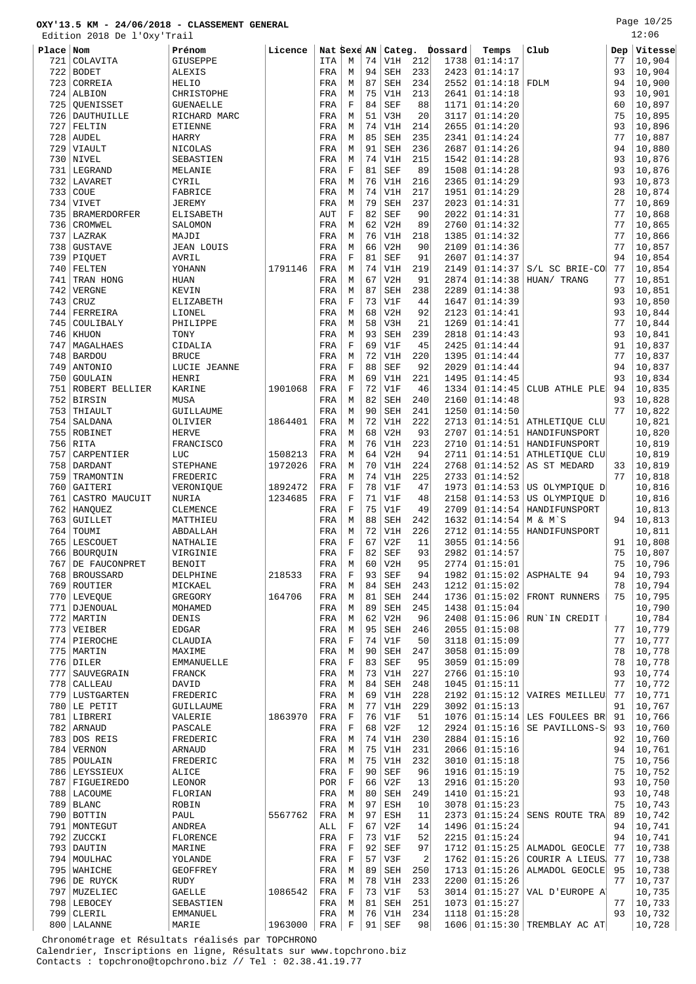Page 10/25

|            | Edition 2018 De l'Oxy'Trail    |                           |         |             |                    |          |                   |                |              |                      |                                             |          | 12:06            |
|------------|--------------------------------|---------------------------|---------|-------------|--------------------|----------|-------------------|----------------|--------------|----------------------|---------------------------------------------|----------|------------------|
| Place Nom  |                                | Prénom                    | Licence | Nat Sexe AN |                    |          | Categ.            |                | Dossard      | Temps                | Club                                        | Dep      | Vitesse          |
| 721        | COLAVITA                       | GIUSEPPE                  |         | <b>ITA</b>  | M                  | 74       | V1H               | 212            | 1738         | 01:14:17             |                                             | 77       | 10,904           |
| 722        | <b>BODET</b>                   | <b>ALEXIS</b>             |         | FRA         | М                  | 94       | <b>SEH</b>        | 233            | 2423         | 01:14:17             |                                             | 93       | 10,904           |
| 723        | CORREIA                        | HELIO                     |         | FRA         | М                  | 87       | <b>SEH</b>        | 234            | 2552         | 01:14:18             | FDLM                                        | 94       | 10,900           |
| 724<br>725 | ALBION<br>OUENISSET            | CHRISTOPHE                |         | FRA         | М<br>$\rm F$       | 75<br>84 | V1H<br><b>SEF</b> | 213<br>88      | 2641<br>1171 | 01:14:18<br>01:14:20 |                                             | 93<br>60 | 10,901<br>10,897 |
| 726        | DAUTHUILLE                     | GUENAELLE<br>RICHARD MARC |         | FRA<br>FRA  | М                  | 51       | V3H               | 20             | 3117         | 01:14:20             |                                             | 75       | 10,895           |
| 727        | FELTIN                         | ETIENNE                   |         | FRA         | М                  | 74       | V1H               | 214            | 2655         | 01:14:20             |                                             | 93       | 10,896           |
| 728        | AUDEL                          | <b>HARRY</b>              |         | FRA         | М                  | 85       | <b>SEH</b>        | 235            | 2341         | 01:14:24             |                                             | 77       | 10,887           |
| 729        | VIAULT                         | NICOLAS                   |         | FRA         | М                  | 91       | <b>SEH</b>        | 236            | 2687         | 01:14:26             |                                             | 94       | 10,880           |
| 730        | NIVEL                          | SEBASTIEN                 |         | FRA         | М                  | 74       | V1H               | 215            | 1542         | 01:14:28             |                                             | 93       | 10,876           |
| 731        | LEGRAND                        | MELANIE                   |         | FRA         | $\rm F$            | 81       | <b>SEF</b>        | 89             | 1508         | 01:14:28             |                                             | 93       | 10,876           |
| 732        | LAVARET                        | CYRIL                     |         | FRA         | М                  | 76       | V1H               | 216            | 2365         | 01:14:29             |                                             | 93       | 10,873           |
| 733        | <b>COUE</b>                    | FABRICE                   |         | FRA         | М                  | 74       | V1H               | 217            | 1951         | 01:14:29             |                                             | 28       | 10,874           |
| 734        | VIVET                          | JEREMY                    |         | FRA         | М                  | 79       | <b>SEH</b>        | 237<br>90      | 2023         | 01:14:31             |                                             | 77<br>77 | 10,869           |
| 735<br>736 | <b>BRAMERDORFER</b><br>CROMWEL | ELISABETH<br>SALOMON      |         | AUT<br>FRA  | F<br>М             | 82<br>62 | <b>SEF</b><br>V2H | 89             | 2022<br>2760 | 01:14:31<br>01:14:32 |                                             | 77       | 10,868<br>10,865 |
| 737        | LAZRAK                         | MAJDI                     |         | FRA         | М                  | 76       | V1H               | 218            | 1385         | 01:14:32             |                                             | 77       | 10,866           |
| 738        | <b>GUSTAVE</b>                 | <b>JEAN LOUIS</b>         |         | FRA         | М                  | 66       | V2H               | 90             | 2109         | 01:14:36             |                                             | 77       | 10,857           |
| 739        | PIQUET                         | AVRIL                     |         | FRA         | $\rm F$            | 81       | <b>SEF</b>        | 91             | 2607         | 01:14:37             |                                             | 94       | 10,854           |
| 740        | FELTEN                         | YOHANN                    | 1791146 | FRA         | M                  | 74       | V1H               | 219            | 2149         | 01:14:37             | S/L SC BRIE-CO                              | 77       | 10,854           |
| 741        | TRAN HONG                      | HUAN                      |         | FRA         | М                  | 67       | V2H               | 91             | 2874         | 01:14:38             | HUAN/ TRANG                                 | 77       | 10,851           |
| 742        | VERGNE                         | KEVIN                     |         | FRA         | М                  | 87       | <b>SEH</b>        | 238            | 2289         | 01:14:38             |                                             | 93       | 10,851           |
| 743        | CRUZ                           | ELIZABETH                 |         | FRA         | $\rm F$            | 73       | V1F               | 44             | 1647         | 01:14:39             |                                             | 93       | 10,850           |
| 744        | FERREIRA                       | LIONEL                    |         | FRA         | М                  | 68<br>58 | V2H               | 92<br>21       | 2123         | 01:14:41<br>01:14:41 |                                             | 93<br>77 | 10,844           |
| 745<br>746 | COULIBALY<br>KHUON             | PHILIPPE<br>TONY          |         | FRA<br>FRA  | М<br>М             | 93       | V3H<br><b>SEH</b> | 239            | 1269<br>2818 | 01:14:43             |                                             | 93       | 10,844<br>10,841 |
| 747        | MAGALHAES                      | CIDALIA                   |         | FRA         | $\rm F$            | 69       | V1F               | 45             | 2425         | 01:14:44             |                                             | 91       | 10,837           |
| 748        | <b>BARDOU</b>                  | <b>BRUCE</b>              |         | FRA         | М                  | 72       | V1H               | 220            | 1395         | 01:14:44             |                                             | 77       | 10,837           |
| 749        | <b>ANTONIO</b>                 | LUCIE JEANNE              |         | FRA         | $\rm F$            | 88       | <b>SEF</b>        | 92             | 2029         | 01:14:44             |                                             | 94       | 10,837           |
| 750        | GOULAIN                        | <b>HENRI</b>              |         | FRA         | М                  | 69       | V1H               | 221            | 1495         | 01:14:45             |                                             | 93       | 10,834           |
| 751        | ROBERT BELLIER                 | KARINE                    | 1901068 | FRA         | $\rm F$            | 72       | V1F               | 46             | 1334         | 01:14:45             | CLUB ATHLE PLE                              | 94       | 10,835           |
| 752        | BIRSIN                         | MUSA                      |         | FRA         | М                  | 82       | <b>SEH</b>        | 240            | 2160         | 01:14:48             |                                             | 93       | 10,828           |
| 753        | THIAULT                        | GUILLAUME                 |         | FRA         | М                  | 90       | <b>SEH</b>        | 241            | 1250         | 01:14:50             |                                             | 77       | 10,822           |
| 754<br>755 | SALDANA<br>ROBINET             | OLIVIER<br><b>HERVE</b>   | 1864401 | FRA<br>FRA  | М<br>М             | 72<br>68 | V1H<br>V2H        | 222<br>93      | 2713<br>2707 | 01:14:51<br>01:14:51 | ATHLETIQUE CLU<br>HANDIFUNSPORT             |          | 10,821<br>10,820 |
| 756        | RITA                           | FRANCISCO                 |         | FRA         | M                  | 76       | V1H               | 223            | 2710         | 01:14:51             | HANDIFUNSPORT                               |          | 10,819           |
| 757        | CARPENTIER                     | LUC                       | 1508213 | FRA         | М                  | 64       | V2H               | 94             | 2711         | 01:14:51             | ATHLETIQUE CLU                              |          | 10,819           |
| 758        | DARDANT                        | <b>STEPHANE</b>           | 1972026 | FRA         | М                  | 70       | V1H               | 224            | 2768         | 01:14:52             | AS ST MEDARD                                | 33       | 10,819           |
| 759        | TRAMONTIN                      | FREDERIC                  |         | FRA         | М                  | 74       | V1H               | 225            | 2733         | 01:14:52             |                                             | 77       | 10,818           |
| 760        | GAITERI                        | VERONIQUE                 | 1892472 | FRA         | $\rm F$            | 78       | V1F               | 47             | 1973         | 01:14:53             | US OLYMPIOUE D                              |          | 10,816           |
| 761        | CASTRO MAUCUIT                 | NURIA                     | 1234685 | FRA         | $\rm F$            | 71       | V1F               | 48             | 2158         | 01:14:53             | US OLYMPIQUE D                              |          | 10,816           |
| 762        | HANQUEZ                        | CLEMENCE                  |         | FRA         | $\rm F$            | 75       | V1F               | 49             | 2709         | 01:14:54             | HANDIFUNSPORT                               |          | 10,813           |
| 763        | <b>GUILLET</b>                 | MATTHIEU                  |         | FRA         | М                  | 88       | <b>SEH</b>        | 242            | 1632         | 01:14:54             | M & M`S                                     | 94       | 10,813           |
| 764<br>765 | TOUMI<br>LESCOUET              | ABDALLAH<br>NATHALIE      |         | FRA<br>FRA  | М<br>F             | 72<br>67 | V1H<br>V2F        | 226<br>11      | 2712<br>3055 | 01:14:55<br>01:14:56 | HANDIFUNSPORT                               | 91       | 10,811<br>10,808 |
|            | 766   BOURQUIN                 | VIRGINIE                  |         | FRA         | F                  | 82       | SEF               | 93             | 2982         | 01:14:57             |                                             | 75       | 10,807           |
|            | 767 DE FAUCONPRET              | BENOIT                    |         | FRA         | М                  | 60       | V2H               | 95             | 2774         | 01:15:01             |                                             | 75       | 10,796           |
|            | 768   BROUSSARD                | DELPHINE                  | 218533  | FRA         | $\rm F$            | 93       | <b>SEF</b>        | 94             | 1982         | 01:15:02             | ASPHALTE 94                                 | 94       | 10,793           |
|            | 769 ROUTIER                    | MICKAEL                   |         | FRA         | М                  | 84       | <b>SEH</b>        | 243            | 1212         | 01:15:02             |                                             | 78       | 10,794           |
|            | 770   LEVEQUE                  | GREGORY                   | 164706  | FRA         | М                  | 81       | SEH               | 244            | 1736         | 01:15:02             | FRONT RUNNERS                               | 75       | 10,795           |
|            | 771   DJENOUAL                 | MOHAMED                   |         | FRA         | М                  | 89       | <b>SEH</b>        | 245            | 1438         | 01:15:04             |                                             |          | 10,790           |
|            | 772   MARTIN                   | DENIS                     |         | FRA         | М<br>М             | 62<br>95 | V2H               | 96<br>246      | 2408<br>2055 | 01:15:06<br>01:15:08 | RUN`IN CREDIT                               | 77       | 10,784<br>10,779 |
|            | 773 VEIBER<br>774   PIEROCHE   | EDGAR<br>CLAUDIA          |         | FRA<br>FRA  | $\mathbf F$        | 74       | SEH<br>V1F        | 50             | 3118         | 01:15:09             |                                             | 77       | 10,777           |
|            | 775   MARTIN                   | MAXIME                    |         | FRA         | М                  | 90       | SEH               | 247            | 3058         | 01:15:09             |                                             | 78       | 10,778           |
|            | $776$ DILER                    | EMMANUELLE                |         | FRA         | $\mathbf F$        | 83       | SEF               | 95             | 3059         | 01:15:09             |                                             | 78       | 10,778           |
|            | 777   SAUVEGRAIN               | FRANCK                    |         | FRA         | М                  | 73       | V1H               | 227            | 2766         | 01:15:10             |                                             | 93       | 10,774           |
|            | 778   CALLEAU                  | DAVID                     |         | FRA         | М                  | 84       | <b>SEH</b>        | 248            | 1045         | 01:15:11             |                                             | 77       | 10,772           |
|            | 779 LUSTGARTEN                 | FREDERIC                  |         | FRA         | М                  | 69       | V1H               | 228            | 2192         | 01:15:12             | VAIRES MEILLEU                              | 77       | 10,771           |
|            | 780 LE PETIT                   | GUILLAUME                 |         | FRA         | М                  | 77       | V1H               | 229            | 3092         | 01:15:13             |                                             | 91       | 10,767           |
|            | 781 LIBRERI<br>782   ARNAUD    | VALERIE<br>PASCALE        | 1863970 | FRA<br>FRA  | $\rm F$<br>$\rm F$ | 76<br>68 | V1F<br>V2F        | 51<br>12       | 1076<br>2924 | 01:15:16             | $01:15:14$ LES FOULEES BR<br>SE PAVILLONS-S | 91<br>93 | 10,766<br>10,760 |
|            | 783 DOS REIS                   | FREDERIC                  |         | FRA         | М                  | 74       | V1H               | 230            | 2884         | 01:15:16             |                                             | 92       | 10,760           |
|            | 784   VERNON                   | ARNAUD                    |         | FRA         | М                  | 75       | V1H               | 231            | 2066         | 01:15:16             |                                             | 94       | 10,761           |
|            | 785   POULAIN                  | FREDERIC                  |         | FRA         | М                  | 75       | V1H               | 232            | 3010         | 01:15:18             |                                             | 75       | 10,756           |
|            | 786   LEYSSIEUX                | ALICE                     |         | FRA         | F                  | 90       | SEF               | 96             | 1916         | 01:15:19             |                                             | 75       | 10,752           |
|            | 787   FIGUEIREDO               | LEONOR                    |         | <b>POR</b>  | $\rm F$            | 66       | V2F               | 13             | 2916         | 01:15:20             |                                             | 93       | 10,750           |
|            | 788   LACOUME                  | FLORIAN                   |         | FRA         | М                  | 80       | SEH               | 249            | 1410         | 01:15:21             |                                             | 93       | 10,748           |
|            | 789   BLANC                    | ROBIN                     |         | FRA         | М                  | 97       | ESH               | 10             | 3078         | 01:15:23             |                                             | 75       | 10,743           |
|            | 790   BOTTIN                   | PAUL                      | 5567762 | FRA         | М                  | 97       | <b>ESH</b>        | 11             | 2373         |                      | $01:15:24$ SENS ROUTE TRA                   | 89<br>94 | 10,742           |
|            | 791   MONTEGUT<br>792 ZUCCKI   | ANDREA<br>FLORENCE        |         | ALL<br>FRA  | $\rm F$<br>$\rm F$ | 67<br>73 | V2F<br>V1F        | 14<br>52       | 1496<br>2215 | 01:15:24<br>01:15:24 |                                             | 94       | 10,741<br>10,741 |
|            | 793   DAUTIN                   | MARINE                    |         | FRA         | F                  | 92       | SEF               | 97             | 1712         | 01:15:25             | ALMADOL GEOCLE                              | 77       | 10,738           |
|            | 794   MOULHAC                  | YOLANDE                   |         | FRA         | F                  | 57       | V3F               | $\overline{a}$ | 1762         | 01:15:26             | COURIR A LIEUS                              | 77       | 10,738           |
|            | 795   WAHICHE                  | GEOFFREY                  |         | FRA         | М                  | 89       | SEH               | 250            | 1713         | 01:15:26             | ALMADOL GEOCLE                              | 95       | 10,738           |
|            | 796 DE RUYCK                   | RUDY                      |         | FRA         | М                  | 78       | V1H               | 233            | 2200         | 01:15:26             |                                             | 77       | 10,737           |
| 797        | MUZELIEC                       | GAELLE                    | 1086542 | FRA         | $\rm F$            | 73       | V1F               | 53             | 3014         | 01:15:27             | VAL D'EUROPE A                              |          | 10,735           |
|            | 798 LEBOCEY                    | SEBASTIEN                 |         | FRA         | М                  | 81       | SEH               | 251            | 1073         | 01:15:27             |                                             | 77       | 10,733           |
| 799        | CLERIL<br>800 LALANNE          | EMMANUEL<br>MARIE         | 1963000 | FRA<br>FRA  | М<br>F             | 76<br>91 | V1H<br><b>SEF</b> | 234<br>98      | 1118<br>1606 | 01:15:28             | $01:15:30$ TREMBLAY AC AT                   | 93       | 10,732<br>10,728 |
|            |                                |                           |         |             |                    |          |                   |                |              |                      |                                             |          |                  |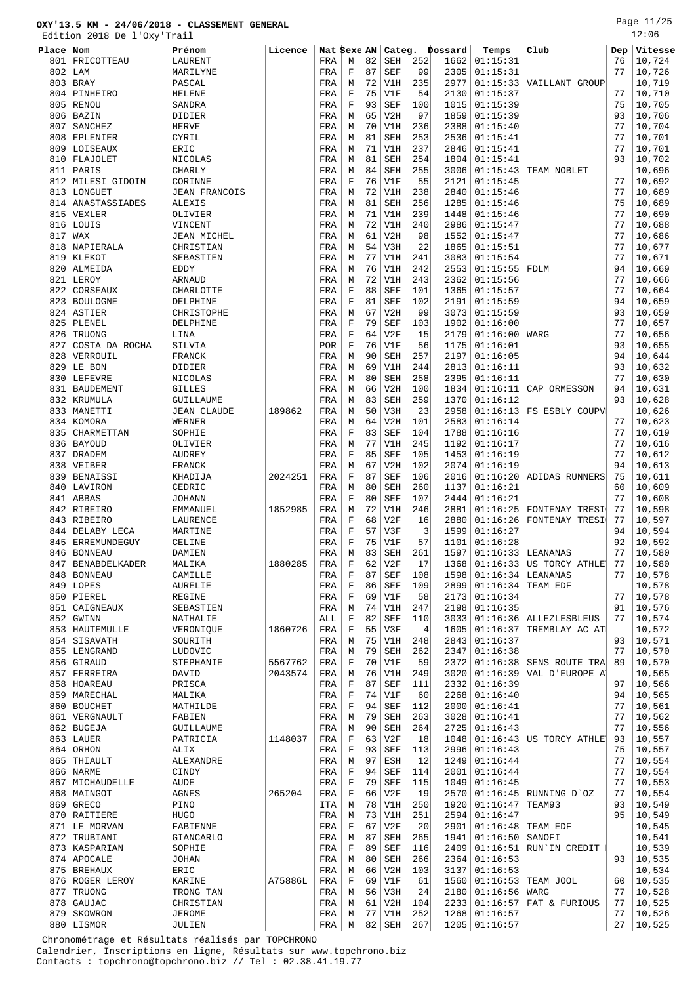Page 11/25  $12.02$ 

|       | Edition 2018 De l'Oxy'Trail  |                      |         |          |             |    |            |     |                |                            |                |     | 12:06       |
|-------|------------------------------|----------------------|---------|----------|-------------|----|------------|-----|----------------|----------------------------|----------------|-----|-------------|
| Place | Nom                          | Prénom               | Licence | Nat Sexe |             | AN |            |     | Categ. Dossard | Temps                      | Club           | Dep | Vitesse     |
| 801   | FRICOTTEAU                   | LAURENT              |         | FRA      | М           | 82 | <b>SEH</b> | 252 | 1662           | 01:15:31                   |                | 76  | 10,724      |
| 802   | LAM                          | MARILYNE             |         | FRA      | $\mathbf F$ | 87 | <b>SEF</b> | 99  | 2305           | 01:15:31                   |                | 77  | 10,726      |
| 803   | <b>BRAY</b>                  | PASCAL               |         | FRA      | М           | 72 | V1H        | 235 | 2977           | 01:15:33                   | VAILLANT GROUP |     | 10,719      |
| 804   | PINHEIRO                     | <b>HELENE</b>        |         | FRA      | $\mathbf F$ | 75 | V1F        | 54  | 2130           | 01:15:37                   |                | 77  | 10,710      |
|       |                              |                      |         |          | F           | 93 |            | 100 |                | 01:15:39                   |                | 75  |             |
| 805   | <b>RENOU</b><br><b>BAZIN</b> | SANDRA               |         | FRA      |             | 65 | <b>SEF</b> | 97  | 1015           |                            |                |     | 10,705      |
| 806   |                              | DIDIER               |         | FRA      | M           |    | V2H        |     | 1859           | 01:15:39                   |                | 93  | 10,706      |
| 807   | SANCHEZ                      | <b>HERVE</b>         |         | FRA      | М           | 70 | V1H        | 236 | 2388           | 01:15:40                   |                | 77  | 10,704      |
| 808   | EPLENIER                     | CYRIL                |         | FRA      | М           | 81 | <b>SEH</b> | 253 | 2536           | 01:15:41                   |                | 77  | 10,701      |
| 809   | LOISEAUX                     | ERIC                 |         | FRA      | М           | 71 | V1H        | 237 | 2846           | 01:15:41                   |                | 77  | 10,701      |
| 810   | FLAJOLET                     | NICOLAS              |         | FRA      | М           | 81 | <b>SEH</b> | 254 | 1804           | 01:15:41                   |                | 93  | 10,702      |
| 811   | PARIS                        | <b>CHARLY</b>        |         | FRA      | М           | 84 | <b>SEH</b> | 255 | 3006           | 01:15:43                   | TEAM NOBLET    |     | 10,696      |
| 812   | MILESI GIDOIN                | CORINNE              |         | FRA      | F           | 76 | V1F        | 55  | 2121           | 01:15:45                   |                | 77  | 10,692      |
|       | 813 LONGUET                  | <b>JEAN FRANCOIS</b> |         | FRA      | М           | 72 | V1H        | 238 | 2840           | 01:15:46                   |                | 77  | 10,689      |
| 814   | ANASTASSIADES                | <b>ALEXIS</b>        |         | FRA      | М           | 81 | <b>SEH</b> | 256 | 1285           | 01:15:46                   |                | 75  | 10,689      |
| 815   | VEXLER                       | OLIVIER              |         | FRA      | M           | 71 | V1H        | 239 | 1448           | 01:15:46                   |                | 77  | 10,690      |
| 816   | LOUIS                        | VINCENT              |         | FRA      | М           | 72 | V1H        | 240 | 2986           | 01:15:47                   |                | 77  | 10,688      |
| 817   | WAX                          | <b>JEAN MICHEL</b>   |         | FRA      | M           | 61 | V2H        | 98  | 1552           | 01:15:47                   |                | 77  | 10,686      |
| 818   | NAPIERALA                    | CHRISTIAN            |         | FRA      | М           | 54 | V3H        | 22  | 1865           | 01:15:51                   |                | 77  | 10,677      |
| 819   | KLEKOT                       | SEBASTIEN            |         | FRA      | М           | 77 | V1H        | 241 | 3083           | 01:15:54                   |                | 77  | 10,671      |
| 820   | ALMEIDA                      | EDDY                 |         | FRA      | М           | 76 | V1H        | 242 | 2553           | 01:15:55                   | FDLM           | 94  | 10,669      |
| 821   | LEROY                        | ARNAUD               |         | FRA      | М           | 72 | V1H        | 243 | 2362           | 01:15:56                   |                | 77  | 10,666      |
| 822   | CORSEAUX                     | CHARLOTTE            |         | FRA      | $\mathbf F$ | 88 | <b>SEF</b> | 101 | 1365           | 01:15:57                   |                | 77  | 10,664      |
| 823   | <b>BOULOGNE</b>              | DELPHINE             |         | FRA      | $\mathbf F$ | 81 | <b>SEF</b> | 102 | 2191           | 01:15:59                   |                | 94  | 10,659      |
|       | 824 ASTIER                   | CHRISTOPHE           |         |          |             |    |            |     | 3073           |                            |                |     |             |
|       |                              |                      |         | FRA      | М           | 67 | V2H        | 99  |                | 01:15:59                   |                | 93  | 10,659      |
| 825   | PLENEL                       | DELPHINE             |         | FRA      | F           | 79 | <b>SEF</b> | 103 | 1902           | 01:16:00                   |                | 77  | 10,657      |
| 826   | TRUONG                       | LINA                 |         | FRA      | F           | 64 | V2F        | 15  | 2179           | 01:16:00                   | WARG           | 77  | 10,656      |
| 827   | COSTA DA ROCHA               | SILVIA               |         | POR      | $\mathbf F$ | 76 | V1F        | 56  | 1175           | 01:16:01                   |                | 93  | 10,655      |
| 828   | VERROUIL                     | FRANCK               |         | FRA      | М           | 90 | <b>SEH</b> | 257 | 2197           | 01:16:05                   |                | 94  | 10,644      |
| 829   | LE BON                       | DIDIER               |         | FRA      | М           | 69 | V1H        | 244 | 2813           | 01:16:11                   |                | 93  | 10,632      |
| 830   | LEFEVRE                      | NICOLAS              |         | FRA      | М           | 80 | <b>SEH</b> | 258 | 2395           | 01:16:11                   |                | 77  | 10,630      |
| 831   | <b>BAUDEMENT</b>             | <b>GILLES</b>        |         | FRA      | М           | 66 | V2H        | 100 | 1834           | 01:16:11                   | CAP ORMESSON   | 94  | 10,631      |
| 832   | KRUMULA                      | GUILLAUME            |         | FRA      | М           | 83 | <b>SEH</b> | 259 | 1370           | 01:16:12                   |                | 93  | 10,628      |
|       | 833   MANETTI                | <b>JEAN CLAUDE</b>   | 189862  | FRA      | М           | 50 | V3H        | 23  | 2958           | 01:16:13                   | FS ESBLY COUPV |     | 10,626      |
| 834   | KOMORA                       | WERNER               |         | FRA      | М           | 64 | V2H        | 101 | 2583           | 01:16:14                   |                | 77  | 10,623      |
| 835   | CHARMETTAN                   | SOPHIE               |         | FRA      | F           | 83 | <b>SEF</b> | 104 | 1788           | 01:16:16                   |                | 77  | 10,619      |
| 836   | <b>BAYOUD</b>                | OLIVIER              |         | FRA      | М           | 77 | V1H        | 245 | 1192           | 01:16:17                   |                | 77  | 10,616      |
| 837   | <b>DRADEM</b>                | AUDREY               |         | FRA      | F           | 85 | <b>SEF</b> | 105 | 1453           | 01:16:19                   |                | 77  | 10,612      |
| 838   | VEIBER                       | FRANCK               |         | FRA      | М           | 67 | V2H        | 102 | 2074           | 01:16:19                   |                | 94  | 10,613      |
| 839   | <b>BENAISSI</b>              | KHADIJA              | 2024251 | FRA      | F           | 87 | <b>SEF</b> | 106 | 2016           | 01:16:20                   | ADIDAS RUNNERS | 75  | 10,611      |
| 840   | LAVIRON                      | CEDRIC               |         | FRA      | M           | 80 | <b>SEH</b> | 260 | 1137           | 01:16:21                   |                | 60  | 10,609      |
| 841   | ABBAS                        | <b>JOHANN</b>        |         | FRA      | F           | 80 | <b>SEF</b> | 107 | 2444           | 01:16:21                   |                | 77  | 10,608      |
| 842   | RIBEIRO                      | <b>EMMANUEL</b>      | 1852985 | FRA      | М           | 72 | V1H        | 246 | 2881           | 01:16:25                   | FONTENAY TRESI | 77  | 10,598      |
| 843   | RIBEIRO                      | LAURENCE             |         | FRA      | F           | 68 | V2F        | 16  | 2880           | 01:16:26                   | FONTENAY TRESI | 77  | 10,597      |
| 844   | DELABY LECA                  | MARTINE              |         | FRA      | $\mathbf F$ | 57 | V3F        | 3   | 1599           | 01:16:27                   |                | 94  | 10,594      |
|       | 845 ERREMUNDEGUY             | CELINE               |         | FRA      | F           | 75 | V1F        | 57  | 1101           | 01:16:28                   |                | 92  | 10,592      |
|       | 846   BONNEAU                | DAMIEN               |         | FRA      | М           | 83 | SEH        | 261 |                | 1597   01:16:33   LEANANAS |                |     | 77   10,580 |
| 847   | <b>BENABDELKADER</b>         | MALIKA               | 1880285 | FRA      | $\mathbf F$ | 62 | V2F        | 17  | 1368           | 01:16:33                   | US TORCY ATHLE | 77  | 10,580      |
| 848   | <b>BONNEAU</b>               | CAMILLE              |         | FRA      | $\mathbf F$ | 87 | SEF        | 108 | 1598           | 01:16:34                   | LEANANAS       | 77  | 10,578      |
|       | 849 LOPES                    | AURELIE              |         | FRA      | $\mathbf F$ | 86 | <b>SEF</b> | 109 | 2899           | 01:16:34                   | TEAM EDF       |     | 10,578      |
| 850   | PIEREL                       | REGINE               |         | FRA      | F           | 69 | V1F        | 58  | 2173           | 01:16:34                   |                | 77  | 10,578      |
| 851   | CAIGNEAUX                    | SEBASTIEN            |         | FRA      | М           | 74 | V1H        | 247 | 2198           | 01:16:35                   |                | 91  | 10,576      |
| 852   | GWINN                        | NATHALIE             |         | ALL      | F           | 82 | SEF        | 110 | 3033           | 01:16:36                   | ALLEZLESBLEUS  | 77  | 10,574      |
|       | 853   HAUTEMULLE             | VERONIQUE            | 1860726 | FRA      | $\mathbf F$ | 55 | V3F        | 4   | 1605           | 01:16:37                   | TREMBLAY AC AT |     | 10,572      |
|       | 854   SISAVATH               | SOURITH              |         | FRA      | М           | 75 | V1H        | 248 | 2843           | 01:16:37                   |                | 93  | 10,571      |
|       | 855   LENGRAND               | LUDOVIC              |         |          |             | 79 |            |     |                |                            |                |     |             |
|       |                              |                      |         | FRA      | М           |    | <b>SEH</b> | 262 | 2347           | 01:16:38                   |                | 77  | 10,570      |
| 856   | GIRAUD                       | STEPHANIE            | 5567762 | FRA      | $\mathbf F$ | 70 | V1F        | 59  | 2372           | 01:16:38                   | SENS ROUTE TRA | 89  | 10,570      |
| 857   | FERREIRA                     | DAVID                | 2043574 | FRA      | М           | 76 | V1H        | 249 | 3020           | 01:16:39                   | VAL D'EUROPE A |     | 10,565      |
|       | 858   HOAREAU                | PRISCA               |         | FRA      | $\mathbf F$ | 87 | <b>SEF</b> | 111 | 2332           | 01:16:39                   |                | 97  | 10,566      |
|       | 859   MARECHAL               | MALIKA               |         | FRA      | F           | 74 | V1F        | 60  | 2268           | 01:16:40                   |                | 94  | 10,565      |
| 860   | <b>BOUCHET</b>               | MATHILDE             |         | FRA      | $\mathbf F$ | 94 | <b>SEF</b> | 112 | 2000           | 01:16:41                   |                | 77  | 10,561      |
|       | 861   VERGNAULT              | FABIEN               |         | FRA      | М           | 79 | SEH        | 263 | 3028           | 01:16:41                   |                | 77  | 10,562      |
| 862   | <b>BUGEJA</b>                | GUILLAUME            |         | FRA      | М           | 90 | SEH        | 264 | 2725           | 01:16:43                   |                | 77  | 10,556      |
|       | 863 LAUER                    | PATRICIA             | 1148037 | FRA      | $\mathbf F$ | 63 | V2F        | 18  | 1048           | 01:16:43                   | US TORCY ATHLE | 93  | 10,557      |
| 864   | ORHON                        | ALIX                 |         | FRA      | $\mathbf F$ | 93 | <b>SEF</b> | 113 | 2996           | 01:16:43                   |                | 75  | 10,557      |
| 865   | THIAULT                      | ALEXANDRE            |         | FRA      | М           | 97 | ESH        | 12  | 1249           | 01:16:44                   |                | 77  | 10,554      |
| 866   | <b>NARME</b>                 | CINDY                |         | FRA      | F           | 94 | SEF        | 114 | 2001           | 01:16:44                   |                | 77  | 10,554      |
|       | 867   MICHAUDELLE            | AUDE                 |         | FRA      | F           | 79 | SEF        | 115 | 1049           | 01:16:45                   |                | 77  | 10,553      |
|       | 868   MAINGOT                | <b>AGNES</b>         | 265204  | FRA      | $\mathbf F$ | 66 | V2F        | 19  | 2570           | 01:16:45                   | RUNNING D'OZ   | 77  | 10,554      |
| 869   | <b>GRECO</b>                 | PINO                 |         | ITA      | М           | 78 | V1H        | 250 | 1920           | 01:16:47                   | TEAM93         | 93  | 10,549      |
|       | 870   RAITIERE               | <b>HUGO</b>          |         | FRA      | М           | 73 | V1H        | 251 | 2594           | 01:16:47                   |                | 95  | 10,549      |
|       | 871 LE MORVAN                | FABIENNE             |         | FRA      | F           | 67 | V2F        | 20  | 2901           | 01:16:48                   | TEAM EDF       |     | 10,545      |
| 872   | TRUBIANI                     | GIANCARLO            |         | FRA      | М           | 87 | <b>SEH</b> | 265 | 1941           | 01:16:50                   | SANOFI         |     | 10,541      |
|       | 873   KASPARIAN              | SOPHIE               |         | FRA      | F           | 89 | <b>SEF</b> | 116 | 2409           | 01:16:51                   | RUN'IN CREDIT  |     | 10,539      |
|       | 874 APOCALE                  | <b>JOHAN</b>         |         | FRA      | М           | 80 | <b>SEH</b> | 266 | 2364           | 01:16:53                   |                | 93  | 10,535      |
|       | 875   BREHAUX                | ERIC                 |         | FRA      | М           | 66 | V2H        | 103 | 3137           | 01:16:53                   |                |     | 10,534      |
|       | 876 ROGER LEROY              | KARINE               | A75886L | FRA      | F           | 69 | V1F        | 61  | 1560           | 01:16:53                   | TEAM JOOL      | 60  | 10,535      |
| 877   | TRUONG                       | TRONG TAN            |         | FRA      | М           | 56 | V3H        | 24  | 2180           | 01:16:56                   | WARG           | 77  | 10,528      |
| 878   | GAUJAC                       | CHRISTIAN            |         | FRA      | М           | 61 | V2H        | 104 | 2233           | 01:16:57                   | FAT & FURIOUS  | 77  | 10,525      |
| 879   | SKOWRON                      | <b>JEROME</b>        |         | FRA      | М           | 77 | V1H        | 252 | 1268           | 01:16:57                   |                | 77  | 10,526      |
|       | 880 LISMOR                   | JULIEN               |         | FRA      | М           | 82 | SEH        | 267 |                | 1205   01:16:57            |                | 27  | 10,525      |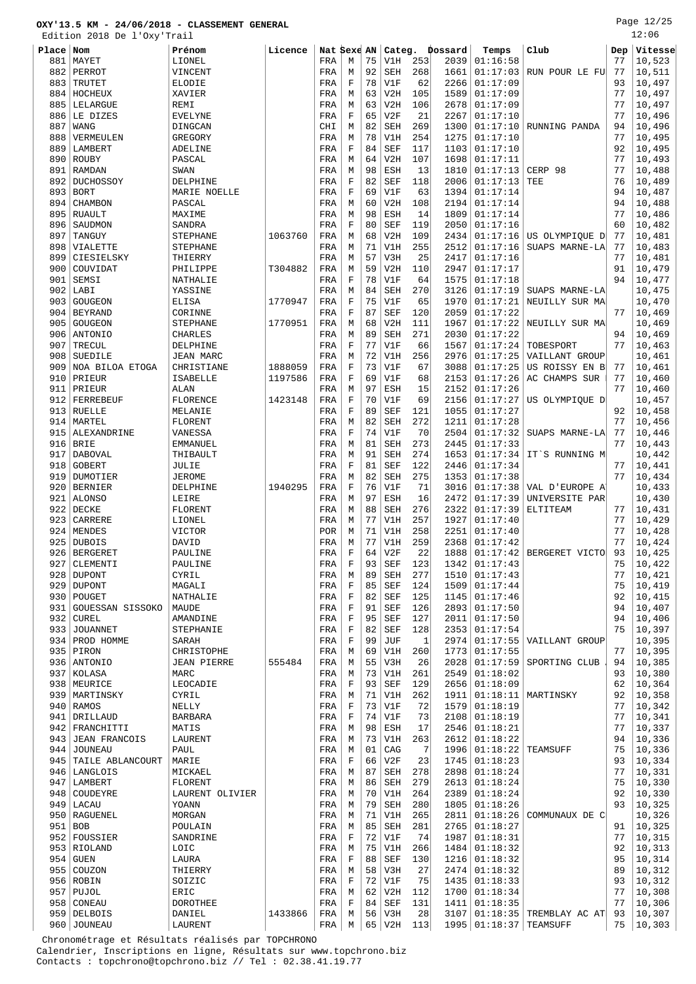Edition 2018 De l'Oxy'Trail

Page 12/25 12:06

|           | Edition 2018 De l'OXY Trail |                    |         |     |             |    |            |     |         |                 |                 |     |         |
|-----------|-----------------------------|--------------------|---------|-----|-------------|----|------------|-----|---------|-----------------|-----------------|-----|---------|
| Place Nom |                             | Prénom             | Licence |     | Nat Sexe AN |    | Categ.     |     | Dossard | Temps           | Club            | Dep | Vitesse |
| 881       | MAYET                       | LIONEL             |         | FRA | М           | 75 | V1H        | 253 | 2039    | 01:16:58        |                 | 77  | 10,523  |
|           |                             |                    |         |     |             |    |            |     |         |                 |                 |     |         |
| 882       | PERROT                      | VINCENT            |         | FRA | М           | 92 | <b>SEH</b> | 268 | 1661    | 01:17:03        | RUN POUR LE FU  | 77  | 10,511  |
| 883       | TRUTET                      | ELODIE             |         | FRA | $\mathbf F$ | 78 | V1F        | 62  | 2266    | 01:17:09        |                 | 93  | 10,497  |
| 884       | HOCHEUX                     | XAVIER             |         | FRA | M           | 63 | V2H        | 105 | 1589    | 01:17:09        |                 | 77  | 10,497  |
| 885       | LELARGUE                    | REMI               |         | FRA | M           | 63 | V2H        | 106 | 2678    | 01:17:09        |                 | 77  | 10,497  |
| 886       | LE DIZES                    | <b>EVELYNE</b>     |         |     | F           | 65 | V2F        | 21  | 2267    | 01:17:10        |                 | 77  | 10,496  |
|           |                             |                    |         | FRA |             |    |            |     |         |                 |                 |     |         |
| 887       | WANG                        | DINGCAN            |         | CHI | М           | 82 | <b>SEH</b> | 269 | 1300    | 01:17:10        | RUNNING PANDA   | 94  | 10,496  |
| 888       | VERMEULEN                   | GREGORY            |         | FRA | М           | 78 | V1H        | 254 | 1275    | 01:17:10        |                 | 77  | 10,495  |
| 889       | LAMBERT                     | ADELINE            |         | FRA | F           | 84 | <b>SEF</b> | 117 | 1103    | 01:17:10        |                 | 92  | 10,495  |
| 890       | <b>ROUBY</b>                | PASCAL             |         |     |             | 64 | V2H        | 107 | 1698    | 01:17:11        |                 | 77  | 10,493  |
|           |                             |                    |         | FRA | М           |    |            |     |         |                 |                 |     |         |
| 891       | RAMDAN                      | SWAN               |         | FRA | М           | 98 | ESH        | 13  | 1810    | 01:17:13        | CERP 98         | 77  | 10,488  |
| 892       | DUCHOSSOY                   | DELPHINE           |         | FRA | $\mathbf F$ | 82 | SEF        | 118 | 2006    | 01:17:13        | TEE             | 76  | 10,489  |
| 893       | <b>BORT</b>                 | MARIE NOELLE       |         | FRA | F           | 69 | V1F        | 63  | 1394    | 01:17:14        |                 | 94  | 10,487  |
| 894       | <b>CHAMBON</b>              | PASCAL             |         |     | M           | 60 | V2H        | 108 | 2194    | 01:17:14        |                 | 94  |         |
|           |                             |                    |         | FRA |             |    |            |     |         |                 |                 |     | 10,488  |
| 895       | <b>RUAULT</b>               | MAXIME             |         | FRA | М           | 98 | <b>ESH</b> | 14  | 1809    | 01:17:14        |                 | 77  | 10,486  |
| 896       | SAUDMON                     | SANDRA             |         | FRA | $\mathbf F$ | 80 | <b>SEF</b> | 119 | 2050    | 01:17:16        |                 | 60  | 10,482  |
| 897       | TANGUY                      | <b>STEPHANE</b>    | 1063760 | FRA | М           | 68 | V2H        | 109 | 2434    | 01:17:16        | US OLYMPIQUE D  | 77  | 10,481  |
|           |                             |                    |         |     |             | 71 | V1H        |     | 2512    | 01:17:16        | SUAPS MARNE-LA  | 77  |         |
| 898       | VIALETTE                    | <b>STEPHANE</b>    |         | FRA | М           |    |            | 255 |         |                 |                 |     | 10,483  |
| 899       | CIESIELSKY                  | THIERRY            |         | FRA | М           | 57 | V3H        | 25  | 2417    | 01:17:16        |                 | 77  | 10,481  |
| 900       | COUVIDAT                    | PHILIPPE           | T304882 | FRA | М           | 59 | V2H        | 110 | 2947    | 01:17:17        |                 | 91  | 10,479  |
| 901       | SEMSI                       | NATHALIE           |         | FRA | $\mathbf F$ | 78 | V1F        | 64  | 1575    | 01:17:18        |                 | 94  | 10,477  |
|           | LABI                        |                    |         |     | М           | 84 | <b>SEH</b> | 270 | 3126    | 01:17:19        | SUAPS MARNE-LA  |     |         |
| 902       |                             | YASSINE            |         | FRA |             |    |            |     |         |                 |                 |     | 10,475  |
| 903       | GOUGEON                     | ELISA              | 1770947 | FRA | $\mathbf F$ | 75 | V1F        | 65  | 1970    | 01:17:21        | NEUILLY SUR MA  |     | 10,470  |
| 904       | <b>BEYRAND</b>              | CORINNE            |         | FRA | F           | 87 | <b>SEF</b> | 120 | 2059    | 01:17:22        |                 | 77  | 10,469  |
| 905       | GOUGEON                     | <b>STEPHANE</b>    | 1770951 | FRA | М           | 68 | V2H        | 111 | 1967    | 01:17:22        | NEUILLY SUR MA  |     | 10,469  |
|           |                             |                    |         |     |             |    |            |     |         |                 |                 |     |         |
| 906       | ANTONIO                     | <b>CHARLES</b>     |         | FRA | М           | 89 | <b>SEH</b> | 271 | 2030    | 01:17:22        |                 | 94  | 10,469  |
| 907       | TRECUL                      | DELPHINE           |         | FRA | F           | 77 | V1F        | 66  | 1567    | 01:17:24        | TOBESPORT       | 77  | 10,463  |
| 908       | SUEDILE                     | <b>JEAN MARC</b>   |         | FRA | М           | 72 | V1H        | 256 | 2976    | 01:17:25        | VAILLANT GROUP  |     | 10,461  |
| 909       | NOA BILOA ETOGA             | CHRISTIANE         | 1888059 | FRA | F           | 73 | V1F        | 67  | 3088    | 01:17:25        | US ROISSY EN B  | 77  | 10,461  |
|           | PRIEUR                      |                    | 1197586 |     | $\mathbf F$ | 69 | V1F        | 68  | 2153    | 01:17:26        |                 | 77  |         |
| 910       |                             | <b>ISABELLE</b>    |         | FRA |             |    |            |     |         |                 | AC CHAMPS SUR   |     | 10,460  |
| 911       | PRIEUR                      | <b>ALAN</b>        |         | FRA | М           | 97 | ESH        | 15  | 2152    | 01:17:26        |                 | 77  | 10,460  |
| 912       | FERREBEUF                   | FLORENCE           | 1423148 | FRA | $\mathbf F$ | 70 | V1F        | 69  | 2156    | 01:17:27        | US OLYMPIQUE D  |     | 10,457  |
| 913       | <b>RUELLE</b>               | MELANIE            |         | FRA | F           | 89 | <b>SEF</b> | 121 | 1055    | 01:17:27        |                 | 92  | 10,458  |
| 914       | MARTEL                      | FLORENT            |         |     | М           | 82 | <b>SEH</b> | 272 | 1211    | 01:17:28        |                 | 77  | 10,456  |
|           |                             |                    |         | FRA |             |    |            |     |         |                 |                 |     |         |
| 915       | ALEXANDRINE                 | VANESSA            |         | FRA | F           | 74 | V1F        | 70  | 2504    | 01:17:32        | SUAPS MARNE-LA  | 77  | 10,446  |
| 916       | <b>BRIE</b>                 | EMMANUEL           |         | FRA | М           | 81 | <b>SEH</b> | 273 | 2445    | 01:17:33        |                 | 77  | 10,443  |
| 917       | DABOVAL                     | THIBAULT           |         | FRA | М           | 91 | <b>SEH</b> | 274 | 1653    | 01:17:34        | IT'S RUNNING M  |     | 10,442  |
| 918       | <b>GOBERT</b>               | JULIE              |         | FRA | $\mathbf F$ | 81 | <b>SEF</b> | 122 | 2446    | 01:17:34        |                 | 77  |         |
|           |                             |                    |         |     |             |    |            |     |         |                 |                 |     | 10,441  |
| 919       | DUMOTIER                    | <b>JEROME</b>      |         | FRA | M           | 82 | <b>SEH</b> | 275 | 1353    | 01:17:38        |                 | 77  | 10,434  |
| 920       | <b>BERNIER</b>              | DELPHINE           | 1940295 | FRA | F           | 76 | V1F        | 71  | 3016    | 01:17:38        | VAL D'EUROPE A' |     | 10,433  |
| 921       | <b>ALONSO</b>               | LEIRE              |         | FRA | М           | 97 | ESH        | 16  | 2472    | 01:17:39        | UNIVERSITE PAR  |     | 10,430  |
| 922       | DECKE                       | FLORENT            |         |     |             | 88 | <b>SEH</b> | 276 | 2322    | 01:17:39        | ELTITEAM        | 77  |         |
|           |                             |                    |         | FRA | М           |    |            |     |         |                 |                 |     | 10,431  |
| 923       | CARRERE                     | LIONEL             |         | FRA | М           | 77 | V1H        | 257 | 1927    | 01:17:40        |                 | 77  | 10,429  |
| 924       | MENDES                      | <b>VICTOR</b>      |         | POR | М           | 71 | V1H        | 258 | 2251    | 01:17:40        |                 | 77  | 10,428  |
| 925       | <b>DUBOIS</b>               | DAVID              |         | FRA | М           | 77 | V1H        | 259 | 2368    | 01:17:42        |                 | 77  | 10,424  |
|           | 926 BERGERET                | PAULINE            |         | FRA | $\mathbf F$ | 64 | V2F        | 22  | 1888    | 01:17:42        | BERGERET VICTO  | 93  | 10,425  |
|           |                             |                    |         |     |             |    |            |     |         |                 |                 |     |         |
| 927       | CLEMENTI                    | PAULINE            |         | FRA | F           | 93 | SEF        | 123 | 1342    | 01:17:43        |                 | 75  | 10,422  |
|           | 928 DUPONT                  | CYRIL              |         | FRA | М           | 89 | SEH        | 277 | 1510    | 01:17:43        |                 | 77  | 10,421  |
| 929       | <b>DUPONT</b>               | MAGALI             |         | FRA | $\mathbf F$ | 85 | <b>SEF</b> | 124 | 1509    | 01:17:44        |                 | 75  | 10,419  |
|           | 930   POUGET                | NATHALIE           |         | FRA | $\mathbf F$ | 82 | <b>SEF</b> | 125 | 1145    | 01:17:46        |                 | 92  | 10,415  |
|           |                             |                    |         |     |             |    |            |     |         |                 |                 |     |         |
| 931       | GOUESSAN SISSOKO            | MAUDE              |         | FRA | F           | 91 | SEF        | 126 | 2893    | 01:17:50        |                 | 94  | 10,407  |
| 932       | CUREL                       | AMANDINE           |         | FRA | F           | 95 | <b>SEF</b> | 127 | 2011    | 01:17:50        |                 | 94  | 10,406  |
|           | 933 JOUANNET                | STEPHANIE          |         | FRA | F           | 82 | SEF        | 128 | 2353    | 01:17:54        |                 | 75  | 10,397  |
|           | 934   PROD HOMME            | SARAH              |         | FRA | $\mathbf F$ | 99 | JUF        | 1   | 2974    | 01:17:55        | VAILLANT GROUP  |     | 10,395  |
|           |                             |                    |         |     |             |    |            |     |         |                 |                 |     |         |
|           | 935 PIRON                   | CHRISTOPHE         |         | FRA | М           | 69 | V1H        | 260 | 1773    | 01:17:55        |                 | 77  | 10,395  |
|           | 936 ANTONIO                 | <b>JEAN PIERRE</b> | 555484  | FRA | М           | 55 | V3H        | 26  | 2028    | 01:17:59        | SPORTING CLUB   | 94  | 10,385  |
|           | 937   KOLASA                | MARC               |         | FRA | М           | 73 | V1H        | 261 | 2549    | 01:18:02        |                 | 93  | 10,380  |
|           | 938   MEURICE               | LEOCADIE           |         | FRA | F           | 93 | SEF        | 129 | 2656    | 01:18:09        |                 | 62  | 10,364  |
|           |                             |                    |         |     |             |    |            |     |         |                 |                 |     |         |
|           | 939 MARTINSKY               | CYRIL              |         | FRA | М           | 71 | V1H        | 262 | 1911    | 01:18:11        | MARTINSKY       | 92  | 10,358  |
|           | 940 RAMOS                   | NELLY              |         | FRA | F           | 73 | V1F        | 72  | 1579    | 01:18:19        |                 | 77  | 10,342  |
|           | 941   DRILLAUD              | <b>BARBARA</b>     |         | FRA | F           | 74 | V1F        | 73  | 2108    | 01:18:19        |                 | 77  | 10,341  |
|           | 942   FRANCHITTI            | MATIS              |         | FRA | М           | 98 | ESH        | 17  | 2546    | 01:18:21        |                 | 77  | 10,337  |
| 943       |                             | LAURENT            |         |     | М           | 73 |            | 263 | 2612    | 01:18:22        |                 | 94  | 10,336  |
|           | <b>JEAN FRANCOIS</b>        |                    |         | FRA |             |    | V1H        |     |         |                 |                 |     |         |
|           | 944 JOUNEAU                 | PAUL               |         | FRA | М           | 01 | CAG        | 7   | 1996    | 01:18:22        | TEAMSUFF        | 75  | 10,336  |
| 945       | TAILE ABLANCOURT            | MARIE              |         | FRA | F           | 66 | V2F        | 23  | 1745    | 01:18:23        |                 | 93  | 10,334  |
|           | 946   LANGLOIS              | MICKAEL            |         | FRA | М           | 87 | SEH        | 278 | 2898    | 01:18:24        |                 | 77  | 10,331  |
|           | 947 LAMBERT                 |                    |         |     |             | 86 |            |     |         |                 |                 | 75  |         |
|           |                             | FLORENT            |         | FRA | М           |    | SEH        | 279 | 2613    | 01:18:24        |                 |     | 10,330  |
|           | 948   COUDEYRE              | LAURENT OLIVIER    |         | FRA | М           | 70 | V1H        | 264 | 2389    | 01:18:24        |                 | 92  | 10,330  |
|           | $949$ LACAU                 | YOANN              |         | FRA | М           | 79 | SEH        | 280 | 1805    | 01:18:26        |                 | 93  | 10,325  |
|           | 950 RAGUENEL                | MORGAN             |         | FRA | М           | 71 | V1H        | 265 | 2811    | 01:18:26        | COMMUNAUX DE CI |     | 10,326  |
|           |                             |                    |         |     |             |    |            |     |         |                 |                 |     |         |
| $951$ BOB |                             | POULAIN            |         | FRA | М           | 85 | <b>SEH</b> | 281 | 2765    | 01:18:27        |                 | 91  | 10,325  |
|           | 952 FOUSSIER                | SANDRINE           |         | FRA | F           | 72 | V1F        | 74  | 1987    | 01:18:31        |                 | 77  | 10,315  |
|           | 953 RIOLAND                 | LOIC               |         | FRA | М           | 75 | V1H        | 266 | 1484    | 01:18:32        |                 | 92  | 10,313  |
|           | $954$ GUEN                  | LAURA              |         | FRA | F           | 88 | SEF        | 130 | 1216    | 01:18:32        |                 | 95  | 10,314  |
|           |                             |                    |         |     |             |    |            |     |         |                 |                 |     |         |
|           | $955$ $\vert$ COUZON        | THIERRY            |         | FRA | М           | 58 | V3H        | 27  | 2474    | 01:18:32        |                 | 89  | 10,312  |
|           | 956 ROBIN                   | SOIZIC             |         | FRA | F           | 72 | V1F        | 75  | 1435    | 01:18:33        |                 | 93  | 10,312  |
|           | $957$ PUJOL                 | ERIC               |         | FRA | М           | 62 | V2H        | 112 | 1700    | 01:18:34        |                 | 77  | 10,308  |
|           | 958 CONEAU                  | DOROTHEE           |         | FRA | F           | 84 | SEF        | 131 | 1411    | 01:18:35        |                 | 77  | 10,306  |
|           |                             |                    |         |     |             |    |            |     |         |                 |                 |     |         |
|           | 959 DELBOIS                 | DANIEL             | 1433866 | FRA | М           | 56 | V3H        | 28  | 3107    | 01:18:35        | TREMBLAY AC AT  | 93  | 10,307  |
|           | 960 JOUNEAU                 | LAURENT            |         | FRA | М           |    | $65$ V2H   | 113 |         | 1995   01:18:37 | TEAMSUFF        | 75  | 10,303  |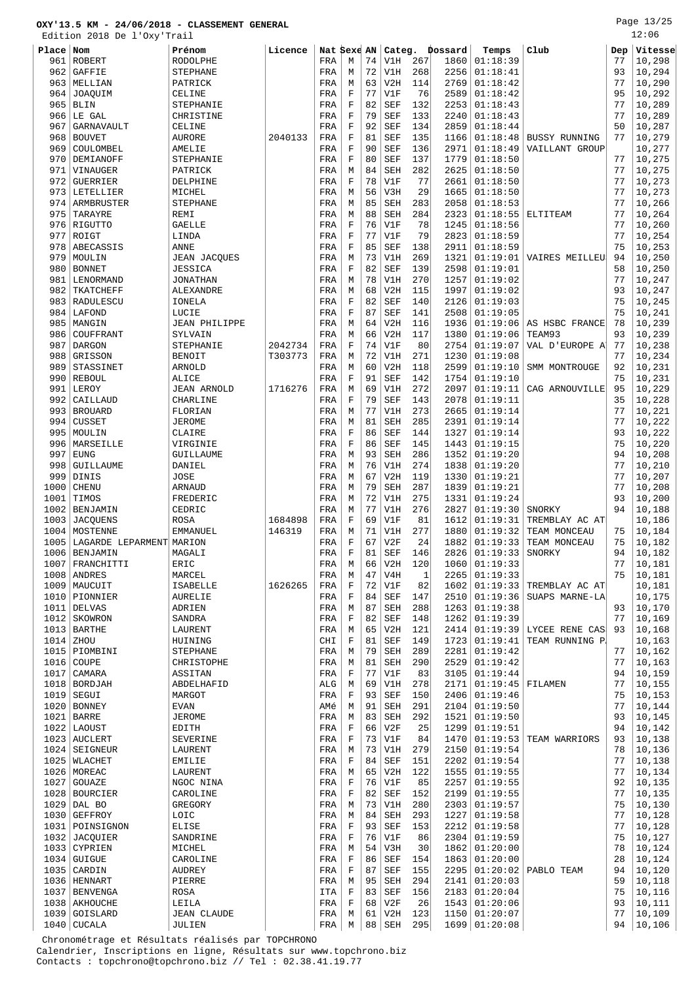Page 13/25

|              | Edition 2018 De l'Oxy'Trail     |                             |         |              |              |          |                          |              |              |                                    |                 |          | 12:06            |
|--------------|---------------------------------|-----------------------------|---------|--------------|--------------|----------|--------------------------|--------------|--------------|------------------------------------|-----------------|----------|------------------|
| Place Nom    |                                 | Prénom                      | Licence | Nat Sexe AN  |              |          | Categ.                   |              | Dossard      | Temps                              | Club            | Dep      | Vitesse          |
| 961          | ROBERT                          | <b>RODOLPHE</b>             |         | FRA          | М            | 74       | V1H                      | 267          | 1860         | 01:18:39                           |                 | 77       | 10,298           |
| 962          | <b>GAFFIE</b>                   | <b>STEPHANE</b>             |         | FRA          | М            | 72       | V1H                      | 268          | 2256         | 01:18:41                           |                 | 93       | 10,294           |
| 963          | MELLIAN                         | PATRICK                     |         | FRA          | М            | 63       | V2H                      | 114          | 2769         | 01:18:42                           |                 | 77       | 10,290           |
| 964          | <b>JOAQUIM</b>                  | CELINE                      |         | FRA          | F            | 77       | V1F                      | 76           | 2589         | 01:18:42                           |                 | 95       | 10,292           |
| 965<br>966   | <b>BLIN</b><br>LE GAL           | STEPHANIE<br>CHRISTINE      |         | FRA<br>FRA   | F<br>F       | 82<br>79 | <b>SEF</b><br><b>SEF</b> | 132<br>133   | 2253<br>2240 | 01:18:43<br>01:18:43               |                 | 77<br>77 | 10,289<br>10,289 |
| 967          | GARNAVAULT                      | CELINE                      |         | FRA          | F            | 92       | <b>SEF</b>               | 134          | 2859         | 01:18:44                           |                 | 50       | 10,287           |
| 968          | <b>BOUVET</b>                   | <b>AURORE</b>               | 2040133 | FRA          | F            | 81       | <b>SEF</b>               | 135          | 1166         | 01:18:48                           | BUSSY RUNNING   | 77       | 10,279           |
| 969          | COULOMBEL                       | AMELIE                      |         | FRA          | F            | 90       | <b>SEF</b>               | 136          | 2971         | 01:18:49                           | VAILLANT GROUP  |          | 10,277           |
| 970          | DEMIANOFF                       | STEPHANIE                   |         | FRA          | F            | 80       | <b>SEF</b>               | 137          | 1779         | 01:18:50                           |                 | 77       | 10,275           |
| 971          | VINAUGER                        | PATRICK                     |         | FRA          | М            | 84       | <b>SEH</b>               | 282          | 2625         | 01:18:50                           |                 | 77       | 10,275           |
| 972          | <b>GUERRIER</b>                 | DELPHINE                    |         | FRA          | F            | 78       | V1F                      | 77           | 2661         | 01:18:50                           |                 | 77       | 10,273           |
| 973          | LETELLIER                       | MICHEL                      |         | FRA          | M            | 56       | V3H                      | 29           | 1665         | 01:18:50                           |                 | 77       | 10,273           |
| 974          | ARMBRUSTER                      | <b>STEPHANE</b>             |         | FRA          | М            | 85       | <b>SEH</b>               | 283          | 2058         | 01:18:53                           |                 | 77       | 10,266           |
| 975          | TARAYRE                         | REMI                        |         | FRA          | М            | 88       | SEH                      | 284          | 2323         | 01:18:55                           | ELTITEAM        | 77       | 10,264           |
|              | 976 RIGUTTO                     | <b>GAELLE</b>               |         | FRA          | F            | 76<br>77 | V1F                      | 78<br>79     | 1245<br>2823 | 01:18:56                           |                 | 77<br>77 | 10,260           |
| 977<br>978   | ROIGT<br>ABECASSIS              | LINDA<br>ANNE               |         | FRA<br>FRA   | F<br>F       | 85       | V1F<br><b>SEF</b>        | 138          | 2911         | 01:18:59<br>01:18:59               |                 | 75       | 10,254<br>10,253 |
| 979          | MOULIN                          | JEAN JACQUES                |         | FRA          | М            | 73       | V1H                      | 269          | 1321         | 01:19:01                           | VAIRES MEILLEU  | 94       | 10,250           |
| 980          | <b>BONNET</b>                   | <b>JESSICA</b>              |         | FRA          | F            | 82       | SEF                      | 139          | 2598         | 01:19:01                           |                 | 58       | 10,250           |
| 981          | LENORMAND                       | <b>JONATHAN</b>             |         | FRA          | М            | 78       | V1H                      | 270          | 1257         | 01:19:02                           |                 | 77       | 10,247           |
| 982          | TKATCHEFF                       | ALEXANDRE                   |         | FRA          | М            | 68       | V2H                      | 115          | 1997         | 01:19:02                           |                 | 93       | 10,247           |
| 983          | RADULESCU                       | IONELA                      |         | FRA          | $\mathbf F$  | 82       | <b>SEF</b>               | 140          | 2126         | 01:19:03                           |                 | 75       | 10,245           |
|              | 984 LAFOND                      | LUCIE                       |         | FRA          | F            | 87       | <b>SEF</b>               | 141          | 2508         | 01:19:05                           |                 | 75       | 10,241           |
| 985          | MANGIN                          | <b>JEAN PHILIPPE</b>        |         | FRA          | М            | 64       | V2H                      | 116          | 1936         | 01:19:06                           | AS HSBC FRANCE  | 78       | 10,239           |
| 986          | COUFFRANT                       | SYLVAIN                     |         | FRA          | М            | 66       | V2H                      | 117          | 1380         | 01:19:06                           | TEAM93          | 93       | 10,239           |
| 987          | DARGON                          | STEPHANIE                   | 2042734 | FRA          | F            | 74       | V1F                      | 80           | 2754         | 01:19:07                           | VAL D'EUROPE A  | 77       | 10,238           |
| 988          | GRISSON                         | <b>BENOIT</b>               | T303773 | FRA          | М            | 72       | V1H                      | 271          | 1230         | 01:19:08                           |                 | 77       | 10,234           |
| 989<br>990   | STASSINET<br>REBOUL             | ARNOLD                      |         | FRA          | М<br>F       | 60<br>91 | V2H<br>SEF               | 118<br>142   | 2599<br>1754 | 01:19:10<br>01:19:10               | SMM MONTROUGE   | 92<br>75 | 10,231           |
| 991          | LEROY                           | ALICE<br><b>JEAN ARNOLD</b> | 1716276 | FRA<br>FRA   | M            | 69       | V1H                      | 272          | 2097         | 01:19:11                           | CAG ARNOUVILLE  | 95       | 10,231<br>10,229 |
| 992          | CAILLAUD                        | CHARLINE                    |         | FRA          | F            | 79       | <b>SEF</b>               | 143          | 2078         | 01:19:11                           |                 | 35       | 10,228           |
| 993          | <b>BROUARD</b>                  | FLORIAN                     |         | FRA          | М            | 77       | V1H                      | 273          | 2665         | 01:19:14                           |                 | 77       | 10,221           |
| 994          | <b>CUSSET</b>                   | JEROME                      |         | FRA          | М            | 81       | SEH                      | 285          | 2391         | 01:19:14                           |                 | 77       | 10,222           |
| 995          | MOULIN                          | CLAIRE                      |         | FRA          | F            | 86       | <b>SEF</b>               | 144          | 1327         | 01:19:14                           |                 | 93       | 10,222           |
| 996          | MARSEILLE                       | VIRGINIE                    |         | FRA          | F            | 86       | <b>SEF</b>               | 145          | 1443         | 01:19:15                           |                 | 75       | 10,220           |
| 997          | <b>EUNG</b>                     | GUILLAUME                   |         | FRA          | М            | 93       | <b>SEH</b>               | 286          | 1352         | 01:19:20                           |                 | 94       | 10,208           |
| 998          | GUILLAUME                       | DANIEL                      |         | FRA          | M            | 76       | V1H                      | 274          | 1838         | 01:19:20                           |                 | 77       | 10,210           |
| 999          | DINIS                           | JOSE                        |         | FRA          | М            | 67       | V2H                      | 119          | 1330         | 01:19:21                           |                 | 77       | 10,207           |
| 1000<br>1001 | <b>CHENU</b><br>TIMOS           | ARNAUD                      |         | FRA          | М            | 79<br>72 | SEH<br>V1H               | 287<br>275   | 1839<br>1331 | 01:19:21<br>01:19:24               |                 | 77<br>93 | 10,208<br>10,200 |
| 1002         | BENJAMIN                        | FREDERIC<br>CEDRIC          |         | FRA<br>FRA   | М<br>M       | 77       | V1H                      | 276          | 2827         | 01:19:30                           | SNORKY          | 94       | 10,188           |
| 1003         | JACQUENS                        | ROSA                        | 1684898 | FRA          | F            | 69       | V1F                      | 81           | 1612         | 01:19:31                           | TREMBLAY AC AT  |          | 10,186           |
|              | 1004   MOSTENNE                 | EMMANUEL                    | 146319  | FRA          | М            | 71       | V1H                      | 277          |              | 1880   01:19:32                    | TEAM MONCEAU    | 75       | 10,184           |
| 1005         | LAGARDE LEPARMENT MARION        |                             |         | FRA          | F            | 67       | V2F                      | 24           |              | $1882$   01:19:33                  | TEAM MONCEAU    | 75       | 10,182           |
|              | 1006 BENJAMIN                   | MAGALI                      |         | $_{\rm FRA}$ | $\mathbb{F}$ | 81       | SEF 146                  |              |              | 2826 01:19:33 SNORKY               |                 |          | 94   10,182      |
|              | 1007   FRANCHITTI               | ERIC                        |         | FRA          | М            | 66       | V2H                      | 120          | 1060         | 01:19:33                           |                 | 77       | 10,181           |
|              | 1008 ANDRES                     | MARCEL                      |         | FRA          | М            | 47       | V4H                      | $\mathbf{1}$ |              | $2265$ 01:19:33                    |                 | 75       | 10,181           |
|              | 1009   MAUCUIT                  | ISABELLE                    | 1626265 | FRA          | F            | 72       | V1F                      | 82           | 1602         | 01:19:33                           | TREMBLAY AC AT  |          | 10,181           |
|              | 1010 PIONNIER                   | AURELIE                     |         | FRA          | F            | 84       | SEF                      | 147          |              | 2510 01:19:36                      | SUAPS MARNE-LA  | 93       | 10,175           |
|              | 1011 DELVAS<br>1012   SKOWRON   | ADRIEN<br>SANDRA            |         | FRA<br>FRA   | М<br>F       | 87<br>82 | SEH<br><b>SEF</b>        | 288<br>148   | 1263         | 01:19:38<br>1262   01:19:39        |                 | 77       | 10,170<br>10,169 |
|              | $1013$ BARTHE                   | LAURENT                     |         | FRA          | М            | 65       | V2H                      | 121          |              | 2414   01:19:39                    | LYCEE RENE CAS  | 93       | 10,168           |
| $1014$ ZHOU  |                                 | HUINING                     |         | CHI          | F            | 81       | SEF                      | 149          | 1723         | 01:19:41                           | TEAM RUNNING P. |          | 10,163           |
|              | 1015 PIOMBINI                   | <b>STEPHANE</b>             |         | FRA          | М            | 79       | <b>SEH</b>               | 289          |              | $2281$ 01:19:42                    |                 | 77       | 10,162           |
|              | $1016$ COUPE                    | CHRISTOPHE                  |         | FRA          | M            | 81       | SEH                      | 290          | 2529         | 01:19:42                           |                 | 77       | 10,163           |
|              | $1017$ CAMARA                   | ASSITAN                     |         | FRA          | $\mathbf F$  | 77       | V1F                      | 83           |              | $3105$ 01:19:44                    |                 | 94       | 10,159           |
|              | 1018 BORDJAH                    | ABDELHAFID                  |         | ALG          | М            | 69       | V1H                      | 278          | 2171         | 01:19:45                           | FILAMEN         | 77       | 10,155           |
|              | $1019$ SEGUI                    | MARGOT                      |         | FRA          | F            | 93       | SEF                      | 150          |              | 2406 01:19:46                      |                 | 75       | 10,153           |
|              | 1020 BONNEY                     | EVAN                        |         | AMé          | М            | 91       | SEH                      | 291          |              | 2104   01:19:50                    |                 | 77       | 10,144           |
|              | $1021$ BARRE<br>$1022$ LAOUST   | JEROME<br>EDITH             |         | FRA<br>FRA   | М<br>F       | 83<br>66 | SEH<br>V2F               | 292<br>25    |              | 1521   01:19:50<br>1299   01:19:51 |                 | 93<br>94 | 10,145<br>10,142 |
|              | 1023 AUCLERT                    | SEVERINE                    |         | FRA          | F            | 73       | V1F                      | 84           |              | $1470$ 01:19:53                    | TEAM WARRIORS   | 93       | 10,138           |
|              | $1024$ SEIGNEUR                 | LAURENT                     |         | FRA          | М            | 73       | V1H                      | 279          |              | 2150   01:19:54                    |                 | 78       | 10,136           |
|              | 1025 WLACHET                    | EMILIE                      |         | FRA          | F            | 84       | SEF                      | 151          | 2202         | 01:19:54                           |                 | 77       | 10,138           |
|              | 1026 MOREAC                     | LAURENT                     |         | FRA          | М            | 65       | V2H                      | 122          |              | 1555   01:19:55                    |                 | 77       | 10,134           |
|              | $1027$ GOUAZE                   | NGOC NINA                   |         | FRA          | F            | 76       | V1F                      | 85           | 2257         | 01:19:55                           |                 | 92       | 10,135           |
|              | 1028   BOURCIER                 | CAROLINE                    |         | FRA          | F            | 82       | SEF                      | 152          | 2199         | 01:19:55                           |                 | 77       | 10,135           |
|              | $1029$ DAL BO                   | GREGORY                     |         | FRA          | М            | 73       | V1H                      | 280          |              | 2303   01:19:57                    |                 | 75       | 10,130           |
|              | $1030$ GEFFROY                  | LOIC                        |         | FRA          | М            | 84       | <b>SEH</b>               | 293          | 1227         | 01:19:58                           |                 | 77       | 10,128           |
|              | 1031   POINSIGNON               | ELISE                       |         | FRA          | F            | 93       | SEF                      | 153          |              | 2212   01:19:58                    |                 | 77       | 10,128           |
|              | 1032 JACQUIER<br>$1033$ CYPRIEN | SANDRINE<br>MICHEL          |         | FRA<br>FRA   | F<br>М       | 76<br>54 | V1F<br>V3H               | 86<br>30     | 2304         | 01:19:59<br>1862   01:20:00        |                 | 75<br>78 | 10,127<br>10,124 |
|              | $1034$ GUIGUE                   | CAROLINE                    |         | FRA          | F            | 86       | SEF                      | 154          | 1863         | 01:20:00                           |                 | 28       | 10,124           |
|              | $1035$ CARDIN                   | AUDREY                      |         | FRA          | F            | 87       | <b>SEF</b>               | 155          |              | 2295   01:20:02                    | PABLO TEAM      | 94       | 10,120           |
|              | 1036   HENNART                  | PIERRE                      |         | FRA          | М            | 95       | SEH                      | 294          | 2141         | 01:20:03                           |                 | 59       | 10,118           |
|              | 1037   BENVENGA                 | ROSA                        |         | ITA          | F            | 83       | SEF                      | 156          |              | 2183   01:20:04                    |                 | 75       | 10,116           |
|              | 1038   AKHOUCHE                 | LEILA                       |         | FRA          | F            | 68       | V2F                      | 26           |              | 1543   01:20:06                    |                 | 93       | 10,111           |
|              | 1039 GOISLARD                   | <b>JEAN CLAUDE</b>          |         | FRA          | М            |          | $61$ V2H                 | 123          |              | 1150   01:20:07                    |                 | 77       | 10, 109          |

CUCALA JULIEN FRA M 88 SEH 295 1699 01:20:08 94 10,106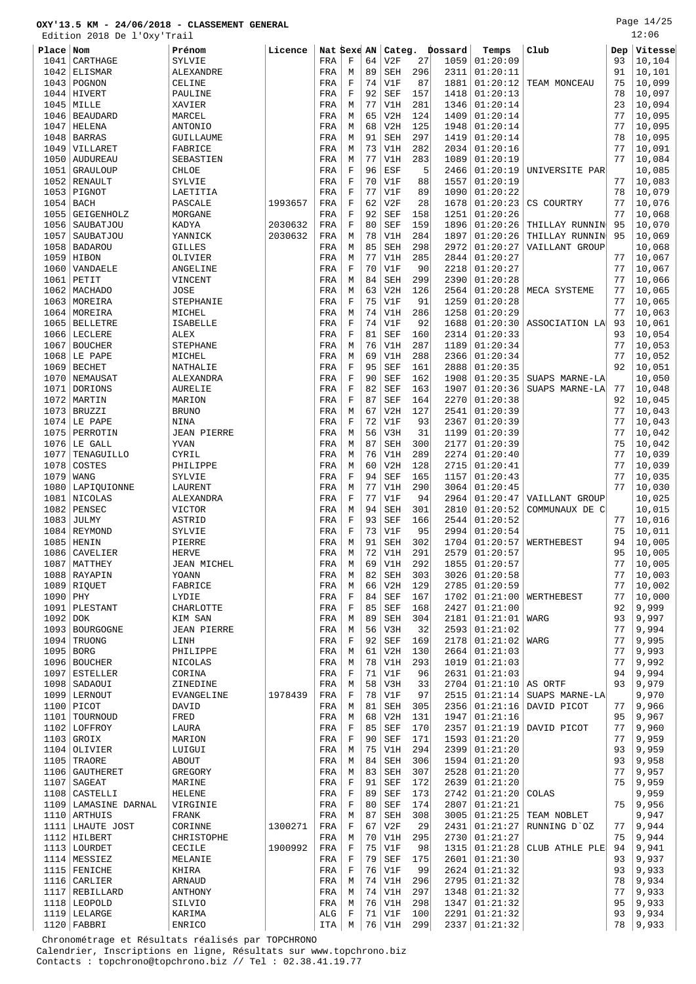Page 14/25

|              | Edition 2018 De l'Oxy'Trail      |                            |         |             |                  |          |                   |            |                |                      |                |          | 12:06            |
|--------------|----------------------------------|----------------------------|---------|-------------|------------------|----------|-------------------|------------|----------------|----------------------|----------------|----------|------------------|
| Place        | Nom                              | Prénom                     | Licence | Nat Sexe AN |                  |          |                   |            | Categ. Dossard | Temps                | Club           | Dep      | Vitesse          |
| 1041         | CARTHAGE                         | SYLVIE                     |         | FRA         | F                | 64       | V2F               | 27         | 1059           | 01:20:09             |                | 93       | 10,104           |
| 1042         | ELISMAR                          | ALEXANDRE                  |         | FRA         | M                | 89       | <b>SEH</b>        | 296        | 2311           | 01:20:11             |                | 91       | 10,101           |
| 1043         | POGNON                           | CELINE                     |         | FRA         | F                | 74       | V1F               | 87         | 1881           | 01:20:12             | TEAM MONCEAU   | 75       | 10,099           |
| 1044         | HIVERT                           | PAULINE                    |         | FRA         | $\mathbf F$      | 92       | SEF               | 157        | 1418           | 01:20:13             |                | 78       | 10,097           |
| 1045         | MILLE                            | XAVIER                     |         | FRA         | М                | 77       | V1H               | 281        | 1346           | 01:20:14             |                | 23       | 10,094           |
| 1046         | <b>BEAUDARD</b>                  | MARCEL                     |         | FRA         | M                | 65       | V2H               | 124        | 1409           | 01:20:14             |                | 77       | 10,095           |
| 1047         | <b>HELENA</b>                    | <b>ANTONIO</b>             |         | FRA         | М                | 68       | V2H               | 125        | 1948           | 01:20:14             |                | 77       | 10,095           |
| 1048<br>1049 | <b>BARRAS</b><br>VILLARET        | GUILLAUME<br>FABRICE       |         | FRA         | М                | 91<br>73 | <b>SEH</b><br>V1H | 297<br>282 | 1419<br>2034   | 01:20:14<br>01:20:16 |                | 78<br>77 | 10,095<br>10,091 |
| 1050         | <b>AUDUREAU</b>                  | SEBASTIEN                  |         | FRA<br>FRA  | М<br>М           | 77       | V1H               | 283        | 1089           | 01:20:19             |                | 77       | 10,084           |
| 1051         | GRAULOUP                         | CHLOE                      |         | FRA         | $\mathbf F$      | 96       | ESF               | 5          | 2466           | 01:20:19             | UNIVERSITE PAR |          | 10,085           |
| 1052         | RENAULT                          | SYLVIE                     |         | FRA         | F                | 70       | V1F               | 88         | 1557           | 01:20:19             |                | 77       | 10,083           |
| 1053         | PIGNOT                           | LAETITIA                   |         | FRA         | $\mathbf F$      | 77       | V1F               | 89         | 1090           | 01:20:22             |                | 78       | 10,079           |
| 1054         | <b>BACH</b>                      | PASCALE                    | 1993657 | FRA         | $\mathbf F$      | 62       | V2F               | 28         | 1678           | 01:20:23             | CS COURTRY     | 77       | 10,076           |
| 1055         | GEIGENHOLZ                       | MORGANE                    |         | FRA         | $\mathbf F$      | 92       | <b>SEF</b>        | 158        | 1251           | 01:20:26             |                | 77       | 10,068           |
| 1056         | SAUBATJOU                        | KADYA                      | 2030632 | FRA         | F                | 80       | <b>SEF</b>        | 159        | 1896           | 01:20:26             | THILLAY RUNNIN | 95       | 10,070           |
| 1057         | SAUBATJOU                        | YANNICK                    | 2030632 | FRA         | М                | 78       | V1H               | 284        | 1897           | 01:20:26             | THILLAY RUNNIN | 95       | 10,069           |
| 1058         | <b>BADAROU</b>                   | <b>GILLES</b>              |         | FRA         | М                | 85       | <b>SEH</b>        | 298        | 2972           | 01:20:27             | VAILLANT GROUP |          | 10,068           |
| 1059         | HIBON                            | OLIVIER                    |         | FRA         | М                | 77       | V1H               | 285        | 2844           | 01:20:27             |                | 77       | 10,067           |
| 1060         | VANDAELE                         | ANGELINE                   |         | FRA         | F                | 70       | V1F               | 90         | 2218           | 01:20:27             |                | 77       | 10,067           |
| 1061         | PETIT                            | VINCENT                    |         | FRA         | М                | 84       | <b>SEH</b>        | 299        | 2390           | 01:20:28             |                | 77       | 10,066           |
| 1062         | <b>MACHADO</b>                   | <b>JOSE</b>                |         | FRA         | M                | 63       | V2H               | 126        | 2564           | 01:20:28             | MECA SYSTEME   | 77       | 10,065           |
| 1063         | MOREIRA                          | STEPHANIE                  |         | FRA         | $\mathbf F$      | 75       | V1F               | 91         | 1259           | 01:20:28             |                | 77       | 10,065           |
| 1064         | MOREIRA<br><b>BELLETRE</b>       | MICHEL<br><b>ISABELLE</b>  |         | FRA         | М                | 74<br>74 | V1H               | 286        | 1258           | 01:20:29             |                | 77       | 10,063           |
| 1065<br>1066 | LECLERE                          | ALEX                       |         | FRA         | F<br>F           | 81       | V1F<br><b>SEF</b> | 92<br>160  | 1688<br>2314   | 01:20:30<br>01:20:33 | ASSOCIATION LA | 93<br>93 | 10,061<br>10,054 |
| 1067         | <b>BOUCHER</b>                   | <b>STEPHANE</b>            |         | FRA<br>FRA  | М                | 76       | V1H               | 287        | 1189           | 01:20:34             |                | 77       | 10,053           |
| 1068         | LE PAPE                          | MICHEL                     |         | FRA         | М                | 69       | V1H               | 288        | 2366           | 01:20:34             |                | 77       | 10,052           |
| 1069         | <b>BECHET</b>                    | NATHALIE                   |         | FRA         | $\mathbf F$      | 95       | <b>SEF</b>        | 161        | 2888           | 01:20:35             |                | 92       | 10,051           |
| 1070         | NEMAUSAT                         | ALEXANDRA                  |         | FRA         | F                | 90       | <b>SEF</b>        | 162        | 1908           | 01:20:35             | SUAPS MARNE-LA |          | 10,050           |
| 1071         | DORIONS                          | AURELIE                    |         | FRA         | $\mathbf F$      | 82       | <b>SEF</b>        | 163        | 1907           | 01:20:36             | SUAPS MARNE-LA | 77       | 10,048           |
| 1072         | MARTIN                           | MARION                     |         | FRA         | F                | 87       | <b>SEF</b>        | 164        | 2270           | 01:20:38             |                | 92       | 10,045           |
| 1073         | <b>BRUZZI</b>                    | <b>BRUNO</b>               |         | FRA         | M                | 67       | V2H               | 127        | 2541           | 01:20:39             |                | 77       | 10,043           |
| 1074         | LE PAPE                          | <b>NINA</b>                |         | FRA         | F                | 72       | V1F               | 93         | 2367           | 01:20:39             |                | 77       | 10,043           |
| 1075         | PERROTIN                         | <b>JEAN PIERRE</b>         |         | FRA         | М                | 56       | V3H               | 31         | 1199           | 01:20:39             |                | 77       | 10,042           |
| 1076         | LE GALL                          | YVAN                       |         | FRA         | М                | 87       | <b>SEH</b>        | 300        | 2177           | 01:20:39             |                | 75       | 10,042           |
| 1077         | TENAGUILLO                       | CYRIL                      |         | FRA         | М                | 76       | V1H               | 289        | 2274           | 01:20:40             |                | 77       | 10,039           |
| 1078         | COSTES                           | PHILIPPE                   |         | FRA         | М                | 60       | V2H               | 128        | 2715           | 01:20:41             |                | 77       | 10,039           |
| 1079<br>1080 | <b>WANG</b>                      | SYLVIE<br>LAURENT          |         | FRA         | F                | 94<br>77 | <b>SEF</b>        | 165        | 1157           | 01:20:43<br>01:20:45 |                | 77<br>77 | 10,035<br>10,030 |
| 1081         | LAPIQUIONNE<br><b>NICOLAS</b>    | ALEXANDRA                  |         | FRA<br>FRA  | М<br>F           | 77       | V1H<br>V1F        | 290<br>94  | 3064<br>2964   | 01:20:47             | VAILLANT GROUP |          | 10,025           |
| 1082         | PENSEC                           | <b>VICTOR</b>              |         | FRA         | М                | 94       | <b>SEH</b>        | 301        | 2810           | 01:20:52             | COMMUNAUX DE C |          | 10,015           |
| 1083         | JULMY                            | ASTRID                     |         | FRA         | F                | 93       | <b>SEF</b>        | 166        | 2544           | 01:20:52             |                | 77       | 10,016           |
| 1084         | REYMOND                          | SYLVIE                     |         | FRA         | F                | 73       | V1F               | 95         | 2994           | 01:20:54             |                | 75       | 10,011           |
|              | $1085$ HENIN                     | PIERRE                     |         | FRA         | М                | 91       | <b>SEH</b>        | 302        | 1704           | 01:20:57             | WERTHEBEST     | 94       | 10,005           |
|              | 1086 CAVELIER                    | HERVE                      |         | FRA         | М                | 72       | V1H               | 291        |                | $2579$ 01:20:57      |                | 95       | 10,005           |
| 1087         | MATTHEY                          | JEAN MICHEL                |         | FRA         | М                | 69       | V1H               | 292        | 1855           | 01:20:57             |                | 77       | 10,005           |
| 1088         | RAYAPIN                          | YOANN                      |         | FRA         | М                | 82       | <b>SEH</b>        | 303        | 3026           | 01:20:58             |                | 77       | 10,003           |
|              | 1089 RIOUET                      | FABRICE                    |         | FRA         | М                | 66       | V2H               | 129        | 2785           | 01:20:59             |                | 77       | 10,002           |
| 1090         | PHY                              | LYDIE                      |         | FRA         | F                | 84       | SEF               | 167        | 1702           | 01:21:00             | WERTHEBEST     | 77       | 10,000           |
| 1091         | PLESTANT                         | CHARLOTTE                  |         | FRA         | F                | 85       | SEF               | 168        | 2427           | 01:21:00             |                | 92       | 9,999            |
| 1092         | <b>DOK</b>                       | KIM SAN                    |         | FRA         | М                | 89       | SEH               | 304        | 2181           | 01:21:01             | WARG           | 93       | 9,997            |
| 1093<br>1094 | <b>BOURGOGNE</b><br>TRUONG       | <b>JEAN PIERRE</b><br>LINH |         | FRA<br>FRA  | М<br>F           | 56<br>92 | V3H<br>SEF        | 32<br>169  | 2593<br>2178   | 01:21:02<br>01:21:02 | WARG           | 77<br>77 | 9,994<br>9,995   |
| 1095         | <b>BORG</b>                      | PHILIPPE                   |         | FRA         | М                | 61       | V2H               | 130        | 2664           | 01:21:03             |                | 77       | 9,993            |
| 1096         | <b>BOUCHER</b>                   | NICOLAS                    |         | FRA         | M                | 78       | V1H               | 293        | 1019           | 01:21:03             |                | 77       | 9,992            |
| 1097         | <b>ESTELLER</b>                  | CORINA                     |         | FRA         | F                | 71       | V1F               | 96         | 2631           | 01:21:03             |                | 94       | 9,994            |
| 1098         | SADAOUI                          | ZINEDINE                   |         | FRA         | М                | 58       | V3H               | 33         | 2704           | 01:21:10             | AS ORTF        | 93       | 9,979            |
|              | 1099 LERNOUT                     | EVANGELINE                 | 1978439 | FRA         | F                | 78       | V1F               | 97         | 2515           | 01:21:14             | SUAPS MARNE-LA |          | 9,970            |
| 1100         | PICOT                            | DAVID                      |         | FRA         | М                | 81       | <b>SEH</b>        | 305        | 2356           | 01:21:16             | DAVID PICOT    | 77       | 9,966            |
| 1101         | TOURNOUD                         | FRED                       |         | FRA         | М                | 68       | V2H               | 131        | 1947           | 01:21:16             |                | 95       | 9,967            |
|              | 1102 LOFFROY                     | LAURA                      |         | FRA         | F                | 85       | SEF               | 170        | 2357           | 01:21:19             | DAVID PICOT    | 77       | 9,960            |
| 1103         | GROIX                            | MARION                     |         | FRA         | $\mathbf F$      | 90       | SEF               | 171        | 1593           | 01:21:20             |                | 77       | 9,959            |
| 1104         | OLIVIER                          | LUIGUI                     |         | FRA         | М                | 75       | V1H               | 294        | 2399           | 01:21:20             |                | 93       | 9,959            |
| 1105         | TRAORE                           | ABOUT                      |         | FRA         | М                | 84       | <b>SEH</b>        | 306        | 1594           | 01:21:20             |                | 93       | 9,958            |
| 1106         | <b>GAUTHERET</b>                 | GREGORY                    |         | FRA         | М                | 83       | SEH               | 307        | 2528           | 01:21:20             |                | 77       | 9,957            |
| 1107         | SAGEAT                           | MARINE                     |         | FRA         | F                | 91       | SEF               | 172        | 2639           | 01:21:20             |                | 75       | 9,959            |
| 1108         | CASTELLI<br>1109 LAMASINE DARNAL | HELENE                     |         | FRA         | $\mathbf F$<br>F | 89<br>80 | SEF<br>SEF        | 173        | 2742           | 01:21:20             | COLAS          | 75       | 9,959<br>9,956   |
|              | 1110   ARTHUIS                   | VIRGINIE<br>FRANK          |         | FRA<br>FRA  | M                | 87       | SEH               | 174<br>308 | 2807<br>3005   | 01:21:21<br>01:21:25 | TEAM NOBLET    |          | 9,947            |
|              | 1111 LHAUTE JOST                 | CORINNE                    | 1300271 | FRA         | F                | 67       | V2F               | 29         | 2431           | 01:21:27             | RUNNING D'OZ   | 77       | 9,944            |
|              | 1112 HILBERT                     | CHRISTOPHE                 |         | FRA         | M                | 70       | V1H               | 295        | 2730           | 01:21:27             |                | 75       | 9,944            |
|              | 1113 LOURDET                     | CECILE                     | 1900992 | FRA         | F                | 75       | V1F               | 98         | 1315           | 01:21:28             | CLUB ATHLE PLE | 94       | 9,941            |
|              | 1114   MESSIEZ                   | MELANIE                    |         | FRA         | $\mathbf F$      | 79       | SEF               | 175        | 2601           | 01:21:30             |                | 93       | 9,937            |
| 1115         | FENICHE                          | KHIRA                      |         | FRA         | F                | 76       | V1F               | 99         | 2624           | 01:21:32             |                | 93       | 9,933            |
| 1116         | CARLIER                          | <b>ARNAUD</b>              |         | FRA         | М                | 74       | V1H               | 296        | 2795           | 01:21:32             |                | 78       | 9,934            |
| 1117         | REBILLARD                        | ANTHONY                    |         | FRA         | М                | 74       | V1H               | 297        | 1348           | 01:21:32             |                | 77       | 9,933            |
|              | 1118   LEOPOLD                   | SILVIO                     |         | FRA         | М                | 76       | V1H               | 298        | 1347           | 01:21:32             |                | 95       | 9,933            |
|              | $1119$ LELARGE                   | KARIMA                     |         | ALG         | F                | 71       | V1F               | 100        | 2291           | 01:21:32             |                | 93       | 9,934            |

FABBRI ENRICO ITA M 76 V1H 299 2337 01:21:32 78 9,933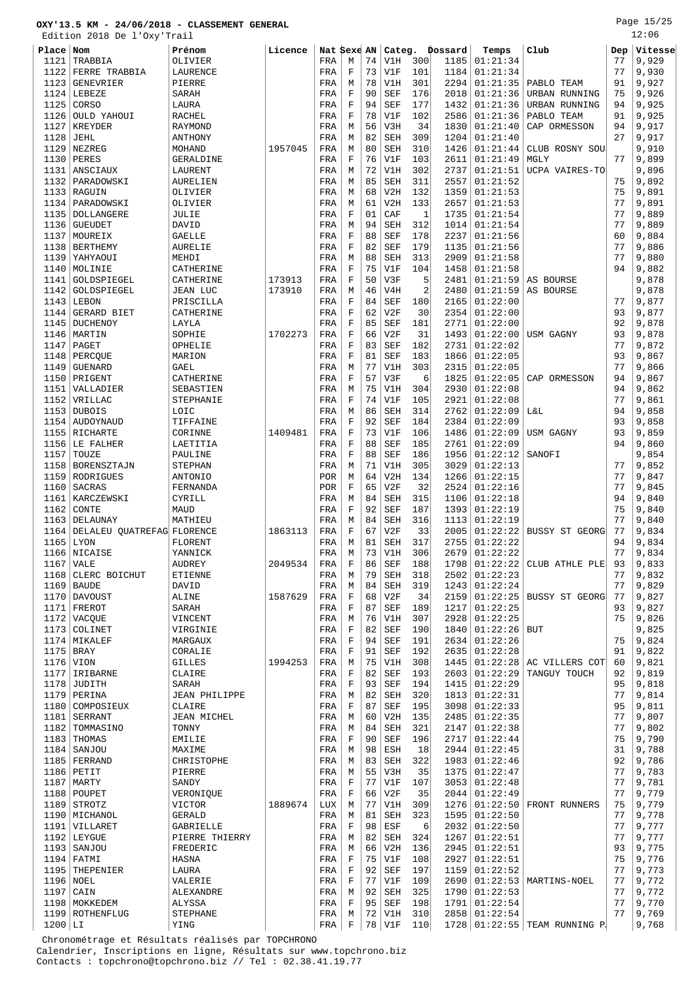Page 15/25

|              | Edition 2018 De l'Oxy'Trail   |                      |         |             |             |          |                        |            |               |                      |                                |          | 12:06          |
|--------------|-------------------------------|----------------------|---------|-------------|-------------|----------|------------------------|------------|---------------|----------------------|--------------------------------|----------|----------------|
| Place Nom    |                               | Prénom               | Licence | Nat Sexe AN |             |          | Categ.                 |            | Dossard       | Temps                | Club                           | Dep      | Vitesse        |
| 1121         | TRABBIA                       | OLIVIER              |         | FRA         | М           | 74       | V1H                    | 300        | 1185          | 01:21:34             |                                | 77       | 9,929          |
| 1122         | FERRE TRABBIA                 | LAURENCE             |         | FRA         | F           | 73       | V1F                    | 101        | 1184          | 01:21:34             |                                | 77       | 9,930          |
| 1123         | <b>GENEVRIER</b>              | PIERRE               |         | FRA         | М           | 78       | V1H                    | 301        | 2294          | 01:21:35             | PABLO TEAM                     | 91       | 9,927          |
| 1124         | LEBEZE                        | SARAH                |         | FRA         | F           | 90       | <b>SEF</b>             | 176        | 2018          | 01:21:36             | URBAN RUNNING                  | 75       | 9,926          |
| 1125         | CORSO                         | LAURA                |         | FRA         | F           | 94       | SEF                    | 177        | 1432          | 01:21:36             | URBAN RUNNING                  | 94       | 9,925          |
| 1126         | OULD YAHOUI                   | RACHEL               |         | FRA         | F           | 78       | V1F                    | 102        | 2586          | 01:21:36             | PABLO TEAM                     | 91       | 9,925          |
| 1127         | KREYDER                       | RAYMOND              |         | FRA         | М           | 56       | V3H                    | 34         | 1830          | 01:21:40             | CAP ORMESSON                   | 94       | 9,917          |
| 1128         | JEHL                          | ANTHONY              |         | FRA         | М           | 82       | <b>SEH</b>             | 309        | 1204          | 01:21:40             |                                | 27       | 9,917          |
| 1129         | <b>NEZREG</b>                 | MOHAND               | 1957045 | FRA         | M           | 80       | <b>SEH</b>             | 310        | 1426          | 01:21:44             | CLUB ROSNY SOU                 |          | 9,910          |
| 1130         | PERES                         | GERALDINE            |         | FRA         | F           | 76       | V1F                    | 103        | 2611          | 01:21:49             | MGLY                           | 77       | 9,899          |
| 1131         | ANSCIAUX                      | LAURENT              |         | FRA         | М           | 72       | V1H                    | 302        | 2737          | 01:21:51             | UCPA VAIRES-TO                 |          | 9,896          |
| 1132<br>1133 | PARADOWSKI                    | <b>AURELIEN</b>      |         | FRA         | М<br>М      | 85<br>68 | <b>SEH</b><br>V2H      | 311<br>132 | 2557<br>1359  | 01:21:52<br>01:21:53 |                                | 75<br>75 | 9,892<br>9,891 |
| 1134         | RAGUIN<br>PARADOWSKI          | OLIVIER<br>OLIVIER   |         | FRA<br>FRA  | М           | 61       | V2H                    | 133        | 2657          | 01:21:53             |                                | 77       | 9,891          |
| 1135         | DOLLANGERE                    | JULIE                |         | FRA         | F           | 01       | CAF                    | 1          | 1735          | 01:21:54             |                                | 77       | 9,889          |
| 1136         | <b>GUEUDET</b>                | DAVID                |         | FRA         | М           | 94       | <b>SEH</b>             | 312        | 1014          | 01:21:54             |                                | 77       | 9,889          |
| 1137         | MOUREIX                       | <b>GAELLE</b>        |         | FRA         | F           | 88       | <b>SEF</b>             | 178        | 2237          | 01:21:56             |                                | 60       | 9,884          |
| 1138         | <b>BERTHEMY</b>               | <b>AURELIE</b>       |         | FRA         | $\mathbf F$ | 82       | <b>SEF</b>             | 179        | 1135          | 01:21:56             |                                | 77       | 9,886          |
| 1139         | YAHYAOUI                      | MEHDI                |         | FRA         | М           | 88       | <b>SEH</b>             | 313        | 2909          | 01:21:58             |                                | 77       | 9,880          |
| 1140         | MOLINIE                       | CATHERINE            |         | FRA         | F           | 75       | V1F                    | 104        | 1458          | 01:21:58             |                                | 94       | 9,882          |
| 1141         | GOLDSPIEGEL                   | CATHERINE            | 173913  | FRA         | F           | 50       | V3F                    | 5          | 2481          | 01:21:59             | AS BOURSE                      |          | 9,878          |
| 1142         | GOLDSPIEGEL                   | JEAN LUC             | 173910  | FRA         | M           | 46       | V4H                    | 2          | 2480          | 01:21:59             | AS BOURSE                      |          | 9,878          |
| 1143         | <b>LEBON</b>                  | PRISCILLA            |         | FRA         | F           | 84       | <b>SEF</b>             | 180        | 2165          | 01:22:00             |                                | 77       | 9,877          |
| 1144         | GERARD BIET                   | CATHERINE            |         | FRA         | F           | 62       | V2F                    | 30         | 2354          | 01:22:00             |                                | 93       | 9,877          |
| 1145         | <b>DUCHENOY</b>               | LAYLA                |         | FRA         | $\mathbf F$ | 85       | <b>SEF</b>             | 181        | 2771          | 01:22:00             |                                | 92       | 9,878          |
| 1146         | MARTIN                        | SOPHIE               | 1702273 | FRA         | F           | 66       | V2F                    | 31         | 1493          | 01:22:00             | USM GAGNY                      | 93       | 9,878          |
| 1147         | PAGET                         | OPHELIE              |         | FRA         | $\mathbf F$ | 83       | <b>SEF</b>             | 182        | 2731          | 01:22:02             |                                | 77       | 9,872          |
| 1148         | PERCQUE                       | MARION               |         | FRA         | F           | 81       | <b>SEF</b>             | 183        | 1866          | 01:22:05             |                                | 93       | 9,867          |
| 1149         | <b>GUENARD</b>                | GAEL                 |         | FRA         | М           | 77       | V1H                    | 303        | 2315          | 01:22:05             |                                | 77       | 9,866          |
| 1150         | PRIGENT                       | CATHERINE            |         | FRA         | F           | 57       | V3F                    | 6          | 1825          | 01:22:05             | CAP ORMESSON                   | 94       | 9,867          |
| 1151         | VALLADIER                     | SEBASTIEN            |         | FRA         | М           | 75       | V1H                    | 304        | 2930          | 01:22:08             |                                | 94       | 9,862          |
| 1152         | VRILLAC                       | STEPHANIE            |         | FRA         | F           | 74       | V1F                    | 105        | 2921          | 01:22:08             |                                | 77       | 9,861          |
| 1153         | <b>DUBOIS</b>                 | LOIC                 |         | FRA         | М           | 86       | <b>SEH</b>             | 314        | 2762          | 01:22:09             | <b>L&amp;L</b>                 | 94       | 9,858          |
| 1154         | AUDOYNAUD                     | TIFFAINE             |         | FRA         | $\mathbf F$ | 92       | <b>SEF</b>             | 184        | 2384          | 01:22:09             |                                | 93       | 9,858          |
| 1155         | RICHARTE                      | CORINNE              | 1409481 | FRA         | F           | 73       | V1F                    | 106        | 1486          | 01:22:09             | USM GAGNY                      | 93       | 9,859          |
| 1156         | LE FALHER                     | LAETITIA             |         | FRA         | F           | 88       | <b>SEF</b>             | 185        | 2761          | 01:22:09             |                                | 94       | 9,860          |
| 1157         | TOUZE                         | PAULINE              |         | FRA         | F           | 88       | <b>SEF</b>             | 186        | 1956          | 01:22:12             | SANOFI                         |          | 9,854          |
| 1158         | BORENSZTAJN                   | STEPHAN              |         | FRA         | М           | 71       | V1H                    | 305        | 3029          | 01:22:13             |                                | 77       | 9,852          |
| 1159         | RODRIGUES                     | ANTONIO              |         | POR         | М           | 64       | V2H                    | 134        | 1266          | 01:22:15             |                                | 77       | 9,847          |
| 1160         | <b>SACRAS</b>                 | FERNANDA             |         | POR         | F           | 65       | V2F                    | 32         | 2524          | 01:22:16             |                                | 77       | 9,845          |
| 1161         | KARCZEWSKI                    | CYRILL               |         | FRA         | М           | 84       | <b>SEH</b>             | 315        | 1106          | 01:22:18             |                                | 94       | 9,840          |
| 1162         | CONTE                         | MAUD                 |         | FRA         | F           | 92       | <b>SEF</b>             | 187        | 1393          | 01:22:19             |                                | 75       | 9,840          |
| 1163         | DELAUNAY                      | MATHIEU              |         | FRA         | M           | 84       | <b>SEH</b>             | 316        | 1113          | 01:22:19             |                                | 77       | 9,840          |
| 1164         | DELALEU QUATREFAG FLORENCE    |                      | 1863113 | FRA         | F           | 67       | V2F                    | 33         | 2005          | 01:22:22             | <b>BUSSY ST GEORG</b>          | 77       | 9,834          |
| $1165$ LYON  |                               | FLORENT              |         | FRA         | M           | 81       | <b>SEH</b><br>$73$ V1H | 317        | 2755          | 01:22:22             |                                | 94       | 9,834          |
|              | 1166 NICAISE                  | YANNICK              |         | FRA         | М           |          |                        | 306        |               | $2679$ 01:22:22      |                                | 77       | 9,834          |
| $1167$ VALE  |                               | AUDREY<br>ETIENNE    | 2049534 | FRA         | F           | 86<br>79 | SEF                    | 188        | 1798          | 01:22:22<br>01:22:23 | CLUB ATHLE PLE                 | 93<br>77 | 9,833<br>9,832 |
| 1168         | CLERC BOICHUT<br>$1169$ BAUDE | DAVID                |         | FRA<br>FRA  | М<br>М      | 84       | SEH<br><b>SEH</b>      | 318<br>319 | 2502 <br>1243 | 01:22:24             |                                | 77       | 9,829          |
|              | 1170   DAVOUST                | ALINE                | 1587629 | FRA         | F           | 68       | V2F                    | 34         | 2159          | 01:22:25             | <b>BUSSY ST GEORG</b>          | 77       | 9,827          |
|              | $1171$ FREROT                 | SARAH                |         | FRA         | F           | 87       | <b>SEF</b>             | 189        | 1217          | 01:22:25             |                                | 93       | 9,827          |
|              | 1172 VACQUE                   | VINCENT              |         | FRA         | М           | 76       | V1H                    | 307        | 2928          | 01:22:25             |                                | 75       | 9,826          |
|              | 1173 COLINET                  | VIRGINIE             |         | FRA         | F           | 82       | SEF                    | 190        | 1840          | 01:22:26             | BUT                            |          | 9,825          |
|              | 1174 MIKALEF                  | MARGAUX              |         | FRA         | F           | 94       | <b>SEF</b>             | 191        | 2634          | 01:22:26             |                                | 75       | 9,824          |
|              | $1175$ BRAY                   | CORALIE              |         | FRA         | F           | 91       | <b>SEF</b>             | 192        | 2635          | 01:22:28             |                                | 91       | 9,822          |
|              | 1176 VION                     | GILLES               | 1994253 | FRA         | М           | 75       | V1H                    | 308        | 1445          | 01:22:28             | AC VILLERS COT                 | 60       | 9,821          |
| 1177         | IRIBARNE                      | CLAIRE               |         | FRA         | F           | 82       | SEF                    | 193        | 2603          | 01:22:29             | TANGUY TOUCH                   | 92       | 9,819          |
| 1178         | JUDITH                        | SARAH                |         | FRA         | F           | 93       | <b>SEF</b>             | 194        | 1415          | 01:22:29             |                                | 95       | 9,818          |
|              | $1179$ PERINA                 | <b>JEAN PHILIPPE</b> |         | FRA         | М           | 82       | SEH                    | 320        | 1813          | 01:22:31             |                                | 77       | 9,814          |
| 1180         | COMPOSIEUX                    | CLAIRE               |         | FRA         | F           | 87       | SEF                    | 195        | 3098          | 01:22:33             |                                | 95       | 9,811          |
|              | 1181   SERRANT                | JEAN MICHEL          |         | FRA         | М           | 60       | V2H                    | 135        | 2485          | 01:22:35             |                                | 77       | 9,807          |
|              | 1182   TOMMASINO              | TONNY                |         | FRA         | М           | 84       | <b>SEH</b>             | 321        | 2147          | 01:22:38             |                                | 77       | 9,802          |
|              | $1183$ THOMAS                 | EMILIE               |         | FRA         | F           | 90       | <b>SEF</b>             | 196        | 2717          | 01:22:44             |                                | 75       | 9,790          |
|              | $1184$ SANJOU                 | MAXIME               |         | FRA         | М           | 98       | ESH                    | 18         | 2944          | 01:22:45             |                                | 31       | 9,788          |
|              | 1185   FERRAND                | CHRISTOPHE           |         | FRA         | М           | 83       | SEH                    | 322        | 1983          | 01:22:46             |                                | 92       | 9,786          |
|              | $1186$ PETIT                  | PIERRE               |         | FRA         | М           | 55       | V3H                    | 35         | 1375          | 01:22:47             |                                | 77       | 9,783          |
|              | $1187$ MARTY                  | SANDY                |         | FRA         | F           | 77       | V1F                    | 107        | 3053          | 01:22:48             |                                | 77       | 9,781          |
|              | 1188 POUPET                   | VERONIQUE            |         | FRA         | $\mathbf F$ | 66       | V2F                    | 35         | 2044          | 01:22:49             |                                | 77       | 9,779          |
|              | $1189$ STROTZ                 | VICTOR               | 1889674 | LUX         | М           | 77       | V1H                    | 309        | 1276          | 01:22:50             | FRONT RUNNERS                  | 75       | 9,779          |
|              | 1190   MICHANOL               | GERALD               |         | FRA         | М           | 81       | <b>SEH</b>             | 323        | 1595          | 01:22:50             |                                | 77       | 9,778          |
|              | 1191 VILLARET                 | GABRIELLE            |         | FRA         | F           | 98       | ESF                    | 6          | 2032          | 01:22:50             |                                | 77       | 9,777          |
|              | 1192 LEYGUE                   | PIERRE THIERRY       |         | FRA         | М           | 82       | <b>SEH</b>             | 324        | 1267          | 01:22:51             |                                | 77       | 9,777          |
|              | $1193$ SANJOU                 | FREDERIC             |         | FRA         | М           | 66       | V2H                    | 136        | 2945          | 01:22:51             |                                | 93       | 9,775          |
|              | $1194$ FATMI                  | HASNA                |         | FRA         | F           | 75       | V1F                    | 108        | 2927          | 01:22:51             |                                | 75       | 9,776          |
|              | 1195   THEPENIER              | LAURA                |         | FRA         | F           | 92       | <b>SEF</b>             | 197        | 1159          | 01:22:52             |                                | 77       | 9,773          |
| 1196 NOEL    |                               | VALERIE              |         | FRA         | F           | 77       | V1F                    | 109        | 2690          | 01:22:53             | MARTINS-NOEL                   | 77       | 9,772          |
|              | $1197$ CAIN                   | ALEXANDRE            |         | FRA         | М           | 92       | <b>SEH</b>             | 325        | 1790          | 01:22:53             |                                | 77       | 9,772          |
|              | 1198   MOKKEDEM               | ALYSSA               |         | FRA         | F           | 95       | SEF                    | 198        | 1791          | 01:22:54             |                                | 77       | 9,770          |
|              | 1199 ROTHENFLUG               | <b>STEPHANE</b>      |         | FRA         | М           | 72       | V1H                    | 310        |               | 2858 01:22:54        |                                | 77       | 9,769          |
| $1200$ LI    |                               | YING                 |         | FRA         | F           | 78       | V1F                    | 110        |               |                      | $1728$ 01:22:55 TEAM RUNNING P |          | 9,768          |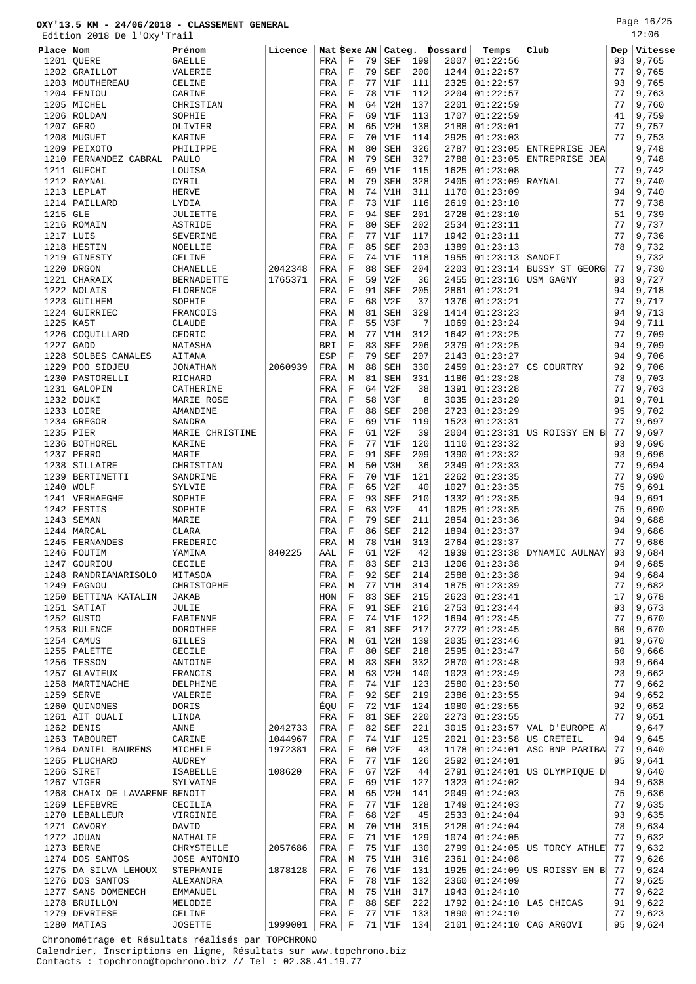Page 16/25

|              | OXY'L3.5 KM - 24/06/2018 - CLASSEMENT GENERAL<br>Edition 2018 De l'Oxy'Trail |                             |         |             |                            |          |                   |            |                |                             |                       |          | 12:06          |
|--------------|------------------------------------------------------------------------------|-----------------------------|---------|-------------|----------------------------|----------|-------------------|------------|----------------|-----------------------------|-----------------------|----------|----------------|
| Place        | Nom                                                                          | Prénom                      | Licence | Nat Sexe AN |                            |          |                   |            | Categ. Dossard | Temps                       | Club                  | Dep      | Vitesse        |
| 1201         | QUERE                                                                        | <b>GAELLE</b>               |         | FRA         | $\mathbf F$                | 79       | <b>SEF</b>        | 199        | 2007           | 01:22:56                    |                       | 93       | 9,765          |
| 1202         | <b>GRAILLOT</b>                                                              | VALERIE                     |         | FRA         | $\mathbf F$                | 79       | <b>SEF</b>        | 200        | 1244           | 01:22:57                    |                       | 77       | 9,765          |
| 1203         | MOUTHEREAU                                                                   | CELINE                      |         | FRA         | $\mathbf F$                | 77       | V1F               | 111        | 2325           | 01:22:57                    |                       | 93       | 9,765          |
| 1204         | FENIOU                                                                       | CARINE                      |         | FRA         | $\mathbf F$                | 78       | V1F               | 112        | 2204           | 01:22:57                    |                       | 77       | 9,763          |
| 1205         | MICHEL                                                                       | CHRISTIAN                   |         | FRA         | M                          | 64       | V2H               | 137        | 2201           | 01:22:59                    |                       | 77       | 9,760          |
| 1206<br>1207 | <b>ROLDAN</b><br><b>GERO</b>                                                 | SOPHIE<br>OLIVIER           |         | FRA<br>FRA  | F<br>М                     | 69<br>65 | V1F<br>V2H        | 113<br>138 | 1707<br>2188   | 01:22:59<br>01:23:01        |                       | 41<br>77 | 9,759<br>9,757 |
| 1208         | MUGUET                                                                       | <b>KARINE</b>               |         | FRA         | F                          | 70       | V1F               | 114        | 2925           | 01:23:03                    |                       | 77       | 9,753          |
| 1209         | PEIXOTO                                                                      | PHILIPPE                    |         | FRA         | М                          | 80       | <b>SEH</b>        | 326        | 2787           | 01:23:05                    | ENTREPRISE JEA        |          | 9,748          |
| 1210         | FERNANDEZ CABRAL                                                             | PAULO                       |         | FRA         | М                          | 79       | <b>SEH</b>        | 327        | 2788           | 01:23:05                    | ENTREPRISE JEA        |          | 9,748          |
| 1211         | <b>GUECHI</b>                                                                | LOUISA                      |         | FRA         | $\mathbf F$                | 69       | V1F               | 115        | 1625           | 01:23:08                    |                       | 77       | 9,742          |
| 1212         | RAYNAL                                                                       | CYRIL                       |         | FRA         | М                          | 79       | <b>SEH</b>        | 328        | 2405           | 01:23:09                    | RAYNAL                | 77       | 9,740          |
| 1213         | LEPLAT                                                                       | <b>HERVE</b>                |         | FRA         | М                          | 74       | V1H               | 311        | 1170           | 01:23:09                    |                       | 94       | 9,740          |
| 1214<br>1215 | PAILLARD<br><b>GLE</b>                                                       | LYDIA<br>JULIETTE           |         | FRA<br>FRA  | F<br>$\mathbf F$           | 73<br>94 | V1F<br><b>SEF</b> | 116<br>201 | 2619<br>2728   | 01:23:10<br>01:23:10        |                       | 77<br>51 | 9,738<br>9,739 |
| 1216         | ROMAIN                                                                       | ASTRIDE                     |         | FRA         | $\mathbf F$                | 80       | <b>SEF</b>        | 202        | 2534           | 01:23:11                    |                       | 77       | 9,737          |
| 1217         | LUIS                                                                         | <b>SEVERINE</b>             |         | FRA         | $\mathbf F$                | 77       | V1F               | 117        | 1942           | 01:23:11                    |                       | 77       | 9,736          |
| 1218         | HESTIN                                                                       | NOELLIE                     |         | FRA         | $\mathbf F$                | 85       | <b>SEF</b>        | 203        | 1389           | 01:23:13                    |                       | 78       | 9,732          |
| 1219         | GINESTY                                                                      | CELINE                      |         | FRA         | $\mathbf F$                | 74       | V1F               | 118        | 1955           | 01:23:13                    | SANOFI                |          | 9,732          |
| 1220         | <b>DRGON</b>                                                                 | CHANELLE                    | 2042348 | FRA         | $\mathbf F$                | 88       | <b>SEF</b>        | 204        | 2203           | 01:23:14                    | <b>BUSSY ST GEORG</b> | 77       | 9,730          |
| 1221         | CHARAIX                                                                      | <b>BERNADETTE</b>           | 1765371 | FRA         | $\mathbf F$                | 59       | V2F               | 36         | 2455           | 01:23:16                    | USM GAGNY             | 93       | 9,727          |
| 1222<br>1223 | NOLAIS<br><b>GUILHEM</b>                                                     | FLORENCE<br>SOPHIE          |         | FRA<br>FRA  | $\mathbf F$<br>$\mathbf F$ | 91<br>68 | <b>SEF</b><br>V2F | 205<br>37  | 2861<br>1376   | 01:23:21<br>01:23:21        |                       | 94<br>77 | 9,718<br>9,717 |
| 1224         | GUIRRIEC                                                                     | FRANCOIS                    |         | FRA         | М                          | 81       | <b>SEH</b>        | 329        | 1414           | 01:23:23                    |                       | 94       | 9,713          |
| 1225         | KAST                                                                         | <b>CLAUDE</b>               |         | FRA         | $\mathbf F$                | 55       | V3F               | 7          | 1069           | 01:23:24                    |                       | 94       | 9,711          |
| 1226         | COQUILLARD                                                                   | CEDRIC                      |         | FRA         | М                          | 77       | V1H               | 312        | 1642           | 01:23:25                    |                       | 77       | 9,709          |
| 1227         | GADD                                                                         | <b>NATASHA</b>              |         | <b>BRI</b>  | $\mathbf F$                | 83       | <b>SEF</b>        | 206        | 2379           | 01:23:25                    |                       | 94       | 9,709          |
| 1228         | SOLBES CANALES                                                               | AITANA                      |         | ESP         | $\mathbf F$                | 79       | <b>SEF</b>        | 207        | 2143           | 01:23:27                    |                       | 94       | 9,706          |
| 1229         | POO SIDJEU                                                                   | <b>JONATHAN</b>             | 2060939 | FRA         | М                          | 88       | <b>SEH</b>        | 330        | 2459           | 01:23:27                    | CS COURTRY            | 92       | 9,706          |
| 1230<br>1231 | PASTORELLI<br>GALOPIN                                                        | RICHARD<br>CATHERINE        |         | FRA<br>FRA  | М<br>$\mathbf F$           | 81<br>64 | <b>SEH</b><br>V2F | 331<br>38  | 1186<br>1391   | 01:23:28<br>01:23:28        |                       | 78<br>77 | 9,703<br>9,703 |
| 1232         | <b>DOUKI</b>                                                                 | MARIE ROSE                  |         | FRA         | $\mathbf F$                | 58       | V3F               | 8          | 3035           | 01:23:29                    |                       | 91       | 9,701          |
| 1233         | LOIRE                                                                        | AMANDINE                    |         | FRA         | $\mathbf F$                | 88       | SEF               | 208        | 2723           | 01:23:29                    |                       | 95       | 9,702          |
| 1234         | <b>GREGOR</b>                                                                | SANDRA                      |         | FRA         | $\mathbf F$                | 69       | V1F               | 119        | 1523           | 01:23:31                    |                       | 77       | 9,697          |
| 1235         | PIER                                                                         | MARIE CHRISTINE             |         | FRA         | F                          | 61       | V2F               | 39         | 2004           | 01:23:31                    | US ROISSY EN B        | 77       | 9,697          |
| 1236         | <b>BOTHOREL</b>                                                              | <b>KARINE</b>               |         | FRA         | $\mathbf F$                | 77       | V1F               | 120        | 1110           | 01:23:32                    |                       | 93       | 9,696          |
| 1237         | PERRO                                                                        | MARIE                       |         | FRA         | F                          | 91       | <b>SEF</b>        | 209        | 1390           | 01:23:32                    |                       | 93       | 9,696          |
| 1238<br>1239 | SILLAIRE<br>BERTINETTI                                                       | CHRISTIAN<br>SANDRINE       |         | FRA<br>FRA  | M<br>F                     | 50<br>70 | V3H<br>V1F        | 36<br>121  | 2349<br>2262   | 01:23:33<br>01:23:35        |                       | 77<br>77 | 9,694<br>9,690 |
| 1240         | WOLF                                                                         | SYLVIE                      |         | FRA         | $\mathbf F$                | 65       | V2F               | 40         | 1027           | 01:23:35                    |                       | 75       | 9,691          |
| 1241         | VERHAEGHE                                                                    | SOPHIE                      |         | FRA         | $\mathbf F$                | 93       | SEF               | 210        | 1332           | 01:23:35                    |                       | 94       | 9,691          |
| 1242         | FESTIS                                                                       | SOPHIE                      |         | FRA         | $\mathbf F$                | 63       | V2F               | 41         | 1025           | 01:23:35                    |                       | 75       | 9,690          |
| 1243         | SEMAN                                                                        | MARIE                       |         | FRA         | F                          | 79       | <b>SEF</b>        | 211        | 2854           | 01:23:36                    |                       | 94       | 9,688          |
| 1244         | MARCAL                                                                       | CLARA                       |         | FRA         | F                          | 86       | <b>SEF</b>        | 212        | 1894           | 01:23:37                    |                       | 94       | 9,686          |
|              | 1245   FERNANDES<br>1246 FOUTIM                                              | FREDERIC<br>YAMINA          | 840225  | FRA<br>AAL  | М<br>F                     | 78<br>61 | V1H<br>V2F        | 313<br>42  | 1939           | $2764$ 01:23:37<br>01:23:38 | DYNAMIC AULNAY        | 77<br>93 | 9,686<br>9,684 |
| 1247         | GOURIOU                                                                      | CECILE                      |         | FRA         | F                          | 83       | SEF               | 213        | 1206           | 01:23:38                    |                       | 94       | 9,685          |
| 1248         | RANDRIANARISOLO                                                              | MITASOA                     |         | FRA         | $\mathbf F$                | 92       | <b>SEF</b>        | 214        | 2588           | 01:23:38                    |                       | 94       | 9,684          |
| 1249         | FAGNOU                                                                       | CHRISTOPHE                  |         | FRA         | М                          | 77       | V1H               | 314        | 1875           | 01:23:39                    |                       | 77       | 9,682          |
| 1250         | BETTINA KATALIN                                                              | JAKAB                       |         | HON         | $\mathbf F$                | 83       | <b>SEF</b>        | 215        | 2623           | 01:23:41                    |                       | 17       | 9,678          |
| 1251         | SATIAT                                                                       | JULIE                       |         | FRA         | F                          | 91       | SEF               | 216        | 2753           | 01:23:44                    |                       | 93       | 9,673          |
| 1252<br>1253 | GUSTO<br>RULENCE                                                             | FABIENNE<br><b>DOROTHEE</b> |         | FRA<br>FRA  | $\mathbf F$<br>F           | 74<br>81 | V1F<br><b>SEF</b> | 122<br>217 | 1694<br>2772   | 01:23:45<br>01:23:45        |                       | 77<br>60 | 9,670<br>9,670 |
| 1254         | CAMUS                                                                        | GILLES                      |         | FRA         | М                          | 61       | V2H               | 139        | 2035           | 01:23:46                    |                       | 91       | 9,670          |
| 1255         | PALETTE                                                                      | CECILE                      |         | FRA         | F                          | 80       | SEF               | 218        | 2595           | 01:23:47                    |                       | 60       | 9,666          |
| 1256         | TESSON                                                                       | ANTOINE                     |         | FRA         | М                          | 83       | <b>SEH</b>        | 332        | 2870           | 01:23:48                    |                       | 93       | 9,664          |
| 1257         | GLAVIEUX                                                                     | FRANCIS                     |         | FRA         | М                          | 63       | V2H               | 140        | 1023           | 01:23:49                    |                       | 23       | 9,662          |
| 1258         | MARTINACHE                                                                   | DELPHINE                    |         | FRA         | $\mathbf F$                | 74       | V1F               | 123        | 2580           | 01:23:50                    |                       | 77       | 9,662          |
| 1259         | <b>SERVE</b>                                                                 | VALERIE                     |         | FRA         | $\mathbf F$<br>$\mathbf F$ | 92       | <b>SEF</b>        | 219        | 2386           | 01:23:55                    |                       | 94       | 9,652          |
| 1260         | QUINONES<br>1261 AIT OUALI                                                   | DORIS<br>LINDA              |         | ÉQU<br>FRA  | $\mathbf F$                | 72<br>81 | V1F<br><b>SEF</b> | 124<br>220 | 1080<br>2273   | 01:23:55<br>01:23:55        |                       | 92<br>77 | 9,652<br>9,651 |
| 1262         | DENIS                                                                        | ANNE                        | 2042733 | FRA         | $\mathbf F$                | 82       | <b>SEF</b>        | 221        | 3015           | 01:23:57                    | VAL D'EUROPE A        |          | 9,647          |
|              | 1263 TABOURET                                                                | CARINE                      | 1044967 | FRA         | $\mathbf F$                | 74       | V1F               | 125        | 2021           | 01:23:58                    | US CRETEIL            | 94       | 9,645          |
|              | 1264 DANIEL BAURENS                                                          | MICHELE                     | 1972381 | FRA         | $\mathbf F$                | 60       | V2F               | 43         | 1178           | 01:24:01                    | ASC BNP PARIBA        | 77       | 9,640          |
| 1265         | PLUCHARD                                                                     | AUDREY                      |         | FRA         | F                          | 77       | V1F               | 126        | 2592           | 01:24:01                    |                       | 95       | 9,641          |
| 1266         | SIRET                                                                        | ISABELLE                    | 108620  | FRA         | $\mathbf F$                | 67       | V2F               | 44         | 2791           | 01:24:01                    | US OLYMPIQUE D        |          | 9,640          |
| 1267         | VIGER                                                                        | SYLVAINE                    |         | FRA         | F                          | 69       | V1F               | 127        | 1323<br>2049   | 01:24:02                    |                       | 94       | 9,638          |
| 1268<br>1269 | CHAIX DE LAVARENE BENOIT<br>LEFEBVRE                                         | CECILIA                     |         | FRA<br>FRA  | М<br>F                     | 65<br>77 | V2H<br>V1F        | 141<br>128 | 1749           | 01:24:03<br>01:24:03        |                       | 75<br>77 | 9,636<br>9,635 |
|              | 1270   LEBALLEUR                                                             | VIRGINIE                    |         | FRA         | $\mathbf F$                | 68       | V2F               | 45         | 2533           | 01:24:04                    |                       | 93       | 9,635          |
| 1271         | CAVORY                                                                       | DAVID                       |         | FRA         | М                          | 70       | V1H               | 315        | 2128           | 01:24:04                    |                       | 78       | 9,634          |
| 1272         | JOUAN                                                                        | NATHALIE                    |         | FRA         | $\mathbf F$                | 71       | V1F               | 129        | 1074           | 01:24:05                    |                       | 77       | 9,632          |
| 1273         | <b>BERNE</b>                                                                 | CHRYSTELLE                  | 2057686 | FRA         | F                          | 75       | V1F               | 130        | 2799           | 01:24:05                    | US TORCY ATHLE        | 77       | 9,632          |
| 1274         | DOS SANTOS                                                                   | JOSE ANTONIO                |         | FRA         | M                          | 75       | V1H               | 316        | 2361           | 01:24:08                    |                       | 77       | 9,626          |
| 1275         | DA SILVA LEHOUX<br>1276 DOS SANTOS                                           | STEPHANIE<br>ALEXANDRA      | 1878128 | FRA<br>FRA  | $\mathbf F$<br>$\mathbf F$ | 76<br>78 | V1F<br>V1F        | 131<br>132 | 1925<br>2360   | 01:24:09<br>01:24:09        | US ROISSY EN B        | 77<br>77 | 9,624<br>9,625 |
| 1277         | SANS DOMENECH                                                                | <b>EMMANUEL</b>             |         | FRA         | М                          | 75       | V1H               | 317        | 1943           | 01:24:10                    |                       | 77       | 9,622          |
| 1278         | <b>BRUILLON</b>                                                              | MELODIE                     |         | FRA         | F                          | 88       | <b>SEF</b>        | 222        | 1792           | 01:24:10                    | LAS CHICAS            | 91       | 9,622          |
|              | 1279 DEVRIESE                                                                | CELINE                      |         | FRA         | $\mathbf F$                | 77       | V1F               | 133        | 1890           | 01:24:10                    |                       | 77       | 9,623          |
|              | $1280$ MATIAS                                                                | <b>JOSETTE</b>              | 1999001 | FRA         | F                          | 71       | V1F               | 134        | 2101           |                             | $01:24:10$ CAG ARGOVI | 95       | 9,624          |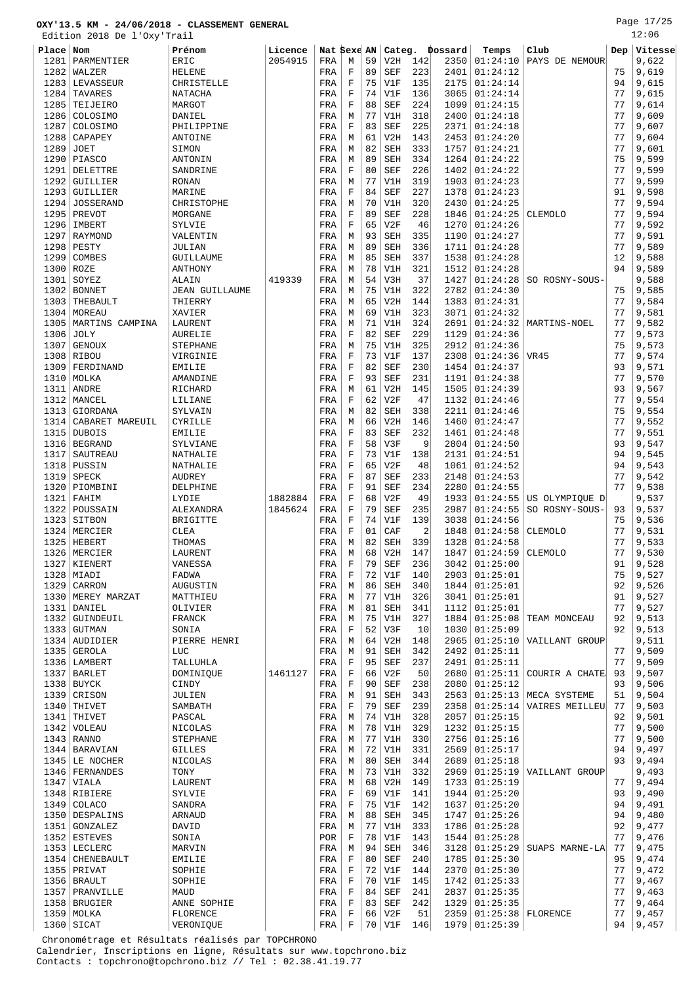Page 17/25

|              | Edition 2018 De l'Oxy'Trail       |                           |         |              |                            |          |                   |                |              |                         |                                  |          | 12:06          |
|--------------|-----------------------------------|---------------------------|---------|--------------|----------------------------|----------|-------------------|----------------|--------------|-------------------------|----------------------------------|----------|----------------|
| Place Nom    |                                   | Prénom                    | Licence | Nat Sexe AN  |                            |          | Categ.            |                | Dossard      | Temps                   | Club                             | Dep      | Vitesse        |
| 1281         | PARMENTIER                        | ERIC                      | 2054915 | FRA          | М                          | 59       | V2H               | 142            | 2350         | 01:24:10                | PAYS DE NEMOUR                   |          | 9,622          |
| 1282         | WALZER                            | <b>HELENE</b>             |         | FRA          | F                          | 89       | <b>SEF</b>        | 223            | 2401         | 01:24:12                |                                  | 75       | 9,619          |
|              | 1283   LEVASSEUR                  | CHRISTELLE                |         | FRA          | $\mathbf F$                | 75       | V1F               | 135            | 2175         | 01:24:14                |                                  | 94       | 9,615          |
| 1284<br>1285 | TAVARES<br>TEIJEIRO               | NATACHA<br>MARGOT         |         | FRA<br>FRA   | F<br>$\mathbf F$           | 74<br>88 | V1F<br><b>SEF</b> | 136<br>224     | 3065<br>1099 | 01:24:14<br>01:24:15    |                                  | 77<br>77 | 9,615<br>9,614 |
| 1286         | COLOSIMO                          | DANIEL                    |         | FRA          | M                          | 77       | V1H               | 318            | 2400         | 01:24:18                |                                  | 77       | 9,609          |
| 1287         | COLOSIMO                          | PHILIPPINE                |         | FRA          | $\mathbf F$                | 83       | <b>SEF</b>        | 225            | 2371         | 01:24:18                |                                  | 77       | 9,607          |
| 1288         | CAPAPEY                           | ANTOINE                   |         | FRA          | M                          | 61       | V2H               | 143            | 2453         | 01:24:20                |                                  | 77       | 9,604          |
| 1289         | JOET                              | SIMON                     |         | FRA          | M                          | 82       | <b>SEH</b>        | 333            | 1757         | 01:24:21                |                                  | 77       | 9,601          |
| 1290         | PIASCO                            | ANTONIN                   |         | FRA          | М                          | 89       | <b>SEH</b>        | 334            | 1264         | 01:24:22                |                                  | 75       | 9,599          |
| 1291         | DELETTRE                          | SANDRINE                  |         | FRA          | $\mathbf F$                | 80       | <b>SEF</b>        | 226            | 1402         | 01:24:22                |                                  | 77       | 9,599          |
| 1292         | GUILLIER                          | RONAN                     |         | FRA          | М                          | 77       | V1H               | 319            | 1903         | 01:24:23                |                                  | 77       | 9,599          |
| 1293         | GUILLIER                          | MARINE                    |         | FRA          | F                          | 84       | <b>SEF</b>        | 227            | 1378         | 01:24:23                |                                  | 91       | 9,598          |
| 1294         | <b>JOSSERAND</b>                  | CHRISTOPHE                |         | FRA          | M                          | 70       | V1H               | 320            | 2430         | 01:24:25                |                                  | 77       | 9,594          |
| 1295         | PREVOT                            | MORGANE                   |         | FRA          | $\mathbf F$                | 89       | <b>SEF</b>        | 228            | 1846         | 01:24:25                | <b>CLEMOLO</b>                   | 77       | 9,594          |
| 1296<br>1297 | IMBERT<br>RAYMOND                 | SYLVIE<br>VALENTIN        |         | FRA<br>FRA   | $\mathbf F$<br>М           | 65<br>93 | V2F<br><b>SEH</b> | 46<br>335      | 1270<br>1190 | 01:24:26<br>01:24:27    |                                  | 77<br>77 | 9,592<br>9,591 |
| 1298         | PESTY                             | JULIAN                    |         | FRA          | M                          | 89       | SEH               | 336            | 1711         | 01:24:28                |                                  | 77       | 9,589          |
| 1299         | COMBES                            | GUILLAUME                 |         | FRA          | М                          | 85       | <b>SEH</b>        | 337            | 1538         | 01:24:28                |                                  | 12       | 9,588          |
| 1300 ROZE    |                                   | ANTHONY                   |         | FRA          | М                          | 78       | V1H               | 321            | 1512         | 01:24:28                |                                  | 94       | 9,589          |
| 1301         | SOYEZ                             | ALAIN                     | 419339  | FRA          | M                          | 54       | V3H               | 37             | 1427         | 01:24:28                | SO ROSNY-SOUS-                   |          | 9,588          |
| 1302         | <b>BONNET</b>                     | <b>JEAN GUILLAUME</b>     |         | FRA          | M                          | 75       | V1H               | 322            | 2782         | 01:24:30                |                                  | 75       | 9,585          |
| 1303         | THEBAULT                          | THIERRY                   |         | FRA          | M                          | 65       | V2H               | 144            | 1383         | 01:24:31                |                                  | 77       | 9,584          |
| 1304         | MOREAU                            | XAVIER                    |         | FRA          | M                          | 69       | V1H               | 323            | 3071         | 01:24:32                |                                  | 77       | 9,581          |
| 1305         | MARTINS CAMPINA                   | LAURENT                   |         | FRA          | М                          | 71       | V1H               | 324            | 2691         | 01:24:32                | MARTINS-NOEL                     | 77       | 9,582          |
| 1306         | <b>JOLY</b>                       | <b>AURELIE</b>            |         | FRA          | F                          | 82       | <b>SEF</b>        | 229            | 1129         | 01:24:36                |                                  | 77       | 9,573          |
| 1307         | GENOUX                            | STEPHANE                  |         | FRA          | M                          | 75       | V1H               | 325            | 2912         | 01:24:36                |                                  | 75       | 9,573          |
| 1309         | $1308$ RIBOU<br>FERDINAND         | VIRGINIE<br><b>EMILIE</b> |         | FRA          | $\mathbf F$<br>F           | 73<br>82 | V1F<br><b>SEF</b> | 137<br>230     | 2308<br>1454 | 01:24:36<br>01:24:37    | VR45                             | 77<br>93 | 9,574<br>9,571 |
| 1310         | MOLKA                             | AMANDINE                  |         | FRA<br>FRA   | $\mathbf F$                | 93       | <b>SEF</b>        | 231            | 1191         | 01:24:38                |                                  | 77       | 9,570          |
| 1311         | ANDRE                             | RICHARD                   |         | FRA          | М                          | 61       | V2H               | 145            | 1505         | 01:24:39                |                                  | 93       | 9,567          |
|              | 1312 MANCEL                       | LILIANE                   |         | FRA          | $\mathbf F$                | 62       | V2F               | 47             | 1132         | 01:24:46                |                                  | 77       | 9,554          |
| 1313         | GIORDANA                          | SYLVAIN                   |         | FRA          | М                          | 82       | <b>SEH</b>        | 338            | 2211         | 01:24:46                |                                  | 75       | 9,554          |
| 1314         | CABARET MAREUIL                   | CYRILLE                   |         | FRA          | M                          | 66       | V2H               | 146            | 1460         | 01:24:47                |                                  | 77       | 9,552          |
| 1315         | DUBOIS                            | <b>EMILIE</b>             |         | FRA          | F                          | 83       | <b>SEF</b>        | 232            | 1461         | 01:24:48                |                                  | 77       | 9,551          |
|              | 1316 BEGRAND                      | SYLVIANE                  |         | FRA          | $\mathbf F$                | 58       | V3F               | 9              | 2804         | 01:24:50                |                                  | 93       | 9,547          |
| 1317         | SAUTREAU                          | NATHALIE                  |         | FRA          | F                          | 73       | V1F               | 138            | 2131         | 01:24:51                |                                  | 94       | 9,545          |
| 1318         | PUSSIN                            | NATHALIE                  |         | FRA          | F                          | 65       | V2F               | 48             | 1061         | 01:24:52                |                                  | 94       | 9,543          |
| 1319         | SPECK                             | AUDREY                    |         | FRA          | $\mathbf F$                | 87       | <b>SEF</b>        | 233            | 2148         | 01:24:53                |                                  | 77<br>77 | 9,542          |
| 1320         | PIOMBINI<br>$1321$ FAHIM          | DELPHINE<br>LYDIE         | 1882884 | FRA<br>FRA   | $\mathbf F$<br>$\mathbf F$ | 91<br>68 | <b>SEF</b><br>V2F | 234<br>49      | 2280<br>1933 | 01:24:55<br>01:24:55    |                                  |          | 9,538<br>9,537 |
|              | 1322 POUSSAIN                     | ALEXANDRA                 | 1845624 | FRA          | $\mathbf F$                | 79       | <b>SEF</b>        | 235            | 2987         | 01:24:55                | US OLYMPIQUE D<br>SO ROSNY-SOUS- | 93       | 9,537          |
| 1323         | SITBON                            | <b>BRIGITTE</b>           |         | FRA          | F                          | 74       | V1F               | 139            | 3038         | 01:24:56                |                                  | 75       | 9,536          |
|              | 1324 MERCIER                      | <b>CLEA</b>               |         | FRA          | $\mathbf F$                | 01       | CAF               | $\overline{2}$ | 1848         | 01:24:58                | CLEMOLO                          | 77       | 9,531          |
|              | 1325   HEBERT                     | THOMAS                    |         | FRA          | М                          | 82       | SEH               | 339            | 1328         | 01:24:58                |                                  | 77       | 9,533          |
|              | 1326 MERCIER                      | LAURENT                   |         | $_{\rm FRA}$ | $\mathbb M$                | 68       | V2H               | 147            |              | $1847$ 01:24:59 CLEMOLO |                                  | 77       | 9,530          |
|              | 1327   KIENERT                    | VANESSA                   |         | FRA          | F                          | 79       | SEF               | 236            | 3042         | 01:25:00                |                                  | 91       | 9,528          |
|              | $1328$ MIADI                      | FADWA                     |         | FRA          | $\mathbf F$                | 72       | V1F               | 140            |              | 2903 01:25:01           |                                  | 75       | 9,527          |
|              | 1329 CARRON                       | AUGUSTIN                  |         | FRA          | М                          | 86       | SEH               | 340            | 1844         | 01:25:01                |                                  | 92       | 9,526          |
|              | 1330   MEREY MARZAT               | MATTHIEU                  |         | FRA          | М                          | 77       | V1H               | 326            | 3041         | 01:25:01                |                                  | 91       | 9,527          |
|              | 1331 DANIEL<br>1332 GUINDEUIL     | OLIVIER<br>FRANCK         |         | FRA<br>FRA   | М<br>М                     | 81<br>75 | SEH<br>V1H        | 341<br>327     | 1112<br>1884 | 01:25:01<br>01:25:08    | TEAM MONCEAU                     | 77<br>92 | 9,527<br>9,513 |
|              | 1333 GUTMAN                       | SONIA                     |         | FRA          | F                          | 52       | V3F               | 10             | 1030         | 01:25:09                |                                  | 92       | 9,513          |
|              | 1334   AUDIDIER                   | PIERRE HENRI              |         | FRA          | М                          | 64       | V2H               | 148            | 2965         | 01:25:10                | VAILLANT GROUP                   |          | 9,511          |
|              | 1335 GEROLA                       | LUC                       |         | FRA          | М                          | 91       | <b>SEH</b>        | 342            | 2492         | 01:25:11                |                                  | 77       | 9,509          |
|              | 1336 LAMBERT                      | TALLUHLA                  |         | FRA          | $\mathbf F$                | 95       | <b>SEF</b>        | 237            | 2491         | 01:25:11                |                                  | 77       | 9,509          |
|              | 1337 BARLET                       | DOMINIQUE                 | 1461127 | FRA          | $\mathbf F$                | 66       | V2F               | 50             | 2680         | 01:25:11                | COURIR A CHATE                   | 93       | 9,507          |
|              | $1338$ BUYCK                      | CINDY                     |         | FRA          | F                          | 90       | SEF               | 238            | 2080         | 01:25:12                |                                  | 93       | 9,506          |
|              | $1339$ CRISON                     | <b>JULIEN</b>             |         | FRA          | M                          | 91       | <b>SEH</b>        | 343            | 2563         |                         | $01:25:13$ MECA SYSTEME          | 51       | 9,504          |
|              | 1340 THIVET                       | SAMBATH                   |         | FRA          | F                          | 79       | SEF               | 239            | 2358         |                         | $01:25:14$ VAIRES MEILLEU        | 77       | 9,503          |
|              | 1341 THIVET                       | PASCAL                    |         | FRA          | М                          | 74<br>78 | V1H               | 328            | 2057         | 01:25:15                |                                  | 92<br>77 | 9,501<br>9,500 |
|              | 1342 VOLEAU<br>$1343$ RANNO       | NICOLAS<br>STEPHANE       |         | FRA<br>FRA   | М<br>М                     | 77       | V1H<br>V1H        | 329<br>330     | 1232<br>2756 | 01:25:15<br>01:25:16    |                                  | 77       | 9,500          |
|              | 1344 BARAVIAN                     | <b>GILLES</b>             |         | FRA          | М                          | 72       | V1H               | 331            | 2569         | 01:25:17                |                                  | 94       | 9,497          |
|              | 1345 LE NOCHER                    | NICOLAS                   |         | FRA          | М                          | 80       | SEH               | 344            | 2689         | 01:25:18                |                                  | 93       | 9,494          |
|              | 1346   FERNANDES                  | TONY                      |         | FRA          | М                          | 73       | V1H               | 332            | 2969         | 01:25:19                | VAILLANT GROUP                   |          | 9,493          |
|              | $1347$ VIALA                      | LAURENT                   |         | FRA          | М                          | 68       | V2H               | 149            | 1733         | 01:25:19                |                                  | 77       | 9,494          |
|              | 1348 RIBIERE                      | SYLVIE                    |         | FRA          | F                          | 69       | V1F               | 141            | 1944         | 01:25:20                |                                  | 93       | 9,490          |
|              | $1349$ COLACO                     | SANDRA                    |         | FRA          | $\mathbf F$                | 75       | V1F               | 142            | 1637         | 01:25:20                |                                  | 94       | 9,491          |
|              | 1350   DESPALINS                  | ARNAUD                    |         | FRA          | М                          | 88       | SEH               | 345            | 1747         | 01:25:26                |                                  | 94       | 9,480          |
|              | 1351 GONZALEZ                     | DAVID                     |         | FRA          | М                          | 77       | V1H               | 333            | 1786         | 01:25:28                |                                  | 92       | 9,477          |
|              | 1352 ESTEVES                      | SONIA                     |         | POR          | F                          | 78       | V1F               | 143            | 1544         | 01:25:28                |                                  | 77       | 9,476          |
|              | 1353 LECLERC<br>1354   CHENEBAULT | MARVIN<br><b>EMILIE</b>   |         | FRA<br>FRA   | M<br>F                     | 94<br>80 | SEH<br>SEF        | 346<br>240     | 3128<br>1785 | 01:25:29<br>01:25:30    | SUAPS MARNE-LA                   | 77<br>95 | 9,475<br>9,474 |
|              | 1355 PRIVAT                       | SOPHIE                    |         | FRA          | $\mathbf F$                | 72       | V1F               | 144            | 2370         | 01:25:30                |                                  | 77       | 9,472          |
|              | 1356 BRAULT                       | SOPHIE                    |         | FRA          | F                          | 70       | V1F               | 145            | 1742         | 01:25:33                |                                  | 77       | 9,467          |
|              | 1357   PRANVILLE                  | MAUD                      |         | FRA          | F                          | 84       | <b>SEF</b>        | 241            | 2837         | 01:25:35                |                                  | 77       | 9,463          |
|              | 1358   BRUGIER                    | ANNE SOPHIE               |         | FRA          | $\mathbf F$                | 83       | SEF               | 242            | 1329         | 01:25:35                |                                  | 77       | 9,464          |
|              | $1359$ MOLKA                      | FLORENCE                  |         | FRA          | F                          | 66       | V2F               | 51             |              | 2359 01:25:38 FLORENCE  |                                  | 77       | 9,457          |
|              | $1360$ SICAT                      | VERONIQUE                 |         | FRA          | $\mathbf F$                |          | 70 V1F            | 146            |              | 1979   01:25:39         |                                  | 94       | 9,457          |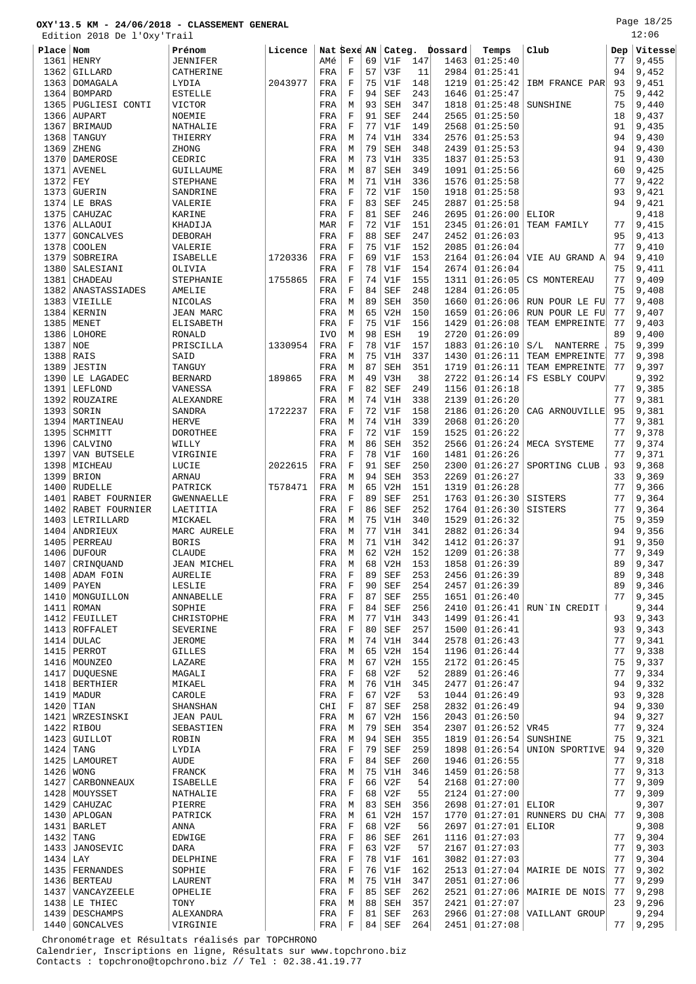Edition 2018 De l'Oxy'Trail

Page 18/25 12:06

|             | raiciou suis ne i oxy itali |                  |         |             |             |    |            |     |         |          |                           |     | 12 ° U U |
|-------------|-----------------------------|------------------|---------|-------------|-------------|----|------------|-----|---------|----------|---------------------------|-----|----------|
| Place Nom   |                             | Prénom           | Licence | Nat Sexe AN |             |    | Categ.     |     | Dossard | Temps    | Club                      | Dep | Vitesse  |
| 1361        | HENRY                       | <b>JENNIFER</b>  |         | AMé         | $\rm F$     | 69 | V1F        | 147 | 1463    | 01:25:40 |                           | 77  | 9,455    |
| 1362        | GILLARD                     | CATHERINE        |         | FRA         | $\mathbf F$ | 57 | V3F        | 11  | 2984    | 01:25:41 |                           | 94  | 9,452    |
|             |                             |                  |         |             |             |    |            |     |         |          |                           |     |          |
|             | 1363   DOMAGALA             | LYDIA            | 2043977 | FRA         | $\mathbf F$ | 75 | V1F        | 148 | 1219    | 01:25:42 | IBM FRANCE PAR            | 93  | 9,451    |
| 1364        | <b>BOMPARD</b>              | <b>ESTELLE</b>   |         | FRA         | F           | 94 | <b>SEF</b> | 243 | 1646    | 01:25:47 |                           | 75  | 9,442    |
| 1365        | PUGLIESI CONTI              | VICTOR           |         | FRA         | M           | 93 | SEH        | 347 | 1818    | 01:25:48 | SUNSHINE                  | 75  | 9,440    |
| 1366        | AUPART                      | NOEMIE           |         | FRA         | F           | 91 | <b>SEF</b> | 244 | 2565    | 01:25:50 |                           | 18  | 9,437    |
| 1367        | <b>BRIMAUD</b>              | NATHALIE         |         | FRA         | $\mathbf F$ | 77 | V1F        | 149 | 2568    | 01:25:50 |                           | 91  | 9,435    |
| 1368        | TANGUY                      | THIERRY          |         | FRA         | M           | 74 | V1H        | 334 | 2576    | 01:25:53 |                           | 94  | 9,430    |
| 1369        | ZHENG                       | ZHONG            |         | FRA         | М           | 79 | <b>SEH</b> | 348 | 2439    | 01:25:53 |                           | 94  | 9,430    |
|             |                             |                  |         |             |             |    |            |     |         |          |                           |     |          |
| 1370        | DAMEROSE                    | CEDRIC           |         | FRA         | M           | 73 | V1H        | 335 | 1837    | 01:25:53 |                           | 91  | 9,430    |
| 1371        | AVENEL                      | GUILLAUME        |         | FRA         | M           | 87 | SEH        | 349 | 1091    | 01:25:56 |                           | 60  | 9,425    |
| 1372        | FEY                         | STEPHANE         |         | FRA         | М           | 71 | V1H        | 336 | 1576    | 01:25:58 |                           | 77  | 9,422    |
| 1373        | <b>GUERIN</b>               | SANDRINE         |         | FRA         | F           | 72 | V1F        | 150 | 1918    | 01:25:58 |                           | 93  | 9,421    |
| 1374        | LE BRAS                     | VALERIE          |         | FRA         | $\mathbf F$ | 83 | <b>SEF</b> | 245 | 2887    | 01:25:58 |                           | 94  | 9,421    |
| 1375        | CAHUZAC                     | KARINE           |         | FRA         | $\mathbf F$ | 81 | <b>SEF</b> | 246 | 2695    | 01:26:00 | ELIOR                     |     | 9,418    |
| 1376        | ALLAOUI                     | KHADIJA          |         | MAR         | $\mathbf F$ | 72 | V1F        | 151 | 2345    | 01:26:01 | TEAM FAMILY               | 77  | 9,415    |
| 1377        | <b>GONCALVES</b>            | <b>DEBORAH</b>   |         | FRA         | $\mathbf F$ | 88 | <b>SEF</b> | 247 | 2452    | 01:26:03 |                           | 95  | 9,413    |
| 1378        | COOLEN                      | VALERIE          |         | FRA         | $\mathbf F$ | 75 | V1F        | 152 | 2085    | 01:26:04 |                           | 77  | 9,410    |
| 1379        | SOBREIRA                    |                  | 1720336 |             | $\rm F$     | 69 | V1F        | 153 | 2164    |          |                           | 94  |          |
|             |                             | <b>ISABELLE</b>  |         | FRA         |             |    |            |     |         | 01:26:04 | VIE AU GRAND A            |     | 9,410    |
| 1380        | SALESIANI                   | OLIVIA           |         | FRA         | F           | 78 | V1F        | 154 | 2674    | 01:26:04 |                           | 75  | 9,411    |
| 1381        | CHADEAU                     | STEPHANIE        | 1755865 | FRA         | $\mathbf F$ | 74 | V1F        | 155 | 1311    | 01:26:05 | CS MONTEREAU              | 77  | 9,409    |
| 1382        | ANASTASSIADES               | AMELIE           |         | FRA         | F           | 84 | <b>SEF</b> | 248 | 1284    | 01:26:05 |                           | 75  | 9,408    |
| 1383        | VIEILLE                     | NICOLAS          |         | FRA         | M           | 89 | <b>SEH</b> | 350 | 1660    | 01:26:06 | RUN POUR LE FU            | 77  | 9,408    |
| 1384        | KERNIN                      | JEAN MARC        |         | FRA         | M           | 65 | V2H        | 150 | 1659    | 01:26:06 | RUN POUR LE FU            | 77  | 9,407    |
| 1385        | MENET                       | <b>ELISABETH</b> |         | FRA         | $\mathbf F$ | 75 | V1F        | 156 | 1429    | 01:26:08 | TEAM EMPREINTE            | 77  | 9,403    |
| 1386        | LOHORE                      | RONALD           |         | IVO         | M           | 98 | ESH        | 19  | 2720    | 01:26:09 |                           | 89  | 9,400    |
| 1387        | NOE                         | PRISCILLA        | 1330954 | FRA         | $\mathbf F$ | 78 | V1F        | 157 | 1883    | 01:26:10 | S/L<br>NANTERRE           | 75  | 9,399    |
| $1388$ RAIS |                             | SAID             |         | FRA         | M           | 75 | V1H        | 337 | 1430    | 01:26:11 | TEAM EMPREINTE            | 77  | 9,398    |
|             |                             |                  |         |             |             |    |            |     |         |          |                           |     |          |
| 1389        | JESTIN                      | TANGUY           |         | FRA         | М           | 87 | SEH        | 351 | 1719    | 01:26:11 | TEAM EMPREINTE            | 77  | 9,397    |
| 1390        | LE LAGADEC                  | <b>BERNARD</b>   | 189865  | FRA         | М           | 49 | V3H        | 38  | 2722    | 01:26:14 | FS ESBLY COUPV            |     | 9,392    |
| 1391        | LEFLOND                     | VANESSA          |         | FRA         | F           | 82 | <b>SEF</b> | 249 | 1156    | 01:26:18 |                           | 77  | 9,385    |
|             | 1392 ROUZAIRE               | ALEXANDRE        |         | FRA         | M           | 74 | V1H        | 338 | 2139    | 01:26:20 |                           | 77  | 9,381    |
| 1393        | SORIN                       | SANDRA           | 1722237 | <b>FRA</b>  | F           | 72 | V1F        | 158 | 2186    | 01:26:20 | CAG ARNOUVILLE            | 95  | 9,381    |
|             | 1394   MARTINEAU            | HERVE            |         | FRA         | M           | 74 | V1H        | 339 | 2068    | 01:26:20 |                           | 77  | 9,381    |
| 1395        | SCHMITT                     | <b>DOROTHEE</b>  |         | FRA         | F           | 72 | V1F        | 159 | 1525    | 01:26:22 |                           | 77  | 9,378    |
| 1396        | CALVINO                     | WILLY            |         | FRA         | M           | 86 | <b>SEH</b> | 352 | 2566    | 01:26:24 | MECA SYSTEME              | 77  | 9,374    |
| 1397        | VAN BUTSELE                 | VIRGINIE         |         | FRA         | $\mathbf F$ | 78 | V1F        | 160 | 1481    | 01:26:26 |                           | 77  | 9,371    |
| 1398        | MICHEAU                     | LUCIE            | 2022615 | FRA         | F           | 91 | <b>SEF</b> | 250 | 2300    | 01:26:27 | SPORTING CLUB             | 93  | 9,368    |
|             |                             |                  |         |             |             |    |            |     |         |          |                           |     |          |
| 1399        | <b>BRION</b>                | <b>ARNAU</b>     |         | FRA         | M           | 94 | SEH        | 353 | 2269    | 01:26:27 |                           | 33  | 9,369    |
| 1400        | RUDELLE                     | PATRICK          | T578471 | FRA         | М           | 65 | V2H        | 151 | 1319    | 01:26:28 |                           | 77  | 9,366    |
|             | 1401 RABET FOURNIER         | GWENNAELLE       |         | FRA         | $\mathbf F$ | 89 | <b>SEF</b> | 251 | 1763    | 01:26:30 | SISTERS                   | 77  | 9,364    |
| 1402        | RABET FOURNIER              | LAETITIA         |         | FRA         | F           | 86 | <b>SEF</b> | 252 | 1764    | 01:26:30 | <b>SISTERS</b>            | 77  | 9,364    |
| 1403        | LETRILLARD                  | MICKAEL          |         | FRA         | M           | 75 | V1H        | 340 | 1529    | 01:26:32 |                           | 75  | 9,359    |
| 1404        | ANDRIEUX                    | MARC AURELE      |         | FRA         | M           | 77 | V1H        | 341 | 2882    | 01:26:34 |                           | 94  | 9,356    |
| 1405        | PERREAU                     | <b>BORIS</b>     |         | FRA         | М           | 71 | V1H        | 342 | 1412    | 01:26:37 |                           | 91  | 9,350    |
|             | 1406 DUFOUR                 | <b>CLAUDE</b>    |         | FRA         | M           | 62 | V2H        | 152 | 1209    | 01:26:38 |                           | 77  | 9,349    |
| 1407        | CRINQUAND                   | JEAN MICHEL      |         | FRA         | M           | 68 | V2H        | 153 | 1858    | 01:26:39 |                           | 89  | 9,347    |
|             |                             |                  |         |             |             |    |            |     |         |          |                           | 89  |          |
|             | 1408 ADAM FOIN              | AURELIE          |         | FRA         | $\mathbf F$ | 89 | <b>SEF</b> | 253 | 2456    | 01:26:39 |                           |     | 9,348    |
| 1409        | PAYEN                       | LESLIE           |         | FRA         | $\mathbf F$ | 90 | <b>SEF</b> | 254 | 2457    | 01:26:39 |                           | 89  | 9,346    |
|             | 1410 MONGUILLON             | ANNABELLE        |         | FRA         | $\mathbf F$ | 87 | <b>SEF</b> | 255 | 1651    | 01:26:40 |                           | 77  | 9,345    |
| 1411        | ROMAN                       | SOPHIE           |         | FRA         | F           | 84 | <b>SEF</b> | 256 | 2410    | 01:26:41 | RUN'IN CREDIT             |     | 9,344    |
|             | 1412 FEUILLET               | CHRISTOPHE       |         | FRA         | M           | 77 | V1H        | 343 | 1499    | 01:26:41 |                           | 93  | 9,343    |
|             | 1413 ROFFALET               | SEVERINE         |         | FRA         | $\mathbf F$ | 80 | <b>SEF</b> | 257 | 1500    | 01:26:41 |                           | 93  | 9,343    |
|             | $1414$ DULAC                | <b>JEROME</b>    |         | FRA         | M           | 74 | V1H        | 344 | 2578    | 01:26:43 |                           | 77  | 9,341    |
|             | $1415$ PERROT               | <b>GILLES</b>    |         | FRA         | М           | 65 | V2H        | 154 | 1196    | 01:26:44 |                           | 77  | 9,338    |
|             | 1416 MOUNZEO                | LAZARE           |         | FRA         | M           | 67 | V2H        | 155 | 2172    | 01:26:45 |                           | 75  | 9,337    |
|             | 1417 DUOUESNE               | MAGALI           |         | FRA         | $\mathbf F$ | 68 | V2F        | 52  | 2889    | 01:26:46 |                           | 77  | 9,334    |
|             | 1418   BERTHIER             | MIKAEL           |         | FRA         | M           | 76 | V1H        | 345 | 2477    | 01:26:47 |                           | 94  | 9,332    |
|             | $1419$ MADUR                | CAROLE           |         | FRA         | $\mathbf F$ | 67 | V2F        | 53  | 1044    | 01:26:49 |                           | 93  | 9,328    |
|             |                             |                  |         |             |             |    |            |     |         |          |                           |     |          |
| 1420        | TIAN                        | <b>SHANSHAN</b>  |         | CHI         | $\mathbf F$ | 87 | <b>SEF</b> | 258 | 2832    | 01:26:49 |                           | 94  | 9,330    |
| 1421        | WRZESINSKI                  | JEAN PAUL        |         | FRA         | М           | 67 | V2H        | 156 | 2043    | 01:26:50 |                           | 94  | 9,327    |
|             | $1422$ RIBOU                | SEBASTIEN        |         | FRA         | М           | 79 | <b>SEH</b> | 354 | 2307    | 01:26:52 | VR45                      | 77  | 9,324    |
| 1423        | <b>GUILLOT</b>              | ROBIN            |         | FRA         | М           | 94 | <b>SEH</b> | 355 | 1819    | 01:26:54 | SUNSHINE                  | 75  | 9,321    |
| 1424        | TANG                        | LYDIA            |         | FRA         | $\mathbf F$ | 79 | <b>SEF</b> | 259 | 1898    | 01:26:54 | UNION SPORTIVE            | 94  | 9,320    |
| 1425        | LAMOURET                    | <b>AUDE</b>      |         | FRA         | F           | 84 | <b>SEF</b> | 260 | 1946    | 01:26:55 |                           | 77  | 9,318    |
| 1426 WONG   |                             | FRANCK           |         | FRA         | M           | 75 | V1H        | 346 | 1459    | 01:26:58 |                           | 77  | 9,313    |
| 1427        | CARBONNEAUX                 | <b>ISABELLE</b>  |         | FRA         | F           | 66 | V2F        | 54  | 2168    | 01:27:00 |                           | 77  | 9,309    |
|             | 1428 MOUYSSET               | NATHALIE         |         | FRA         | $\mathbf F$ | 68 | V2F        | 55  | 2124    | 01:27:00 |                           | 77  | 9,309    |
| 1429        |                             |                  |         |             | М           | 83 |            | 356 |         |          | ELIOR                     |     | 9,307    |
|             | CAHUZAC                     | PIERRE           |         | FRA         |             |    | SEH        |     | 2698    | 01:27:01 |                           |     |          |
|             | 1430   APLOGAN              | PATRICK          |         | FRA         | M           | 61 | V2H        | 157 | 1770    | 01:27:01 | RUNNERS DU CHA            | 77  | 9,308    |
|             | 1431 BARLET                 | ANNA             |         | FRA         | $\mathbf F$ | 68 | V2F        | 56  | 2697    | 01:27:01 | ELIOR                     |     | 9,308    |
| 1432        | TANG                        | EDWIGE           |         | FRA         | $\mathbf F$ | 86 | <b>SEF</b> | 261 | 1116    | 01:27:03 |                           | 77  | 9,304    |
|             | 1433 JANOSEVIC              | <b>DARA</b>      |         | FRA         | $\mathbf F$ | 63 | V2F        | 57  | 2167    | 01:27:03 |                           | 77  | 9,303    |
| 1434        | LAY                         | DELPHINE         |         | FRA         | $\mathbf F$ | 78 | V1F        | 161 | 3082    | 01:27:03 |                           | 77  | 9,304    |
|             | 1435   FERNANDES            | SOPHIE           |         | FRA         | $\mathbf F$ | 76 | V1F        | 162 | 2513    | 01:27:04 | MAIRIE DE NOIS            | 77  | 9,302    |
|             | 1436   BERTEAU              | LAURENT          |         | FRA         | M           | 75 | V1H        | 347 | 2051    | 01:27:06 |                           | 77  | 9,299    |
| 1437        | VANCAYZEELE                 | OPHELIE          |         | FRA         | F           | 85 | <b>SEF</b> | 262 | 2521    | 01:27:06 | MAIRIE DE NOIS            | 77  | 9,298    |
|             | $1438$ LE THIEC             | TONY             |         | FRA         | М           | 88 | <b>SEH</b> | 357 | 2421    | 01:27:07 |                           | 23  | 9,296    |
|             | 1439   DESCHAMPS            | ALEXANDRA        |         | FRA         | F           | 81 | SEF        | 263 | 2966    |          | $01:27:08$ VAILLANT GROUP |     | 9,294    |
|             |                             |                  |         |             |             |    |            |     |         |          |                           |     |          |

1440 GONCALVES VIRGINIE | FRA F 84 SEF 264 2451 01:27:08 77 9,295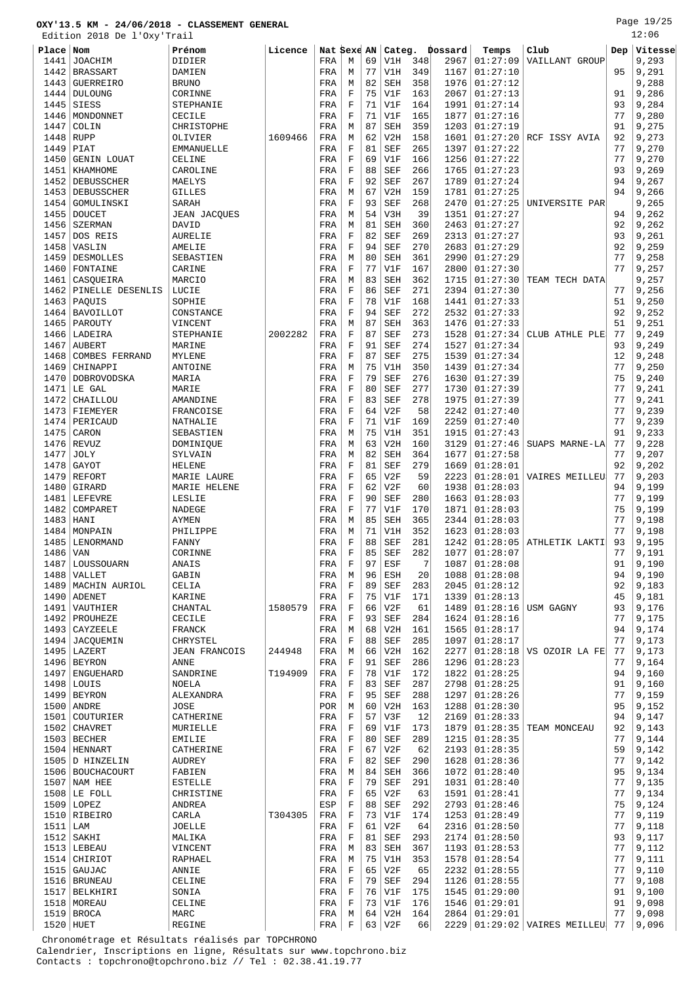Edition 2018 De l'Oxy'Trail

Page 19/25 12:06

|             | Edition 2018 De l'Oxy Trail |                      |         |             |             |    |            |     |         |          |                                           |     | ⊥∠ ∙∪∪  |
|-------------|-----------------------------|----------------------|---------|-------------|-------------|----|------------|-----|---------|----------|-------------------------------------------|-----|---------|
| Place       | Nom                         | Prénom               | Licence | Nat Sexe AN |             |    | Categ.     |     | Dossard | Temps    | Club                                      | Dep | Vitesse |
| 1441        | <b>JOACHIM</b>              | DIDIER               |         | FRA         | М           | 69 | V1H        | 348 | 2967    | 01:27:09 | VAILLANT GROUP                            |     | 9,293   |
| 1442        | <b>BRASSART</b>             | DAMIEN               |         | FRA         | М           | 77 | V1H        | 349 | 1167    | 01:27:10 |                                           | 95  | 9,291   |
| 1443        | <b>GUERREIRO</b>            | <b>BRUNO</b>         |         |             |             | 82 | <b>SEH</b> | 358 | 1976    | 01:27:12 |                                           |     | 9,288   |
|             |                             |                      |         | FRA         | М           |    |            |     |         |          |                                           |     |         |
| 1444        | DULOUNG                     | CORINNE              |         | FRA         | F           | 75 | V1F        | 163 | 2067    | 01:27:13 |                                           | 91  | 9,286   |
| 1445        | <b>SIESS</b>                | STEPHANIE            |         | FRA         | F           | 71 | V1F        | 164 | 1991    | 01:27:14 |                                           | 93  | 9,284   |
| 1446        | MONDONNET                   | CECILE               |         | FRA         | F           | 71 | V1F        | 165 | 1877    | 01:27:16 |                                           | 77  | 9,280   |
| 1447        | COLIN                       | CHRISTOPHE           |         | FRA         | M           | 87 | <b>SEH</b> | 359 | 1203    | 01:27:19 |                                           | 91  | 9,275   |
| 1448        | <b>RUPP</b>                 | OLIVIER              | 1609466 | FRA         | М           | 62 | V2H        | 158 | 1601    | 01:27:20 | RCF ISSY AVIA                             | 92  | 9,273   |
| 1449        | PIAT                        | <b>EMMANUELLE</b>    |         | FRA         | F           | 81 | <b>SEF</b> | 265 | 1397    | 01:27:22 |                                           | 77  | 9,270   |
| 1450        | <b>GENIN LOUAT</b>          | CELINE               |         |             | $\mathbf F$ | 69 | V1F        | 166 | 1256    | 01:27:22 |                                           | 77  | 9,270   |
|             |                             |                      |         | FRA         |             |    |            |     |         |          |                                           |     |         |
| 1451        | KHAMHOME                    | CAROLINE             |         | FRA         | F           | 88 | <b>SEF</b> | 266 | 1765    | 01:27:23 |                                           | 93  | 9,269   |
| 1452        | DEBUSSCHER                  | MAELYS               |         | FRA         | $\mathbf F$ | 92 | <b>SEF</b> | 267 | 1789    | 01:27:24 |                                           | 94  | 9,267   |
| 1453        | <b>DEBUSSCHER</b>           | <b>GILLES</b>        |         | FRA         | M           | 67 | V2H        | 159 | 1781    | 01:27:25 |                                           | 94  | 9,266   |
| 1454        | GOMULINSKI                  | SARAH                |         | FRA         | $\mathbf F$ | 93 | <b>SEF</b> | 268 | 2470    | 01:27:25 | UNIVERSITE PAR                            |     | 9,265   |
| 1455        | <b>DOUCET</b>               | <b>JEAN JACQUES</b>  |         | FRA         | M           | 54 | V3H        | 39  | 1351    | 01:27:27 |                                           | 94  | 9,262   |
| 1456        | <b>SZERMAN</b>              | DAVID                |         | FRA         | M           | 81 | <b>SEH</b> | 360 | 2463    | 01:27:27 |                                           | 92  |         |
|             |                             |                      |         |             |             |    |            |     |         |          |                                           |     | 9,262   |
| 1457        | DOS REIS                    | <b>AURELIE</b>       |         | FRA         | F           | 82 | <b>SEF</b> | 269 | 2313    | 01:27:27 |                                           | 93  | 9,261   |
| 1458        | VASLIN                      | AMELIE               |         | FRA         | $\mathbf F$ | 94 | <b>SEF</b> | 270 | 2683    | 01:27:29 |                                           | 92  | 9,259   |
| 1459        | DESMOLLES                   | SEBASTIEN            |         | FRA         | М           | 80 | SEH        | 361 | 2990    | 01:27:29 |                                           | 77  | 9,258   |
| 1460        | FONTAINE                    | CARINE               |         | FRA         | F           | 77 | V1F        | 167 | 2800    | 01:27:30 |                                           | 77  | 9,257   |
| 1461        | CASOUEIRA                   | MARCIO               |         | FRA         | М           | 83 | SEH        | 362 | 1715    | 01:27:30 | TEAM TECH DATA                            |     | 9,257   |
| 1462        | PINELLE DESENLIS            | LUCIE                |         | FRA         | F           | 86 | <b>SEF</b> | 271 | 2394    | 01:27:30 |                                           | 77  | 9,256   |
|             |                             |                      |         |             |             |    |            |     |         |          |                                           |     |         |
| 1463        | PAOUIS                      | SOPHIE               |         | FRA         | $\rm F$     | 78 | V1F        | 168 | 1441    | 01:27:33 |                                           | 51  | 9,250   |
| 1464        | <b>BAVOILLOT</b>            | CONSTANCE            |         | FRA         | F           | 94 | <b>SEF</b> | 272 | 2532    | 01:27:33 |                                           | 92  | 9,252   |
| 1465        | PAROUTY                     | VINCENT              |         | FRA         | M           | 87 | SEH        | 363 | 1476    | 01:27:33 |                                           | 51  | 9,251   |
| 1466        | LADEIRA                     | STEPHANIE            | 2002282 | FRA         | $\mathbf F$ | 87 | <b>SEF</b> | 273 | 1528    | 01:27:34 | CLUB ATHLE PLE                            | 77  | 9,249   |
| 1467        | <b>AUBERT</b>               | MARINE               |         | FRA         | F           | 91 | <b>SEF</b> | 274 | 1527    | 01:27:34 |                                           | 93  | 9,249   |
| 1468        | <b>COMBES FERRAND</b>       | <b>MYLENE</b>        |         | FRA         | $\mathbf F$ | 87 | <b>SEF</b> | 275 | 1539    | 01:27:34 |                                           | 12  | 9,248   |
| 1469        | CHINAPPI                    | ANTOINE              |         | FRA         | М           | 75 | V1H        | 350 | 1439    | 01:27:34 |                                           | 77  | 9,250   |
|             |                             |                      |         |             |             |    |            |     |         |          |                                           |     |         |
| 1470        | <b>DOBROVODSKA</b>          | MARIA                |         | FRA         | $\mathbf F$ | 79 | <b>SEF</b> | 276 | 1630    | 01:27:39 |                                           | 75  | 9,240   |
| 1471        | LE GAL                      | MARIE                |         | FRA         | F           | 80 | SEF        | 277 | 1730    | 01:27:39 |                                           | 77  | 9,241   |
| 1472        | CHAILLOU                    | AMANDINE             |         | FRA         | $\mathbf F$ | 83 | <b>SEF</b> | 278 | 1975    | 01:27:39 |                                           | 77  | 9,241   |
| 1473        | FIEMEYER                    | FRANCOISE            |         | FRA         | F           | 64 | V2F        | 58  | 2242    | 01:27:40 |                                           | 77  | 9,239   |
| 1474        | PERICAUD                    | NATHALIE             |         | FRA         | $\mathbf F$ | 71 | V1F        | 169 | 2259    | 01:27:40 |                                           | 77  | 9,239   |
| 1475        | CARON                       | SEBASTIEN            |         | FRA         | М           | 75 | V1H        | 351 | 1915    | 01:27:43 |                                           | 91  | 9,233   |
|             |                             |                      |         |             |             |    |            |     |         |          |                                           | 77  | 9,228   |
| 1476        | REVUZ                       | DOMINIQUE            |         | FRA         | M           | 63 | V2H        | 160 | 3129    | 01:27:46 | SUAPS MARNE-LA                            |     |         |
| 1477        | <b>JOLY</b>                 | SYLVAIN              |         | FRA         | М           | 82 | <b>SEH</b> | 364 | 1677    | 01:27:58 |                                           | 77  | 9,207   |
| 1478        | GAYOT                       | <b>HELENE</b>        |         | FRA         | F           | 81 | <b>SEF</b> | 279 | 1669    | 01:28:01 |                                           | 92  | 9,202   |
| 1479        | <b>REFORT</b>               | MARIE LAURE          |         | FRA         | $\mathbf F$ | 65 | V2F        | 59  | 2223    | 01:28:01 | VAIRES MEILLEU                            | 77  | 9,203   |
| 1480        | GIRARD                      | MARIE HELENE         |         | FRA         | F           | 62 | V2F        | 60  | 1938    | 01:28:03 |                                           | 94  | 9,199   |
| 1481        | LEFEVRE                     | LESLIE               |         | FRA         | $\rm F$     | 90 | <b>SEF</b> | 280 | 1663    | 01:28:03 |                                           | 77  | 9,199   |
| 1482        | COMPARET                    | NADEGE               |         | FRA         | F           | 77 | V1F        | 170 | 1871    | 01:28:03 |                                           | 75  | 9,199   |
| 1483        |                             |                      |         |             | М           | 85 | <b>SEH</b> | 365 | 2344    |          |                                           | 77  |         |
|             | HANI                        | AYMEN                |         | FRA         |             |    |            |     |         | 01:28:03 |                                           |     | 9,198   |
| 1484        | MONPAIN                     | PHILIPPE             |         | FRA         | М           | 71 | V1H        | 352 | 1623    | 01:28:03 |                                           | 77  | 9,198   |
| 1485        | LENORMAND                   | FANNY                |         | FRA         | F           | 88 | <b>SEF</b> | 281 | 1242    | 01:28:05 | ATHLETIK LAKTI                            | 93  | 9,195   |
| 1486        | VAN                         | CORINNE              |         | FRA         | $\mathbf F$ | 85 | <b>SEF</b> | 282 | 1077    | 01:28:07 |                                           | 77  | 9,191   |
| 1487        | LOUSSOUARN                  | ANAIS                |         | FRA         | F           | 97 | ESF        | 7   | 1087    | 01:28:08 |                                           | 91  | 9,190   |
| 1488        | VALLET                      | GABIN                |         | FRA         | М           | 96 | ESH        | 20  | 1088    | 01:28:08 |                                           | 94  | 9,190   |
| 1489        | MACHIN AURIOL               | CELIA                |         | FRA         | F           | 89 | <b>SEF</b> | 283 | 2045    | 01:28:12 |                                           | 92  | 9,183   |
| 1490        | ADENET                      | KARINE               |         | FRA         | F           | 75 | V1F        | 171 | 1339    | 01:28:13 |                                           | 45  | 9,181   |
|             |                             |                      |         |             |             |    |            |     |         |          |                                           |     |         |
| 1491        | VAUTHIER                    | CHANTAL              | 1580579 | FRA         | F           | 66 | V2F        | 61  | 1489    | 01:28:16 | USM GAGNY                                 | 93  | 9,176   |
| 1492        | PROUHEZE                    | CECILE               |         | FRA         | F           | 93 | <b>SEF</b> | 284 | 1624    | 01:28:16 |                                           | 77  | 9,175   |
|             | 1493 CAYZEELE               | FRANCK               |         | FRA         | М           | 68 | V2H        | 161 | 1565    | 01:28:17 |                                           | 94  | 9,174   |
| 1494        | JACQUEMIN                   | CHRYSTEL             |         | FRA         | F           | 88 | <b>SEF</b> | 285 | 1097    | 01:28:17 |                                           | 77  | 9,173   |
|             | 1495 LAZERT                 | <b>JEAN FRANCOIS</b> | 244948  | FRA         | М           | 66 | V2H        | 162 | 2277    | 01:28:18 | VS OZOIR LA FE                            | 77  | 9,173   |
| 1496        | <b>BEYRON</b>               | ANNE                 |         | FRA         | F           | 91 | <b>SEF</b> | 286 | 1296    | 01:28:23 |                                           | 77  | 9,164   |
| 1497        | <b>ENGUEHARD</b>            | SANDRINE             | T194909 | FRA         | $\mathbf F$ | 78 | V1F        | 172 | 1822    | 01:28:25 |                                           | 94  | 9,160   |
|             | $1498$ LOUIS                | <b>NOELA</b>         |         |             | F           | 83 | <b>SEF</b> |     | 2798    | 01:28:25 |                                           | 91  | 9,160   |
|             |                             |                      |         | FRA         |             |    |            | 287 |         |          |                                           |     |         |
|             | 1499 BEYRON                 | ALEXANDRA            |         | FRA         | $\mathbf F$ | 95 | <b>SEF</b> | 288 | 1297    | 01:28:26 |                                           | 77  | 9,159   |
|             | $1500$ ANDRE                | JOSE                 |         | POR         | М           | 60 | V2H        | 163 | 1288    | 01:28:30 |                                           | 95  | 9,152   |
| 1501        | COUTURIER                   | CATHERINE            |         | FRA         | F           | 57 | V3F        | 12  | 2169    | 01:28:33 |                                           | 94  | 9,147   |
|             | 1502 CHAVRET                | MURIELLE             |         | FRA         | $\mathbf F$ | 69 | V1F        | 173 | 1879    | 01:28:35 | TEAM MONCEAU                              | 92  | 9,143   |
|             | 1503 BECHER                 | <b>EMILIE</b>        |         | FRA         | F           | 80 | <b>SEF</b> | 289 | 1215    | 01:28:35 |                                           | 77  | 9,144   |
|             | 1504   HENNART              | CATHERINE            |         | FRA         | $\mathbf F$ | 67 | V2F        | 62  | 2193    | 01:28:35 |                                           | 59  | 9,142   |
|             |                             |                      |         |             |             |    |            |     |         |          |                                           |     |         |
|             | 1505 D HINZELIN             | <b>AUDREY</b>        |         | FRA         | F           | 82 | <b>SEF</b> | 290 | 1628    | 01:28:36 |                                           | 77  | 9,142   |
|             | 1506 BOUCHACOURT            | FABIEN               |         | FRA         | М           | 84 | <b>SEH</b> | 366 | 1072    | 01:28:40 |                                           | 95  | 9,134   |
|             | 1507 NAM HEE                | <b>ESTELLE</b>       |         | FRA         | F           | 79 | <b>SEF</b> | 291 | 1031    | 01:28:40 |                                           | 77  | 9,135   |
|             | 1508 LE FOLL                | CHRISTINE            |         | FRA         | F           | 65 | V2F        | 63  | 1591    | 01:28:41 |                                           | 77  | 9,134   |
|             | $1509$ LOPEZ                | ANDREA               |         | ESP         | $\mathbf F$ | 88 | SEF        | 292 | 2793    | 01:28:46 |                                           | 75  | 9,124   |
| 1510        | RIBEIRO                     | CARLA                | T304305 | FRA         | F           | 73 | V1F        | 174 | 1253    | 01:28:49 |                                           | 77  | 9,119   |
| $1511$ LAM  |                             | <b>JOELLE</b>        |         | FRA         | $\mathbf F$ | 61 | V2F        | 64  | 2316    | 01:28:50 |                                           | 77  | 9,118   |
|             |                             |                      |         |             |             |    |            |     |         |          |                                           |     |         |
|             | $1512$ SAKHI                | MALIKA               |         | FRA         | F           | 81 | SEF        | 293 | 2174    | 01:28:50 |                                           | 93  | 9,117   |
|             | 1513 LEBEAU                 | VINCENT              |         | FRA         | М           | 83 | <b>SEH</b> | 367 | 1193    | 01:28:53 |                                           | 77  | 9,112   |
|             | 1514 CHIRIOT                | RAPHAEL              |         | FRA         | М           | 75 | V1H        | 353 | 1578    | 01:28:54 |                                           | 77  | 9,111   |
|             | 1515 GAUJAC                 | ANNIE                |         | FRA         | F           | 65 | V2F        | 65  | 2232    | 01:28:55 |                                           | 77  | 9,110   |
|             | 1516   BRUNEAU              | CELINE               |         | FRA         | F           | 79 | <b>SEF</b> | 294 | 1126    | 01:28:55 |                                           | 77  | 9,108   |
|             | 1517 BELKHIRI               | SONIA                |         | FRA         | F           | 76 | V1F        | 175 | 1545    | 01:29:00 |                                           | 91  | 9,100   |
|             | 1518   MOREAU               | CELINE               |         | FRA         | F           | 73 | V1F        | 176 | 1546    | 01:29:01 |                                           | 91  | 9,098   |
|             |                             |                      |         |             |             |    |            |     |         |          |                                           |     |         |
| 1519        | <b>BROCA</b>                | MARC                 |         | FRA         | М           | 64 | V2H        | 164 | 2864    | 01:29:01 |                                           | 77  | 9,098   |
| $1520$ HUET |                             | REGINE               |         | FRA         | F           |    | $63$ V2F   | 66  |         |          | $2229   01:29:02   \text{VAIRES MEILLEU}$ | 77  | 9,096   |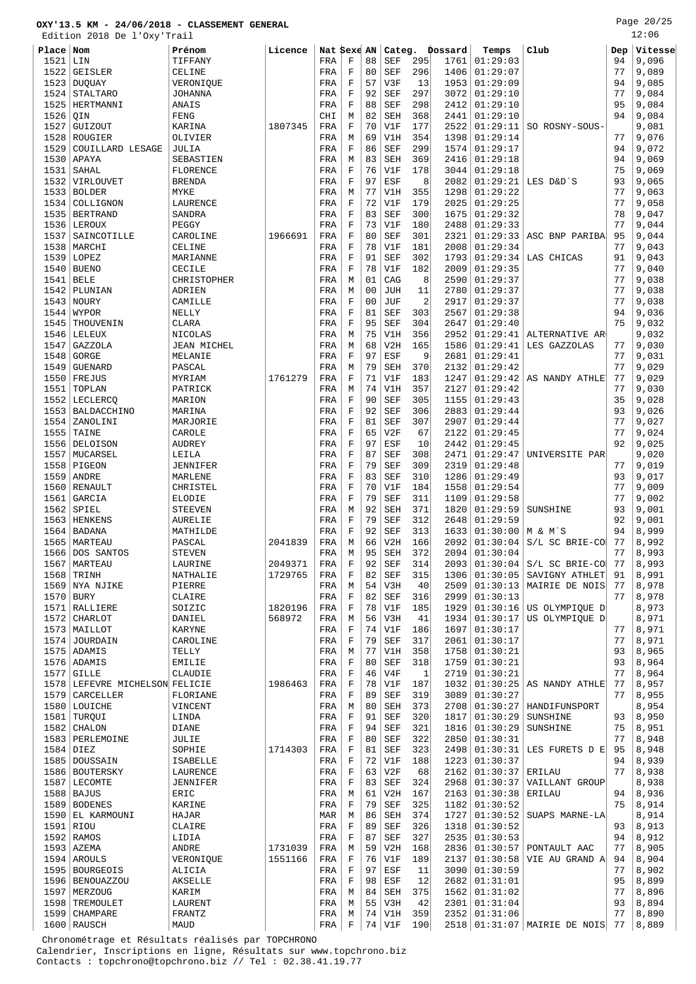Edition 2018 De l'Oxy'Trail

Page 20/25 12:06

| rui         | II RATO DE TANX           |                    |         |             |                    |                |            |                |         |          |                 |     |         |
|-------------|---------------------------|--------------------|---------|-------------|--------------------|----------------|------------|----------------|---------|----------|-----------------|-----|---------|
| Place Nom   |                           | Prénom             | Licence | Nat Sexe AN |                    |                | Categ.     |                | Dossard | Temps    | Club            | Dep | Vitesse |
| 1521        | LIN                       | TIFFANY            |         | FRA         | F                  | 88             | <b>SEF</b> | 295            | 1761    | 01:29:03 |                 | 94  | 9,096   |
| 1522        | <b>GEISLER</b>            | CELINE             |         | FRA         | $\mathbf F$        | 80             | <b>SEF</b> | 296            | 1406    | 01:29:07 |                 | 77  | 9,089   |
| 1523        | <b>DUQUAY</b>             | VERONIQUE          |         | FRA         | $\mathbf F$        | 57             | V3F        | 13             | 1953    | 01:29:09 |                 | 94  | 9,085   |
|             |                           |                    |         |             |                    |                |            |                |         |          |                 | 77  | 9,084   |
| 1524        | STALTARO                  | <b>JOHANNA</b>     |         | FRA         | F                  | 92             | <b>SEF</b> | 297            | 3072    | 01:29:10 |                 |     |         |
| 1525        | <b>HERTMANNI</b>          | ANAIS              |         | FRA         | $\mathbf F$        | 88             | <b>SEF</b> | 298            | 2412    | 01:29:10 |                 | 95  | 9,084   |
| 1526        | OIN                       | FENG               |         | CHI         | M                  | 82             | <b>SEH</b> | 368            | 2441    | 01:29:10 |                 | 94  | 9,084   |
| 1527        | GUIZOUT                   | KARINA             | 1807345 | FRA         | $\mathbf F$        | 70             | V1F        | 177            | 2522    | 01:29:11 | SO ROSNY-SOUS-  |     | 9,081   |
| 1528        | ROUGIER                   | OLIVIER            |         | FRA         | M                  | 69             | V1H        | 354            | 1398    | 01:29:14 |                 | 77  | 9,076   |
| 1529        | COUILLARD LESAGE          | JULIA              |         | FRA         | $\mathbf F$        | 86             | <b>SEF</b> | 299            | 1574    | 01:29:17 |                 | 94  | 9,072   |
| 1530        | APAYA                     | SEBASTIEN          |         | FRA         | M                  | 83             | <b>SEH</b> | 369            | 2416    | 01:29:18 |                 | 94  | 9,069   |
| 1531        | SAHAL                     | FLORENCE           |         | FRA         | $\mathbf F$        | 76             | V1F        | 178            | 3044    | 01:29:18 |                 | 75  | 9,069   |
|             | VIRLOUVET                 |                    |         |             | $\mathbf F$        | 97             |            | 8              | 2082    | 01:29:21 |                 |     |         |
| 1532        |                           | <b>BRENDA</b>      |         | FRA         |                    |                | ESF        |                |         |          | LES D&D`S       | 93  | 9,065   |
| 1533        | <b>BOLDER</b>             | MYKE               |         | FRA         | M                  | 77             | V1H        | 355            | 1298    | 01:29:22 |                 | 77  | 9,063   |
| 1534        | COLLIGNON                 | LAURENCE           |         | FRA         | $\mathbf F$        | 72             | V1F        | 179            | 2025    | 01:29:25 |                 | 77  | 9,058   |
| 1535        | <b>BERTRAND</b>           | SANDRA             |         | FRA         | $\mathbf F$        | 83             | <b>SEF</b> | 300            | 1675    | 01:29:32 |                 | 78  | 9,047   |
| 1536        | LEROUX                    | PEGGY              |         | FRA         | $\mathbf{F}% _{0}$ | 73             | V1F        | 180            | 2488    | 01:29:33 |                 | 77  | 9,044   |
| 1537        | SAINCOTILLE               | CAROLINE           | 1966691 | <b>FRA</b>  | $\mathbf F$        | 80             | <b>SEF</b> | 301            | 2321    | 01:29:33 | ASC BNP PARIBA  | 95  | 9,044   |
| 1538        | MARCHI                    | CELINE             |         | FRA         | $\mathbf F$        | 78             | V1F        | 181            | 2008    | 01:29:34 |                 | 77  | 9,043   |
|             |                           |                    |         |             |                    |                |            |                |         |          |                 |     |         |
| 1539        | LOPEZ                     | MARIANNE           |         | FRA         | $\mathbf F$        | 91             | <b>SEF</b> | 302            | 1793    | 01:29:34 | LAS CHICAS      | 91  | 9,043   |
| 1540        | <b>BUENO</b>              | CECILE             |         | FRA         | $\mathbf F$        | 78             | V1F        | 182            | 2009    | 01:29:35 |                 | 77  | 9,040   |
| 1541        | <b>BELE</b>               | CHRISTOPHER        |         | FRA         | М                  | 01             | CAG        | 8              | 2590    | 01:29:37 |                 | 77  | 9,038   |
| 1542        | PLUNIAN                   | ADRIEN             |         | FRA         | М                  | 0 <sub>0</sub> | <b>JUH</b> | 11             | 2780    | 01:29:37 |                 | 77  | 9,038   |
| 1543        | NOURY                     | CAMILLE            |         | FRA         | $\mathbf F$        | 0 <sub>0</sub> | JUF        | $\overline{2}$ | 2917    | 01:29:37 |                 | 77  | 9,038   |
| 1544        | WYPOR                     | NELLY              |         | FRA         | $\mathbf{F}% _{0}$ | 81             | <b>SEF</b> | 303            | 2567    | 01:29:38 |                 | 94  | 9,036   |
|             |                           |                    |         |             | $\mathbf F$        | 95             |            |                |         |          |                 | 75  |         |
| 1545        | THOUVENIN                 | CLARA              |         | FRA         |                    |                | <b>SEF</b> | 304            | 2647    | 01:29:40 |                 |     | 9,032   |
| 1546        | <b>LELEUX</b>             | NICOLAS            |         | FRA         | М                  | 75             | V1H        | 356            | 2952    | 01:29:41 | ALTERNATIVE AR  |     | 9,032   |
| 1547        | GAZZOLA                   | <b>JEAN MICHEL</b> |         | FRA         | М                  | 68             | V2H        | 165            | 1586    | 01:29:41 | LES GAZZOLAS    | 77  | 9,030   |
| 1548        | GORGE                     | MELANIE            |         | FRA         | $\mathbf F$        | 97             | ESF        | 9              | 2681    | 01:29:41 |                 | 77  | 9,031   |
| 1549        | <b>GUENARD</b>            | PASCAL             |         | FRA         | М                  | 79             | SEH        | 370            | 2132    | 01:29:42 |                 | 77  | 9,029   |
| 1550        | FREJUS                    | MYRIAM             | 1761279 | FRA         | $\mathbf F$        | 71             | V1F        | 183            | 1247    | 01:29:42 | AS NANDY ATHLET | 77  | 9,029   |
| 1551        | TOPLAN                    | PATRICK            |         | FRA         | М                  | 74             | V1H        | 357            | 2127    | 01:29:42 |                 | 77  | 9,030   |
|             |                           |                    |         |             |                    |                |            |                |         |          |                 |     |         |
| 1552        | LECLERCQ                  | MARION             |         | FRA         | $\mathbf F$        | 90             | <b>SEF</b> | 305            | 1155    | 01:29:43 |                 | 35  | 9,028   |
| 1553        | <b>BALDACCHINO</b>        | MARINA             |         | FRA         | $\mathbf F$        | 92             | <b>SEF</b> | 306            | 2883    | 01:29:44 |                 | 93  | 9,026   |
| 1554        | ZANOLINI                  | MARJORIE           |         | FRA         | $\mathbf F$        | 81             | <b>SEF</b> | 307            | 2907    | 01:29:44 |                 | 77  | 9,027   |
| 1555        | TAINE                     | CAROLE             |         | FRA         | F                  | 65             | V2F        | 67             | 2122    | 01:29:45 |                 | 77  | 9,024   |
| 1556        | DELOISON                  | <b>AUDREY</b>      |         | FRA         | $\mathbf F$        | 97             | ESF        | 10             | 2442    | 01:29:45 |                 | 92  | 9,025   |
| 1557        | MUCARSEL                  | LEILA              |         | FRA         | $\mathbf F$        | 87             | <b>SEF</b> | 308            | 2471    | 01:29:47 | UNIVERSITE PAR  |     | 9,020   |
| 1558        | PIGEON                    | <b>JENNIFER</b>    |         | FRA         | $\mathbf F$        | 79             | <b>SEF</b> | 309            | 2319    | 01:29:48 |                 | 77  | 9,019   |
|             |                           |                    |         |             |                    |                |            |                |         |          |                 |     |         |
| 1559        | ANDRE                     | MARLENE            |         | FRA         | F                  | 83             | <b>SEF</b> | 310            | 1286    | 01:29:49 |                 | 93  | 9,017   |
| 1560        | RENAULT                   | CHRISTEL           |         | FRA         | $\mathbf F$        | 70             | V1F        | 184            | 1558    | 01:29:54 |                 | 77  | 9,009   |
| 1561        | GARCIA                    | ELODIE             |         | FRA         | $\mathbf F$        | 79             | <b>SEF</b> | 311            | 1109    | 01:29:58 |                 | 77  | 9,002   |
| 1562        | SPIEL                     | <b>STEEVEN</b>     |         | FRA         | М                  | 92             | <b>SEH</b> | 371            | 1820    | 01:29:59 | SUNSHINE        | 93  | 9,001   |
| 1563        | <b>HENKENS</b>            | <b>AURELIE</b>     |         | FRA         | F                  | 79             | <b>SEF</b> | 312            | 2648    | 01:29:59 |                 | 92  | 9,001   |
| 1564        | <b>BADANA</b>             | MATHILDE           |         | FRA         | $\mathbf F$        | 92             | <b>SEF</b> | 313            | 1633    | 01:30:00 | M & M`S         | 94  | 8,999   |
| 1565        | MARTEAU                   | PASCAL             | 2041839 | FRA         | М                  | 66             | V2H        | 166            | 2092    | 01:30:04 | S/L SC BRIE-CO  | 77  | 8,992   |
|             |                           |                    |         |             |                    |                |            |                |         |          |                 |     |         |
| 1566        | DOS SANTOS                | <b>STEVEN</b>      |         | FRA         | М                  | 95             | <b>SEH</b> | 372            | 2094    | 01:30:04 |                 | 77  | 8,993   |
| 1567        | MARTEAU                   | LAURINE            | 2049371 | FRA         | F                  | 92             | SEF        | 314            | 2093    | 01:30:04 | S/L SC BRIE-CO  | 77  | 8,993   |
| 1568        | TRINH                     | NATHALIE           | 1729765 | FRA         | $\mathbf F$        | 82             | <b>SEF</b> | 315            | 1306    | 01:30:05 | SAVIGNY ATHLET  | 91  | 8,991   |
| 1569        | NYA NJIKE                 | PIERRE             |         | FRA         | M                  | 54             | V3H        | 40             | 2509    | 01:30:13 | MAIRIE DE NOIS  | 77  | 8,978   |
| 1570        | <b>BURY</b>               | CLAIRE             |         | FRA         | $\mathbf F$        | 82             | <b>SEF</b> | 316            | 2999    | 01:30:13 |                 | 77  | 8,978   |
| 1571        | RALLIERE                  | SOIZIC             | 1820196 | FRA         | F                  | 78             | V1F        | 185            | 1929    | 01:30:16 | US OLYMPIQUE D  |     | 8,973   |
| 1572        | CHARLOT                   | DANIEL             | 568972  | FRA         | М                  | 56             | V3H        | 41             | 1934    | 01:30:17 | US OLYMPIOUE D  |     | 8,971   |
| 1573        |                           |                    |         |             | F                  | 74             |            |                |         |          |                 | 77  |         |
|             | MAILLOT                   | KARYNE             |         | FRA         |                    |                | V1F        | 186            | 1697    | 01:30:17 |                 |     | 8,971   |
| 1574        | JOURDAIN                  | CAROLINE           |         | FRA         | $\mathbf F$        | 79             | <b>SEF</b> | 317            | 2061    | 01:30:17 |                 | 77  | 8,971   |
|             | 1575 ADAMIS               | TELLY              |         | FRA         | М                  | 77             | V1H        | 358            | 1758    | 01:30:21 |                 | 93  | 8,965   |
| 1576        | ADAMIS                    | <b>EMILIE</b>      |         | FRA         | F                  | 80             | <b>SEF</b> | 318            | 1759    | 01:30:21 |                 | 93  | 8,964   |
| 1577        | <b>GILLE</b>              | CLAUDIE            |         | FRA         | $\mathbf F$        | 46             | V4F        | $\mathbf{1}$   | 2719    | 01:30:21 |                 | 77  | 8,964   |
| 1578        | LEFEVRE MICHELSON FELICIE |                    | 1986463 | FRA         | $\mathbf F$        | 78             | V1F        | 187            | 1032    | 01:30:25 | AS NANDY ATHLE  | 77  | 8,957   |
| 1579        | CARCELLER                 | FLORIANE           |         | FRA         | $\mathbf F$        | 89             | <b>SEF</b> | 319            | 3089    | 01:30:27 |                 | 77  | 8,955   |
| 1580        | LOUICHE                   |                    |         |             | М                  | 80             | <b>SEH</b> | 373            | 2708    | 01:30:27 |                 |     | 8,954   |
|             |                           | VINCENT            |         | FRA         |                    |                |            |                |         |          | HANDIFUNSPORT   |     |         |
| 1581        | TURQUI                    | LINDA              |         | FRA         | F                  | 91             | <b>SEF</b> | 320            | 1817    | 01:30:29 | SUNSHINE        | 93  | 8,950   |
| 1582        | CHALON                    | DIANE              |         | FRA         | $\mathbf F$        | 94             | <b>SEF</b> | 321            | 1816    | 01:30:29 | SUNSHINE        | 75  | 8,951   |
| 1583        | PERLEMOINE                | JULIE              |         | FRA         | $\mathbf F$        | 80             | <b>SEF</b> | 322            | 2850    | 01:30:31 |                 | 77  | 8,948   |
| 1584        | DIEZ                      | SOPHIE             | 1714303 | FRA         | $\mathbf F$        | 81             | <b>SEF</b> | 323            | 2498    | 01:30:31 | LES FURETS D E  | 95  | 8,948   |
| 1585        | DOUSSAIN                  | ISABELLE           |         | FRA         | F                  | 72             | V1F        | 188            | 1223    | 01:30:37 |                 | 94  | 8,939   |
| 1586        | BOUTERSKY                 | LAURENCE           |         | FRA         | $\mathbf F$        | 63             | V2F        | 68             | 2162    | 01:30:37 | ERILAU          | 77  | 8,938   |
|             |                           |                    |         |             |                    |                |            |                |         |          |                 |     |         |
| 1587        | LECOMTE                   | JENNIFER           |         | FRA         | F                  | 83             | SEF        | 324            | 2968    | 01:30:37 | VAILLANT GROUP  |     | 8,938   |
| 1588        | <b>BAJUS</b>              | ERIC               |         | FRA         | М                  | 61             | V2H        | 167            | 2163    | 01:30:38 | ERILAU          | 94  | 8,936   |
| 1589        | <b>BODENES</b>            | KARINE             |         | FRA         | F                  | 79             | <b>SEF</b> | 325            | 1182    | 01:30:52 |                 | 75  | 8,914   |
| 1590        | EL KARMOUNI               | HAJAR              |         | MAR         | М                  | 86             | <b>SEH</b> | 374            | 1727    | 01:30:52 | SUAPS MARNE-LA  |     | 8,914   |
| $1591$ RIOU |                           | CLAIRE             |         | FRA         | $\mathbf F$        | 89             | SEF        | 326            | 1318    | 01:30:52 |                 | 93  | 8,913   |
| 1592        | RAMOS                     | LIDIA              |         | FRA         | $\mathbf F$        | 87             | <b>SEF</b> | 327            | 2535    | 01:30:53 |                 | 94  | 8,912   |
| 1593        | AZEMA                     | ANDRE              | 1731039 | FRA         | М                  | 59             | V2H        | 168            | 2836    | 01:30:57 | PONTAULT AAC    | 77  | 8,905   |
|             |                           |                    |         |             |                    |                |            |                |         |          |                 |     |         |
| 1594        | AROULS                    | VERONIQUE          | 1551166 | FRA         | F                  | 76             | V1F        | 189            | 2137    | 01:30:58 | VIE AU GRAND A  | 94  | 8,904   |
| 1595        | <b>BOURGEOIS</b>          | ALICIA             |         | FRA         | $\mathbf F$        | 97             | ESF        | 11             | 3090    | 01:30:59 |                 | 77  | 8,902   |
| 1596        | <b>BENOUAZZOU</b>         | AKSELLE            |         | FRA         | F                  | 98             | ESF        | 12             | 2682    | 01:31:01 |                 | 95  | 8,899   |
| 1597        | MERZOUG                   | KARIM              |         | FRA         | М                  | 84             | <b>SEH</b> | 375            | 1562    | 01:31:02 |                 | 77  | 8,896   |
| 1598        | TREMOULET                 | LAURENT            |         | FRA         | М                  | 55             | V3H        | 42             | 2301    | 01:31:04 |                 | 93  | 8,894   |
| 1599        | CHAMPARE                  | FRANTZ             |         | FRA         | М                  | 74             | V1H        | 359            | 2352    | 01:31:06 |                 | 77  | 8,890   |
|             |                           |                    |         |             |                    |                |            |                |         |          |                 |     |         |

1600 RAUSCH MAUD HAUD FRA F 74 V1F 190 2518 01:31:07 MAIRIE DE NOIS 77 8,889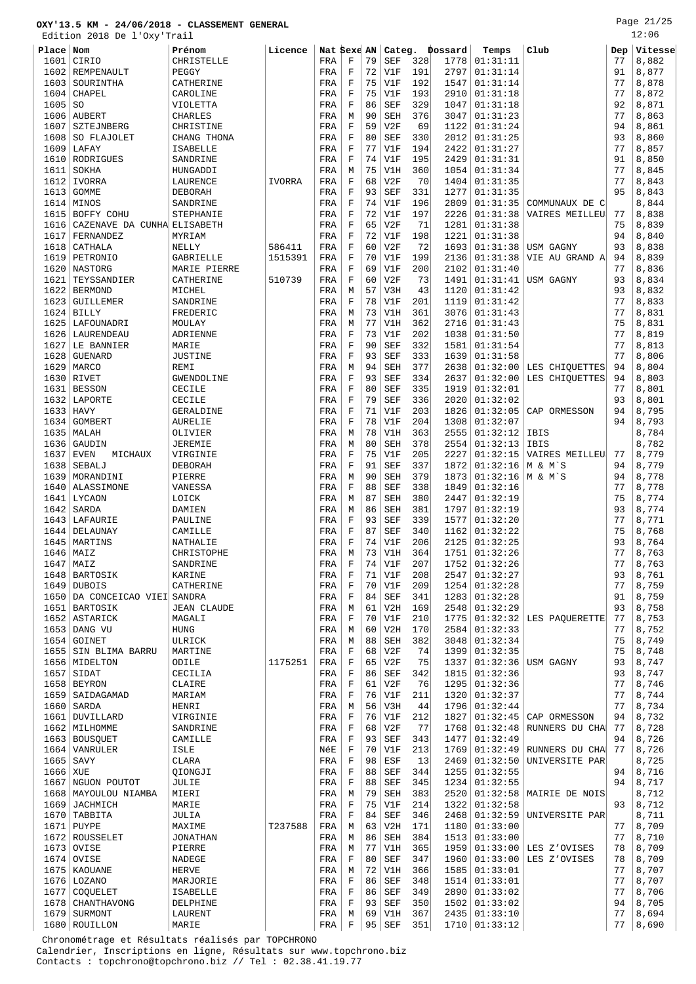Page 21/25

|              | Edition 2018 De l'Oxy'Trail      |                      |         |             |             |          |                   |            |              |                      |                           |          | 12:06          |
|--------------|----------------------------------|----------------------|---------|-------------|-------------|----------|-------------------|------------|--------------|----------------------|---------------------------|----------|----------------|
| Place Nom    |                                  | Prénom               | Licence | Nat Sexe AN |             |          | Categ.            |            | Dossard      | Temps                | Club                      | Dep      | Vitesse        |
| 1601         | CIRIO                            | CHRISTELLE           |         | FRA         | F           | 79       | <b>SEF</b>        | 328        | 1778         | 01:31:11             |                           | 77       | 8,882          |
|              | 1602 REMPENAULT                  | PEGGY                |         | FRA         | F           | 72       | V1F               | 191        | 2797         | 01:31:14             |                           | 91       | 8,877          |
| 1603         | SOURINTHA                        | CATHERINE            |         | FRA         | F           | 75       | V1F               | 192        | 1547         | 01:31:14             |                           | 77       | 8,878          |
| 1604         | CHAPEL                           | CAROLINE             |         | FRA         | $\mathbf F$ | 75       | V1F               | 193        | 2910         | 01:31:18             |                           | 77       | 8,872          |
| 1605         | S0                               | VIOLETTA             |         | FRA         | $\mathbf F$ | 86       | <b>SEF</b>        | 329        | 1047         | 01:31:18             |                           | 92       | 8,871          |
| 1606         | AUBERT                           | <b>CHARLES</b>       |         | FRA         | М           | 90       | <b>SEH</b>        | 376        | 3047         | 01:31:23             |                           | 77       | 8,863          |
| 1607         | SZTEJNBERG                       | CHRISTINE            |         | FRA         | F           | 59       | V2F               | 69         | 1122         | 01:31:24             |                           | 94       | 8,861          |
| 1608         | SO FLAJOLET                      | CHANG THONA          |         | FRA         | F           | 80       | <b>SEF</b>        | 330        | 2012         | 01:31:25             |                           | 93       | 8,860          |
| 1609         | LAFAY<br>RODRIGUES               | <b>ISABELLE</b>      |         | FRA         | $\rm F$     | 77       | V1F               | 194        | 2422         | 01:31:27             |                           | 77       | 8,857          |
| 1610<br>1611 | SOKHA                            | SANDRINE<br>HUNGADDI |         | FRA<br>FRA  | F<br>M      | 74<br>75 | V1F<br>V1H        | 195<br>360 | 2429<br>1054 | 01:31:31<br>01:31:34 |                           | 91<br>77 | 8,850<br>8,845 |
| 1612         | IVORRA                           | LAURENCE             | IVORRA  | FRA         | F           | 68       | V2F               | 70         | 1404         | 01:31:35             |                           | 77       | 8,843          |
| 1613         | <b>GOMME</b>                     | <b>DEBORAH</b>       |         | FRA         | $\mathbf F$ | 93       | <b>SEF</b>        | 331        | 1277         | 01:31:35             |                           | 95       | 8,843          |
| 1614         | MINOS                            | SANDRINE             |         | FRA         | $\mathbf F$ | 74       | V1F               | 196        | 2809         | 01:31:35             | COMMUNAUX DE CI           |          | 8,844          |
| 1615         | BOFFY COHU                       | STEPHANIE            |         | FRA         | F           | 72       | V1F               | 197        | 2226         | 01:31:38             | VAIRES MEILLEU            | 77       | 8,838          |
| 1616         | CAZENAVE DA CUNHA ELISABETH      |                      |         | FRA         | F           | 65       | V2F               | 71         | 1281         | 01:31:38             |                           | 75       | 8,839          |
| 1617         | <b>FERNANDEZ</b>                 | MYRIAM               |         | FRA         | $\mathbf F$ | 72       | V1F               | 198        | 1221         | 01:31:38             |                           | 94       | 8,840          |
| 1618         | CATHALA                          | NELLY                | 586411  | FRA         | $\mathbf F$ | 60       | V2F               | 72         | 1693         | 01:31:38             | USM GAGNY                 | 93       | 8,838          |
| 1619         | PETRONIO                         | <b>GABRIELLE</b>     | 1515391 | FRA         | F           | 70       | V1F               | 199        | 2136         | 01:31:38             | VIE AU GRAND A            | 94       | 8,839          |
| 1620         | NASTORG                          | MARIE PIERRE         |         | FRA         | F           | 69       | V1F               | 200        | 2102         | 01:31:40             |                           | 77       | 8,836          |
| 1621         | TEYSSANDIER                      | CATHERINE            | 510739  | FRA         | $\mathbf F$ | 60       | V2F               | 73         | 1491         | 01:31:41             | USM GAGNY                 | 93       | 8,834          |
| 1622         | <b>BERMOND</b>                   | MICHEL               |         | FRA         | М           | 57       | V3H               | 43         | 1120         | 01:31:42             |                           | 93       | 8,832          |
| 1623         | GUILLEMER                        | SANDRINE             |         | FRA         | F           | 78       | V1F               | 201        | 1119         | 01:31:42             |                           | 77       | 8,833          |
| 1624         | <b>BILLY</b>                     | FREDERIC             |         | FRA         | М           | 73       | V1H               | 361        | 3076         | 01:31:43             |                           | 77       | 8,831          |
| 1625         | LAFOUNADRI                       | MOULAY               |         | FRA         | М           | 77       | V1H               | 362        | 2716         | 01:31:43             |                           | 75       | 8,831          |
| 1626         | LAURENDEAU                       | ADRIENNE             |         | FRA         | F           | 73       | V1F               | 202        | 1038         | 01:31:50             |                           | 77       | 8,819          |
| 1627         | LE BANNIER                       | MARIE                |         | FRA         | F           | 90       | <b>SEF</b>        | 332        | 1581         | 01:31:54             |                           | 77       | 8,813          |
| 1628         | <b>GUENARD</b>                   | JUSTINE              |         | FRA         | F           | 93       | <b>SEF</b>        | 333        | 1639         | 01:31:58             |                           | 77       | 8,806          |
| 1629         | <b>MARCO</b>                     | REMI                 |         | FRA         | М           | 94       | <b>SEH</b>        | 377        | 2638         | 01:32:00             | LES CHIOUETTES            | 94       | 8,804          |
| 1630         | RIVET                            | GWENDOLINE           |         | FRA         | $\mathbf F$ | 93       | <b>SEF</b>        | 334        | 2637         | 01:32:00             | LES CHIQUETTES            | 94       | 8,803          |
| 1631         | <b>BESSON</b>                    | CECILE               |         | FRA         | F           | 80       | <b>SEF</b>        | 335        | 1919         | 01:32:01             |                           | 77       | 8,801          |
| 1632         | LAPORTE                          | CECILE               |         | FRA         | $\mathbf F$ | 79       | <b>SEF</b>        | 336        | 2020         | 01:32:02             |                           | 93       | 8,801          |
| 1633         | <b>HAVY</b>                      | GERALDINE            |         | FRA         | F           | 71       | V1F               | 203        | 1826         | 01:32:05             | CAP ORMESSON              | 94       | 8,795          |
| 1634         | <b>GOMBERT</b>                   | <b>AURELIE</b>       |         | FRA         | $\rm F$     | 78       | V1F               | 204        | 1308         | 01:32:07             |                           | 94       | 8,793          |
| 1635         | MALAH                            | OLIVIER              |         | FRA         | М           | 78       | V1H               | 363        | 2555         | 01:32:12             | IBIS                      |          | 8,784          |
| 1636         | GAUDIN                           | <b>JEREMIE</b>       |         | FRA         | M           | 80       | <b>SEH</b>        | 378        | 2554         | 01:32:13             | IBIS                      |          | 8,782          |
| 1637<br>1638 | <b>EVEN</b><br>MICHAUX<br>SEBALJ | VIRGINIE             |         | FRA         | F<br>F      | 75<br>91 | V1F<br><b>SEF</b> | 205<br>337 | 2227<br>1872 | 01:32:15<br>01:32:16 | VAIRES MEILLEU<br>M & M`S | 77<br>94 | 8,779<br>8,779 |
| 1639         | MORANDINI                        | DEBORAH<br>PIERRE    |         | FRA<br>FRA  | М           | 90       | <b>SEH</b>        | 379        | 1873         | 01:32:16             | M & M`S                   | 94       | 8,778          |
| 1640         | ALASSIMONE                       | VANESSA              |         | FRA         | F           | 88       | <b>SEF</b>        | 338        | 1849         | 01:32:16             |                           | 77       | 8,778          |
| 1641         | <b>LYCAON</b>                    | LOICK                |         | FRA         | М           | 87       | <b>SEH</b>        | 380        | 2447         | 01:32:19             |                           | 75       | 8,774          |
| 1642         | SARDA                            | DAMIEN               |         | FRA         | М           | 86       | <b>SEH</b>        | 381        | 1797         | 01:32:19             |                           | 93       | 8,774          |
|              | 1643   LAFAURIE                  | PAULINE              |         | FRA         | $\mathbf F$ | 93       | <b>SEF</b>        | 339        | 1577         | 01:32:20             |                           | 77       | 8,771          |
| 1644         | DELAUNAY                         | CAMILLE              |         | FRA         | F           | 87       | <b>SEF</b>        | 340        | 1162         | 01:32:22             |                           | 75       | 8,768          |
|              | 1645 MARTINS                     | NATHALIE             |         | FRA         | $\mathbf F$ | 74       | V1F               | 206        | 2125         | 01:32:25             |                           | 93       | 8,764          |
| $1646$ MAIZ  |                                  | CHRISTOPHE           |         | FRA         | М           | 73       | V1H               | 364        |              | 1751   01:32:26      |                           | 77       | 8,763          |
| $1647$ MAIZ  |                                  | SANDRINE             |         | FRA         | $\rm F$     | 74       | V1F               | 207        | 1752         | 01:32:26             |                           | 77       | 8,763          |
|              | 1648   BARTOSIK                  | KARINE               |         | FRA         | F           | 71       | V1F               | 208        | 2547         | 01:32:27             |                           | 93       | 8,761          |
|              | $1649$ DUBOIS                    | CATHERINE            |         | FRA         | F           | 70       | V1F               | 209        | 1254         | 01:32:28             |                           | 77       | 8,759          |
|              | 1650   DA CONCEICAO VIEI SANDRA  |                      |         | FRA         | F           | 84       | SEF               | 341        | 1283         | 01:32:28             |                           | 91       | 8,759          |
|              | 1651   BARTOSIK                  | <b>JEAN CLAUDE</b>   |         | FRA         | М           | 61       | V2H               | 169        | 2548         | 01:32:29             |                           | 93       | 8,758          |
|              | 1652 ASTARICK                    | MAGALI               |         | FRA         | $\mathbf F$ | 70       | V1F               | 210        | 1775         |                      | $01:32:32$ LES PAQUERETTE | 77       | 8,753          |
|              | 1653   DANG VU                   | <b>HUNG</b>          |         | FRA         | М           | 60       | V2H               | 170        | 2584         | 01:32:33             |                           | 77       | 8,752          |
|              | 1654 GOINET                      | ULRICK               |         | FRA         | М           | 88       | <b>SEH</b>        | 382        | 3048         | 01:32:34             |                           | 75       | 8,749          |
|              | 1655 SIN BLIMA BARRU             | MARTINE              |         | FRA         | F           | 68       | V2F               | 74         | 1399         | 01:32:35             |                           | 75       | 8,748          |
|              | 1656 MIDELTON                    | ODILE                | 1175251 | FRA         | $\mathbf F$ | 65       | V2F               | 75         | 1337         | 01:32:36             | USM GAGNY                 | 93       | 8,747          |
|              | $1657$ SIDAT                     | CECILIA              |         | FRA         | $\rm F$     | 86       | SEF               | 342        | 1815         | 01:32:36             |                           | 93       | 8,747          |
|              | 1658 BEYRON                      | CLAIRE               |         | FRA         | F           | 61       | V2F               | 76         | 1295         | 01:32:36             |                           | 77       | 8,746          |
|              | 1659   SAIDAGAMAD                | MARIAM               |         | FRA         | $\mathbf F$ | 76       | V1F               | 211        | 1320         | 01:32:37             |                           | 77       | 8,744          |
|              | $1660$ SARDA                     | HENRI                |         | FRA         | М           | 56       | V3H               | 44         | 1796         | 01:32:44             |                           | 77       | 8,734          |
|              | 1661   DUVILLARD                 | VIRGINIE             |         | FRA         | $\mathbf F$ | 76       | V1F               | 212        | 1827         | 01:32:45             | CAP ORMESSON              | 94       | 8,732          |
|              | 1662   MILHOMME<br>1663 BOUSQUET | SANDRINE             |         | FRA         | F<br>F      | 68<br>93 | V2F<br>SEF        | 77<br>343  | 1768<br>1477 | 01:32:48<br>01:32:49 | RUNNERS DU CHA            | 77<br>94 | 8,728<br>8,726 |
|              | 1664   VANRULER                  | CAMILLE<br>ISLE      |         | FRA<br>NéE  | $\mathbf F$ | 70       | V1F               | 213        | 1769         | 01:32:49             | RUNNERS DU CHA            | 77       | 8,726          |
| $1665$ SAVY  |                                  | CLARA                |         | FRA         | F           | 98       | ESF               | 13         | 2469         | 01:32:50             | UNIVERSITE PAR            |          | 8,725          |
| 1666   XUE   |                                  | QIONGJI              |         | FRA         | $\rm F$     | 88       | <b>SEF</b>        | 344        | 1255         | 01:32:55             |                           | 94       | 8,716          |
|              | 1667 NGUON POUTOT                | JULIE                |         | FRA         | F           | 88       | <b>SEF</b>        | 345        | 1234         | 01:32:55             |                           | 94       | 8,717          |
|              | 1668   MAYOULOU NIAMBA           | MIERI                |         | FRA         | M           | 79       | <b>SEH</b>        | 383        | 2520         | 01:32:58             | MAIRIE DE NOIS            |          | 8,712          |
|              | 1669 JACHMICH                    | MARIE                |         | FRA         | F           | 75       | V1F               | 214        | 1322         | 01:32:58             |                           | 93       | 8,712          |
|              | $1670$ TABBITA                   | JULIA                |         | FRA         | F           | 84       | <b>SEF</b>        | 346        | 2468         | 01:32:59             | UNIVERSITE PAR            |          | 8,711          |
|              | $1671$ PUYPE                     | MAXIME               | T237588 | FRA         | M           | 63       | V2H               | 171        | 1180         | 01:33:00             |                           | 77       | 8,709          |
|              | 1672 ROUSSELET                   | JONATHAN             |         | FRA         | М           | 86       | SEH               | 384        | 1513         | 01:33:00             |                           | 77       | 8,710          |
|              | $1673$ OVISE                     | PIERRE               |         | FRA         | М           | 77       | V1H               | 365        | 1959         |                      | $01:33:00$ LES Z'OVISES   | 78       | 8,709          |
|              | $1674$ OVISE                     | NADEGE               |         | FRA         | F           | 80       | SEF               | 347        | 1960         | 01:33:00             | LES Z'OVISES              | 78       | 8,709          |
|              | 1675   KAOUANE                   | HERVE                |         | FRA         | M           | 72       | V1H               | 366        | 1585         | 01:33:01             |                           | 77       | 8,707          |
|              | $1676$ LOZANO                    | MARJORIE             |         | FRA         | F           | 86       | <b>SEF</b>        | 348        | 1514         | 01:33:01             |                           | 77       | 8,707          |
|              | 1677 COQUELET                    | <b>ISABELLE</b>      |         | FRA         | $\mathbf F$ | 86       | SEF               | 349        | 2890         | 01:33:02             |                           | 77       | 8,706          |
|              | 1678   CHANTHAVONG               | DELPHINE             |         | FRA         | F           | 93       | SEF               | 350        |              | 1502   01:33:02      |                           | 94       | 8,705          |
|              | 1679   SURMONT                   | LAURENT              |         | FRA         | M           | 69       | V1H               | 367        |              | 2435   01:33:10      |                           | 77       | 8,694          |

ROUILLON MARIE FRA F 95 SEF 351 1710 01:33:12 77 8,690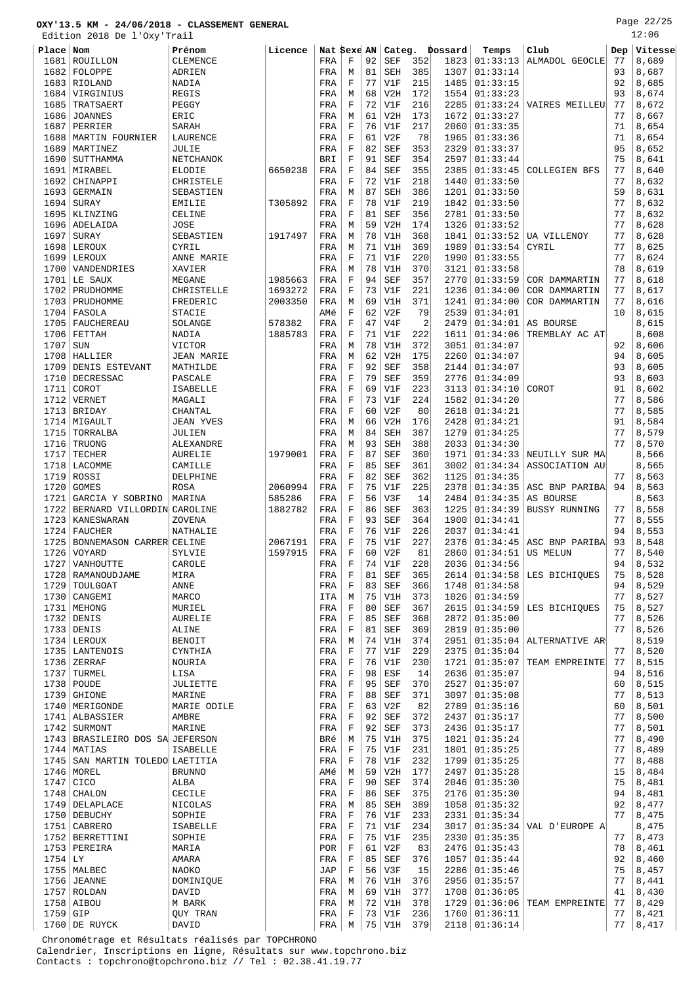Page 22/25

|              | Edition 2018 De l'Oxy'Trail          |                                    |         |            |                            |          |                   |            |              |                      |                              |          | 12:06          |
|--------------|--------------------------------------|------------------------------------|---------|------------|----------------------------|----------|-------------------|------------|--------------|----------------------|------------------------------|----------|----------------|
| Place Nom    |                                      | Prénom                             | Licence | Nat Sexe   |                            | AN       | Categ.            |            | Dossard      | Temps                | Club                         | Dep      | Vitesse        |
| 1681         | ROUILLON                             | CLEMENCE                           |         | FRA        | F                          | 92       | <b>SEF</b>        | 352        | 1823         | 01:33:13             | ALMADOL GEOCLE               | 77       | 8,689          |
| 1682         | FOLOPPE                              | ADRIEN                             |         | FRA        | М                          | 81       | <b>SEH</b>        | 385        | 1307         | 01:33:14             |                              | 93       | 8,687          |
| 1683         | RIOLAND                              | NADIA                              |         | FRA        | F                          | 77       | V1F               | 215        | 1485         | 01:33:15             |                              | 92       | 8,685          |
| 1684         | VIRGINIUS                            | REGIS                              |         | FRA        | М                          | 68       | V2H               | 172        | 1554         | 01:33:23             |                              | 93       | 8,674          |
| 1685         | TRATSAERT                            | PEGGY                              |         | FRA        | F                          | 72       | V1F               | 216        | 2285         | 01:33:24             | VAIRES MEILLEU               | 77       | 8,672          |
| 1686         | <b>JOANNES</b>                       | ERIC                               |         | FRA        | М                          | 61       | V2H               | 173        | 1672         | 01:33:27             |                              | 77       | 8,667          |
| 1687         | PERRIER                              | SARAH                              |         | FRA        | F                          | 76       | V1F               | 217        | 2060         | 01:33:35             |                              | 71       | 8,654          |
| 1688         | MARTIN FOURNIER                      | LAURENCE                           |         | FRA        | F                          | 61       | V2F               | 78         | 1965         | 01:33:36             |                              | 71       | 8,654          |
| 1689         | MARTINEZ                             | JULIE                              |         | FRA        | $\mathbf F$                | 82       | <b>SEF</b>        | 353        | 2329         | 01:33:37             |                              | 95       | 8,652          |
| 1690         | SUTTHAMMA                            | NETCHANOK                          |         | <b>BRI</b> | F                          | 91       | <b>SEF</b>        | 354        | 2597         | 01:33:44             |                              | 75       | 8,641          |
| 1691         | MIRABEL                              | ELODIE                             | 6650238 | FRA        | $\mathbf F$                | 84       | <b>SEF</b>        | 355        | 2385         | 01:33:45             | COLLEGIEN BFS                | 77       | 8,640          |
| 1692         | CHINAPPI                             | CHRISTELE                          |         | FRA        | F                          | 72       | V1F               | 218        | 1440         | 01:33:50             |                              | 77       | 8,632          |
| 1693         | GERMAIN                              | SEBASTIEN                          |         | FRA        | М                          | 87       | <b>SEH</b>        | 386        | 1201         | 01:33:50             |                              | 59       | 8,631          |
| 1694         | <b>SURAY</b>                         | <b>EMILIE</b>                      | T305892 | FRA        | F                          | 78       | V1F               | 219        | 1842         | 01:33:50             |                              | 77       | 8,632          |
| 1695         | KLINZING                             | CELINE                             |         | FRA        | F                          | 81       | <b>SEF</b>        | 356        | 2781         | 01:33:50             |                              | 77       | 8,632          |
| 1696         | ADELAIDA                             | <b>JOSE</b>                        |         | FRA        | М                          | 59       | V2H               | 174        | 1326         | 01:33:52             |                              | 77       | 8,628          |
| 1697         | <b>SURAY</b>                         | SEBASTIEN                          | 1917497 | FRA        | М                          | 78       | V1H               | 368        | 1841         | 01:33:52             | UA VILLENOY                  | 77       | 8,628          |
| 1698         | LEROUX                               | CYRIL                              |         | FRA        | М                          | 71       | V1H               | 369        | 1989         | 01:33:54             | CYRIL                        | 77       | 8,625          |
| 1699         | LEROUX                               | ANNE MARIE                         |         | FRA        | F                          | 71       | V1F               | 220        | 1990         | 01:33:55             |                              | 77       | 8,624          |
| 1700         | VANDENDRIES                          | XAVIER                             |         | FRA        | М                          | 78       | V1H               | 370        | 3121         | 01:33:58             |                              | 78       | 8,619          |
| 1701         | LE SAUX                              | MEGANE                             | 1985663 | FRA        | F                          | 94       | <b>SEF</b>        | 357        | 2770         | 01:33:59             | COR DAMMARTIN                | 77       | 8,618          |
| 1702         | PRUDHOMME                            | CHRISTELLE                         | 1693272 | FRA        | F                          | 73       | V1F               | 221        | 1236         | 01:34:00             | COR DAMMARTIN                | 77       | 8,617          |
| 1703         | PRUDHOMME                            | FREDERIC                           | 2003350 | FRA        | М                          | 69       | V1H               | 371        | 1241         | 01:34:00             | COR DAMMARTIN                | 77       | 8,616          |
| 1704         | FASOLA                               | STACIE                             |         | AMé        | F                          | 62       | V2F               | 79         | 2539         | 01:34:01             |                              | 10       | 8,615          |
| 1705         | FAUCHEREAU                           | SOLANGE                            | 578382  | FRA        | $\mathbf F$                | 47       | V4F               | 2          | 2479         | 01:34:01             | AS BOURSE                    |          | 8,615          |
| 1706         | FETTAH                               | <b>NADIA</b>                       | 1885783 | FRA        | F                          | 71<br>78 | V1F               | 222<br>372 | 1611         | 01:34:06<br>01:34:07 | TREMBLAY AC AT               |          | 8,608<br>8,606 |
| 1707<br>1708 | SUN<br>HALLIER                       | <b>VICTOR</b><br><b>JEAN MARIE</b> |         | FRA<br>FRA | М<br>М                     | 62       | V1H<br>V2H        | 175        | 3051<br>2260 | 01:34:07             |                              | 92<br>94 | 8,605          |
| 1709         | DENIS ESTEVANT                       | MATHILDE                           |         |            | $\mathbf F$                | 92       | <b>SEF</b>        | 358        | 2144         | 01:34:07             |                              | 93       | 8,605          |
| 1710         | DECRESSAC                            | PASCALE                            |         | FRA<br>FRA | F                          | 79       | <b>SEF</b>        | 359        | 2776         | 01:34:09             |                              | 93       | 8,603          |
| 1711         | COROT                                | <b>ISABELLE</b>                    |         | FRA        | F                          | 69       | V1F               | 223        | 3113         | 01:34:10             | COROT                        | 91       | 8,602          |
| 1712         | VERNET                               | MAGALI                             |         | FRA        | F                          | 73       | V1F               | 224        | 1582         | 01:34:20             |                              | 77       | 8,586          |
| 1713         | <b>BRIDAY</b>                        | CHANTAL                            |         | FRA        | F                          | 60       | V2F               | 80         | 2618         | 01:34:21             |                              | 77       | 8,585          |
| 1714         | MIGAULT                              | <b>JEAN YVES</b>                   |         | FRA        | М                          | 66       | V2H               | 176        | 2428         | 01:34:21             |                              | 91       | 8,584          |
| 1715         | TORRALBA                             | JULIEN                             |         | FRA        | М                          | 84       | <b>SEH</b>        | 387        | 1279         | 01:34:25             |                              | 77       | 8,579          |
| 1716         | TRUONG                               | ALEXANDRE                          |         | FRA        | M                          | 93       | <b>SEH</b>        | 388        | 2033         | 01:34:30             |                              | 77       | 8,570          |
| 1717         | TECHER                               | AURELIE                            | 1979001 | FRA        | F                          | 87       | SEF               | 360        | 1971         | 01:34:33             | NEUILLY SUR MA               |          | 8,566          |
| 1718         | LACOMME                              | CAMILLE                            |         | FRA        | F                          | 85       | <b>SEF</b>        | 361        | 3002         | 01:34:34             | ASSOCIATION AU               |          | 8,565          |
| 1719         | ROSSI                                | DELPHINE                           |         | FRA        | F                          | 82       | SEF               | 362        | 1125         | 01:34:35             |                              | 77       | 8,563          |
| 1720         | <b>GOMES</b>                         | <b>ROSA</b>                        | 2060994 | FRA        | F                          | 75       | V1F               | 225        | 2378         | 01:34:35             | ASC BNP PARIBA               | 94       | 8,563          |
| 1721         | GARCIA Y SOBRINO                     | MARINA                             | 585286  | FRA        | $\mathbf F$                | 56       | V3F               | 14         | 2484         | 01:34:35             | AS BOURSE                    |          | 8,563          |
| 1722         | BERNARD VILLORDIN CAROLINE           |                                    | 1882782 | FRA        | F                          | 86       | SEF               | 363        | 1225         | 01:34:39             | <b>BUSSY RUNNING</b>         | 77       | 8,558          |
| 1723         | KANESWARAN                           | ZOVENA                             |         | FRA        | F                          | 93       | <b>SEF</b>        | 364        | 1900         | 01:34:41             |                              | 77       | 8,555          |
| 1724         | <b>FAUCHER</b>                       | NATHALIE                           |         | FRA        | F                          | 76       | V1F               | 226        | 2037         | 01:34:41             |                              | 94       | 8,553          |
| 1725         | BONNEMASON CARRER CELINE             |                                    | 2067191 | FRA        | $\mathbf F$                | 75       | V1F               | 227        |              |                      | 2376 01:34:45 ASC BNP PARIBA | 93       | 8,548          |
|              | 1726   VOYARD                        | SYLVIE                             | 1597915 | FRA        | F                          | 60       | V2F               | 81         |              | $2860$ 01:34:51      | US MELUN                     | 77       | 8,540          |
| 1727         | VANHOUTTE                            | CAROLE                             |         | FRA        | F                          | 74       | V1F               | 228        | 2036         | 01:34:56             |                              | 94       | 8,532          |
| 1728         | RAMANOUDJAME                         | MIRA                               |         | FRA        | $\mathbf F$                | 81       | <b>SEF</b>        | 365        | 2614         | 01:34:58             | LES BICHIQUES                | 75       | 8,528          |
| 1729         | TOULGOAT                             | <b>ANNE</b>                        |         | FRA        | $\mathbf F$                | 83       | <b>SEF</b>        | 366        | 1748         | 01:34:58             |                              | 94       | 8,529          |
| 1730         | CANGEMI                              | MARCO                              |         | ITA        | М                          | 75       | V1H               | 373        | 1026         | 01:34:59             |                              | 77       | 8,527          |
| 1731         | MEHONG                               | MURIEL                             |         | FRA        | F                          | 80       | <b>SEF</b>        | 367        | 2615         | 01:34:59             | LES BICHIQUES                | 75       | 8,527          |
| 1732         | DENIS                                | <b>AURELIE</b>                     |         | FRA        | $\mathbf F$                | 85       | <b>SEF</b>        | 368        | 2872         | 01:35:00             |                              | 77       | 8,526          |
| 1733         | DENIS                                | ALINE                              |         | FRA        | F                          | 81       | <b>SEF</b>        | 369        | 2819         | 01:35:00             |                              | 77       | 8,526          |
|              | 1734 LEROUX                          | <b>BENOIT</b>                      |         | FRA        | M                          | 74       | V1H               | 374        | 2951         | 01:35:04             | ALTERNATIVE AR               |          | 8,519          |
| 1735         | LANTENOIS                            | CYNTHIA                            |         | FRA        | F                          | 77       | V1F               | 229        | 2375         | 01:35:04             |                              | 77       | 8,520          |
| 1736         | ZERRAF                               | NOURIA                             |         | FRA        | $\mathbf F$                | 76       | V1F               | 230        | 1721         | 01:35:07             | TEAM EMPREINTE               | 77       | 8,515          |
| 1737         | TURMEL                               | LISA                               |         | FRA        | $\mathbf F$                | 98       | ESF               | 14         | 2636         | 01:35:07             |                              | 94       | 8,516          |
| 1738         | POUDE                                | JULIETTE                           |         | FRA        | $\mathbf F$                | 95       | <b>SEF</b>        | 370        | 2527         | 01:35:07             |                              | 60       | 8,515          |
| 1739         | GHIONE                               | MARINE                             |         | FRA        | $\mathbf F$                | 88       | SEF               | 371        | 3097         | 01:35:08             |                              | 77       | 8,513          |
| 1740<br>1741 | MERIGONDE                            | MARIE ODILE<br>AMBRE               |         | FRA        | $\mathbf F$<br>$\mathbf F$ | 63<br>92 | V2F<br><b>SEF</b> | 82<br>372  | 2789<br>2437 | 01:35:16             |                              | 60<br>77 | 8,501          |
| 1742         | ALBASSIER<br>SURMONT                 |                                    |         | FRA        | $\mathbf F$                | 92       | <b>SEF</b>        | 373        | 2436         | 01:35:17<br>01:35:17 |                              | 77       | 8,500<br>8,501 |
| 1743         |                                      | MARINE                             |         | FRA        | М                          | 75       | V1H               |            |              |                      |                              | 77       | 8,490          |
| 1744         | BRASILEIRO DOS SA JEFERSON<br>MATIAS | ISABELLE                           |         | BRé<br>FRA | $\mathbf F$                | 75       | V1F               | 375<br>231 | 1021<br>1801 | 01:35:24<br>01:35:25 |                              | 77       | 8,489          |
| 1745         | SAN MARTIN TOLEDO LAETITIA           |                                    |         | FRA        | $\mathbf F$                | 78       | V1F               | 232        | 1799         | 01:35:25             |                              | 77       | 8,488          |
| 1746         | MOREL                                | <b>BRUNNO</b>                      |         | AMé        | М                          | 59       | V2H               | 177        | 2497         | 01:35:28             |                              | 15       | 8,484          |
| 1747         | CICO                                 | ALBA                               |         | FRA        | F                          | 90       | <b>SEF</b>        | 374        | 2046         | 01:35:30             |                              | 75       | 8,481          |
| 1748         | CHALON                               | CECILE                             |         | FRA        | $\mathbf F$                | 86       | <b>SEF</b>        | 375        | 2176         | 01:35:30             |                              | 94       | 8,481          |
| 1749         | DELAPLACE                            | NICOLAS                            |         | FRA        | M                          | 85       | <b>SEH</b>        | 389        | 1058         | 01:35:32             |                              | 92       | 8,477          |
| 1750         | <b>DEBUCHY</b>                       | SOPHIE                             |         | FRA        | $\mathbf F$                | 76       | V1F               | 233        | 2331         | 01:35:34             |                              | 77       | 8,475          |
| 1751         | CABRERO                              | ISABELLE                           |         | FRA        | F                          | 71       | V1F               | 234        | 3017         | 01:35:34             | VAL D'EUROPE A               |          | 8,475          |
| 1752         | BERRETTINI                           | SOPHIE                             |         | FRA        | $\mathbf F$                | 75       | V1F               | 235        | 2330         | 01:35:35             |                              | 77       | 8,473          |
| 1753         | PEREIRA                              | MARIA                              |         | POR        | F                          | 61       | V2F               | 83         | 2476         | 01:35:43             |                              | 78       | 8,461          |
| $1754$ LY    |                                      | AMARA                              |         | FRA        | $\mathbf F$                | 85       | <b>SEF</b>        | 376        | 1057         | 01:35:44             |                              | 92       | 8,460          |
|              | 1755   MALBEC                        | <b>NAOKO</b>                       |         | JAP        | $\mathbf F$                | 56       | V3F               | 15         | 2286         | 01:35:46             |                              | 75       | 8,457          |
|              | 1756 JEANNE                          | DOMINIQUE                          |         | FRA        | М                          | 76       | V1H               | 376        | 2956         | 01:35:57             |                              | 77       | 8,441          |
|              | 1757 ROLDAN                          | DAVID                              |         | FRA        | М                          | 69       | V1H               | 377        | 1708         | 01:36:05             |                              | 41       | 8,430          |
| 1758         | AIBOU                                | M BARK                             |         | FRA        | М                          | 72       | V1H               | 378        | 1729         | 01:36:06             | TEAM EMPREINTE               | 77       | 8,429          |
| 1759         | GIP                                  | QUY TRAN                           |         | FRA        | $\mathbf F$                | 73       | V1F               | 236        | 1760         | 01:36:11             |                              | 77       | 8,421          |
|              | $1760$ DE RUYCK                      | DAVID                              |         | FRA        | М                          |          | $75$ V1H          | 379        |              | 2118   01:36:14      |                              | 77       | 8,417          |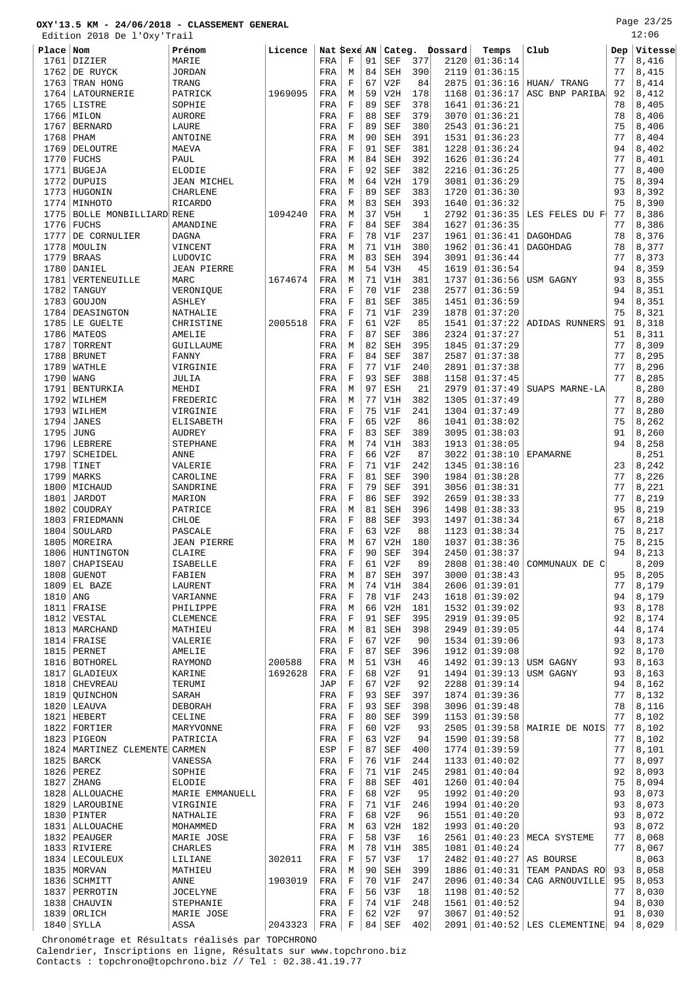Page 23/25 12:06

|       | Edition 2018 De l'Oxy'Trail     |                    |         |          |             |    |            |     |                |               |                                    |     | 12:06   |
|-------|---------------------------------|--------------------|---------|----------|-------------|----|------------|-----|----------------|---------------|------------------------------------|-----|---------|
| Place | Nom                             | Prénom             | Licence | Nat Sexe |             | AN |            |     | Categ. Dossard | Temps         | Club                               | Dep | Vitesse |
| 1761  | DIZIER                          | MARIE              |         | FRA      | F           | 91 | <b>SEF</b> | 377 | 2120           | 01:36:14      |                                    | 77  | 8,416   |
| 1762  | DE RUYCK                        | <b>JORDAN</b>      |         | FRA      | М           | 84 | <b>SEH</b> | 390 | 2119           | 01:36:15      |                                    | 77  | 8,415   |
| 1763  | TRAN HONG                       | TRANG              |         | FRA      | F           | 67 | V2F        | 84  | 2875           | 01:36:16      | HUAN/ TRANG                        | 77  | 8,414   |
| 1764  | LATOURNERIE                     | PATRICK            | 1969095 | FRA      | М           | 59 | V2H        | 178 | 1168           | 01:36:17      | ASC BNP PARIBA                     | 92  | 8,412   |
| 1765  | LISTRE                          | SOPHIE             |         | FRA      | F           | 89 | <b>SEF</b> | 378 | 1641           | 01:36:21      |                                    | 78  | 8,405   |
| 1766  | MILON                           | <b>AURORE</b>      |         | FRA      | $\mathbf F$ | 88 | <b>SEF</b> | 379 | 3070           | 01:36:21      |                                    | 78  | 8,406   |
| 1767  | <b>BERNARD</b>                  | LAURE              |         | FRA      | F           | 89 | SEF        | 380 | 2543           | 01:36:21      |                                    | 75  | 8,406   |
| 1768  | PHAM                            | ANTOINE            |         | FRA      | M           | 90 | <b>SEH</b> | 391 | 1531           | 01:36:23      |                                    | 77  | 8,404   |
| 1769  | DELOUTRE                        | MAEVA              |         | FRA      | F           | 91 | <b>SEF</b> | 381 | 1228           | 01:36:24      |                                    | 94  | 8,402   |
| 1770  | <b>FUCHS</b>                    | PAUL               |         | FRA      | М           | 84 | <b>SEH</b> | 392 | 1626           | 01:36:24      |                                    | 77  | 8,401   |
| 1771  | <b>BUGEJA</b>                   | <b>ELODIE</b>      |         | FRA      | F           | 92 | <b>SEF</b> | 382 | 2216           | 01:36:25      |                                    | 77  | 8,400   |
| 1772  | <b>DUPUIS</b>                   |                    |         |          |             | 64 | V2H        | 179 | 3081           | 01:36:29      |                                    | 75  | 8,394   |
|       |                                 | <b>JEAN MICHEL</b> |         | FRA      | М           | 89 |            |     |                |               |                                    |     |         |
| 1773  | HUGONIN                         | CHARLENE           |         | FRA      | F           |    | <b>SEF</b> | 383 | 1720           | 01:36:30      |                                    | 93  | 8,392   |
| 1774  | MINHOTO                         | <b>RICARDO</b>     |         | FRA      | М           | 83 | <b>SEH</b> | 393 | 1640           | 01:36:32      |                                    | 75  | 8,390   |
| 1775  | BOLLE MONBILLIARD RENE          |                    | 1094240 | FRA      | M           | 37 | V5H        | 1   | 2792           | 01:36:35      | LES FELES DU F                     | 77  | 8,386   |
| 1776  | <b>FUCHS</b>                    | AMANDINE           |         | FRA      | F           | 84 | <b>SEF</b> | 384 | 1627           | 01:36:35      |                                    | 77  | 8,386   |
| 1777  | DE CORNULIER                    | <b>DAGNA</b>       |         | FRA      | F           | 78 | V1F        | 237 | 1961           | 01:36:41      | DAGOHDAG                           | 78  | 8,376   |
| 1778  | MOULIN                          | VINCENT            |         | FRA      | М           | 71 | V1H        | 380 | 1962           | 01:36:41      | DAGOHDAG                           | 78  | 8,377   |
| 1779  | <b>BRAAS</b>                    | LUDOVIC            |         | FRA      | М           | 83 | <b>SEH</b> | 394 | 3091           | 01:36:44      |                                    | 77  | 8,373   |
| 1780  | DANIEL                          | <b>JEAN PIERRE</b> |         | FRA      | М           | 54 | V3H        | 45  | 1619           | 01:36:54      |                                    | 94  | 8,359   |
| 1781  | VERTENEUILLE                    | MARC               | 1674674 | FRA      | М           | 71 | V1H        | 381 | 1737           | 01:36:56      | USM GAGNY                          | 93  | 8,355   |
| 1782  | TANGUY                          | VERONIQUE          |         | FRA      | $\mathbf F$ | 70 | V1F        | 238 | 2577           | 01:36:59      |                                    | 94  | 8,351   |
| 1783  | GOUJON                          | <b>ASHLEY</b>      |         | FRA      | F           | 81 | <b>SEF</b> | 385 | 1451           | 01:36:59      |                                    | 94  | 8,351   |
| 1784  | DEASINGTON                      | NATHALIE           |         | FRA      | F           | 71 | V1F        | 239 | 1878           | 01:37:20      |                                    | 75  | 8,321   |
| 1785  | LE GUELTE                       | CHRISTINE          | 2005518 | FRA      | $\mathbf F$ | 61 | V2F        | 85  | 1541           | 01:37:22      | ADIDAS RUNNERS                     | 91  | 8,318   |
| 1786  | MATEOS                          | AMELIE             |         | FRA      | F           | 87 | <b>SEF</b> | 386 | 2324           | 01:37:27      |                                    | 51  | 8,311   |
| 1787  | TORRENT                         | GUILLAUME          |         | FRA      | М           | 82 | <b>SEH</b> | 395 | 1845           | 01:37:29      |                                    | 77  | 8,309   |
| 1788  | BRUNET                          | FANNY              |         | FRA      | F           | 84 | <b>SEF</b> | 387 | 2587           | 01:37:38      |                                    | 77  | 8,295   |
| 1789  | WATHLE                          | VIRGINIE           |         | FRA      | $\mathbf F$ | 77 | V1F        | 240 | 2891           | 01:37:38      |                                    | 77  | 8,296   |
| 1790  | WANG                            | JULIA              |         | FRA      | F           | 93 | <b>SEF</b> | 388 | 1158           | 01:37:45      |                                    | 77  | 8,285   |
| 1791  | BENTURKIA                       | MEHDI              |         | FRA      | M           | 97 | ESH        | 21  | 2979           | 01:37:49      | SUAPS MARNE-LA                     |     | 8,280   |
| 1792  | WILHEM                          | FREDERIC           |         | FRA      | М           | 77 | V1H        | 382 | 1305           | 01:37:49      |                                    | 77  | 8,280   |
| 1793  | WILHEM                          | VIRGINIE           |         | FRA      | $\mathbf F$ | 75 | V1F        | 241 | 1304           | 01:37:49      |                                    | 77  | 8,280   |
| 1794  | <b>JANES</b>                    | ELISABETH          |         | FRA      | F           | 65 | V2F        | 86  | 1041           | 01:38:02      |                                    | 75  | 8,262   |
| 1795  | <b>JUNG</b>                     | AUDREY             |         | FRA      | $\mathbf F$ | 83 | <b>SEF</b> | 389 | 3095           | 01:38:03      |                                    | 91  | 8,260   |
| 1796  | LEBRERE                         | <b>STEPHANE</b>    |         | FRA      | М           | 74 | V1H        | 383 | 1913           | 01:38:05      |                                    | 94  | 8,258   |
| 1797  | SCHEIDEL                        | ANNE               |         |          | F           | 66 | V2F        | 87  | 3022           | 01:38:10      | <b>EPAMARNE</b>                    |     | 8,251   |
| 1798  |                                 |                    |         | FRA      |             | 71 |            |     |                |               |                                    |     |         |
|       | TINET                           | VALERIE            |         | FRA      | F           |    | V1F        | 242 | 1345           | 01:38:16      |                                    | 23  | 8,242   |
| 1799  | MARKS                           | CAROLINE           |         | FRA      | F           | 81 | <b>SEF</b> | 390 | 1984           | 01:38:28      |                                    | 77  | 8,226   |
| 1800  | MICHAUD                         | SANDRINE           |         | FRA      | $\mathbf F$ | 79 | <b>SEF</b> | 391 | 3056           | 01:38:31      |                                    | 77  | 8,221   |
| 1801  | <b>JARDOT</b>                   | MARION             |         | FRA      | F           | 86 | <b>SEF</b> | 392 | 2659           | 01:38:33      |                                    | 77  | 8,219   |
| 1802  | COUDRAY                         | PATRICE            |         | FRA      | М           | 81 | SEH        | 396 | 1498           | 01:38:33      |                                    | 95  | 8,219   |
| 1803  | FRIEDMANN                       | CHLOE              |         | FRA      | F           | 88 | <b>SEF</b> | 393 | 1497           | 01:38:34      |                                    | 67  | 8,218   |
| 1804  | SOULARD                         | PASCALE            |         | FRA      | F           | 63 | V2F        | 88  | 1123           | 01:38:34      |                                    | 75  | 8,217   |
|       | 1805 MOREIRA                    | <b>JEAN PIERRE</b> |         | FRA      | М           | 67 | V2H        | 180 | 1037           | 01:38:36      |                                    | 75  | 8,215   |
|       | 1806 HUNTINGTON                 | CLAIRE             |         | FRA      | F           | 90 | <b>SEF</b> | 394 |                | 2450 01:38:37 |                                    | 94  | 8,213   |
| 1807  | CHAPISEAU                       | <b>ISABELLE</b>    |         | FRA      | F           | 61 | V2F        | 89  | 2808           | 01:38:40      | COMMUNAUX DE C                     |     | 8,209   |
| 1808  | GUENOT                          | FABIEN             |         | FRA      | М           | 87 | SEH        | 397 | 3000           | 01:38:43      |                                    | 95  | 8,205   |
| 1809  | EL BAZE                         | LAURENT            |         | FRA      | М           | 74 | V1H        | 384 | 2606           | 01:39:01      |                                    | 77  | 8,179   |
| 1810  | ANG                             | VARIANNE           |         | FRA      | F           | 78 | V1F        | 243 | 1618           | 01:39:02      |                                    | 94  | 8,179   |
| 1811  | FRAISE                          | PHILIPPE           |         | FRA      | М           | 66 | V2H        | 181 | 1532           | 01:39:02      |                                    | 93  | 8,178   |
| 1812  | VESTAL                          | CLEMENCE           |         | FRA      | F           | 91 | SEF        | 395 | 2919           | 01:39:05      |                                    | 92  | 8,174   |
|       | 1813   MARCHAND                 | MATHIEU            |         | FRA      | М           | 81 | SEH        | 398 | 2949           | 01:39:05      |                                    | 44  | 8,174   |
|       | 1814 FRAISE                     | VALERIE            |         | FRA      | F           | 67 | V2F        | 90  | 1534           | 01:39:06      |                                    | 93  | 8,173   |
| 1815  | PERNET                          | AMELIE             |         | FRA      | $\mathbf F$ | 87 | <b>SEF</b> | 396 | 1912           | 01:39:08      |                                    | 92  | 8,170   |
|       | 1816   BOTHOREL                 | RAYMOND            | 200588  | FRA      | М           | 51 | V3H        | 46  | 1492           | 01:39:13      | USM GAGNY                          | 93  | 8,163   |
| 1817  | <b>GLADIEUX</b>                 | KARINE             | 1692628 | FRA      | $\mathbf F$ | 68 | V2F        | 91  | 1494           | 01:39:13      | USM GAGNY                          | 93  | 8,163   |
|       | 1818   CHEVREAU                 | TERUMI             |         | JAP      | $\mathbf F$ | 67 | V2F        | 92  | 2288           | 01:39:14      |                                    | 94  | 8,162   |
| 1819  | QUINCHON                        | SARAH              |         | FRA      | F           | 93 | <b>SEF</b> | 397 | 1874           | 01:39:36      |                                    | 77  | 8,132   |
|       | 1820 LEAUVA                     | DEBORAH            |         | FRA      | $\mathbf F$ | 93 | <b>SEF</b> | 398 | 3096           | 01:39:48      |                                    | 78  | 8,116   |
|       | 1821 HEBERT                     | CELINE             |         | FRA      | $\mathbf F$ | 80 | SEF        | 399 | 1153           | 01:39:58      |                                    | 77  | 8,102   |
| 1822  | FORTIER                         | MARYVONNE          |         | FRA      | F           | 60 | V2F        | 93  | 2505           | 01:39:58      | MAIRIE DE NOIS                     | 77  | 8,102   |
|       | 1823 PIGEON                     | PATRICIA           |         | FRA      | $\mathbf F$ | 63 | V2F        | 94  | 1590           | 01:39:58      |                                    | 77  | 8,102   |
|       | 1824   MARTINEZ CLEMENTE CARMEN |                    |         | ESP      | $\mathbf F$ | 87 | <b>SEF</b> | 400 | 1774           | 01:39:59      |                                    | 77  | 8,101   |
|       | $1825$ BARCK                    | VANESSA            |         |          | $\mathbf F$ | 76 | V1F        | 244 | 1133           | 01:40:02      |                                    | 77  | 8,097   |
|       |                                 |                    |         | FRA      |             |    |            |     |                |               |                                    |     |         |
|       | $1826$ PEREZ                    | SOPHIE             |         | FRA      | F           | 71 | V1F        | 245 | 2981           | 01:40:04      |                                    | 92  | 8,093   |
| 1827  | ZHANG                           | ELODIE             |         | FRA      | F           | 88 | <b>SEF</b> | 401 | 1260           | 01:40:04      |                                    | 75  | 8,094   |
|       | 1828 ALLOUACHE                  | MARIE EMMANUELL    |         | FRA      | $\mathbf F$ | 68 | V2F        | 95  | 1992           | 01:40:20      |                                    | 93  | 8,073   |
|       | 1829   LAROUBINE                | VIRGINIE           |         | FRA      | F           | 71 | V1F        | 246 | 1994           | 01:40:20      |                                    | 93  | 8,073   |
|       | 1830   PINTER                   | NATHALIE           |         | FRA      | $\mathbf F$ | 68 | V2F        | 96  | 1551           | 01:40:20      |                                    | 93  | 8,072   |
| 1831  | ALLOUACHE                       | MOHAMMED           |         | FRA      | М           | 63 | V2H        | 182 | 1993           | 01:40:20      |                                    | 93  | 8,072   |
|       | 1832   PEAUGER                  | MARIE JOSE         |         | FRA      | $\mathbf F$ | 58 | V3F        | 16  | 2561           | 01:40:23      | MECA SYSTEME                       | 77  | 8,068   |
|       | 1833 RIVIERE                    | CHARLES            |         | FRA      | М           | 78 | V1H        | 385 | 1081           | 01:40:24      |                                    | 77  | 8,067   |
|       | 1834   LECOULEUX                | LILIANE            | 302011  | FRA      | $\mathbf F$ | 57 | V3F        | 17  | 2482           | 01:40:27      | AS BOURSE                          |     | 8,063   |
|       | 1835   MORVAN                   | MATHIEU            |         | FRA      | М           | 90 | SEH        | 399 | 1886           | 01:40:31      | TEAM PANDAS RO                     | 93  | 8,058   |
|       | 1836   SCHMITT                  | ANNE               | 1903019 | FRA      | $\mathbf F$ | 70 | V1F        | 247 | 2096           | 01:40:34      | CAG ARNOUVILLE                     | 95  | 8,053   |
|       | 1837   PERROTIN                 | <b>JOCELYNE</b>    |         | FRA      | F           | 56 | V3F        | 18  | 1198           | 01:40:52      |                                    | 77  | 8,030   |
| 1838  | CHAUVIN                         | STEPHANIE          |         | FRA      | $\mathbf F$ | 74 | V1F        | 248 | 1561           | 01:40:52      |                                    | 94  | 8,030   |
|       | 1839 ORLICH                     | MARIE JOSE         |         | FRA      | F           | 62 | V2F        | 97  | 3067           | 01:40:52      |                                    | 91  | 8,030   |
|       | $1840$ SYLLA                    | ASSA               | 2043323 | FRA      | $\mathbf F$ | 84 | <b>SEF</b> | 402 |                |               | $2091   01:40:52  $ LES CLEMENTINE | 94  | 8,029   |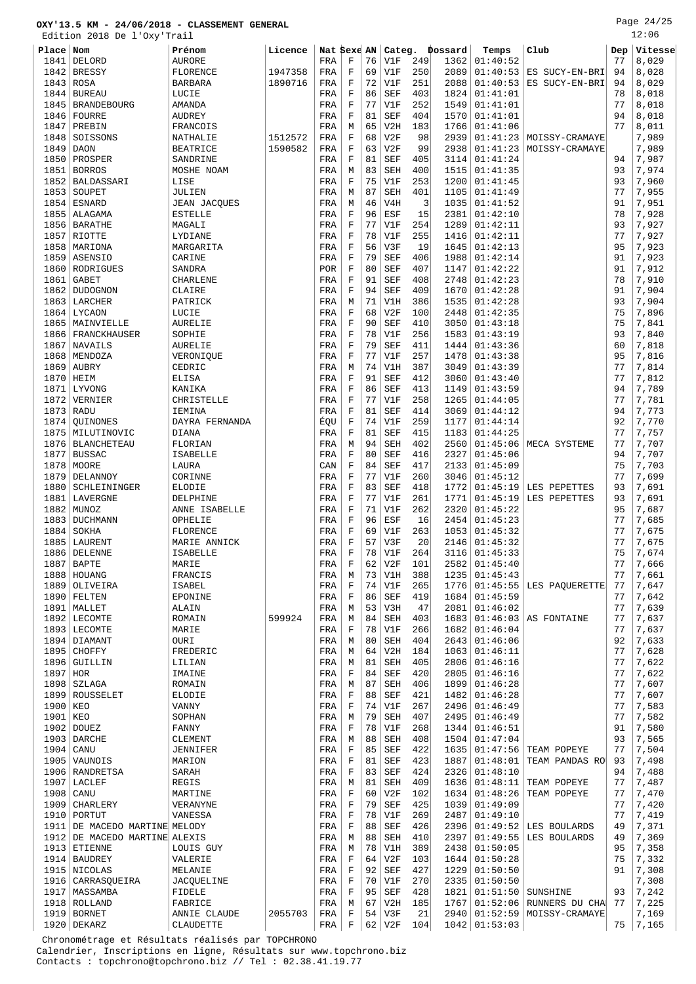Page 24/25

| 12:06<br>Edition 2018 De l'Oxy'Trail |                                     |                               |         |             |                            |          |                          |            |              |                      |                               |          |                |
|--------------------------------------|-------------------------------------|-------------------------------|---------|-------------|----------------------------|----------|--------------------------|------------|--------------|----------------------|-------------------------------|----------|----------------|
| Place Nom                            |                                     | Prénom                        | Licence | Nat Sexe AN |                            |          | Categ.                   |            | Dossard      | Temps                | Club                          | Dep      | Vitesse        |
| 1841                                 | DELORD                              | <b>AURORE</b>                 |         | FRA         | $\mathbf F$                | 76       | V1F                      | 249        | 1362         | 01:40:52             |                               | 77       | 8,029          |
| 1842                                 | <b>BRESSY</b>                       | FLORENCE                      | 1947358 | FRA         | F                          | 69       | V1F                      | 250        | 2089         | 01:40:53             | ES SUCY-EN-BRI                | 94       | 8,028          |
| 1843<br>1844                         | <b>ROSA</b><br><b>BUREAU</b>        | <b>BARBARA</b><br>LUCIE       | 1890716 | FRA<br>FRA  | $\mathbf F$<br>$\mathbf F$ | 72<br>86 | V1F<br><b>SEF</b>        | 251<br>403 | 2088<br>1824 | 01:40:53<br>01:41:01 | ES SUCY-EN-BRI                | 94<br>78 | 8,029<br>8,018 |
| 1845                                 | <b>BRANDEBOURG</b>                  | <b>AMANDA</b>                 |         | FRA         | $\mathbf F$                | 77       | V1F                      | 252        | 1549         | 01:41:01             |                               | 77       | 8,018          |
| 1846                                 | FOURRE                              | <b>AUDREY</b>                 |         | FRA         | $\mathbf F$                | 81       | <b>SEF</b>               | 404        | 1570         | 01:41:01             |                               | 94       | 8,018          |
| 1847                                 | PREBIN                              | FRANCOIS                      |         | FRA         | М                          | 65       | V2H                      | 183        | 1766         | 01:41:06             |                               | 77       | 8,011          |
| 1848                                 | SOISSONS                            | NATHALIE                      | 1512572 | FRA         | $\mathbf F$                | 68       | V2F                      | 98         | 2939         | 01:41:23             | MOISSY-CRAMAYE                |          | 7,989          |
| 1849                                 | <b>DAON</b>                         | <b>BEATRICE</b>               | 1590582 | FRA         | $\mathbf F$                | 63       | V2F                      | 99         | 2938         | 01:41:23             | MOISSY-CRAMAYE                |          | 7,989          |
| 1850                                 | PROSPER                             | SANDRINE                      |         | FRA         | $\mathbf F$                | 81       | SEF                      | 405        | 3114         | 01:41:24             |                               | 94       | 7,987          |
| 1851                                 | <b>BORROS</b>                       | MOSHE NOAM                    |         | FRA         | М                          | 83       | <b>SEH</b>               | 400        | 1515         | 01:41:35             |                               | 93       | 7,974          |
| 1852                                 | BALDASSARI                          | LISE                          |         | FRA         | F                          | 75       | V1F                      | 253        | 1200         | 01:41:45             |                               | 93       | 7,960          |
| 1853<br>1854                         | SOUPET<br><b>ESNARD</b>             | JULIEN<br><b>JEAN JACQUES</b> |         | FRA<br>FRA  | М<br>М                     | 87<br>46 | <b>SEH</b><br>V4H        | 401<br>3   | 1105<br>1035 | 01:41:49<br>01:41:52 |                               | 77<br>91 | 7,955<br>7,951 |
| 1855                                 | ALAGAMA                             | <b>ESTELLE</b>                |         | FRA         | F                          | 96       | ESF                      | 15         | 2381         | 01:42:10             |                               | 78       | 7,928          |
| 1856                                 | <b>BARATHE</b>                      | MAGALI                        |         | FRA         | F                          | 77       | V1F                      | 254        | 1289         | 01:42:11             |                               | 93       | 7,927          |
| 1857                                 | <b>RIOTTE</b>                       | LYDIANE                       |         | FRA         | $\mathbf F$                | 78       | V1F                      | 255        | 1416         | 01:42:11             |                               | 77       | 7,927          |
| 1858                                 | MARIONA                             | MARGARITA                     |         | FRA         | $\mathbf F$                | 56       | V3F                      | 19         | 1645         | 01:42:13             |                               | 95       | 7,923          |
| 1859                                 | <b>ASENSIO</b>                      | CARINE                        |         | FRA         | $\mathbf F$                | 79       | <b>SEF</b>               | 406        | 1988         | 01:42:14             |                               | 91       | 7,923          |
| 1860                                 | RODRIGUES                           | SANDRA                        |         | <b>POR</b>  | F                          | 80       | <b>SEF</b>               | 407        | 1147         | 01:42:22             |                               | 91       | 7,912          |
| 1861                                 | <b>GABET</b>                        | <b>CHARLENE</b>               |         | FRA         | F                          | 91       | SEF                      | 408        | 2748         | 01:42:23             |                               | 78       | 7,910          |
| 1862<br>1863                         | <b>DUDOGNON</b><br>LARCHER          | CLAIRE<br>PATRICK             |         | FRA         | $\mathbf F$<br>М           | 94<br>71 | <b>SEF</b><br>V1H        | 409<br>386 | 1670<br>1535 | 01:42:28<br>01:42:28 |                               | 91<br>93 | 7,904<br>7,904 |
| 1864                                 | <b>LYCAON</b>                       | LUCIE                         |         | FRA<br>FRA  | $\mathbf F$                | 68       | V2F                      | 100        | 2448         | 01:42:35             |                               | 75       | 7,896          |
| 1865                                 | MAINVIELLE                          | <b>AURELIE</b>                |         | FRA         | F                          | 90       | <b>SEF</b>               | 410        | 3050         | 01:43:18             |                               | 75       | 7,841          |
| 1866                                 | <b>FRANCKHAUSER</b>                 | SOPHIE                        |         | FRA         | $\mathbf F$                | 78       | V1F                      | 256        | 1583         | 01:43:19             |                               | 93       | 7,840          |
| 1867                                 | NAVAILS                             | <b>AURELIE</b>                |         | FRA         | F                          | 79       | <b>SEF</b>               | 411        | 1444         | 01:43:36             |                               | 60       | 7,818          |
| 1868                                 | MENDOZA                             | VERONIQUE                     |         | FRA         | $\mathbf F$                | 77       | V1F                      | 257        | 1478         | 01:43:38             |                               | 95       | 7,816          |
| 1869                                 | AUBRY                               | CEDRIC                        |         | FRA         | М                          | 74       | V1H                      | 387        | 3049         | 01:43:39             |                               | 77       | 7,814          |
| 1870                                 | HEIM                                | <b>ELISA</b>                  |         | FRA         | F                          | 91       | <b>SEF</b>               | 412        | 3060         | 01:43:40             |                               | 77       | 7,812          |
| 1871<br>1872                         | <b>LYVONG</b><br>VERNIER            | KANIKA<br>CHRISTELLE          |         | FRA<br>FRA  | $\mathbf F$<br>F           | 86<br>77 | <b>SEF</b><br>V1F        | 413<br>258 | 1149<br>1265 | 01:43:59<br>01:44:05 |                               | 94<br>77 | 7,789<br>7,781 |
| 1873                                 | <b>RADU</b>                         | IEMINA                        |         | FRA         | F                          | 81       | <b>SEF</b>               | 414        | 3069         | 01:44:12             |                               | 94       | 7,773          |
| 1874                                 | QUINONES                            | DAYRA FERNANDA                |         | ÉQU         | $\mathbf F$                | 74       | V1F                      | 259        | 1177         | 01:44:14             |                               | 92       | 7,770          |
| 1875                                 | MILUTINOVIC                         | DIANA                         |         | FRA         | $\mathbf F$                | 81       | <b>SEF</b>               | 415        | 1183         | 01:44:25             |                               | 77       | 7,757          |
| 1876                                 | <b>BLANCHETEAU</b>                  | FLORIAN                       |         | FRA         | М                          | 94       | <b>SEH</b>               | 402        | 2560         | 01:45:06             | MECA SYSTEME                  | 77       | 7,707          |
| 1877                                 | <b>BUSSAC</b>                       | <b>ISABELLE</b>               |         | FRA         | F                          | 80       | <b>SEF</b>               | 416        | 2327         | 01:45:06             |                               | 94       | 7,707          |
| 1878                                 | MOORE                               | LAURA                         |         | CAN         | F                          | 84       | <b>SEF</b>               | 417        | 2133         | 01:45:09             |                               | 75       | 7,703          |
| 1879<br>1880                         | DELANNOY<br><b>SCHLEININGER</b>     | CORINNE<br>ELODIE             |         | FRA<br>FRA  | F<br>F                     | 77<br>83 | V1F<br><b>SEF</b>        | 260<br>418 | 3046<br>1772 | 01:45:12<br>01:45:19 | LES PEPETTES                  | 77<br>93 | 7,699<br>7,691 |
| 1881                                 | LAVERGNE                            | DELPHINE                      |         | FRA         | F                          | 77       | V1F                      | 261        | 1771         | 01:45:19             | LES PEPETTES                  | 93       | 7,691          |
| 1882                                 | MUNOZ                               | ANNE ISABELLE                 |         | FRA         | $\mathbf F$                | 71       | V1F                      | 262        | 2320         | 01:45:22             |                               | 95       | 7,687          |
| 1883                                 | <b>DUCHMANN</b>                     | OPHELIE                       |         | FRA         | F                          | 96       | ESF                      | 16         | 2454         | 01:45:23             |                               | 77       | 7,685          |
| 1884                                 | SOKHA                               | FLORENCE                      |         | FRA         | F                          | 69       | V1F                      | 263        | 1053         | 01:45:32             |                               | 77       | 7,675          |
| 1885                                 | LAURENT                             | MARIE ANNICK                  |         | FRA         | F                          | 57       | V3F                      | 20         | 2146         | 01:45:32             |                               | 77       | 7,675          |
| 1887                                 | 1886   DELENNE<br>BAPTE             | ISABELLE<br>MARIE             |         | FRA<br>FRA  | F<br>F                     | 78<br>62 | V1F<br>V2F               | 264<br>101 | 3116<br>2582 | 01:45:33<br>01:45:40 |                               | 75<br>77 | 7,674<br>7,666 |
|                                      | 1888   HOUANG                       | FRANCIS                       |         | FRA         | М                          | 73       | V1H                      | 388        | 1235         | 01:45:43             |                               | 77       | 7,661          |
| 1889                                 | OLIVEIRA                            | ISABEL                        |         | FRA         | $\mathbf F$                | 74       | V1F                      | 265        | 1776         | 01:45:55             | LES PAQUERETTE                | 77       | 7,647          |
| 1890                                 | FELTEN                              | <b>EPONINE</b>                |         | FRA         | F                          | 86       | SEF                      | 419        | 1684         | 01:45:59             |                               | 77       | 7,642          |
|                                      | 1891   MALLET                       | ALAIN                         |         | FRA         | M                          | 53       | V3H                      | 47         | 2081         | 01:46:02             |                               | 77       | 7,639          |
| 1892                                 | LECOMTE                             | ROMAIN                        | 599924  | FRA         | M                          | 84       | SEH                      | 403        | 1683         | 01:46:03             | AS FONTAINE                   | 77       | 7,637          |
|                                      | 1893 LECOMTE                        | MARIE                         |         | FRA         | $\mathbf F$                | 78       | V1F                      | 266        | 1682         | 01:46:04             |                               | 77       | 7,637          |
|                                      | 1894 DIAMANT                        | OURI<br>FREDERIC              |         | FRA         | М                          | 80<br>64 | <b>SEH</b>               | 404        | 2643         | 01:46:06<br>01:46:11 |                               | 92<br>77 | 7,633          |
| 1895<br>1896                         | CHOFFY<br>GUILLIN                   | LILIAN                        |         | FRA<br>FRA  | М<br>М                     | 81       | V2H<br><b>SEH</b>        | 184<br>405 | 1063<br>2806 | 01:46:16             |                               | 77       | 7,628<br>7,622 |
| $1897$ HOR                           |                                     | IMAINE                        |         | FRA         | F                          | 84       | <b>SEF</b>               | 420        | 2805         | 01:46:16             |                               | 77       | 7,622          |
| 1898                                 | SZLAGA                              | ROMAIN                        |         | FRA         | М                          | 87       | SEH                      | 406        | 1899         | 01:46:28             |                               | 77       | 7,607          |
| 1899                                 | ROUSSELET                           | ELODIE                        |         | FRA         | F                          | 88       | <b>SEF</b>               | 421        | 1482         | 01:46:28             |                               | 77       | 7,607          |
| 1900 KEO                             |                                     | VANNY                         |         | FRA         | $\mathbf F$                | 74       | V1F                      | 267        | 2496         | 01:46:49             |                               | 77       | 7,583          |
| 1901   KEO                           |                                     | SOPHAN                        |         | FRA         | М                          | 79       | <b>SEH</b>               | 407        | 2495         | 01:46:49             |                               | 77       | 7,582          |
|                                      | $1902$ DOUEZ                        | FANNY                         |         | FRA         | F                          | 78       | V1F                      | 268        | 1344         | 01:46:51             |                               | 91       | 7,580          |
| 1904                                 | 1903 DARCHE<br>CANU                 | CLEMENT                       |         | FRA         | М<br>F                     | 88<br>85 | <b>SEH</b><br><b>SEF</b> | 408<br>422 | 1504<br>1635 | 01:47:04<br>01:47:56 |                               | 93<br>77 | 7,565<br>7,504 |
|                                      | 1905   VAUNOIS                      | JENNIFER<br>MARION            |         | FRA<br>FRA  | $\mathbf F$                | 81       | SEF                      | 423        | 1887         | 01:48:01             | TEAM POPEYE<br>TEAM PANDAS RO | 93       | 7,498          |
| 1906                                 | RANDRETSA                           | SARAH                         |         | FRA         | F                          | 83       | SEF                      | 424        | 2326         | 01:48:10             |                               | 94       | 7,488          |
|                                      | 1907 LACLEF                         | <b>REGIS</b>                  |         | FRA         | М                          | 81       | <b>SEH</b>               | 409        | 1636         | 01:48:11             | TEAM POPEYE                   | 77       | 7,487          |
| 1908                                 | CANU                                | MARTINE                       |         | FRA         | $\mathbf F$                | 60       | V2F                      | 102        | 1634         | 01:48:26             | TEAM POPEYE                   | 77       | 7,470          |
| 1909                                 | CHARLERY                            | VERANYNE                      |         | FRA         | F                          | 79       | <b>SEF</b>               | 425        | 1039         | 01:49:09             |                               | 77       | 7,420          |
| 1910                                 | PORTUT                              | VANESSA                       |         | FRA         | F                          | 78       | V1F                      | 269        | 2487         | 01:49:10             |                               | 77       | 7,419          |
| 1911                                 | DE MACEDO MARTINE MELODY            |                               |         | FRA         | F                          | 88       | SEF                      | 426        | 2396         | 01:49:52             | LES BOULARDS                  | 49       | 7,371          |
| 1912<br>1913                         | DE MACEDO MARTINE ALEXIS<br>ETIENNE | <b>LOUIS GUY</b>              |         | FRA<br>FRA  | M<br>М                     | 88<br>78 | <b>SEH</b><br>V1H        | 410<br>389 | 2397<br>2438 | 01:49:55<br>01:50:05 | LES BOULARDS                  | 49<br>95 | 7,369<br>7,358 |
|                                      | 1914   BAUDREY                      | VALERIE                       |         | FRA         | $\mathbf F$                | 64       | V2F                      | 103        | 1644         | 01:50:28             |                               | 75       | 7,332          |
|                                      | 1915   NICOLAS                      | MELANIE                       |         | FRA         | F                          | 92       | SEF                      | 427        | 1229         | 01:50:50             |                               | 91       | 7,308          |
| 1916                                 | CARRASQUEIRA                        | JACQUELINE                    |         | FRA         | $\mathbf F$                | 70       | V1F                      | 270        | 2335         | 01:50:50             |                               |          | 7,308          |
|                                      | 1917   MASSAMBA                     | FIDELE                        |         | FRA         | F                          | 95       | <b>SEF</b>               | 428        | 1821         | 01:51:50             | SUNSHINE                      | 93       | 7,242          |
|                                      | 1918   ROLLAND                      | FABRICE                       |         | FRA         | М                          | 67       | V2H                      | 185        | 1767         | 01:52:06             | RUNNERS DU CHA                | 77       | 7,225          |
| 1919                                 | <b>BORNET</b><br>1920 DEKARZ        | ANNIE CLAUDE<br>CLAUDETTE     | 2055703 | FRA<br>FRA  | F<br>F                     | 54<br>62 | V3F<br>V2F               | 21<br>104  | 2940<br>1042 | 01:52:59<br>01:53:03 | MOISSY-CRAMAYE                | 75       | 7,169          |
|                                      |                                     |                               |         |             |                            |          |                          |            |              |                      |                               |          | 7,165          |